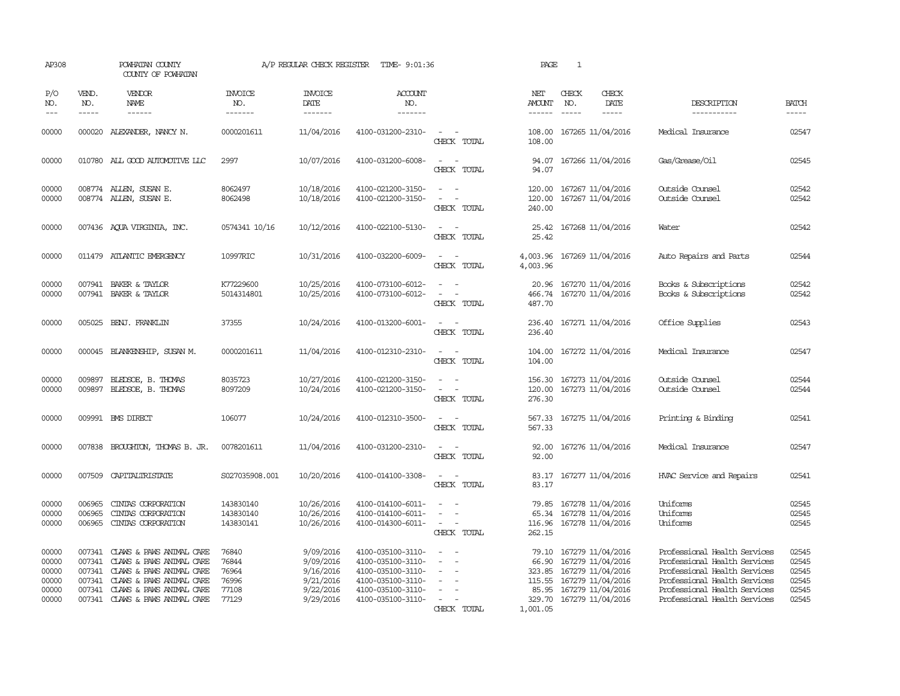| AP308                                              |                                      | POWHATAN COUNTY<br>COUNTY OF POWHATAN                                                                                                                                              |                                                    | A/P REGULAR CHECK REGISTER                                                 | TIME- 9:01:36                                                                                                              |                                                                     | PAGE                                                    | $\mathbf{1}$                                                                                                                      |                                                                                                                                                                                              |                                                    |
|----------------------------------------------------|--------------------------------------|------------------------------------------------------------------------------------------------------------------------------------------------------------------------------------|----------------------------------------------------|----------------------------------------------------------------------------|----------------------------------------------------------------------------------------------------------------------------|---------------------------------------------------------------------|---------------------------------------------------------|-----------------------------------------------------------------------------------------------------------------------------------|----------------------------------------------------------------------------------------------------------------------------------------------------------------------------------------------|----------------------------------------------------|
| P/O<br>NO.<br>$---$                                | VEND.<br>NO.<br>$- - - - -$          | VENDOR<br>NAME<br>$- - - - - -$                                                                                                                                                    | <b>INVOICE</b><br>NO.<br>-------                   | <b>INVOICE</b><br>DATE<br>-------                                          | <b>ACCOUNT</b><br>NO.<br>-------                                                                                           |                                                                     | NET<br><b>AMOUNT</b><br>------                          | CHECK<br>CHECK<br>DATE<br>NO.<br>$- - - - -$<br>$- - - - -$                                                                       | DESCRIPTION<br>-----------                                                                                                                                                                   | <b>BATCH</b><br>-----                              |
| 00000                                              |                                      | 000020 ALEXANDER, NANCY N.                                                                                                                                                         | 0000201611                                         | 11/04/2016                                                                 | 4100-031200-2310-                                                                                                          | $\overline{\phantom{a}}$<br>CHECK TOTAL                             | 108.00<br>108.00                                        | 167265 11/04/2016                                                                                                                 | Medical Insurance                                                                                                                                                                            | 02547                                              |
| 00000                                              |                                      | 010780 ALL GOOD AUTOMOTIVE LLC                                                                                                                                                     | 2997                                               | 10/07/2016                                                                 | 4100-031200-6008-                                                                                                          | $\sim$<br>CHECK TOTAL                                               | 94.07<br>94.07                                          | 167266 11/04/2016                                                                                                                 | Gas/Grease/Oil                                                                                                                                                                               | 02545                                              |
| 00000<br>00000                                     |                                      | 008774 ALLEN, SUSAN E.<br>008774 ALLEN, SUSAN E.                                                                                                                                   | 8062497<br>8062498                                 | 10/18/2016<br>10/18/2016                                                   | 4100-021200-3150-<br>4100-021200-3150-                                                                                     | $\sim$<br>$\equiv$<br>$\sim$<br>CHECK TOTAL                         | 120.00<br>120.00<br>240.00                              | 167267 11/04/2016<br>167267 11/04/2016                                                                                            | Outside Counsel<br>Outside Counsel                                                                                                                                                           | 02542<br>02542                                     |
| 00000                                              |                                      | 007436 AQUA VIRGINIA, INC.                                                                                                                                                         | 0574341 10/16                                      | 10/12/2016                                                                 | 4100-022100-5130-                                                                                                          | $\sim$<br>CHECK TOTAL                                               | 25.42<br>25.42                                          | 167268 11/04/2016                                                                                                                 | Water                                                                                                                                                                                        | 02542                                              |
| 00000                                              |                                      | 011479 ATLANTIC EMERGENCY                                                                                                                                                          | 10997RIC                                           | 10/31/2016                                                                 | 4100-032200-6009-                                                                                                          | $\overline{\phantom{a}}$<br>CHECK TOTAL                             | 4,003.96<br>4,003.96                                    | 167269 11/04/2016                                                                                                                 | Auto Repairs and Parts                                                                                                                                                                       | 02544                                              |
| 00000<br>00000                                     | 007941                               | BAKER & TAYLOR<br>007941 BAKER & TAYLOR                                                                                                                                            | K77229600<br>5014314801                            | 10/25/2016<br>10/25/2016                                                   | 4100-073100-6012-<br>4100-073100-6012-                                                                                     | $\equiv$<br>CHECK TOTAL                                             | 20.96<br>466.74<br>487.70                               | 167270 11/04/2016<br>167270 11/04/2016                                                                                            | Books & Subscriptions<br>Books & Subscriptions                                                                                                                                               | 02542<br>02542                                     |
| 00000                                              |                                      | 005025 BENJ. FRANKLIN                                                                                                                                                              | 37355                                              | 10/24/2016                                                                 | 4100-013200-6001-                                                                                                          | $\sim$ $\sim$<br>CHECK TOTAL                                        | 236.40<br>236.40                                        | 167271 11/04/2016                                                                                                                 | Office Supplies                                                                                                                                                                              | 02543                                              |
| 00000                                              |                                      | 000045 BLANKENSHIP, SUSAN M.                                                                                                                                                       | 0000201611                                         | 11/04/2016                                                                 | 4100-012310-2310-                                                                                                          | $\sim$<br>$\sim$<br>CHECK TOTAL                                     | 104.00<br>104.00                                        | 167272 11/04/2016                                                                                                                 | Medical Insurance                                                                                                                                                                            | 02547                                              |
| 00000<br>00000                                     | 009897<br>009897                     | BLEDSOE, B. THOMAS<br>BLEDSOE, B. THOMAS                                                                                                                                           | 8035723<br>8097209                                 | 10/27/2016<br>10/24/2016                                                   | 4100-021200-3150-<br>4100-021200-3150-                                                                                     | CHECK TOTAL                                                         | 156.30<br>120.00<br>276.30                              | 167273 11/04/2016<br>167273 11/04/2016                                                                                            | Outside Counsel<br>Outside Counsel                                                                                                                                                           | 02544<br>02544                                     |
| 00000                                              |                                      | 009991 BMS DIRECT                                                                                                                                                                  | 106077                                             | 10/24/2016                                                                 | 4100-012310-3500-                                                                                                          | CHECK TOTAL                                                         | 567.33<br>567.33                                        | 167275 11/04/2016                                                                                                                 | Printing & Binding                                                                                                                                                                           | 02541                                              |
| 00000                                              | 007838                               | BROUGHTON, THOMAS B. JR.                                                                                                                                                           | 0078201611                                         | 11/04/2016                                                                 | 4100-031200-2310-                                                                                                          | CHECK TOTAL                                                         | 92.00<br>92.00                                          | 167276 11/04/2016                                                                                                                 | Medical Insurance                                                                                                                                                                            | 02547                                              |
| 00000                                              | 007509                               | CAPITALIRISTATE                                                                                                                                                                    | S027035908.001                                     | 10/20/2016                                                                 | 4100-014100-3308-                                                                                                          | $\equiv$<br>CHECK TOTAL                                             | 83.17<br>83.17                                          | 167277 11/04/2016                                                                                                                 | HVAC Service and Repairs                                                                                                                                                                     | 02541                                              |
| 00000<br>00000<br>00000                            | 006965<br>006965<br>006965           | CINIAS CORPORATION<br>CINIAS CORPORATION<br>CINIAS CORPORATION                                                                                                                     | 143830140<br>143830140<br>143830141                | 10/26/2016<br>10/26/2016<br>10/26/2016                                     | 4100-014100-6011-<br>4100-014100-6011-<br>4100-014300-6011-                                                                | $\overline{a}$<br>$\sim$<br>$\overline{\phantom{a}}$<br>CHECK TOTAL | 79.85<br>65.34<br>116.96<br>262.15                      | 167278 11/04/2016<br>167278 11/04/2016<br>167278 11/04/2016                                                                       | Uniforms<br>Uniforms<br>Uniforms                                                                                                                                                             | 02545<br>02545<br>02545                            |
| 00000<br>00000<br>00000<br>00000<br>00000<br>00000 | 007341<br>007341<br>007341<br>007341 | CLAWS & PAWS ANIMAL CARE<br>CLAWS & PAWS ANIMAL CARE<br>007341 CLAWS & PAWS ANIMAL CARE<br>CLAWS & PAWS ANIMAL CARE<br>CLAWS & PAWS ANIMAL CARE<br>007341 CLAWS & PAWS ANIMAL CARE | 76840<br>76844<br>76964<br>76996<br>77108<br>77129 | 9/09/2016<br>9/09/2016<br>9/16/2016<br>9/21/2016<br>9/22/2016<br>9/29/2016 | 4100-035100-3110-<br>4100-035100-3110-<br>4100-035100-3110-<br>4100-035100-3110-<br>4100-035100-3110-<br>4100-035100-3110- | $\equiv$<br>CHECK TOTAL                                             | 79.10<br>66.90<br>323.85<br>115.55<br>85.95<br>1,001.05 | 167279 11/04/2016<br>167279 11/04/2016<br>167279 11/04/2016<br>167279 11/04/2016<br>167279 11/04/2016<br>329.70 167279 11/04/2016 | Professional Health Services<br>Professional Health Services<br>Professional Health Services<br>Professional Health Services<br>Professional Health Services<br>Professional Health Services | 02545<br>02545<br>02545<br>02545<br>02545<br>02545 |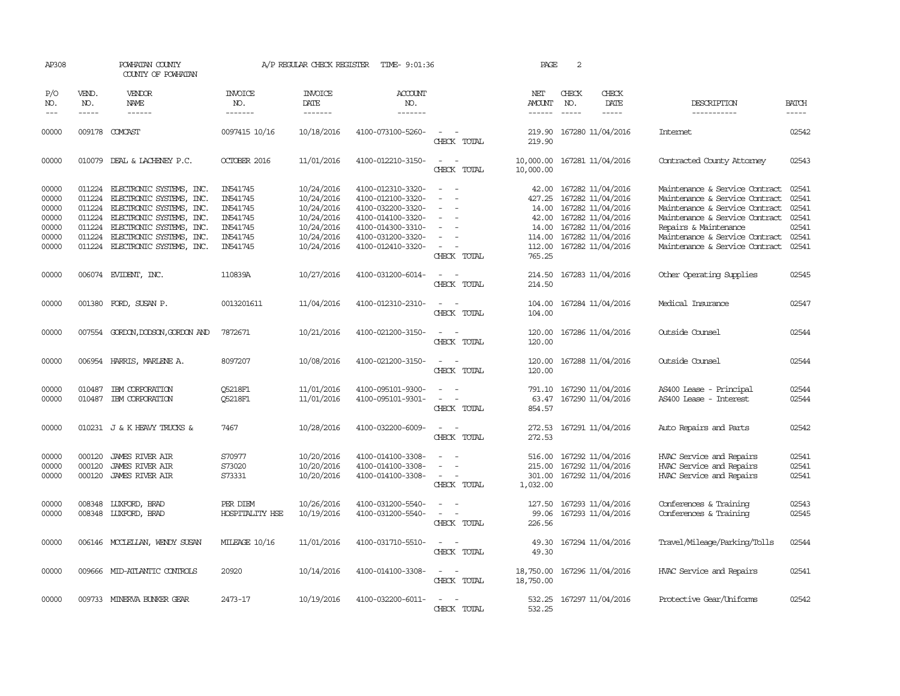| AP308                                                       |                                      | POWHATAN COUNTY<br>COUNTY OF POWHATAN                                                                                                                                                                                 |                                                                                  | A/P REGULAR CHECK REGISTER                                                                     | TIME- 9:01:36                                                                                                                                   |                                                                                                                             | PAGE                                                                     | 2            |                                                                                                                                                 |                                                                                                                                                                                                                                   |                                                             |
|-------------------------------------------------------------|--------------------------------------|-----------------------------------------------------------------------------------------------------------------------------------------------------------------------------------------------------------------------|----------------------------------------------------------------------------------|------------------------------------------------------------------------------------------------|-------------------------------------------------------------------------------------------------------------------------------------------------|-----------------------------------------------------------------------------------------------------------------------------|--------------------------------------------------------------------------|--------------|-------------------------------------------------------------------------------------------------------------------------------------------------|-----------------------------------------------------------------------------------------------------------------------------------------------------------------------------------------------------------------------------------|-------------------------------------------------------------|
| P/O<br>NO.<br>$\frac{1}{2}$                                 | VEND.<br>NO.<br>$- - - - -$          | VENDOR<br>NAME<br>------                                                                                                                                                                                              | <b>INVOICE</b><br>NO.<br>-------                                                 | <b>INVOICE</b><br>DATE<br>-------                                                              | ACCOUNT<br>NO.<br>-------                                                                                                                       |                                                                                                                             | NET<br>AMOUNT<br>$- - - - - -$                                           | CHECK<br>NO. | CHECK<br>DATE<br>-----                                                                                                                          | DESCRIPTION<br>-----------                                                                                                                                                                                                        | BATCH<br>-----                                              |
| 00000                                                       |                                      | 009178 COMCAST                                                                                                                                                                                                        | 0097415 10/16                                                                    | 10/18/2016                                                                                     | 4100-073100-5260-                                                                                                                               | $\equiv$<br>CHECK TOTAL                                                                                                     | 219.90<br>219.90                                                         |              | 167280 11/04/2016                                                                                                                               | Internet                                                                                                                                                                                                                          | 02542                                                       |
| 00000                                                       |                                      | 010079 DEAL & LACHENEY P.C.                                                                                                                                                                                           | OCTOBER 2016                                                                     | 11/01/2016                                                                                     | 4100-012210-3150-                                                                                                                               | $\sim$<br>$\sim$<br>CHECK TOTAL                                                                                             | 10,000.00<br>10,000.00                                                   |              | 167281 11/04/2016                                                                                                                               | Contracted County Attorney                                                                                                                                                                                                        | 02543                                                       |
| 00000<br>00000<br>00000<br>00000<br>00000<br>00000<br>00000 | 011224<br>011224<br>011224<br>011224 | 011224 ELECTRONIC SYSTEMS, INC.<br>ELECTRONIC SYSTEMS, INC.<br>ELECTRONIC SYSTEMS, INC.<br>011224 ELECTRONIC SYSTEMS, INC.<br>ELECTRONIC SYSTEMS, INC.<br>ELECTRONIC SYSTEMS, INC.<br>011224 ELECTRONIC SYSTEMS, INC. | IN541745<br>IN541745<br>IN541745<br>IN541745<br>IN541745<br>IN541745<br>IN541745 | 10/24/2016<br>10/24/2016<br>10/24/2016<br>10/24/2016<br>10/24/2016<br>10/24/2016<br>10/24/2016 | 4100-012310-3320-<br>4100-012100-3320-<br>4100-032200-3320-<br>4100-014100-3320-<br>4100-014300-3310-<br>4100-031200-3320-<br>4100-012410-3320- | $\sim$<br>$\overline{\phantom{a}}$<br>$\sim$<br>$\overline{\phantom{a}}$<br>$\sim$<br>CHECK TOTAL                           | 42.00<br>427.25<br>14.00<br>42.00<br>14.00<br>114.00<br>112.00<br>765.25 |              | 167282 11/04/2016<br>167282 11/04/2016<br>167282 11/04/2016<br>167282 11/04/2016<br>167282 11/04/2016<br>167282 11/04/2016<br>167282 11/04/2016 | Maintenance & Service Contract<br>Maintenance & Service Contract<br>Maintenance & Service Contract<br>Maintenance & Service Contract<br>Repairs & Maintenance<br>Maintenance & Service Contract<br>Maintenance & Service Contract | 02541<br>02541<br>02541<br>02541<br>02541<br>02541<br>02541 |
| 00000                                                       |                                      | 006074 EVIDENT, INC.                                                                                                                                                                                                  | 110839A                                                                          | 10/27/2016                                                                                     | 4100-031200-6014-                                                                                                                               | $\overline{\phantom{a}}$<br>CHECK TOTAL                                                                                     | 214.50<br>214.50                                                         |              | 167283 11/04/2016                                                                                                                               | Other Operating Supplies                                                                                                                                                                                                          | 02545                                                       |
| 00000                                                       | 001380                               | FORD, SUSAN P.                                                                                                                                                                                                        | 0013201611                                                                       | 11/04/2016                                                                                     | 4100-012310-2310-                                                                                                                               | CHECK TOTAL                                                                                                                 | 104.00<br>104.00                                                         |              | 167284 11/04/2016                                                                                                                               | Medical Insurance                                                                                                                                                                                                                 | 02547                                                       |
| 00000                                                       |                                      | 007554 GORDON, DODSON, GORDON AND                                                                                                                                                                                     | 7872671                                                                          | 10/21/2016                                                                                     | 4100-021200-3150-                                                                                                                               | $\sim$<br>CHECK TOTAL                                                                                                       | 120.00<br>120.00                                                         |              | 167286 11/04/2016                                                                                                                               | Outside Counsel                                                                                                                                                                                                                   | 02544                                                       |
| 00000                                                       |                                      | 006954 HARRIS, MARLENE A.                                                                                                                                                                                             | 8097207                                                                          | 10/08/2016                                                                                     | 4100-021200-3150-                                                                                                                               | $\overline{\phantom{a}}$<br>$\sim$<br>CHECK TOTAL                                                                           | 120.00<br>120.00                                                         |              | 167288 11/04/2016                                                                                                                               | Outside Counsel                                                                                                                                                                                                                   | 02544                                                       |
| 00000<br>00000                                              | 010487<br>010487                     | IBM CORPORATION<br>IBM CORPORATION                                                                                                                                                                                    | <b>05218F1</b><br>Q5218F1                                                        | 11/01/2016<br>11/01/2016                                                                       | 4100-095101-9300-<br>4100-095101-9301-                                                                                                          | $\sim$<br>$\overline{\phantom{a}}$<br>CHECK TOTAL                                                                           | 791.10<br>63.47<br>854.57                                                |              | 167290 11/04/2016<br>167290 11/04/2016                                                                                                          | AS400 Lease - Principal<br>AS400 Lease - Interest                                                                                                                                                                                 | 02544<br>02544                                              |
| 00000                                                       |                                      | 010231 J & K HEAVY TRUCKS &                                                                                                                                                                                           | 7467                                                                             | 10/28/2016                                                                                     | 4100-032200-6009-                                                                                                                               | $\sim$<br>$\sim$<br>CHECK TOTAL                                                                                             | 272.53<br>272.53                                                         |              | 167291 11/04/2016                                                                                                                               | Auto Repairs and Parts                                                                                                                                                                                                            | 02542                                                       |
| 00000<br>00000<br>00000                                     | 000120<br>000120<br>000120           | JAMES RIVER AIR<br><b>JAMES RIVER AIR</b><br><b>JAMES RIVER AIR</b>                                                                                                                                                   | S70977<br>S73020<br>S73331                                                       | 10/20/2016<br>10/20/2016<br>10/20/2016                                                         | 4100-014100-3308-<br>4100-014100-3308-<br>4100-014100-3308-                                                                                     | $\overline{\phantom{a}}$<br>$\equiv$<br>CHECK TOTAL                                                                         | 516.00<br>215.00<br>301.00<br>1,032.00                                   |              | 167292 11/04/2016<br>167292 11/04/2016<br>167292 11/04/2016                                                                                     | HVAC Service and Repairs<br>HVAC Service and Repairs<br>HVAC Service and Repairs                                                                                                                                                  | 02541<br>02541<br>02541                                     |
| 00000<br>00000                                              | 008348                               | 008348 LUXFORD, BRAD<br>LUXFORD, BRAD                                                                                                                                                                                 | PER DIEM<br>HOSPITALITY HSE                                                      | 10/26/2016<br>10/19/2016                                                                       | 4100-031200-5540-<br>4100-031200-5540-                                                                                                          | $\sim$ $ \sim$<br>$\overline{\phantom{a}}$<br>$\overline{\phantom{a}}$<br>CHECK TOTAL                                       | 127.50<br>99.06<br>226.56                                                |              | 167293 11/04/2016<br>167293 11/04/2016                                                                                                          | Conferences & Training<br>Conferences & Training                                                                                                                                                                                  | 02543<br>02545                                              |
| 00000                                                       |                                      | 006146 MCCLELLAN, WENDY SUSAN                                                                                                                                                                                         | MILEAGE 10/16                                                                    | 11/01/2016                                                                                     | 4100-031710-5510-                                                                                                                               | CHECK TOTAL                                                                                                                 | 49.30<br>49.30                                                           |              | 167294 11/04/2016                                                                                                                               | Travel/Mileage/Parking/Tolls                                                                                                                                                                                                      | 02544                                                       |
| 00000                                                       |                                      | 009666 MID-ATLANTIC CONTROLS                                                                                                                                                                                          | 20920                                                                            | 10/14/2016                                                                                     | 4100-014100-3308-                                                                                                                               | $\frac{1}{2} \left( \frac{1}{2} \right) \left( \frac{1}{2} \right) = \frac{1}{2} \left( \frac{1}{2} \right)$<br>CHECK TOTAL | 18,750.00<br>18,750.00                                                   |              | 167296 11/04/2016                                                                                                                               | HVAC Service and Repairs                                                                                                                                                                                                          | 02541                                                       |
| 00000                                                       |                                      | 009733 MINERVA BUNKER GEAR                                                                                                                                                                                            | 2473-17                                                                          | 10/19/2016                                                                                     | 4100-032200-6011-                                                                                                                               | $\overline{\phantom{a}}$<br>CHECK TOTAL                                                                                     | 532.25<br>532.25                                                         |              | 167297 11/04/2016                                                                                                                               | Protective Gear/Uniforms                                                                                                                                                                                                          | 02542                                                       |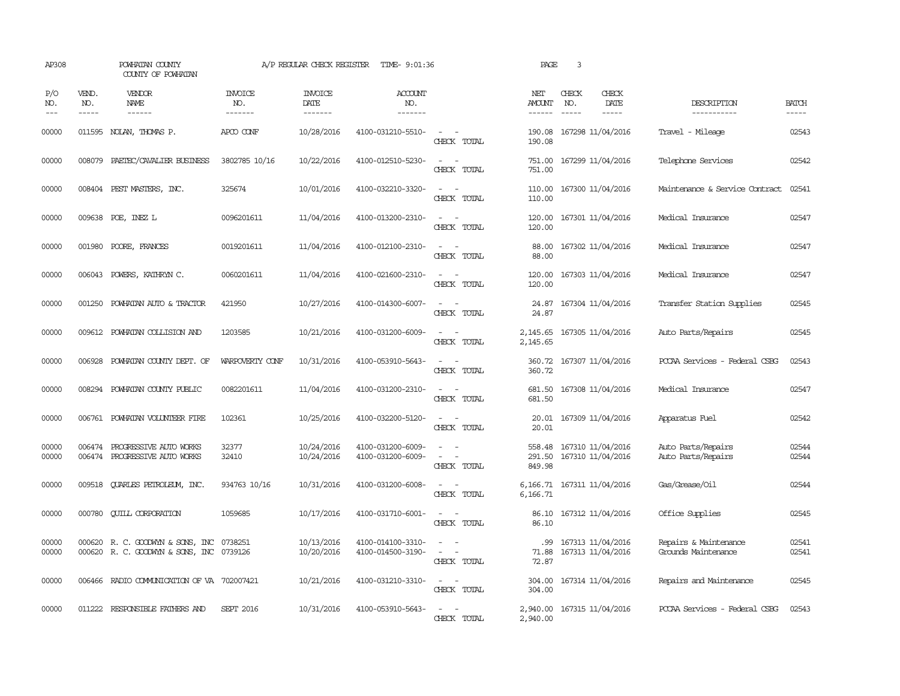| AP308               |                       | POWHATAN COUNTY<br>COUNTY OF POWHATAN                                        |                                  | A/P REGULAR CHECK REGISTER        | TIME- 9:01:36                          |                                                                                                                             | PAGE                           | $\overline{3}$                         |                        |                                              |                                                                                                                                                                                                                                                                                                                                                                                                                                                                                            |
|---------------------|-----------------------|------------------------------------------------------------------------------|----------------------------------|-----------------------------------|----------------------------------------|-----------------------------------------------------------------------------------------------------------------------------|--------------------------------|----------------------------------------|------------------------|----------------------------------------------|--------------------------------------------------------------------------------------------------------------------------------------------------------------------------------------------------------------------------------------------------------------------------------------------------------------------------------------------------------------------------------------------------------------------------------------------------------------------------------------------|
| P/O<br>NO.<br>$---$ | VEND.<br>NO.<br>----- | <b>VENDOR</b><br>NAME<br>------                                              | <b>INVOICE</b><br>NO.<br>------- | <b>INVOICE</b><br>DATE<br>------- | ACCOUNT<br>NO.<br>-------              |                                                                                                                             | NET<br><b>AMOUNT</b><br>------ | CHECK<br>NO.                           | CHECK<br>DATE<br>----- | DESCRIPTION<br>-----------                   | <b>BATCH</b><br>$\frac{1}{2} \left( \frac{1}{2} \right) \left( \frac{1}{2} \right) \left( \frac{1}{2} \right) \left( \frac{1}{2} \right) \left( \frac{1}{2} \right) \left( \frac{1}{2} \right) \left( \frac{1}{2} \right) \left( \frac{1}{2} \right) \left( \frac{1}{2} \right) \left( \frac{1}{2} \right) \left( \frac{1}{2} \right) \left( \frac{1}{2} \right) \left( \frac{1}{2} \right) \left( \frac{1}{2} \right) \left( \frac{1}{2} \right) \left( \frac{1}{2} \right) \left( \frac$ |
| 00000               |                       | 011595 NOLAN, THOMAS P.                                                      | APCO CONF                        | 10/28/2016                        | 4100-031210-5510-                      | $\sim$ 10 $\sim$ 10 $\sim$<br>CHECK TOTAL                                                                                   | 190.08                         | 190.08 167298 11/04/2016               |                        | Travel - Mileage                             | 02543                                                                                                                                                                                                                                                                                                                                                                                                                                                                                      |
| 00000               | 008079                | PAETEC/CAVALIER BUSINESS                                                     | 3802785 10/16                    | 10/22/2016                        | 4100-012510-5230-                      | $\frac{1}{2} \left( \frac{1}{2} \right) \left( \frac{1}{2} \right) = \frac{1}{2} \left( \frac{1}{2} \right)$<br>CHECK TOTAL | 751.00<br>751.00               | 167299 11/04/2016                      |                        | Telephone Services                           | 02542                                                                                                                                                                                                                                                                                                                                                                                                                                                                                      |
| 00000               |                       | 008404 PEST MASTERS, INC.                                                    | 325674                           | 10/01/2016                        | 4100-032210-3320-                      | $\sim$<br>CHECK TOTAL                                                                                                       | 110.00<br>110.00               | 167300 11/04/2016                      |                        | Maintenance & Service Contract               | 02541                                                                                                                                                                                                                                                                                                                                                                                                                                                                                      |
| 00000               |                       | 009638 POE, INEZ L                                                           | 0096201611                       | 11/04/2016                        | 4100-013200-2310-                      | $\sim$<br>CHECK TOTAL                                                                                                       | 120.00<br>120.00               | 167301 11/04/2016                      |                        | Medical Insurance                            | 02547                                                                                                                                                                                                                                                                                                                                                                                                                                                                                      |
| 00000               |                       | 001980 POORE, FRANCES                                                        | 0019201611                       | 11/04/2016                        | 4100-012100-2310-                      | $ -$<br>CHECK TOTAL                                                                                                         | 88.00<br>88.00                 | 167302 11/04/2016                      |                        | Medical Insurance                            | 02547                                                                                                                                                                                                                                                                                                                                                                                                                                                                                      |
| 00000               | 006043                | POWERS, KATHRYN C.                                                           | 0060201611                       | 11/04/2016                        | 4100-021600-2310-                      | $\sim$ $\sim$<br>CHECK TOTAL                                                                                                | 120.00<br>120.00               | 167303 11/04/2016                      |                        | Medical Insurance                            | 02547                                                                                                                                                                                                                                                                                                                                                                                                                                                                                      |
| 00000               | 001250                | POWHATAN AUTO & TRACTOR                                                      | 421950                           | 10/27/2016                        | 4100-014300-6007-                      | CHECK TOTAL                                                                                                                 | 24.87<br>24.87                 | 167304 11/04/2016                      |                        | Transfer Station Supplies                    | 02545                                                                                                                                                                                                                                                                                                                                                                                                                                                                                      |
| 00000               | 009612                | POWHATAN COLLISION AND                                                       | 1203585                          | 10/21/2016                        | 4100-031200-6009-                      | $\sim$<br>CHECK TOTAL                                                                                                       | 2,145.65<br>2,145.65           | 167305 11/04/2016                      |                        | Auto Parts/Repairs                           | 02545                                                                                                                                                                                                                                                                                                                                                                                                                                                                                      |
| 00000               | 006928                | POWHATAN COUNTY DEPT. OF                                                     | WARPOVERTY CONF                  | 10/31/2016                        | 4100-053910-5643-                      | $\sim$<br>CHECK TOTAL                                                                                                       | 360.72                         | 360.72 167307 11/04/2016               |                        | PCCAA Services - Federal CSBG                | 02543                                                                                                                                                                                                                                                                                                                                                                                                                                                                                      |
| 00000               |                       | 008294 POWHATAN COUNTY PUBLIC                                                | 0082201611                       | 11/04/2016                        | 4100-031200-2310-                      | $\equiv$<br>$\sim$<br>CHECK TOTAL                                                                                           | 681.50                         | 681.50 167308 11/04/2016               |                        | Medical Insurance                            | 02547                                                                                                                                                                                                                                                                                                                                                                                                                                                                                      |
| 00000               |                       | 006761 POWHATAN VOLUNTEER FIRE                                               | 102361                           | 10/25/2016                        | 4100-032200-5120-                      | $\overline{\phantom{a}}$<br>$\sim$<br>CHECK TOTAL                                                                           | 20.01                          | 20.01 167309 11/04/2016                |                        | Apparatus Fuel                               | 02542                                                                                                                                                                                                                                                                                                                                                                                                                                                                                      |
| 00000<br>00000      | 006474<br>006474      | PROGRESSIVE AUTO WORKS<br>PROGRESSIVE AUTO WORKS                             | 32377<br>32410                   | 10/24/2016<br>10/24/2016          | 4100-031200-6009-<br>4100-031200-6009- | CHECK TOTAL                                                                                                                 | 558.48<br>291.50<br>849.98     | 167310 11/04/2016<br>167310 11/04/2016 |                        | Auto Parts/Repairs<br>Auto Parts/Repairs     | 02544<br>02544                                                                                                                                                                                                                                                                                                                                                                                                                                                                             |
| 00000               | 009518                | QUARLES PETROLEUM, INC.                                                      | 934763 10/16                     | 10/31/2016                        | 4100-031200-6008-                      | CHECK TOTAL                                                                                                                 | 6,166.71<br>6,166.71           | 167311 11/04/2016                      |                        | Gas/Grease/Oil                               | 02544                                                                                                                                                                                                                                                                                                                                                                                                                                                                                      |
| 00000               | 000780                | <b>QUILL CORPORATION</b>                                                     | 1059685                          | 10/17/2016                        | 4100-031710-6001-                      | $\overline{\phantom{a}}$<br>CHECK TOTAL                                                                                     | 86.10<br>86.10                 | 167312 11/04/2016                      |                        | Office Supplies                              | 02545                                                                                                                                                                                                                                                                                                                                                                                                                                                                                      |
| 00000<br>00000      |                       | 000620 R. C. GOODWYN & SONS, INC<br>000620 R. C. GOODWYN & SONS, INC 0739126 | 0738251                          | 10/13/2016<br>10/20/2016          | 4100-014100-3310-<br>4100-014500-3190- | $\omega_{\rm{max}}$ and $\omega_{\rm{max}}$<br>$\equiv$<br>CHECK TOTAL                                                      | .99<br>71.88<br>72.87          | 167313 11/04/2016<br>167313 11/04/2016 |                        | Repairs & Maintenance<br>Grounds Maintenance | 02541<br>02541                                                                                                                                                                                                                                                                                                                                                                                                                                                                             |
| 00000               |                       | 006466 RADIO COMMUNICATION OF VA 702007421                                   |                                  | 10/21/2016                        | 4100-031210-3310-                      | $\frac{1}{2} \left( \frac{1}{2} \right) \left( \frac{1}{2} \right) = \frac{1}{2} \left( \frac{1}{2} \right)$<br>CHECK TOTAL | 304.00<br>304.00               | 167314 11/04/2016                      |                        | Repairs and Maintenance                      | 02545                                                                                                                                                                                                                                                                                                                                                                                                                                                                                      |
| 00000               |                       | 011222 RESPONSIBLE FAIHERS AND                                               | <b>SEPT 2016</b>                 | 10/31/2016                        | 4100-053910-5643-                      | $\frac{1}{2} \left( \frac{1}{2} \right) \left( \frac{1}{2} \right) = \frac{1}{2} \left( \frac{1}{2} \right)$<br>CHECK TOTAL | 2,940.00<br>2,940.00           | 167315 11/04/2016                      |                        | PCCAA Services - Federal CSBG                | 02543                                                                                                                                                                                                                                                                                                                                                                                                                                                                                      |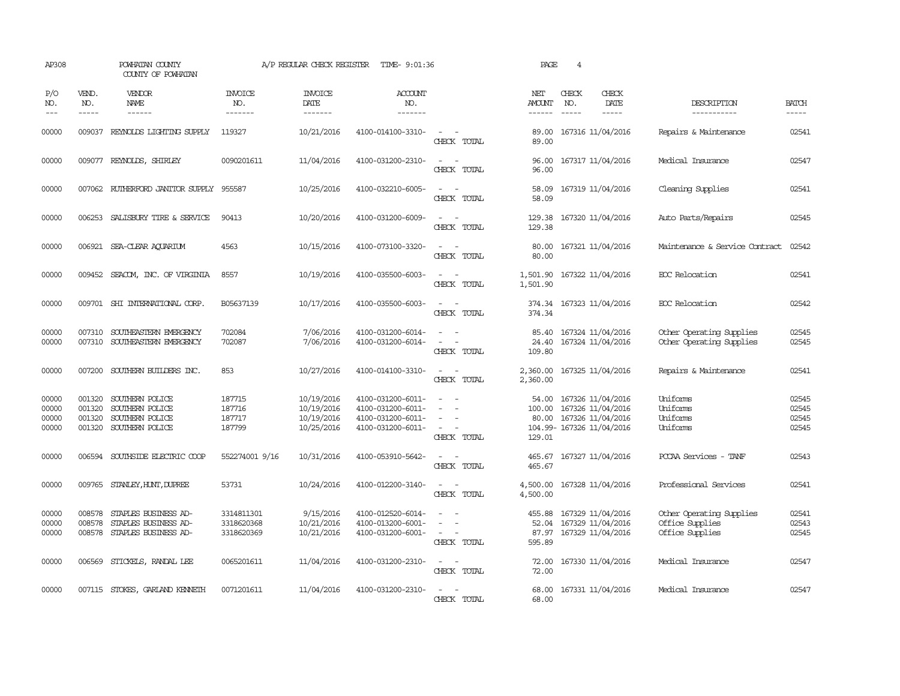| AP308                            |                                      | POWHATAN COUNTY<br>COUNTY OF POWHATAN                                    |                                        | A/P REGULAR CHECK REGISTER                           | TIME- 9:01:36                                                                    |                                                                                                                             | PAGE                               | $\overline{4}$ |                                                                                          |                                                                |                                  |
|----------------------------------|--------------------------------------|--------------------------------------------------------------------------|----------------------------------------|------------------------------------------------------|----------------------------------------------------------------------------------|-----------------------------------------------------------------------------------------------------------------------------|------------------------------------|----------------|------------------------------------------------------------------------------------------|----------------------------------------------------------------|----------------------------------|
| P/O<br>NO.<br>$---$              | VEND.<br>NO.<br>$\frac{1}{2}$        | VENDOR<br>NAME<br>------                                                 | <b>INVOICE</b><br>NO.<br>-------       | <b>INVOICE</b><br>DATE<br>-------                    | <b>ACCOUNT</b><br>NO.<br>-------                                                 |                                                                                                                             | NET<br>AMOUNT<br>$- - - - - -$     | CHECK<br>NO.   | CHECK<br>DATE<br>$\frac{1}{2}$                                                           | DESCRIPTION<br>-----------                                     | <b>BATCH</b><br>-----            |
| 00000                            | 009037                               | REYNOLDS LIGHTING SUPPLY                                                 | 119327                                 | 10/21/2016                                           | 4100-014100-3310-                                                                | $\overline{\phantom{a}}$<br>CHECK TOTAL                                                                                     | 89.00<br>89.00                     |                | 167316 11/04/2016                                                                        | Repairs & Maintenance                                          | 02541                            |
| 00000                            |                                      | 009077 REYNOLDS, SHIRLEY                                                 | 0090201611                             | 11/04/2016                                           | 4100-031200-2310-                                                                | $\sim$<br>CHECK TOTAL                                                                                                       | 96.00<br>96.00                     |                | 167317 11/04/2016                                                                        | Medical Insurance                                              | 02547                            |
| 00000                            |                                      | 007062 RUIHERFORD JANITOR SUPPLY 955587                                  |                                        | 10/25/2016                                           | 4100-032210-6005-                                                                | $\equiv$<br>CHECK TOTAL                                                                                                     | 58.09<br>58.09                     |                | 167319 11/04/2016                                                                        | Cleaning Supplies                                              | 02541                            |
| 00000                            |                                      | 006253 SALISBURY TIRE & SERVICE                                          | 90413                                  | 10/20/2016                                           | 4100-031200-6009-                                                                | $\sim$<br>CHECK TOTAL                                                                                                       | 129.38                             |                | 129.38 167320 11/04/2016                                                                 | Auto Parts/Repairs                                             | 02545                            |
| 00000                            |                                      | 006921 SEA-CLEAR AQUARIUM                                                | 4563                                   | 10/15/2016                                           | 4100-073100-3320-                                                                | $\sim$ 10 $\pm$<br>CHECK TOTAL                                                                                              | 80.00<br>80.00                     |                | 167321 11/04/2016                                                                        | Maintenance & Service Contract                                 | 02542                            |
| 00000                            |                                      | 009452 SEACOM, INC. OF VIRGINIA                                          | 8557                                   | 10/19/2016                                           | 4100-035500-6003-                                                                | $\sim$<br>$\sim$<br>CHECK TOTAL                                                                                             | 1,501.90<br>1,501.90               |                | 167322 11/04/2016                                                                        | ECC Relocation                                                 | 02541                            |
| 00000                            |                                      | 009701 SHI INTERNATIONAL CORP.                                           | B05637139                              | 10/17/2016                                           | 4100-035500-6003-                                                                | $\sim$ $\sim$<br>CHECK TOTAL                                                                                                | 374.34                             |                | 374.34 167323 11/04/2016                                                                 | EOC Relocation                                                 | 02542                            |
| 00000<br>00000                   | 007310                               | SOUTHEASTERN EMERGENCY<br>007310 SOUTHEASTERN EMERGENCY                  | 702084<br>702087                       | 7/06/2016<br>7/06/2016                               | 4100-031200-6014-<br>4100-031200-6014-                                           | $\equiv$<br>CHECK TOTAL                                                                                                     | 85.40<br>24.40<br>109.80           |                | 167324 11/04/2016<br>167324 11/04/2016                                                   | Other Operating Supplies<br>Other Operating Supplies           | 02545<br>02545                   |
| 00000                            |                                      | 007200 SOUTHERN BUILDERS INC.                                            | 853                                    | 10/27/2016                                           | 4100-014100-3310-                                                                | $\sim$<br>CHECK TOTAL                                                                                                       | 2,360.00<br>2,360.00               |                | 167325 11/04/2016                                                                        | Repairs & Maintenance                                          | 02541                            |
| 00000<br>00000<br>00000<br>00000 | 001320<br>001320<br>001320<br>001320 | SOUTHERN POLICE<br>SOUTHERN POLICE<br>SOUTHERN POLICE<br>SOUTHERN POLICE | 187715<br>187716<br>187717<br>187799   | 10/19/2016<br>10/19/2016<br>10/19/2016<br>10/25/2016 | 4100-031200-6011-<br>4100-031200-6011-<br>4100-031200-6011-<br>4100-031200-6011- | $\overline{\phantom{a}}$<br>$\overline{\phantom{a}}$<br>$\sim$<br>CHECK TOTAL                                               | 54.00<br>100.00<br>80.00<br>129.01 |                | 167326 11/04/2016<br>167326 11/04/2016<br>167326 11/04/2016<br>104.99- 167326 11/04/2016 | Uniforms<br>Uniforms<br>Uniforms<br>Uniforms                   | 02545<br>02545<br>02545<br>02545 |
| 00000                            | 006594                               | SOUTHSIDE ELECTRIC COOP                                                  | 552274001 9/16                         | 10/31/2016                                           | 4100-053910-5642-                                                                | $\overline{\phantom{a}}$<br>CHECK TOTAL                                                                                     | 465.67<br>465.67                   |                | 167327 11/04/2016                                                                        | PCCAA Services - TANF                                          | 02543                            |
| 00000                            |                                      | 009765 STANLEY, HUNT, DUPREE                                             | 53731                                  | 10/24/2016                                           | 4100-012200-3140-                                                                | $\frac{1}{2} \left( \frac{1}{2} \right) \left( \frac{1}{2} \right) = \frac{1}{2} \left( \frac{1}{2} \right)$<br>CHECK TOTAL | 4,500.00<br>4,500.00               |                | 167328 11/04/2016                                                                        | Professional Services                                          | 02541                            |
| 00000<br>00000<br>00000          | 008578<br>008578<br>008578           | STAPLES BUSINESS AD-<br>STAPLES BUSINESS AD-<br>STAPLES BUSINESS AD-     | 3314811301<br>3318620368<br>3318620369 | 9/15/2016<br>10/21/2016<br>10/21/2016                | 4100-012520-6014-<br>4100-013200-6001-<br>4100-031200-6001-                      | $\overline{\phantom{a}}$<br>CHECK TOTAL                                                                                     | 455.88<br>52.04<br>87.97<br>595.89 |                | 167329 11/04/2016<br>167329 11/04/2016<br>167329 11/04/2016                              | Other Operating Supplies<br>Office Supplies<br>Office Supplies | 02541<br>02543<br>02545          |
| 00000                            |                                      | 006569 STICKELS, RANDAL LEE                                              | 0065201611                             | 11/04/2016                                           | 4100-031200-2310-                                                                | $\sim$ $-$<br>CHECK TOTAL                                                                                                   | 72.00<br>72.00                     |                | 167330 11/04/2016                                                                        | Medical Insurance                                              | 02547                            |
| 00000                            |                                      | 007115 STOKES, GARLAND KENNETH                                           | 0071201611                             | 11/04/2016                                           | 4100-031200-2310-                                                                | $\sim$<br>CHECK TOTAL                                                                                                       | 68.00<br>68.00                     |                | 167331 11/04/2016                                                                        | Medical Insurance                                              | 02547                            |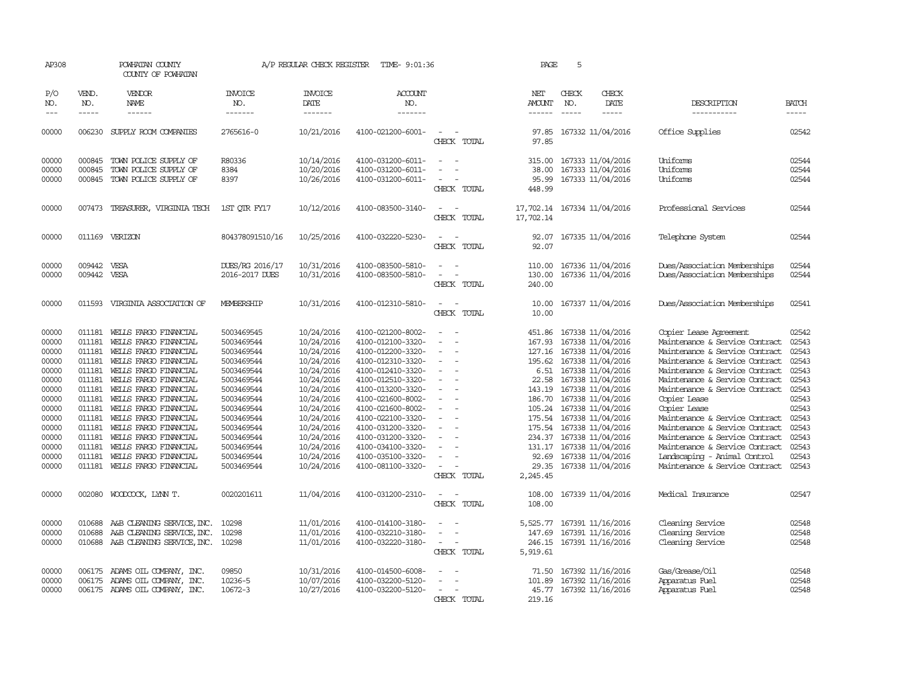| AP308      |              | POWHATAN COUNTY<br>COUNTY OF POWHATAN |                       | A/P REGULAR CHECK REGISTER | TIME- 9:01:36     |                                                      | PAGE                 | 5             |                             |                                |              |
|------------|--------------|---------------------------------------|-----------------------|----------------------------|-------------------|------------------------------------------------------|----------------------|---------------|-----------------------------|--------------------------------|--------------|
| P/O<br>NO. | VEND.<br>NO. | VENDOR<br>NAME                        | <b>INVOICE</b><br>NO. | <b>INVOICE</b><br>DATE     | ACCOUNT<br>NO.    |                                                      | NET<br><b>AMOUNT</b> | CHECK<br>NO.  | CHECK<br>DATE               | DESCRIPTION                    | <b>BATCH</b> |
| $---$      | $- - - - -$  | $- - - - - -$                         | --------              | -------                    | -------           |                                                      | $- - - - - -$        | $\frac{1}{2}$ | -----                       | -----------                    | -----        |
| 00000      |              | 006230 SUPPLY ROOM COMPANIES          | 2765616-0             | 10/21/2016                 | 4100-021200-6001- | CHECK TOTAL                                          | 97.85<br>97.85       |               | 167332 11/04/2016           | Office Supplies                | 02542        |
| 00000      | 000845       | TOWN POLICE SUPPLY OF                 | R80336                | 10/14/2016                 | 4100-031200-6011- | $\sim$<br>$\sim$                                     | 315.00               |               | 167333 11/04/2016           | Uniforms                       | 02544        |
| 00000      | 000845       | TOWN POLICE SUPPLY OF                 | 8384                  | 10/20/2016                 | 4100-031200-6011- |                                                      | 38.00                |               | 167333 11/04/2016           | Uniforms                       | 02544        |
| 00000      |              | 000845 TOWN POLICE SUPPLY OF          | 8397                  | 10/26/2016                 | 4100-031200-6011- |                                                      | 95.99                |               | 167333 11/04/2016           | Uniforms                       | 02544        |
|            |              |                                       |                       |                            |                   | CHECK TOTAL                                          | 448.99               |               |                             |                                |              |
| 00000      | 007473       | TREASURER, VIRGINIA TECH              | 1ST OIR FY17          | 10/12/2016                 | 4100-083500-3140- | CHECK TOTAL                                          | 17,702.14            |               | 17,702.14 167334 11/04/2016 | Professional Services          | 02544        |
| 00000      |              | 011169 VERIZON                        | 804378091510/16       | 10/25/2016                 | 4100-032220-5230- | CHECK TOTAL                                          | 92.07<br>92.07       |               | 167335 11/04/2016           | Telephone System               | 02544        |
| 00000      | 009442 VESA  |                                       | DUES/RG 2016/17       | 10/31/2016                 | 4100-083500-5810- |                                                      | 110.00               |               | 167336 11/04/2016           | Dues/Association Memberships   | 02544        |
| 00000      | 009442 VESA  |                                       | 2016-2017 DUES        | 10/31/2016                 | 4100-083500-5810- | $\sim$<br>$\overline{\phantom{a}}$                   | 130.00               |               | 167336 11/04/2016           | Dues/Association Memberships   | 02544        |
|            |              |                                       |                       |                            |                   | CHECK TOTAL                                          | 240.00               |               |                             |                                |              |
| 00000      |              | 011593 VIRGINIA ASSOCIATION OF        | MEMBERSHIP            | 10/31/2016                 | 4100-012310-5810- | CHECK TOTAL                                          | 10.00<br>10.00       |               | 167337 11/04/2016           | Dues/Association Memberships   | 02541        |
| 00000      | 011181       | WELLS FARGO FINANCIAL                 | 5003469545            | 10/24/2016                 | 4100-021200-8002- |                                                      | 451.86               |               | 167338 11/04/2016           | Copier Lease Agreement         | 02542        |
| 00000      | 011181       | WELLS FARGO FINANCIAL                 | 5003469544            | 10/24/2016                 | 4100-012100-3320- | $\overline{\phantom{a}}$<br>$\overline{\phantom{a}}$ | 167.93               |               | 167338 11/04/2016           | Maintenance & Service Contract | 02543        |
| 00000      | 011181       | WELLS FARGO FINANCIAL                 | 5003469544            | 10/24/2016                 | 4100-012200-3320- |                                                      | 127.16               |               | 167338 11/04/2016           | Maintenance & Service Contract | 02543        |
| 00000      | 011181       | WELLS FARGO FINANCIAL                 | 5003469544            | 10/24/2016                 | 4100-012310-3320- |                                                      | 195.62               |               | 167338 11/04/2016           | Maintenance & Service Contract | 02543        |
| 00000      | 011181       | WELLS FARGO FINANCIAL                 | 5003469544            | 10/24/2016                 | 4100-012410-3320- | $\overline{\phantom{a}}$                             | 6.51                 |               | 167338 11/04/2016           | Maintenance & Service Contract | 02543        |
| 00000      | 011181       | WELLS FARGO FINANCIAL                 | 5003469544            | 10/24/2016                 | 4100-012510-3320- | $\sim$                                               | 22.58                |               | 167338 11/04/2016           | Maintenance & Service Contract | 02543        |
| 00000      | 011181       | WELLS FARGO FINANCIAL                 | 5003469544            | 10/24/2016                 | 4100-013200-3320- | $\sim$                                               | 143.19               |               | 167338 11/04/2016           | Maintenance & Service Contract | 02543        |
| 00000      | 011181       | WELLS FARGO FINANCIAL                 | 5003469544            | 10/24/2016                 | 4100-021600-8002- |                                                      | 186.70               |               | 167338 11/04/2016           | Copier Lease                   | 02543        |
| 00000      | 011181       | WELLS FARGO FINANCIAL                 | 5003469544            | 10/24/2016                 | 4100-021600-8002- | $\overline{\phantom{a}}$                             |                      |               | 105.24 167338 11/04/2016    | Copier Lease                   | 02543        |
| 00000      | 011181       | WELLS FARGO FINANCIAL                 | 5003469544            | 10/24/2016                 | 4100-022100-3320- | $\overline{\phantom{a}}$                             | 175.54               |               | 167338 11/04/2016           | Maintenance & Service Contract | 02543        |
| 00000      | 011181       | WELLS FARGO FINANCIAL                 | 5003469544            | 10/24/2016                 | 4100-031200-3320- |                                                      |                      |               | 175.54 167338 11/04/2016    | Maintenance & Service Contract | 02543        |
| 00000      | 011181       | WELLS FARGO FINANCIAL                 | 5003469544            | 10/24/2016                 | 4100-031200-3320- | $\sim$                                               |                      |               | 234.37 167338 11/04/2016    | Maintenance & Service Contract | 02543        |
| 00000      | 011181       | WELLS FARGO FINANCIAL                 | 5003469544            | 10/24/2016                 | 4100-034100-3320- |                                                      | 131.17               |               | 167338 11/04/2016           | Maintenance & Service Contract | 02543        |
| 00000      | 011181       | WELLS FARGO FINANCIAL                 | 5003469544            | 10/24/2016                 | 4100-035100-3320- |                                                      |                      |               | 92.69 167338 11/04/2016     | Landscaping - Animal Control   | 02543        |
| 00000      |              | 011181 WELLS FARGO FINANCIAL          | 5003469544            | 10/24/2016                 | 4100-081100-3320- | $\sim$<br>CHECK TOTAL                                | 29.35<br>2,245.45    |               | 167338 11/04/2016           | Maintenance & Service Contract | 02543        |
|            |              |                                       |                       |                            |                   |                                                      |                      |               |                             |                                |              |
| 00000      |              | 002080 WOODCOCK, LYNN T.              | 0020201611            | 11/04/2016                 | 4100-031200-2310- | $\sim$<br>$\sim$<br>CHECK TOTAL                      | 108.00<br>108.00     |               | 167339 11/04/2016           | Medical Insurance              | 02547        |
| 00000      | 010688       | A&B CLEANING SERVICE, INC.            | 10298                 | 11/01/2016                 | 4100-014100-3180- |                                                      | 5,525.77             |               | 167391 11/16/2016           | Cleaning Service               | 02548        |
| 00000      | 010688       | A&B CLEANING SERVICE, INC.            | 10298                 | 11/01/2016                 | 4100-032210-3180- | $\overline{\phantom{a}}$<br>$\overline{\phantom{a}}$ | 147.69               |               | 167391 11/16/2016           | Cleaning Service               | 02548        |
| 00000      | 010688       | A&B CLEANING SERVICE, INC.            | 10298                 | 11/01/2016                 | 4100-032220-3180- | $\overline{\phantom{a}}$<br>CHECK TOTAL              | 246.15<br>5,919.61   |               | 167391 11/16/2016           | Cleaning Service               | 02548        |
|            |              |                                       |                       |                            |                   |                                                      |                      |               |                             |                                |              |
| 00000      |              | 006175 ADAMS OIL COMPANY, INC.        | 09850                 | 10/31/2016                 | 4100-014500-6008- |                                                      | 71.50                |               | 167392 11/16/2016           | Gas/Grease/Oil                 | 02548        |
| 00000      | 006175       | ADAMS OIL COMPANY, INC.               | 10236-5               | 10/07/2016                 | 4100-032200-5120- |                                                      | 101.89               |               | 167392 11/16/2016           | Apparatus Fuel                 | 02548        |
| 00000      |              | 006175 ADAMS OIL COMPANY, INC.        | 10672-3               | 10/27/2016                 | 4100-032200-5120- | $\overline{\phantom{a}}$                             |                      |               | 45.77 167392 11/16/2016     | Apparatus Fuel                 | 02548        |
|            |              |                                       |                       |                            |                   | CHECK TOTAL                                          | 219.16               |               |                             |                                |              |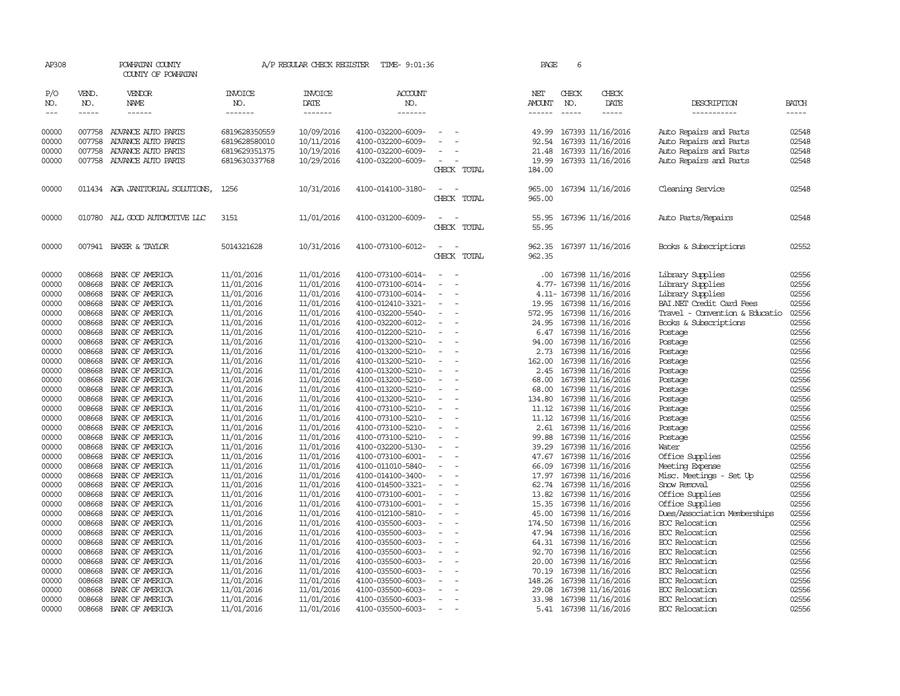| AP308          |                  | POWHATAN COUNTY<br>COUNTY OF POWHATAN     |                                | A/P REGULAR CHECK REGISTER | TIME- 9:01:36                          |                          | PAGE             | 6             |                                        |                                                  |                |
|----------------|------------------|-------------------------------------------|--------------------------------|----------------------------|----------------------------------------|--------------------------|------------------|---------------|----------------------------------------|--------------------------------------------------|----------------|
| P/O<br>NO.     | VEND.<br>NO.     | VENDOR<br>NAME                            | <b>INVOICE</b><br>NO.          | <b>INVOICE</b><br>DATE     | <b>ACCOUNT</b><br>NO.                  |                          | NET<br>AMOUNT    | CHECK<br>NO.  | CHECK<br>DATE                          | DESCRIPTION                                      | <b>BATCH</b>   |
| $\frac{1}{2}$  | $- - - - -$      | ------                                    | -------                        | --------                   | -------                                |                          | $- - - - - -$    | $\frac{1}{2}$ | -----                                  | -----------                                      | $- - - - -$    |
| 00000<br>00000 | 007758<br>007758 | ADVANCE AUTO PARTS<br>ADVANCE AUTO PARTS  | 6819628350559<br>6819628580010 | 10/09/2016<br>10/11/2016   | 4100-032200-6009-<br>4100-032200-6009- |                          | 49.99<br>92.54   |               | 167393 11/16/2016<br>167393 11/16/2016 | Auto Repairs and Parts<br>Auto Repairs and Parts | 02548<br>02548 |
| 00000          | 007758           | ADVANCE AUTO PARTS                        | 6819629351375                  | 10/19/2016                 | 4100-032200-6009-                      |                          | 21.48            |               | 167393 11/16/2016                      | Auto Repairs and Parts                           | 02548          |
| 00000          |                  | 007758 ADVANCE AUTO PARTS                 | 6819630337768                  | 10/29/2016                 | 4100-032200-6009-                      | $\sim$                   | 19.99            |               | 167393 11/16/2016                      | Auto Repairs and Parts                           | 02548          |
|                |                  |                                           |                                |                            |                                        | CHECK TOTAL              | 184.00           |               |                                        |                                                  |                |
| 00000          |                  | 011434 AGA JANITORIAL SOLUTIONS,          | 1256                           | 10/31/2016                 | 4100-014100-3180-                      | CHECK TOTAL              | 965.00<br>965.00 |               | 167394 11/16/2016                      | Cleaning Service                                 | 02548          |
| 00000          |                  | 010780 ALL GOOD AUTOMOTIVE LLC            | 3151                           | 11/01/2016                 | 4100-031200-6009-                      | CHECK TOTAL              | 55.95<br>55.95   |               | 167396 11/16/2016                      | Auto Parts/Repairs                               | 02548          |
| 00000          |                  | 007941 BAKER & TAYLOR                     | 5014321628                     | 10/31/2016                 | 4100-073100-6012-                      | CHECK TOTAL              | 962.35<br>962.35 |               | 167397 11/16/2016                      | Books & Subscriptions                            | 02552          |
| 00000          | 008668           | BANK OF AMERICA                           | 11/01/2016                     | 11/01/2016                 | 4100-073100-6014-                      |                          | $.00 \cdot$      |               | 167398 11/16/2016                      | Library Supplies                                 | 02556          |
| 00000          | 008668           | BANK OF AMERICA                           | 11/01/2016                     | 11/01/2016                 | 4100-073100-6014-                      |                          |                  |               | 4.77- 167398 11/16/2016                | Library Supplies                                 | 02556          |
| 00000          | 008668           | BANK OF AMERICA                           | 11/01/2016                     | 11/01/2016                 | 4100-073100-6014-                      |                          |                  |               | 4.11- 167398 11/16/2016                | Library Supplies                                 | 02556          |
| 00000          | 008668           | BANK OF AMERICA                           | 11/01/2016                     | 11/01/2016                 | 4100-012410-3321-                      | $\equiv$                 | 19.95            |               | 167398 11/16/2016                      | BAI.NET Credit Card Fees                         | 02556          |
| 00000          | 008668           | BANK OF AMERICA                           | 11/01/2016                     | 11/01/2016                 | 4100-032200-5540-                      |                          | 572.95           |               | 167398 11/16/2016                      | Travel - Convention & Educatio                   | 02556          |
| 00000          | 008668           | BANK OF AMERICA                           | 11/01/2016                     | 11/01/2016                 | 4100-032200-6012-                      | $\overline{\phantom{a}}$ | 24.95            |               | 167398 11/16/2016                      | Books & Subscriptions                            | 02556          |
| 00000          | 008668           | BANK OF AMERICA                           | 11/01/2016                     | 11/01/2016                 | 4100-012200-5210-                      | $\sim$                   | 6.47             |               | 167398 11/16/2016                      | Postage                                          | 02556          |
| 00000          | 008668           | BANK OF AMERICA                           | 11/01/2016                     | 11/01/2016                 | 4100-013200-5210-                      |                          | 94.00            |               | 167398 11/16/2016                      | Postage                                          | 02556          |
| 00000          | 008668           | BANK OF AMERICA                           | 11/01/2016                     | 11/01/2016                 | 4100-013200-5210-                      | $\sim$                   | 2.73             |               | 167398 11/16/2016                      | Postage                                          | 02556          |
| 00000          | 008668           | BANK OF AMERICA                           | 11/01/2016                     | 11/01/2016                 | 4100-013200-5210-                      |                          | 162.00           |               | 167398 11/16/2016                      | Postage                                          | 02556          |
| 00000          | 008668           | BANK OF AMERICA                           | 11/01/2016                     | 11/01/2016                 | 4100-013200-5210-                      |                          |                  |               | 2.45 167398 11/16/2016                 | Postage                                          | 02556          |
| 00000          | 008668           | BANK OF AMERICA                           | 11/01/2016                     | 11/01/2016                 | 4100-013200-5210-                      |                          | 68.00            |               | 167398 11/16/2016                      | Postage                                          | 02556          |
| 00000          | 008668           | BANK OF AMERICA                           | 11/01/2016                     | 11/01/2016                 | 4100-013200-5210-                      | $\equiv$                 | 68.00            |               | 167398 11/16/2016                      | Postage                                          | 02556          |
| 00000          | 008668           | BANK OF AMERICA                           | 11/01/2016                     | 11/01/2016                 | 4100-013200-5210-                      | $\overline{\phantom{a}}$ | 134.80           |               | 167398 11/16/2016                      | Postage                                          | 02556          |
| 00000          | 008668           | BANK OF AMERICA                           | 11/01/2016                     | 11/01/2016                 | 4100-073100-5210-                      | $\sim$                   | 11.12            |               | 167398 11/16/2016                      | Postage                                          | 02556          |
| 00000<br>00000 | 008668           | BANK OF AMERICA<br>008668 BANK OF AMERICA | 11/01/2016<br>11/01/2016       | 11/01/2016<br>11/01/2016   | 4100-073100-5210-<br>4100-073100-5210- | $\sim$<br>$\sim$         | 11.12<br>2.61    |               | 167398 11/16/2016<br>167398 11/16/2016 | Postage<br>Postage                               | 02556<br>02556 |
| 00000          | 008668           | BANK OF AMERICA                           | 11/01/2016                     | 11/01/2016                 | 4100-073100-5210-                      |                          | 99.88            |               | 167398 11/16/2016                      | Postage                                          | 02556          |
| 00000          | 008668           | BANK OF AMERICA                           | 11/01/2016                     | 11/01/2016                 | 4100-032200-5130-                      | $\overline{\phantom{a}}$ | 39.29            |               | 167398 11/16/2016                      | Water                                            | 02556          |
| 00000          | 008668           | BANK OF AMERICA                           | 11/01/2016                     | 11/01/2016                 | 4100-073100-6001-                      | $\equiv$                 |                  |               | 47.67 167398 11/16/2016                | Office Supplies                                  | 02556          |
| 00000          | 008668           | BANK OF AMERICA                           | 11/01/2016                     | 11/01/2016                 | 4100-011010-5840-                      |                          | 66.09            |               | 167398 11/16/2016                      | Meeting Expense                                  | 02556          |
| 00000          | 008668           | BANK OF AMERICA                           | 11/01/2016                     | 11/01/2016                 | 4100-014100-3400-                      |                          | 17.97            |               | 167398 11/16/2016                      | Misc. Meetings - Set Up                          | 02556          |
| 00000          | 008668           | BANK OF AMERICA                           | 11/01/2016                     | 11/01/2016                 | 4100-014500-3321-                      | $\overline{\phantom{a}}$ |                  |               | 62.74 167398 11/16/2016                | Snow Removal                                     | 02556          |
| 00000          | 008668           | BANK OF AMERICA                           | 11/01/2016                     | 11/01/2016                 | 4100-073100-6001-                      |                          | 13.82            |               | 167398 11/16/2016                      | Office Supplies                                  | 02556          |
| 00000          | 008668           | BANK OF AMERICA                           | 11/01/2016                     | 11/01/2016                 | 4100-073100-6001-                      |                          |                  |               | 15.35 167398 11/16/2016                | Office Supplies                                  | 02556          |
| 00000          | 008668           | BANK OF AMERICA                           | 11/01/2016                     | 11/01/2016                 | 4100-012100-5810-                      | $\overline{\phantom{a}}$ | 45.00            |               | 167398 11/16/2016                      | Dues/Association Memberships                     | 02556          |
| 00000          | 008668           | BANK OF AMERICA                           | 11/01/2016                     | 11/01/2016                 | 4100-035500-6003-                      |                          | 174.50           |               | 167398 11/16/2016                      | <b>EOC</b> Relocation                            | 02556          |
| 00000          |                  | 008668 BANK OF AMERICA                    | 11/01/2016                     | 11/01/2016                 | 4100-035500-6003-                      |                          |                  |               | 47.94 167398 11/16/2016                | EOC Relocation                                   | 02556          |
| 00000          | 008668           | BANK OF AMERICA                           | 11/01/2016                     | 11/01/2016                 | 4100-035500-6003-                      |                          | 64.31            |               | 167398 11/16/2016                      | ECC Relocation                                   | 02556          |
| 00000          | 008668           | BANK OF AMERICA                           | 11/01/2016                     | 11/01/2016                 | 4100-035500-6003-                      | $\overline{\phantom{a}}$ | 92.70            |               | 167398 11/16/2016                      | EOC Relocation                                   | 02556          |
| 00000          | 008668           | BANK OF AMERICA                           | 11/01/2016                     | 11/01/2016                 | 4100-035500-6003-                      |                          | 20.00            |               | 167398 11/16/2016                      | ECC Relocation                                   | 02556          |
| 00000          | 008668           | BANK OF AMERICA                           | 11/01/2016                     | 11/01/2016                 | 4100-035500-6003-                      |                          | 70.19            |               | 167398 11/16/2016                      | EOC Relocation                                   | 02556          |
| 00000          |                  | 008668 BANK OF AMERICA                    | 11/01/2016                     | 11/01/2016                 | 4100-035500-6003-                      | $\equiv$                 |                  |               | 148.26 167398 11/16/2016               | ECC Relocation                                   | 02556          |
| 00000          | 008668           | BANK OF AMERICA                           | 11/01/2016                     | 11/01/2016                 | 4100-035500-6003-                      |                          | 29.08            |               | 167398 11/16/2016                      | EOC Relocation                                   | 02556          |
| 00000          |                  | 008668 BANK OF AMERICA                    | 11/01/2016                     | 11/01/2016                 | 4100-035500-6003-                      | $\overline{\phantom{a}}$ |                  |               | 33.98 167398 11/16/2016                | <b>EOC</b> Relocation                            | 02556          |
| 00000          | 008668           | BANK OF AMERICA                           | 11/01/2016                     | 11/01/2016                 | 4100-035500-6003-                      | $\sim$                   | 5.41             |               | 167398 11/16/2016                      | EOC Relocation                                   | 02556          |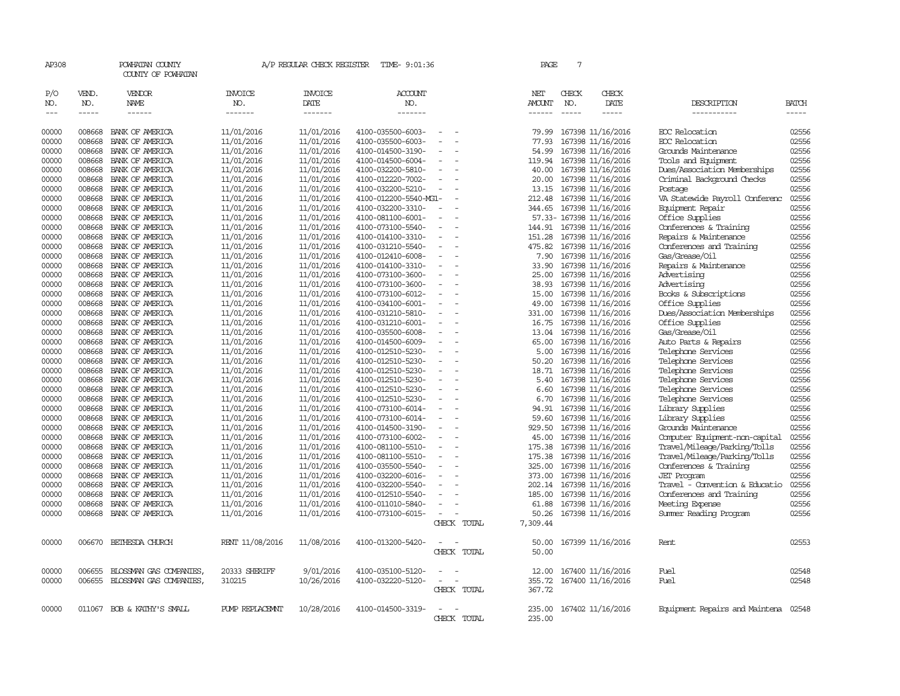| AP308         |                  | POWHATAN COUNTY<br>COUNTY OF POWHATAN |                       | A/P REGULAR CHECK REGISTER | TIME- 9:01:36         |                          | PAGE              | $7\phantom{.0}$ |                          |                                      |              |
|---------------|------------------|---------------------------------------|-----------------------|----------------------------|-----------------------|--------------------------|-------------------|-----------------|--------------------------|--------------------------------------|--------------|
| P/O<br>NO.    | VEND.<br>NO.     | VENDOR<br>NAME                        | <b>INVOICE</b><br>NO. | <b>INVOICE</b><br>DATE     | <b>ACCOUNT</b><br>NO. |                          | NET<br>AMOUNT     | CHECK<br>NO.    | CHECK<br>DATE            | DESCRIPTION                          | <b>BATCH</b> |
| $\frac{1}{2}$ | $- - - - -$      | $- - - - - -$                         | -------               | -------                    | -------               |                          | ------            | $\frac{1}{2}$   | $- - - - -$              | -----------                          | -----        |
|               |                  |                                       |                       |                            |                       |                          |                   |                 |                          |                                      |              |
| 00000         | 008668           | BANK OF AMERICA                       | 11/01/2016            | 11/01/2016                 | 4100-035500-6003-     | $\overline{\phantom{a}}$ | 79.99             |                 | 167398 11/16/2016        | ECC Relocation                       | 02556        |
| 00000         | 008668           | BANK OF AMERICA                       | 11/01/2016            | 11/01/2016                 | 4100-035500-6003-     |                          | 77.93             |                 | 167398 11/16/2016        | ECC Relocation                       | 02556        |
| 00000         | 008668           | BANK OF AMERICA                       | 11/01/2016            | 11/01/2016                 | 4100-014500-3190-     | $\sim$                   | 54.99             |                 | 167398 11/16/2016        | Grounds Maintenance                  | 02556        |
| 00000         | 008668           | BANK OF AMERICA                       | 11/01/2016            | 11/01/2016                 | 4100-014500-6004-     | $\equiv$                 | 119.94            |                 | 167398 11/16/2016        | Tools and Equipment                  | 02556        |
| 00000         | 008668           | BANK OF AMERICA                       | 11/01/2016            | 11/01/2016                 | 4100-032200-5810-     | $\overline{\phantom{a}}$ | 40.00             |                 | 167398 11/16/2016        | Dues/Association Memberships         | 02556        |
| 00000         | 008668           | BANK OF AMERICA                       | 11/01/2016            | 11/01/2016                 | 4100-012220-7002-     | $\equiv$                 | 20.00             |                 | 167398 11/16/2016        | Criminal Background Checks           | 02556        |
| 00000         | 008668           | BANK OF AMERICA                       | 11/01/2016            | 11/01/2016                 | 4100-032200-5210-     |                          | 13.15             |                 | 167398 11/16/2016        | Postage                              | 02556        |
| 00000         | 008668           | BANK OF AMERICA                       | 11/01/2016            | 11/01/2016                 | 4100-012200-5540-MG1- |                          | 212.48            |                 | 167398 11/16/2016        | VA Statewide Payroll Conferenc       | 02556        |
| 00000         | 008668           | BANK OF AMERICA                       | 11/01/2016            | 11/01/2016                 | 4100-032200-3310-     | $\overline{\phantom{a}}$ | 344.65            |                 | 167398 11/16/2016        | Equipment Repair                     | 02556        |
| 00000         | 008668           | BANK OF AMERICA                       | 11/01/2016            | 11/01/2016                 | 4100-081100-6001-     |                          |                   |                 | 57.33- 167398 11/16/2016 | Office Supplies                      | 02556        |
| 00000         | 008668           | BANK OF AMERICA                       | 11/01/2016            | 11/01/2016                 | 4100-073100-5540-     | $\overline{\phantom{a}}$ | 144.91            |                 | 167398 11/16/2016        | Conferences & Training               | 02556        |
| 00000         | 008668           | BANK OF AMERICA                       | 11/01/2016            | 11/01/2016                 | 4100-014100-3310-     | $\overline{\phantom{a}}$ | 151.28            |                 | 167398 11/16/2016        | Repairs & Maintenance                | 02556        |
| 00000         | 008668           | BANK OF AMERICA                       | 11/01/2016            | 11/01/2016                 | 4100-031210-5540-     |                          | 475.82            |                 | 167398 11/16/2016        | Conferences and Training             | 02556        |
| 00000         | 008668           | BANK OF AMERICA                       | 11/01/2016            | 11/01/2016                 | 4100-012410-6008-     |                          | 7.90              |                 | 167398 11/16/2016        | Gas/Grease/Oil                       | 02556        |
| 00000         | 008668           | BANK OF AMERICA                       | 11/01/2016            | 11/01/2016                 | 4100-014100-3310-     | $\overline{\phantom{a}}$ | 33.90             |                 | 167398 11/16/2016        | Repairs & Maintenance                | 02556        |
| 00000         | 008668           | BANK OF AMERICA                       | 11/01/2016            | 11/01/2016                 | 4100-073100-3600-     | $\sim$                   | 25.00             |                 | 167398 11/16/2016        | Advertising                          | 02556        |
| 00000         | 008668           | BANK OF AMERICA                       | 11/01/2016            | 11/01/2016                 | 4100-073100-3600-     | $\equiv$                 | 38.93             |                 | 167398 11/16/2016        | Advertising                          | 02556        |
| 00000         | 008668           | BANK OF AMERICA                       | 11/01/2016            | 11/01/2016                 | 4100-073100-6012-     |                          | 15.00             |                 | 167398 11/16/2016        | Books & Subscriptions                | 02556        |
| 00000         | 008668           | BANK OF AMERICA                       | 11/01/2016            | 11/01/2016                 | 4100-034100-6001-     | $\overline{\phantom{a}}$ | 49.00             |                 | 167398 11/16/2016        | Office Supplies                      | 02556        |
| 00000         | 008668           | BANK OF AMERICA                       | 11/01/2016            | 11/01/2016                 | 4100-031210-5810-     | $\overline{\phantom{a}}$ | 331.00            |                 | 167398 11/16/2016        | Dues/Association Memberships         | 02556        |
| 00000         | 008668           | BANK OF AMERICA                       | 11/01/2016            | 11/01/2016                 | 4100-031210-6001-     |                          | 16.75             |                 | 167398 11/16/2016        | Office Supplies                      | 02556        |
| 00000         | 008668           | BANK OF AMERICA                       | 11/01/2016            | 11/01/2016                 | 4100-035500-6008-     |                          | 13.04             |                 | 167398 11/16/2016        | Gas/Grease/Oil                       | 02556        |
| 00000         | 008668           | BANK OF AMERICA                       | 11/01/2016            | 11/01/2016                 | 4100-014500-6009-     | $\equiv$                 | 65.00             |                 | 167398 11/16/2016        | Auto Parts & Repairs                 | 02556        |
| 00000         | 008668           | BANK OF AMERICA                       | 11/01/2016            | 11/01/2016                 | 4100-012510-5230-     | $\equiv$                 | 5.00              |                 | 167398 11/16/2016        | Telephone Services                   | 02556        |
| 00000         | 008668           | BANK OF AMERICA                       | 11/01/2016            | 11/01/2016                 | 4100-012510-5230-     |                          | 50.20             |                 | 167398 11/16/2016        | Telephone Services                   | 02556        |
| 00000         | 008668           | BANK OF AMERICA                       | 11/01/2016            | 11/01/2016                 | 4100-012510-5230-     | $\equiv$                 | 18.71             |                 | 167398 11/16/2016        | Telephone Services                   | 02556        |
| 00000         | 008668           | BANK OF AMERICA                       | 11/01/2016            | 11/01/2016                 | 4100-012510-5230-     | $\equiv$                 | 5.40              |                 | 167398 11/16/2016        | Telephone Services                   | 02556        |
| 00000         | 008668           | BANK OF AMERICA                       | 11/01/2016            | 11/01/2016                 | 4100-012510-5230-     | $\equiv$                 | 6.60              |                 | 167398 11/16/2016        | Telephone Services                   | 02556        |
| 00000         | 008668           | BANK OF AMERICA                       | 11/01/2016            | 11/01/2016                 | 4100-012510-5230-     |                          | 6.70              |                 | 167398 11/16/2016        | Telephone Services                   | 02556        |
| 00000         | 008668           | BANK OF AMERICA                       | 11/01/2016            | 11/01/2016                 | 4100-073100-6014-     | $\equiv$                 | 94.91             |                 | 167398 11/16/2016        | Library Supplies                     | 02556        |
| 00000         | 008668           | BANK OF AMERICA                       | 11/01/2016            | 11/01/2016                 | 4100-073100-6014-     | $\overline{\phantom{a}}$ | 59.60             |                 | 167398 11/16/2016        | Library Supplies                     | 02556        |
| 00000         | 008668           | BANK OF AMERICA                       | 11/01/2016            | 11/01/2016                 | 4100-014500-3190-     | $\equiv$                 | 929.50            |                 | 167398 11/16/2016        | Grounds Maintenance                  | 02556        |
| 00000         | 008668           | BANK OF AMERICA                       | 11/01/2016            | 11/01/2016                 | 4100-073100-6002-     |                          | 45.00             |                 | 167398 11/16/2016        | Computer Equipment-non-capital       | 02556        |
| 00000         | 008668           | BANK OF AMERICA                       | 11/01/2016            | 11/01/2016                 | 4100-081100-5510-     | $\equiv$                 | 175.38            |                 | 167398 11/16/2016        | Travel/Mileage/Parking/Tolls         | 02556        |
| 00000         | 008668           | BANK OF AMERICA                       | 11/01/2016            | 11/01/2016                 | 4100-081100-5510-     | $\overline{\phantom{a}}$ | 175.38            |                 | 167398 11/16/2016        | Travel/Mileage/Parking/Tolls         | 02556        |
| 00000         | 008668           | BANK OF AMERICA                       | 11/01/2016            | 11/01/2016                 | 4100-035500-5540-     |                          | 325.00            |                 | 167398 11/16/2016        | Conferences & Training               | 02556        |
| 00000         | 008668           | BANK OF AMERICA                       | 11/01/2016            | 11/01/2016                 | 4100-032200-6016-     | $\equiv$                 | 373.00            |                 | 167398 11/16/2016        | <b>JET</b> Program                   | 02556        |
| 00000         | 008668           | BANK OF AMERICA                       |                       |                            |                       | $\sim$                   |                   |                 | 167398 11/16/2016        | Travel - Convention & Educatio       | 02556        |
| 00000         |                  |                                       | 11/01/2016            | 11/01/2016                 | 4100-032200-5540-     |                          | 202.14            |                 |                          |                                      | 02556        |
|               | 008668<br>008668 | BANK OF AMERICA                       | 11/01/2016            | 11/01/2016                 | 4100-012510-5540-     |                          | 185.00            |                 | 167398 11/16/2016        | Conferences and Training             | 02556        |
| 00000         |                  | BANK OF AMERICA                       | 11/01/2016            | 11/01/2016                 | 4100-011010-5840-     |                          | 61.88             |                 | 167398 11/16/2016        | Meeting Expense                      |              |
| 00000         |                  | 008668 BANK OF AMERICA                | 11/01/2016            | 11/01/2016                 | 4100-073100-6015-     | $\equiv$<br>CHECK TOTAL  | 50.26<br>7,309.44 |                 | 167398 11/16/2016        | Summer Reading Program               | 02556        |
|               |                  |                                       |                       |                            |                       |                          |                   |                 |                          |                                      |              |
| 00000         | 006670           | BETHESDA CHURCH                       | RENT 11/08/2016       | 11/08/2016                 | 4100-013200-5420-     |                          | 50.00             |                 | 167399 11/16/2016        | Rent                                 | 02553        |
|               |                  |                                       |                       |                            |                       | CHECK TOTAL              | 50.00             |                 |                          |                                      |              |
|               |                  |                                       |                       |                            |                       |                          |                   |                 |                          |                                      |              |
| 00000         | 006655           | BLOSSMAN GAS COMPANIES                | 20333 SHERIFF         | 9/01/2016                  | 4100-035100-5120-     |                          | 12.00             |                 | 167400 11/16/2016        | Fuel                                 | 02548        |
| 00000         | 006655           | BLOSSMAN GAS COMPANIES,               | 310215                | 10/26/2016                 | 4100-032220-5120-     | $\equiv$                 | 355.72            |                 | 167400 11/16/2016        | Fuel                                 | 02548        |
|               |                  |                                       |                       |                            |                       | CHECK TOTAL              | 367.72            |                 |                          |                                      |              |
|               |                  |                                       |                       |                            |                       |                          |                   |                 |                          |                                      |              |
| 00000         |                  | 011067 BOB & KATHY'S SMALL            | PUMP REPLACEMNT       | 10/28/2016                 | 4100-014500-3319-     | $\equiv$                 | 235.00            |                 | 167402 11/16/2016        | Equipment Repairs and Maintena 02548 |              |
|               |                  |                                       |                       |                            |                       | CHECK TOTAL              | 235.00            |                 |                          |                                      |              |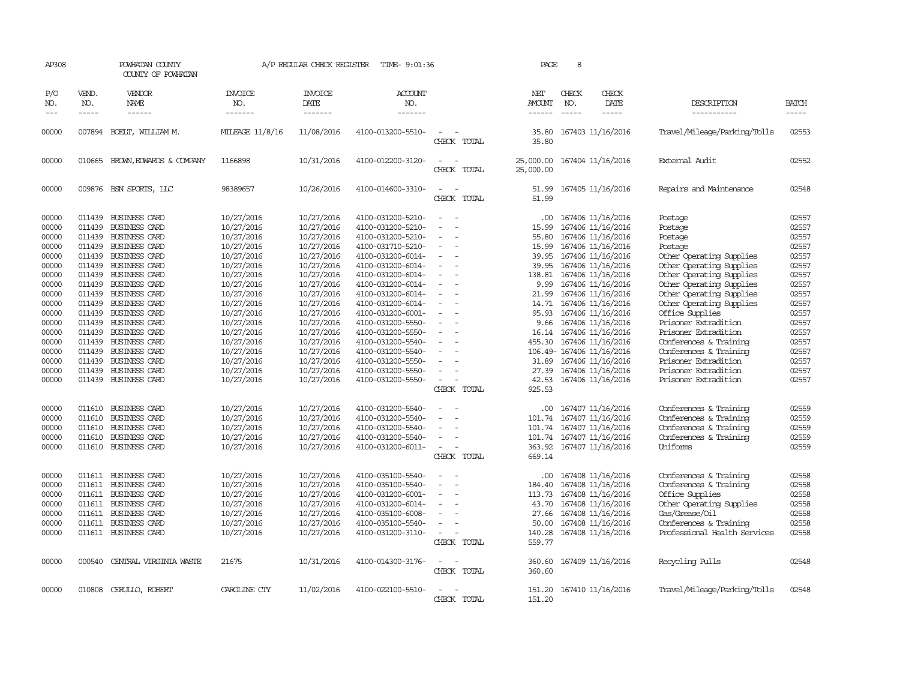| AP308                       |                       | POWHATAN COUNTY<br>COUNTY OF POWHATAN  |                                  | A/P REGULAR CHECK REGISTER                | TIME- 9:01:36             |                                                                                                              | PAGE                           | 8                                                             |                              |                             |
|-----------------------------|-----------------------|----------------------------------------|----------------------------------|-------------------------------------------|---------------------------|--------------------------------------------------------------------------------------------------------------|--------------------------------|---------------------------------------------------------------|------------------------------|-----------------------------|
| P/O<br>NO.<br>$\frac{1}{2}$ | VEND.<br>NO.<br>----- | VENDOR<br><b>NAME</b><br>$- - - - - -$ | <b>INVOICE</b><br>NO.<br>------- | <b>INVOICE</b><br>DATE<br>$- - - - - - -$ | ACCOUNT<br>NO.<br>------- |                                                                                                              | NET<br>AMOUNT<br>$- - - - - -$ | CHECK<br>CHECK<br>NO.<br>DATE<br>$- - - - -$<br>$\frac{1}{2}$ | DESCRIPTION<br>-----------   | <b>BATCH</b><br>$- - - - -$ |
| 00000                       | 007894                | BOELT, WILLIAM M.                      | MILEAGE 11/8/16                  | 11/08/2016                                | 4100-013200-5510-         | $\equiv$                                                                                                     | 35.80                          | 167403 11/16/2016                                             | Travel/Mileage/Parking/Tolls | 02553                       |
|                             |                       |                                        |                                  |                                           |                           | CHECK TOTAL                                                                                                  | 35.80                          |                                                               |                              |                             |
| 00000                       | 010665                | BROWN, EDWARDS & COMPANY               | 1166898                          | 10/31/2016                                | 4100-012200-3120-         | $\overline{\phantom{a}}$<br>CHECK TOTAL                                                                      | 25,000.00<br>25,000.00         | 167404 11/16/2016                                             | External Audit               | 02552                       |
| 00000                       |                       | 009876 BSN SPORTS, LLC                 | 98389657                         | 10/26/2016                                | 4100-014600-3310-         | $\sim$<br>CHECK TOTAL                                                                                        | 51.99<br>51.99                 | 167405 11/16/2016                                             | Repairs and Maintenance      | 02548                       |
| 00000                       |                       | 011439 BUSINESS CARD                   | 10/27/2016                       | 10/27/2016                                | 4100-031200-5210-         | $\frac{1}{2} \left( \frac{1}{2} \right) \left( \frac{1}{2} \right) = \frac{1}{2} \left( \frac{1}{2} \right)$ | .00.                           | 167406 11/16/2016                                             | Postage                      | 02557                       |
| 00000                       | 011439                | <b>BUSINESS CARD</b>                   | 10/27/2016                       | 10/27/2016                                | 4100-031200-5210-         | $\equiv$                                                                                                     | 15.99                          | 167406 11/16/2016                                             | Postage                      | 02557                       |
| 00000                       |                       | 011439 BUSINESS CARD                   | 10/27/2016                       | 10/27/2016                                | 4100-031200-5210-         | $\equiv$                                                                                                     | 55.80                          | 167406 11/16/2016                                             | Postage                      | 02557                       |
| 00000                       |                       | 011439 BUSINESS CARD                   | 10/27/2016                       | 10/27/2016                                | 4100-031710-5210-         | $\sim$                                                                                                       | 15.99                          | 167406 11/16/2016                                             | Postage                      | 02557                       |
| 00000                       |                       | 011439 BUSINESS CARD                   | 10/27/2016                       | 10/27/2016                                | 4100-031200-6014-         |                                                                                                              | 39.95                          | 167406 11/16/2016                                             | Other Operating Supplies     | 02557                       |
| 00000                       |                       | 011439 BUSINESS CARD                   | 10/27/2016                       | 10/27/2016                                | 4100-031200-6014-         |                                                                                                              | 39.95                          | 167406 11/16/2016                                             | Other Operating Supplies     | 02557                       |
| 00000                       | 011439                | <b>BUSINESS CARD</b>                   | 10/27/2016                       | 10/27/2016                                | 4100-031200-6014-         | $\equiv$                                                                                                     | 138.81                         | 167406 11/16/2016                                             | Other Operating Supplies     | 02557                       |
| 00000                       |                       | 011439 BUSINESS CARD                   |                                  | 10/27/2016                                | 4100-031200-6014-         |                                                                                                              | 9.99                           | 167406 11/16/2016                                             | Other Operating Supplies     | 02557                       |
|                             |                       | 011439 BUSINESS CARD                   | 10/27/2016                       |                                           |                           | $\sim$                                                                                                       |                                |                                                               |                              |                             |
| 00000                       |                       |                                        | 10/27/2016                       | 10/27/2016                                | 4100-031200-6014-         |                                                                                                              | 21.99                          | 167406 11/16/2016                                             | Other Operating Supplies     | 02557                       |
| 00000                       |                       | 011439 BUSINESS CARD                   | 10/27/2016                       | 10/27/2016                                | 4100-031200-6014-         | $\overline{\phantom{a}}$                                                                                     | 14.71                          | 167406 11/16/2016                                             | Other Operating Supplies     | 02557                       |
| 00000                       |                       | 011439 BUSINESS CARD                   | 10/27/2016                       | 10/27/2016                                | 4100-031200-6001-         | $\sim$                                                                                                       | 95.93                          | 167406 11/16/2016                                             | Office Supplies              | 02557                       |
| 00000                       | 011439                | <b>BUSINESS CARD</b>                   | 10/27/2016                       | 10/27/2016                                | 4100-031200-5550-         | $\overline{\phantom{a}}$                                                                                     | 9.66                           | 167406 11/16/2016                                             | Prisoner Extradition         | 02557                       |
| 00000                       |                       | 011439 BUSINESS CARD                   | 10/27/2016                       | 10/27/2016                                | 4100-031200-5550-         |                                                                                                              | 16.14                          | 167406 11/16/2016                                             | Prisoner Extradition         | 02557                       |
| 00000                       |                       | 011439 BUSINESS CARD                   | 10/27/2016                       | 10/27/2016                                | 4100-031200-5540-         | $\equiv$                                                                                                     | 455.30                         | 167406 11/16/2016                                             | Conferences & Training       | 02557                       |
| 00000                       |                       | 011439 BUSINESS CARD                   | 10/27/2016                       | 10/27/2016                                | 4100-031200-5540-         | $\equiv$                                                                                                     |                                | 106.49- 167406 11/16/2016                                     | Conferences & Training       | 02557                       |
| 00000                       |                       | 011439 BUSINESS CARD                   | 10/27/2016                       | 10/27/2016                                | 4100-031200-5550-         | $\sim$                                                                                                       | 31.89                          | 167406 11/16/2016                                             | Prisoner Extradition         | 02557                       |
| 00000                       | 011439                | BUSINESS CARD                          | 10/27/2016                       | 10/27/2016                                | 4100-031200-5550-         | $\equiv$                                                                                                     | 27.39                          | 167406 11/16/2016                                             | Prisoner Extradition         | 02557                       |
| 00000                       |                       | 011439 BUSINESS CARD                   | 10/27/2016                       | 10/27/2016                                | 4100-031200-5550-         | $\overline{\phantom{a}}$                                                                                     | 42.53                          | 167406 11/16/2016                                             | Prisoner Extradition         | 02557                       |
|                             |                       |                                        |                                  |                                           |                           | CHECK TOTAL                                                                                                  | 925.53                         |                                                               |                              |                             |
| 00000                       |                       | 011610 BUSINESS CARD                   | 10/27/2016                       | 10/27/2016                                | 4100-031200-5540-         | $\sim$                                                                                                       | .00.                           | 167407 11/16/2016                                             | Conferences & Training       | 02559                       |
| 00000                       | 011610                | BUSINESS CARD                          | 10/27/2016                       | 10/27/2016                                | 4100-031200-5540-         | $\equiv$                                                                                                     | 101.74                         | 167407 11/16/2016                                             | Conferences & Training       | 02559                       |
| 00000                       | 011610                | BUSINESS CARD                          | 10/27/2016                       | 10/27/2016                                | 4100-031200-5540-         |                                                                                                              | 101.74                         | 167407 11/16/2016                                             | Conferences & Training       | 02559                       |
| 00000                       | 011610                | <b>BUSINESS CARD</b>                   | 10/27/2016                       | 10/27/2016                                | 4100-031200-5540-         | $\sim$                                                                                                       |                                | 101.74 167407 11/16/2016                                      | Conferences & Training       | 02559                       |
| 00000                       |                       | 011610 BUSINESS CARD                   | 10/27/2016                       | 10/27/2016                                | 4100-031200-6011-         | $\overline{\phantom{a}}$                                                                                     | 363.92                         | 167407 11/16/2016                                             | Uniforms                     | 02559                       |
|                             |                       |                                        |                                  |                                           |                           | CHECK TOTAL                                                                                                  | 669.14                         |                                                               |                              |                             |
| 00000                       |                       | 011611 BUSINESS CARD                   | 10/27/2016                       | 10/27/2016                                | 4100-035100-5540-         | $\overline{\phantom{a}}$                                                                                     | .00.                           | 167408 11/16/2016                                             | Conferences & Training       | 02558                       |
| 00000                       |                       | 011611 BUSINESS CARD                   | 10/27/2016                       | 10/27/2016                                | 4100-035100-5540-         | $\overline{a}$                                                                                               | 184.40                         | 167408 11/16/2016                                             | Conferences & Training       | 02558                       |
| 00000                       |                       | 011611 BUSINESS CARD                   | 10/27/2016                       | 10/27/2016                                | 4100-031200-6001-         | $\overline{\phantom{a}}$                                                                                     | 113.73                         | 167408 11/16/2016                                             | Office Supplies              | 02558                       |
| 00000                       |                       | 011611 BUSINESS CARD                   | 10/27/2016                       | 10/27/2016                                | 4100-031200-6014-         | $\equiv$                                                                                                     | 43.70                          | 167408 11/16/2016                                             | Other Operating Supplies     | 02558                       |
|                             |                       |                                        |                                  |                                           |                           |                                                                                                              |                                |                                                               |                              |                             |
| 00000                       | 011611                | <b>BUSINESS CARD</b>                   | 10/27/2016                       | 10/27/2016                                | 4100-035100-6008-         |                                                                                                              | 27.66                          | 167408 11/16/2016                                             | Gas/Grease/Oil               | 02558                       |
| 00000                       | 011611                | <b>BUSINESS CARD</b>                   | 10/27/2016                       | 10/27/2016                                | 4100-035100-5540-         |                                                                                                              | 50.00                          | 167408 11/16/2016                                             | Conferences & Training       | 02558                       |
| 00000                       |                       | 011611 BUSINESS CARD                   | 10/27/2016                       | 10/27/2016                                | 4100-031200-3110-         | $\sim$<br>CHECK TOTAL                                                                                        | 140.28<br>559.77               | 167408 11/16/2016                                             | Professional Health Services | 02558                       |
| 00000                       |                       | 000540 CENTRAL VIRGINIA WASTE          | 21675                            | 10/31/2016                                | 4100-014300-3176-         | $\overline{\phantom{a}}$                                                                                     | 360.60                         | 167409 11/16/2016                                             | Recycling Pulls              | 02548                       |
|                             |                       |                                        |                                  |                                           |                           | CHECK TOTAL                                                                                                  | 360.60                         |                                                               |                              |                             |
| 00000                       |                       | 010808 CERULLO, ROBERT                 | CAROLINE CTY                     | 11/02/2016                                | 4100-022100-5510-         | $\sim$                                                                                                       | 151.20                         | 167410 11/16/2016                                             | Travel/Mileage/Parking/Tolls | 02548                       |
|                             |                       |                                        |                                  |                                           |                           | CHECK TOTAL                                                                                                  | 151.20                         |                                                               |                              |                             |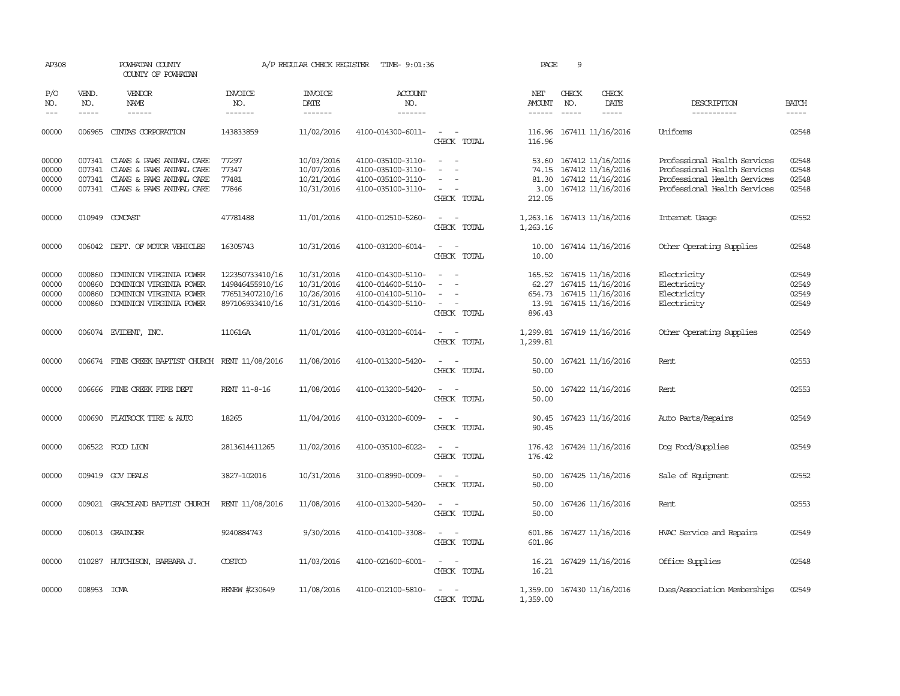| AP308                            |                             | POWHATAN COUNTY<br>COUNTY OF POWHATAN                                                                                             |                                                                          | A/P REGULAR CHECK REGISTER                           | TIME- 9:01:36                                                                    |                                                                                                                                          | PAGE                                         | 9                             |                                                                                  |                                                                                                                              |                                  |
|----------------------------------|-----------------------------|-----------------------------------------------------------------------------------------------------------------------------------|--------------------------------------------------------------------------|------------------------------------------------------|----------------------------------------------------------------------------------|------------------------------------------------------------------------------------------------------------------------------------------|----------------------------------------------|-------------------------------|----------------------------------------------------------------------------------|------------------------------------------------------------------------------------------------------------------------------|----------------------------------|
| P/O<br>NO.<br>$---$              | VEND.<br>NO.<br>$- - - - -$ | VENDOR<br>NAME<br>$- - - - - -$                                                                                                   | <b>INVOICE</b><br>NO.<br>-------                                         | <b>INVOICE</b><br>DATE<br>-------                    | <b>ACCOUNT</b><br>NO.<br>-------                                                 |                                                                                                                                          | NET<br>AMOUNT<br>$- - - - - -$               | CHECK<br>NO.<br>$\frac{1}{2}$ | CHECK<br>DATE<br>$- - - - -$                                                     | DESCRIPTION<br>-----------                                                                                                   | <b>BATCH</b><br>-----            |
| 00000                            | 006965                      | CINTAS CORPORATION                                                                                                                | 143833859                                                                | 11/02/2016                                           | 4100-014300-6011-                                                                | $\sim$<br>$\sim$<br>CHECK TOTAL                                                                                                          | 116.96<br>116.96                             |                               | 167411 11/16/2016                                                                | <b>Thiforms</b>                                                                                                              | 02548                            |
| 00000<br>00000<br>00000<br>00000 | 007341                      | 007341 CLAWS & PAWS ANIMAL CARE<br>CLAWS & PAWS ANIMAL CARE<br>007341 CLAWS & PAWS ANIMAL CARE<br>007341 CLAWS & PAWS ANIMAL CARE | 77297<br>77347<br>77481<br>77846                                         | 10/03/2016<br>10/07/2016<br>10/21/2016<br>10/31/2016 | 4100-035100-3110-<br>4100-035100-3110-<br>4100-035100-3110-<br>4100-035100-3110- | $\equiv$<br>$\sim$<br>$\sim$<br>CHECK TOTAL                                                                                              | 53.60<br>74.15<br>81.30<br>3.00<br>212.05    |                               | 167412 11/16/2016<br>167412 11/16/2016<br>167412 11/16/2016<br>167412 11/16/2016 | Professional Health Services<br>Professional Health Services<br>Professional Health Services<br>Professional Health Services | 02548<br>02548<br>02548<br>02548 |
| 00000                            |                             | 010949 COMCAST                                                                                                                    | 47781488                                                                 | 11/01/2016                                           | 4100-012510-5260-                                                                | $\sim$<br>$\overline{\phantom{a}}$<br>CHECK TOTAL                                                                                        | 1,263.16<br>1,263.16                         |                               | 167413 11/16/2016                                                                | Internet Usage                                                                                                               | 02552                            |
| 00000                            |                             | 006042 DEPT. OF MOTOR VEHICLES                                                                                                    | 16305743                                                                 | 10/31/2016                                           | 4100-031200-6014-                                                                | CHECK TOTAL                                                                                                                              | 10.00<br>10.00                               |                               | 167414 11/16/2016                                                                | Other Operating Supplies                                                                                                     | 02548                            |
| 00000<br>00000<br>00000<br>00000 | 000860<br>000860<br>000860  | DOMINION VIRGINIA POWER<br>DOMINION VIRGINIA POWER<br>DOMINION VIRGINIA POWER<br>000860 DOMINION VIRGINIA POWER                   | 122350733410/16<br>149846455910/16<br>776513407210/16<br>897106933410/16 | 10/31/2016<br>10/31/2016<br>10/26/2016<br>10/31/2016 | 4100-014300-5110-<br>4100-014600-5110-<br>4100-014100-5110-<br>4100-014300-5110- | $\sim$<br>$\sim$<br>CHECK TOTAL                                                                                                          | 165.52<br>62.27<br>654.73<br>13.91<br>896.43 |                               | 167415 11/16/2016<br>167415 11/16/2016<br>167415 11/16/2016<br>167415 11/16/2016 | Electricity<br>Electricity<br>Electricity<br>Electricity                                                                     | 02549<br>02549<br>02549<br>02549 |
| 00000                            |                             | 006074 EVIDENT, INC.                                                                                                              | 110616A                                                                  | 11/01/2016                                           | 4100-031200-6014-                                                                | $\sim$<br>$\sim$<br>CHECK TOTAL                                                                                                          | 1,299.81<br>1,299.81                         |                               | 167419 11/16/2016                                                                | Other Operating Supplies                                                                                                     | 02549                            |
| 00000                            |                             | 006674 FINE CREEK BAPTIST CHURCH RENT 11/08/2016                                                                                  |                                                                          | 11/08/2016                                           | 4100-013200-5420-                                                                | $\overline{\phantom{a}}$<br>CHECK TOTAL                                                                                                  | 50.00<br>50.00                               |                               | 167421 11/16/2016                                                                | Rent                                                                                                                         | 02553                            |
| 00000                            |                             | 006666 FINE CREEK FIRE DEPT                                                                                                       | RENT 11-8-16                                                             | 11/08/2016                                           | 4100-013200-5420-                                                                | $\equiv$<br>$\sim$<br>CHECK TOTAL                                                                                                        | 50.00<br>50.00                               |                               | 167422 11/16/2016                                                                | Rent                                                                                                                         | 02553                            |
| 00000                            |                             | 000690 FLATROCK TIRE & AUTO                                                                                                       | 18265                                                                    | 11/04/2016                                           | 4100-031200-6009-                                                                | CHECK TOTAL                                                                                                                              | 90.45<br>90.45                               |                               | 167423 11/16/2016                                                                | Auto Parts/Repairs                                                                                                           | 02549                            |
| 00000                            |                             | 006522 FOOD LION                                                                                                                  | 2813614411265                                                            | 11/02/2016                                           | 4100-035100-6022-                                                                | $\overline{\phantom{a}}$<br>$\sim$<br>CHECK TOTAL                                                                                        | 176.42<br>176.42                             |                               | 167424 11/16/2016                                                                | Dog Food/Supplies                                                                                                            | 02549                            |
| 00000                            |                             | 009419 GOV DEALS                                                                                                                  | 3827-102016                                                              | 10/31/2016                                           | 3100-018990-0009-                                                                | $\equiv$<br>$\sim$<br>CHECK TOTAL                                                                                                        | 50.00<br>50.00                               |                               | 167425 11/16/2016                                                                | Sale of Equipment                                                                                                            | 02552                            |
| 00000                            |                             | 009021 GRACELAND BAPTIST CHURCH                                                                                                   | RENT 11/08/2016                                                          | 11/08/2016                                           | 4100-013200-5420-                                                                | $\overline{\phantom{a}}$<br>. —<br>CHECK TOTAL                                                                                           | 50.00<br>50.00                               |                               | 167426 11/16/2016                                                                | Rent                                                                                                                         | 02553                            |
| 00000                            |                             | 006013 GRAINGER                                                                                                                   | 9240884743                                                               | 9/30/2016                                            | 4100-014100-3308-                                                                | $\frac{1}{2} \left( \frac{1}{2} \right) \left( \frac{1}{2} \right) \left( \frac{1}{2} \right) \left( \frac{1}{2} \right)$<br>CHECK TOTAL | 601.86<br>601.86                             |                               | 167427 11/16/2016                                                                | HVAC Service and Repairs                                                                                                     | 02549                            |
| 00000                            |                             | 010287 HUTCHISON, BARBARA J.                                                                                                      | <b>COSTCO</b>                                                            | 11/03/2016                                           | 4100-021600-6001-                                                                | $\sim$<br>$\overline{\phantom{a}}$<br>CHECK TOTAL                                                                                        | 16.21<br>16.21                               |                               | 167429 11/16/2016                                                                | Office Supplies                                                                                                              | 02548                            |
| 00000                            | 008953 ICMA                 |                                                                                                                                   | RENEW #230649                                                            | 11/08/2016                                           | 4100-012100-5810-                                                                | CHECK TOTAL                                                                                                                              | 1,359.00<br>1,359.00                         |                               | 167430 11/16/2016                                                                | Dues/Association Memberships                                                                                                 | 02549                            |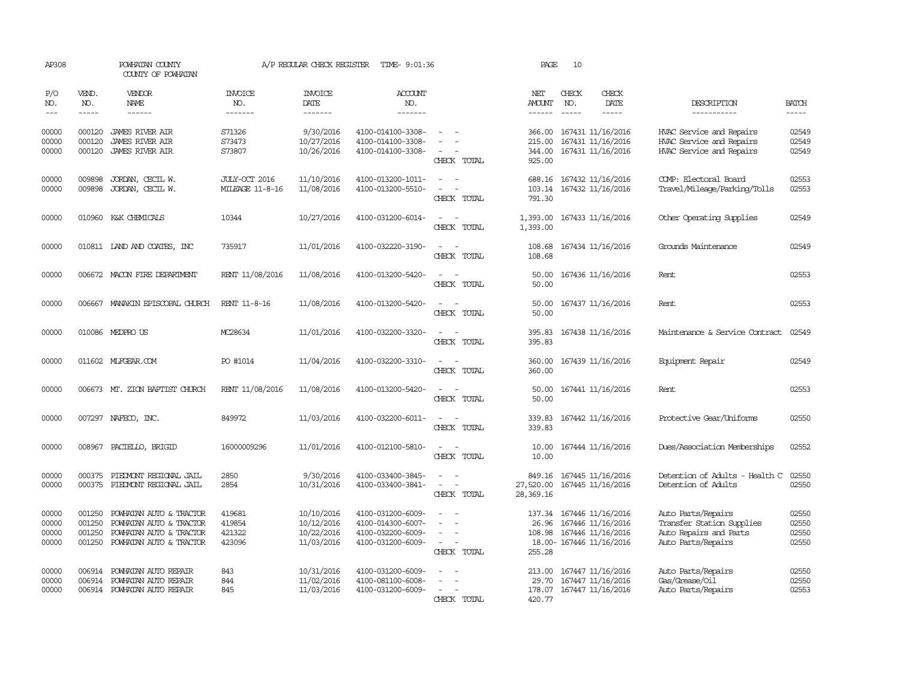| AP308                            |                                      | POWHATAN COUNTY<br>COUNTY OF POWHATAN                                                                    |                                      | A/P REGULAR CHECK REGISTER                           | TIME- 9:01:36                                                                    |                                                     | PAGE                                 | 10           |                                                                                         |                                                                                                 |                                  |
|----------------------------------|--------------------------------------|----------------------------------------------------------------------------------------------------------|--------------------------------------|------------------------------------------------------|----------------------------------------------------------------------------------|-----------------------------------------------------|--------------------------------------|--------------|-----------------------------------------------------------------------------------------|-------------------------------------------------------------------------------------------------|----------------------------------|
| P/O<br>NO.<br>$---$              | VEND.<br>NO.<br>$- - - - -$          | <b>VENDOR</b><br><b>NAME</b><br>------                                                                   | <b>INVOICE</b><br>NO.<br>-------     | <b>INVOICE</b><br>DATE<br>-------                    | <b>ACCOUNT</b><br>NO.<br>-------                                                 |                                                     | NET<br>AMOUNT<br>------              | CHECK<br>NO. | CHECK<br>DATE<br>-----                                                                  | DESCRIPTION<br>-----------                                                                      | <b>BATCH</b><br>-----            |
| 00000<br>00000<br>00000          | 000120<br>000120<br>000120           | <b>JAMES RIVER AIR</b><br><b>JAMES RIVER AIR</b><br><b>JAMES RIVER AIR</b>                               | S71326<br>S73473<br>S73807           | 9/30/2016<br>10/27/2016<br>10/26/2016                | 4100-014100-3308-<br>4100-014100-3308-<br>4100-014100-3308-                      | CHECK TOTAL                                         | 366.00<br>215.00<br>344.00<br>925.00 |              | 167431 11/16/2016<br>167431 11/16/2016<br>167431 11/16/2016                             | HVAC Service and Repairs<br>HVAC Service and Repairs<br>HVAC Service and Repairs                | 02549<br>02549<br>02549          |
| 00000<br>00000                   | 009898<br>009898                     | JORDAN, CECIL W.<br>JORDAN, CECIL W.                                                                     | JULY-OCT 2016<br>MILEAGE 11-8-16     | 11/10/2016<br>11/08/2016                             | 4100-013200-1011-<br>4100-013200-5510-                                           | $\sim$<br>CHECK TOTAL                               | 688.16<br>103.14<br>791.30           |              | 167432 11/16/2016<br>167432 11/16/2016                                                  | COMP: Electoral Board<br>Travel/Mileage/Parking/Tolls                                           | 02553<br>02553                   |
| 00000                            |                                      | 010960 K&K CHEMICALS                                                                                     | 10344                                | 10/27/2016                                           | 4100-031200-6014-                                                                | CHECK TOTAL                                         | 1,393.00<br>1,393.00                 |              | 167433 11/16/2016                                                                       | Other Operating Supplies                                                                        | 02549                            |
| 00000                            |                                      | 010811 IAND AND COATES, INC                                                                              | 735917                               | 11/01/2016                                           | 4100-032220-3190-                                                                | $\sim$<br>CHECK TOTAL                               | 108.68<br>108.68                     |              | 167434 11/16/2016                                                                       | Grounds Maintenance                                                                             | 02549                            |
| 00000                            |                                      | 006672 MACON FIRE DEPARIMENT                                                                             | RENT 11/08/2016                      | 11/08/2016                                           | 4100-013200-5420-                                                                | CHECK TOTAL                                         | 50.00<br>50.00                       |              | 167436 11/16/2016                                                                       | Rent                                                                                            | 02553                            |
| 00000                            | 006667                               | MANAKIN EPISCOPAL CHURCH                                                                                 | <b>RENT 11-8-16</b>                  | 11/08/2016                                           | 4100-013200-5420-                                                                | $\sim$<br>$\sim$<br>CHECK TOTAL                     | 50.00<br>50.00                       |              | 167437 11/16/2016                                                                       | Rent                                                                                            | 02553                            |
| 00000                            |                                      | 010086 MEDPRO US                                                                                         | MC28634                              | 11/01/2016                                           | 4100-032200-3320-                                                                | $\sim$<br>$\overline{\phantom{a}}$<br>CHECK TOTAL   | 395.83<br>395.83                     |              | 167438 11/16/2016                                                                       | Maintenance & Service Contract                                                                  | 02549                            |
| 00000                            |                                      | 011602 MLFGEAR.COM                                                                                       | PO #1014                             | 11/04/2016                                           | 4100-032200-3310-                                                                | CHECK TOTAL                                         | 360.00<br>360.00                     |              | 167439 11/16/2016                                                                       | Equipment Repair                                                                                | 02549                            |
| 00000                            | 006673                               | MT. ZION BAPTIST CHURCH                                                                                  | RENT 11/08/2016                      | 11/08/2016                                           | 4100-013200-5420-                                                                | $\overline{\phantom{a}}$<br>CHECK TOTAL             | 50.00<br>50.00                       |              | 167441 11/16/2016                                                                       | Rent                                                                                            | 02553                            |
| 00000                            |                                      | 007297 NAFECO, INC.                                                                                      | 849972                               | 11/03/2016                                           | 4100-032200-6011-                                                                | $\equiv$<br>CHECK TOTAL                             | 339.83<br>339.83                     |              | 167442 11/16/2016                                                                       | Protective Gear/Uniforms                                                                        | 02550                            |
| 00000                            | 008967                               | PACIELLO, BRIGID                                                                                         | 16000009296                          | 11/01/2016                                           | 4100-012100-5810-                                                                | $\equiv$<br>. —<br>CHECK TOTAL                      | 10.00<br>10.00                       |              | 167444 11/16/2016                                                                       | Dues/Association Memberships                                                                    | 02552                            |
| 00000<br>00000                   | 000375<br>000375                     | PIEDMONT REGIONAL JAIL<br>PIEDMONT REGIONAL JAIL                                                         | 2850<br>2854                         | 9/30/2016<br>10/31/2016                              | 4100-033400-3845-<br>4100-033400-3841-                                           | $\equiv$<br>$\overline{\phantom{a}}$<br>CHECK TOTAL | 849.16<br>27,520.00<br>28,369.16     |              | 167445 11/16/2016<br>167445 11/16/2016                                                  | Detention of Adults - Health C<br>Detention of Adults                                           | 02550<br>02550                   |
| 00000<br>00000<br>00000<br>00000 | 001250<br>001250<br>001250<br>001250 | POWHATAN AUTO & TRACTOR<br>POWHATAN AUTO & TRACTOR<br>POWHATAN AUTO & TRACTOR<br>POWHATAN AUTO & TRACTOR | 419681<br>419854<br>421322<br>423096 | 10/10/2016<br>10/12/2016<br>10/22/2016<br>11/03/2016 | 4100-031200-6009-<br>4100-014300-6007-<br>4100-032200-6009-<br>4100-031200-6009- | $\sim$<br>CHECK TOTAL                               | 137.34<br>26.96<br>108.98<br>255.28  |              | 167446 11/16/2016<br>167446 11/16/2016<br>167446 11/16/2016<br>18.00- 167446 11/16/2016 | Auto Parts/Repairs<br>Transfer Station Supplies<br>Auto Repairs and Parts<br>Auto Parts/Repairs | 02550<br>02550<br>02550<br>02550 |
| 00000<br>00000<br>00000          | 006914<br>006914                     | 006914 POWHATAN AUTO REPAIR<br>POWHATAN AUTO REPAIR<br>POWHATAN AUTO REPAIR                              | 843<br>844<br>845                    | 10/31/2016<br>11/02/2016<br>11/03/2016               | 4100-031200-6009-<br>4100-081100-6008-<br>4100-031200-6009-                      | CHECK TOTAL                                         | 213.00<br>29.70<br>178.07<br>420.77  |              | 167447 11/16/2016<br>167447 11/16/2016<br>167447 11/16/2016                             | Auto Parts/Repairs<br>Gas/Grease/Oil<br>Auto Parts/Repairs                                      | 02550<br>02550<br>02553          |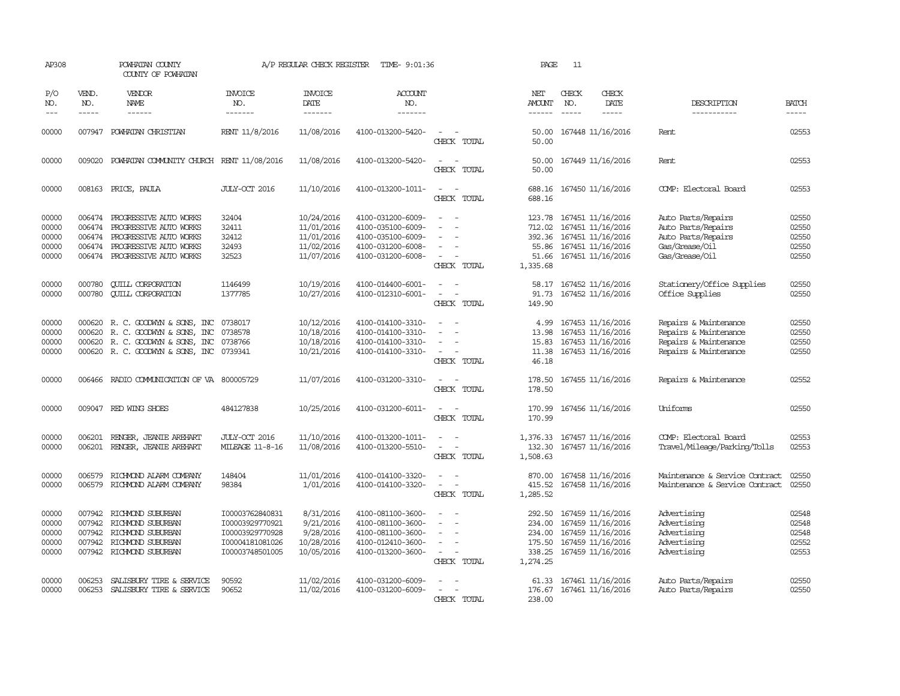| AP308                                     |                                                                                                                                                                                                                                                                                                                                                                                                                                                                                                     | POWHATAN COUNTY<br>COUNTY OF POWHATAN                                                                                                        |                                                                                             | A/P REGULAR CHECK REGISTER                                         | TIME- 9:01:36                                                                                         |                                                                                                                   | PAGE                                                       | 11                          |                                                                                                       |                                                                                                    |                                                                                                                                                                                                                                                                                                                                                                                                                                                                                                     |
|-------------------------------------------|-----------------------------------------------------------------------------------------------------------------------------------------------------------------------------------------------------------------------------------------------------------------------------------------------------------------------------------------------------------------------------------------------------------------------------------------------------------------------------------------------------|----------------------------------------------------------------------------------------------------------------------------------------------|---------------------------------------------------------------------------------------------|--------------------------------------------------------------------|-------------------------------------------------------------------------------------------------------|-------------------------------------------------------------------------------------------------------------------|------------------------------------------------------------|-----------------------------|-------------------------------------------------------------------------------------------------------|----------------------------------------------------------------------------------------------------|-----------------------------------------------------------------------------------------------------------------------------------------------------------------------------------------------------------------------------------------------------------------------------------------------------------------------------------------------------------------------------------------------------------------------------------------------------------------------------------------------------|
| P/O<br>NO.<br>$---$                       | VEND.<br>NO.<br>$\begin{tabular}{ccccc} \multicolumn{2}{c}{} & \multicolumn{2}{c}{} & \multicolumn{2}{c}{} & \multicolumn{2}{c}{} & \multicolumn{2}{c}{} & \multicolumn{2}{c}{} & \multicolumn{2}{c}{} & \multicolumn{2}{c}{} & \multicolumn{2}{c}{} & \multicolumn{2}{c}{} & \multicolumn{2}{c}{} & \multicolumn{2}{c}{} & \multicolumn{2}{c}{} & \multicolumn{2}{c}{} & \multicolumn{2}{c}{} & \multicolumn{2}{c}{} & \multicolumn{2}{c}{} & \multicolumn{2}{c}{} & \multicolumn{2}{c}{} & \mult$ | VENDOR<br>NAME                                                                                                                               | <b>INVOICE</b><br>NO.<br>-------                                                            | <b>INVOICE</b><br><b>DATE</b><br>-------                           | <b>ACCOUNT</b><br>NO.<br>-------                                                                      |                                                                                                                   | NET<br>AMOUNT<br>$- - - - - -$                             | CHECK<br>NO.<br>$- - - - -$ | CHECK<br><b>DATE</b><br>$- - - - -$                                                                   | DESCRIPTION<br>-----------                                                                         | <b>BATCH</b><br>$\begin{tabular}{ccccc} \multicolumn{2}{c}{} & \multicolumn{2}{c}{} & \multicolumn{2}{c}{} & \multicolumn{2}{c}{} & \multicolumn{2}{c}{} & \multicolumn{2}{c}{} & \multicolumn{2}{c}{} & \multicolumn{2}{c}{} & \multicolumn{2}{c}{} & \multicolumn{2}{c}{} & \multicolumn{2}{c}{} & \multicolumn{2}{c}{} & \multicolumn{2}{c}{} & \multicolumn{2}{c}{} & \multicolumn{2}{c}{} & \multicolumn{2}{c}{} & \multicolumn{2}{c}{} & \multicolumn{2}{c}{} & \multicolumn{2}{c}{} & \mult$ |
| 00000                                     |                                                                                                                                                                                                                                                                                                                                                                                                                                                                                                     | 007947 POWHATAN CHRISTIAN                                                                                                                    | RENT 11/8/2016                                                                              | 11/08/2016                                                         | 4100-013200-5420-                                                                                     | CHECK TOTAL                                                                                                       | 50.00<br>50.00                                             |                             | 167448 11/16/2016                                                                                     | Rent                                                                                               | 02553                                                                                                                                                                                                                                                                                                                                                                                                                                                                                               |
| 00000                                     | 009020                                                                                                                                                                                                                                                                                                                                                                                                                                                                                              | POWHATAN COMMUNITY CHURCH RENT 11/08/2016                                                                                                    |                                                                                             | 11/08/2016                                                         | 4100-013200-5420-                                                                                     | CHECK TOTAL                                                                                                       | 50.00<br>50.00                                             |                             | 167449 11/16/2016                                                                                     | Rent                                                                                               | 02553                                                                                                                                                                                                                                                                                                                                                                                                                                                                                               |
| 00000                                     |                                                                                                                                                                                                                                                                                                                                                                                                                                                                                                     | 008163 PRICE, PAULA                                                                                                                          | JULY-OCT 2016                                                                               | 11/10/2016                                                         | 4100-013200-1011-                                                                                     | $\sim$<br>$\overline{a}$<br>CHECK TOTAL                                                                           | 688.16<br>688.16                                           |                             | 167450 11/16/2016                                                                                     | COMP: Electoral Board                                                                              | 02553                                                                                                                                                                                                                                                                                                                                                                                                                                                                                               |
| 00000<br>00000<br>00000<br>00000<br>00000 | 006474<br>006474<br>006474                                                                                                                                                                                                                                                                                                                                                                                                                                                                          | 006474 PROGRESSIVE AUTO WORKS<br>PROGRESSIVE AUTO WORKS<br>PROGRESSIVE AUTO WORKS<br>PROGRESSIVE AUTO WORKS<br>006474 PROGRESSIVE AUTO WORKS | 32404<br>32411<br>32412<br>32493<br>32523                                                   | 10/24/2016<br>11/01/2016<br>11/01/2016<br>11/02/2016<br>11/07/2016 | 4100-031200-6009-<br>4100-035100-6009-<br>4100-035100-6009-<br>4100-031200-6008-<br>4100-031200-6008- | $\equiv$<br>$\sim$<br>$\equiv$<br>CHECK TOTAL                                                                     | 123.78<br>712.02<br>392.36<br>55.86<br>51.66<br>1,335.68   |                             | 167451 11/16/2016<br>167451 11/16/2016<br>167451 11/16/2016<br>167451 11/16/2016<br>167451 11/16/2016 | Auto Parts/Repairs<br>Auto Parts/Repairs<br>Auto Parts/Repairs<br>Gas/Grease/Oil<br>Gas/Grease/Oil | 02550<br>02550<br>02550<br>02550<br>02550                                                                                                                                                                                                                                                                                                                                                                                                                                                           |
| 00000<br>00000                            | 000780<br>000780                                                                                                                                                                                                                                                                                                                                                                                                                                                                                    | <b>CUILL CORPORATION</b><br><b>CUILL CORPORATION</b>                                                                                         | 1146499<br>1377785                                                                          | 10/19/2016<br>10/27/2016                                           | 4100-014400-6001-<br>4100-012310-6001-                                                                | CHECK TOTAL                                                                                                       | 58.17<br>91.73<br>149.90                                   |                             | 167452 11/16/2016<br>167452 11/16/2016                                                                | Stationery/Office Supplies<br>Office Supplies                                                      | 02550<br>02550                                                                                                                                                                                                                                                                                                                                                                                                                                                                                      |
| 00000<br>00000<br>00000<br>00000          | 000620<br>000620                                                                                                                                                                                                                                                                                                                                                                                                                                                                                    | R. C. GOODWYN & SONS, INC<br>R. C. GOODWIN & SONS, INC<br>000620 R. C. GOODWYN & SONS, INC<br>000620 R. C. GOODWYN & SONS, INC 0739341       | 0738017<br>0738578<br>0738766                                                               | 10/12/2016<br>10/18/2016<br>10/18/2016<br>10/21/2016               | 4100-014100-3310-<br>4100-014100-3310-<br>4100-014100-3310-<br>4100-014100-3310-                      | $\overline{\phantom{a}}$<br>$\equiv$<br>$\sim$<br>CHECK TOTAL                                                     | 4.99<br>13.98<br>15.83<br>11.38<br>46.18                   |                             | 167453 11/16/2016<br>167453 11/16/2016<br>167453 11/16/2016<br>167453 11/16/2016                      | Repairs & Maintenance<br>Repairs & Maintenance<br>Repairs & Maintenance<br>Repairs & Maintenance   | 02550<br>02550<br>02550<br>02550                                                                                                                                                                                                                                                                                                                                                                                                                                                                    |
| 00000                                     |                                                                                                                                                                                                                                                                                                                                                                                                                                                                                                     | 006466 RADIO COMMUNICATION OF VA 800005729                                                                                                   |                                                                                             | 11/07/2016                                                         | 4100-031200-3310-                                                                                     | CHECK TOTAL                                                                                                       | 178.50<br>178.50                                           |                             | 167455 11/16/2016                                                                                     | Repairs & Maintenance                                                                              | 02552                                                                                                                                                                                                                                                                                                                                                                                                                                                                                               |
| 00000                                     |                                                                                                                                                                                                                                                                                                                                                                                                                                                                                                     | 009047 RED WING SHOES                                                                                                                        | 484127838                                                                                   | 10/25/2016                                                         | 4100-031200-6011-                                                                                     | CHECK TOTAL                                                                                                       | 170.99<br>170.99                                           |                             | 167456 11/16/2016                                                                                     | Uniforms                                                                                           | 02550                                                                                                                                                                                                                                                                                                                                                                                                                                                                                               |
| 00000<br>00000                            | 006201                                                                                                                                                                                                                                                                                                                                                                                                                                                                                              | RENGER, JEANIE AREHART<br>006201 RENGER, JEANIE AREHART                                                                                      | JULY-CCT 2016<br>MILEAGE 11-8-16                                                            | 11/10/2016<br>11/08/2016                                           | 4100-013200-1011-<br>4100-013200-5510-                                                                | $\equiv$<br>CHECK TOTAL                                                                                           | 1,376.33<br>132.30<br>1,508.63                             |                             | 167457 11/16/2016<br>167457 11/16/2016                                                                | COMP: Electoral Board<br>Travel/Mileage/Parking/Tolls                                              | 02553<br>02553                                                                                                                                                                                                                                                                                                                                                                                                                                                                                      |
| 00000<br>00000                            | 006579                                                                                                                                                                                                                                                                                                                                                                                                                                                                                              | RICHMOND ALARM COMPANY<br>006579 RICHMOND ALARM COMPANY                                                                                      | 148404<br>98384                                                                             | 11/01/2016<br>1/01/2016                                            | 4100-014100-3320-<br>4100-014100-3320-                                                                | $\equiv$<br>CHECK TOTAL                                                                                           | 870.00<br>415.52<br>1,285.52                               |                             | 167458 11/16/2016<br>167458 11/16/2016                                                                | Maintenance & Service Contract<br>Maintenance & Service Contract.                                  | 02550<br>02550                                                                                                                                                                                                                                                                                                                                                                                                                                                                                      |
| 00000<br>00000<br>00000<br>00000<br>00000 | 007942<br>007942<br>007942<br>007942                                                                                                                                                                                                                                                                                                                                                                                                                                                                | RICHMOND SUBURBAN<br>RICHMOND SUBURBAN<br>RICHMOND SUBURBAN<br>RICHMOND SUBURBAN<br>007942 RICHMOND SUBURBAN                                 | I00003762840831<br>I00003929770921<br>I00003929770928<br>I00004181081026<br>I00003748501005 | 8/31/2016<br>9/21/2016<br>9/28/2016<br>10/28/2016<br>10/05/2016    | 4100-081100-3600-<br>4100-081100-3600-<br>4100-081100-3600-<br>4100-012410-3600-<br>4100-013200-3600- | $\equiv$<br>$\sim$<br>$\overline{\phantom{a}}$<br>$\equiv$<br>$\equiv$<br>$\overline{\phantom{a}}$<br>CHECK TOTAL | 292.50<br>234.00<br>234.00<br>175.50<br>338.25<br>1,274.25 |                             | 167459 11/16/2016<br>167459 11/16/2016<br>167459 11/16/2016<br>167459 11/16/2016<br>167459 11/16/2016 | Advertising<br>Advertising<br>Advertising<br>Advertising<br>Advertising                            | 02548<br>02548<br>02548<br>02552<br>02553                                                                                                                                                                                                                                                                                                                                                                                                                                                           |
| 00000<br>00000                            | 006253<br>006253                                                                                                                                                                                                                                                                                                                                                                                                                                                                                    | SALISBURY TIRE & SERVICE<br>SALISBURY TIRE & SERVICE                                                                                         | 90592<br>90652                                                                              | 11/02/2016<br>11/02/2016                                           | 4100-031200-6009-<br>4100-031200-6009-                                                                | $\equiv$<br>$\sim$<br>CHECK TOTAL                                                                                 | 61.33<br>176.67<br>238.00                                  |                             | 167461 11/16/2016<br>167461 11/16/2016                                                                | Auto Parts/Repairs<br>Auto Parts/Repairs                                                           | 02550<br>02550                                                                                                                                                                                                                                                                                                                                                                                                                                                                                      |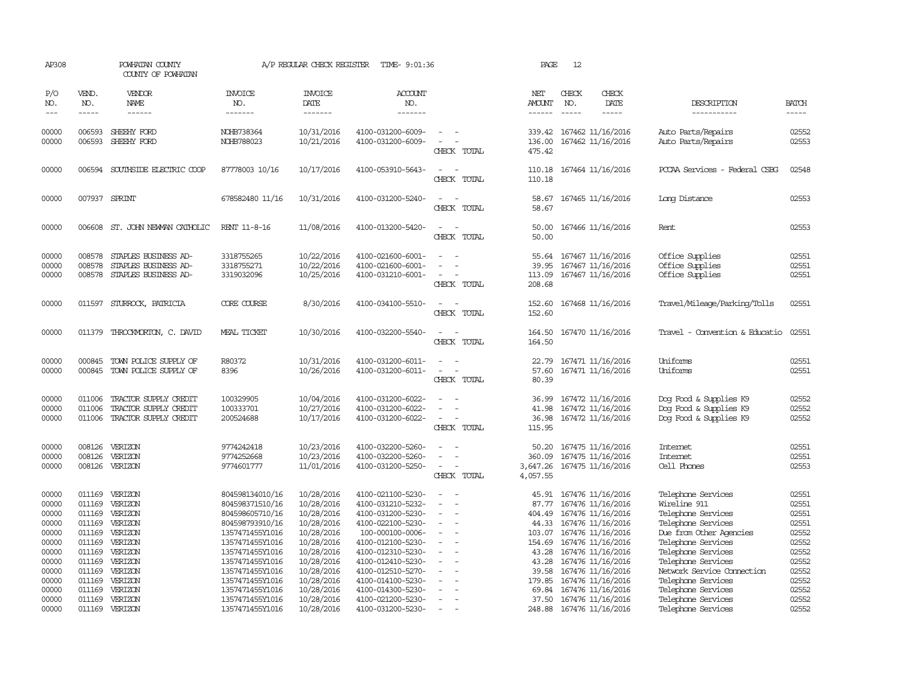| AP308                                                                |                                                                                                                                                                                                                                                                                                                                                                                                                                                                         | POWHATAN COUNTY<br>COUNTY OF POWHATAN                                                       |                                                                                                                                                      | A/P REGULAR CHECK REGISTER                                                                                   | TIME- 9:01:36                                                                                                                                                       |                                                | PAGE                                                                    | 12                            |                                                                                                                                                                      |                                                                                                                                                                             |                                                                      |
|----------------------------------------------------------------------|-------------------------------------------------------------------------------------------------------------------------------------------------------------------------------------------------------------------------------------------------------------------------------------------------------------------------------------------------------------------------------------------------------------------------------------------------------------------------|---------------------------------------------------------------------------------------------|------------------------------------------------------------------------------------------------------------------------------------------------------|--------------------------------------------------------------------------------------------------------------|---------------------------------------------------------------------------------------------------------------------------------------------------------------------|------------------------------------------------|-------------------------------------------------------------------------|-------------------------------|----------------------------------------------------------------------------------------------------------------------------------------------------------------------|-----------------------------------------------------------------------------------------------------------------------------------------------------------------------------|----------------------------------------------------------------------|
| P/O<br>NO.<br>$---$                                                  | VEND.<br>NO.<br>$\begin{tabular}{ccccc} \multicolumn{2}{c }{\multicolumn{2}{c }{\multicolumn{2}{c }{\multicolumn{2}{c}}{\hspace{-2.2cm}}}} \multicolumn{2}{c }{\multicolumn{2}{c }{\hspace{-2.2cm}}\hline} \multicolumn{2}{c }{\hspace{-2.2cm}}\hline \multicolumn{2}{c }{\hspace{-2.2cm}}\hline \multicolumn{2}{c }{\hspace{-2.2cm}}\hline \multicolumn{2}{c }{\hspace{-2.2cm}}\hline \multicolumn{2}{c }{\hspace{-2.2cm}}\hline \multicolumn{2}{c }{\hspace{-2.2cm}}$ | VENDOR<br>NAME                                                                              | <b>INVOICE</b><br>NO.<br>-------                                                                                                                     | <b>INVOICE</b><br><b>DATE</b><br>-------                                                                     | <b>ACCOUNT</b><br>NO.<br>-------                                                                                                                                    |                                                | NET<br><b>AMOUNT</b><br>------                                          | CHECK<br>NO.<br>$\frac{1}{2}$ | CHECK<br>DATE<br>-----                                                                                                                                               | DESCRIPTION<br>-----------                                                                                                                                                  | <b>BATCH</b>                                                         |
| 00000<br>00000                                                       | 006593<br>006593                                                                                                                                                                                                                                                                                                                                                                                                                                                        | SHEEHY FORD<br>SHEEHY FORD                                                                  | NOHB738364<br>NOHB788023                                                                                                                             | 10/31/2016<br>10/21/2016                                                                                     | 4100-031200-6009-<br>4100-031200-6009-                                                                                                                              | CHECK TOTAL                                    | 339.42<br>136.00<br>475.42                                              |                               | 167462 11/16/2016<br>167462 11/16/2016                                                                                                                               | Auto Parts/Repairs<br>Auto Parts/Repairs                                                                                                                                    | 02552<br>02553                                                       |
| 00000                                                                | 006594                                                                                                                                                                                                                                                                                                                                                                                                                                                                  | SOUTHSIDE ELECTRIC COOP                                                                     | 87778003 10/16                                                                                                                                       | 10/17/2016                                                                                                   | 4100-053910-5643-                                                                                                                                                   | CHECK TOTAL                                    | 110.18<br>110.18                                                        |                               | 167464 11/16/2016                                                                                                                                                    | PCCAA Services - Federal CSBG                                                                                                                                               | 02548                                                                |
| 00000                                                                | 007937                                                                                                                                                                                                                                                                                                                                                                                                                                                                  | SPRINT                                                                                      | 678582480 11/16                                                                                                                                      | 10/31/2016                                                                                                   | 4100-031200-5240-                                                                                                                                                   | CHECK TOTAL                                    | 58.67<br>58.67                                                          |                               | 167465 11/16/2016                                                                                                                                                    | Long Distance                                                                                                                                                               | 02553                                                                |
| 00000                                                                | 006608                                                                                                                                                                                                                                                                                                                                                                                                                                                                  | ST. JOHN NEWMAN CATHOLIC                                                                    | RENT 11-8-16                                                                                                                                         | 11/08/2016                                                                                                   | 4100-013200-5420-                                                                                                                                                   | CHECK TOTAL                                    | 50.00<br>50.00                                                          |                               | 167466 11/16/2016                                                                                                                                                    | Rent                                                                                                                                                                        | 02553                                                                |
| 00000<br>00000<br>00000                                              | 008578<br>008578<br>008578                                                                                                                                                                                                                                                                                                                                                                                                                                              | STAPLES BUSINESS AD-<br>STAPLES BUSINESS AD-<br>STAPLES BUSINESS AD-                        | 3318755265<br>3318755271<br>3319032096                                                                                                               | 10/22/2016<br>10/22/2016<br>10/25/2016                                                                       | 4100-021600-6001-<br>4100-021600-6001-<br>4100-031210-6001-                                                                                                         | $\equiv$<br>CHECK TOTAL                        | 55.64<br>39.95<br>113.09<br>208.68                                      |                               | 167467 11/16/2016<br>167467 11/16/2016<br>167467 11/16/2016                                                                                                          | Office Supplies<br>Office Supplies<br>Office Supplies                                                                                                                       | 02551<br>02551<br>02551                                              |
| 00000                                                                |                                                                                                                                                                                                                                                                                                                                                                                                                                                                         | 011597 STURROCK, PATRICIA                                                                   | <b>CORE COURSE</b>                                                                                                                                   | 8/30/2016                                                                                                    | 4100-034100-5510-                                                                                                                                                   | $\equiv$<br>$\sim$<br>CHECK TOTAL              | 152.60<br>152.60                                                        |                               | 167468 11/16/2016                                                                                                                                                    | Travel/Mileage/Parking/Tolls                                                                                                                                                | 02551                                                                |
| 00000                                                                | 011379                                                                                                                                                                                                                                                                                                                                                                                                                                                                  | THROCKMORTON, C. DAVID                                                                      | MEAL TICKET                                                                                                                                          | 10/30/2016                                                                                                   | 4100-032200-5540-                                                                                                                                                   | $\overline{\phantom{a}}$<br>CHECK TOTAL        | 164.50<br>164.50                                                        |                               | 167470 11/16/2016                                                                                                                                                    | Travel - Convention & Educatio                                                                                                                                              | 02551                                                                |
| 00000<br>00000                                                       | 000845                                                                                                                                                                                                                                                                                                                                                                                                                                                                  | TOWN POLICE SUPPLY OF<br>000845 TOWN POLICE SUPPLY OF                                       | R80372<br>8396                                                                                                                                       | 10/31/2016<br>10/26/2016                                                                                     | 4100-031200-6011-<br>4100-031200-6011-                                                                                                                              | CHECK TOTAL                                    | 22.79<br>57.60<br>80.39                                                 |                               | 167471 11/16/2016<br>167471 11/16/2016                                                                                                                               | Uniforms<br>Uniforms                                                                                                                                                        | 02551<br>02551                                                       |
| 00000<br>00000<br>00000                                              | 011006<br>011006                                                                                                                                                                                                                                                                                                                                                                                                                                                        | TRACTOR SUPPLY CREDIT<br>TRACTOR SUPPLY CREDIT<br>011006 TRACTOR SUPPLY CREDIT              | 100329905<br>100333701<br>200524688                                                                                                                  | 10/04/2016<br>10/27/2016<br>10/17/2016                                                                       | 4100-031200-6022-<br>4100-031200-6022-<br>4100-031200-6022-                                                                                                         | $\sim$<br>CHECK TOTAL                          | 36.99<br>41.98<br>36.98<br>115.95                                       |                               | 167472 11/16/2016<br>167472 11/16/2016<br>167472 11/16/2016                                                                                                          | Dog Food & Supplies K9<br>Dog Food & Supplies K9<br>Dog Food & Supplies K9                                                                                                  | 02552<br>02552<br>02552                                              |
| 00000<br>00000<br>00000                                              | 008126<br>008126                                                                                                                                                                                                                                                                                                                                                                                                                                                        | VERIZON<br>VERIZON<br>008126 VERIZON                                                        | 9774242418<br>9774252668<br>9774601777                                                                                                               | 10/23/2016<br>10/23/2016<br>11/01/2016                                                                       | 4100-032200-5260-<br>4100-032200-5260-<br>4100-031200-5250-                                                                                                         | $\equiv$<br>CHECK TOTAL                        | 50.20<br>360.09<br>4,057.55                                             |                               | 167475 11/16/2016<br>167475 11/16/2016<br>3,647.26 167475 11/16/2016                                                                                                 | Internet<br><b>Internet</b><br>Cell Phones                                                                                                                                  | 02551<br>02551<br>02553                                              |
| 00000<br>00000<br>00000<br>00000<br>00000<br>00000<br>00000<br>00000 | 011169<br>011169<br>011169<br>011169<br>011169<br>011169<br>011169                                                                                                                                                                                                                                                                                                                                                                                                      | VERIZON<br>VERIZON<br>VERIZON<br>VERIZON<br>VERIZON<br>VERIZON<br>011169 VERIZON<br>VERIZON | 804598134010/16<br>804598371510/16<br>804598605710/16<br>804598793910/16<br>1357471455Y1016<br>1357471455Y1016<br>1357471455Y1016<br>1357471455Y1016 | 10/28/2016<br>10/28/2016<br>10/28/2016<br>10/28/2016<br>10/28/2016<br>10/28/2016<br>10/28/2016<br>10/28/2016 | 4100-021100-5230-<br>4100-031210-5232-<br>4100-031200-5230-<br>4100-022100-5230-<br>100-000100-0006-<br>4100-012100-5230-<br>4100-012310-5230-<br>4100-012410-5230- | $\sim$<br>$\equiv$<br>$\overline{\phantom{a}}$ | 45.91<br>87.77<br>404.49<br>44.33<br>103.07<br>154.69<br>43.28<br>43.28 |                               | 167476 11/16/2016<br>167476 11/16/2016<br>167476 11/16/2016<br>167476 11/16/2016<br>167476 11/16/2016<br>167476 11/16/2016<br>167476 11/16/2016<br>167476 11/16/2016 | Telephone Services<br>Wireline 911<br>Telephone Services<br>Telephone Services<br>Due from Other Agencies<br>Telephone Services<br>Telephone Services<br>Telephone Services | 02551<br>02551<br>02551<br>02551<br>02552<br>02552<br>02552<br>02552 |
| 00000<br>00000<br>00000<br>00000<br>00000                            | 011169<br>011169<br>011169                                                                                                                                                                                                                                                                                                                                                                                                                                              | VERIZON<br>011169 VERIZON<br>VERIZON<br>011169 VERIZON<br>VERIZON                           | 1357471455Y1016<br>1357471455Y1016<br>1357471455Y1016<br>1357471455Y1016<br>1357471455Y1016                                                          | 10/28/2016<br>10/28/2016<br>10/28/2016<br>10/28/2016<br>10/28/2016                                           | 4100-012510-5270-<br>4100-014100-5230-<br>4100-014300-5230-<br>4100-021200-5230-<br>4100-031200-5230-                                                               | $\overline{\phantom{a}}$                       | 39.58<br>179.85<br>69.84<br>248.88                                      |                               | 167476 11/16/2016<br>167476 11/16/2016<br>167476 11/16/2016<br>37.50 167476 11/16/2016<br>167476 11/16/2016                                                          | Network Service Connection<br>Telephone Services<br>Telephone Services<br>Telephone Services<br>Telephone Services                                                          | 02552<br>02552<br>02552<br>02552<br>02552                            |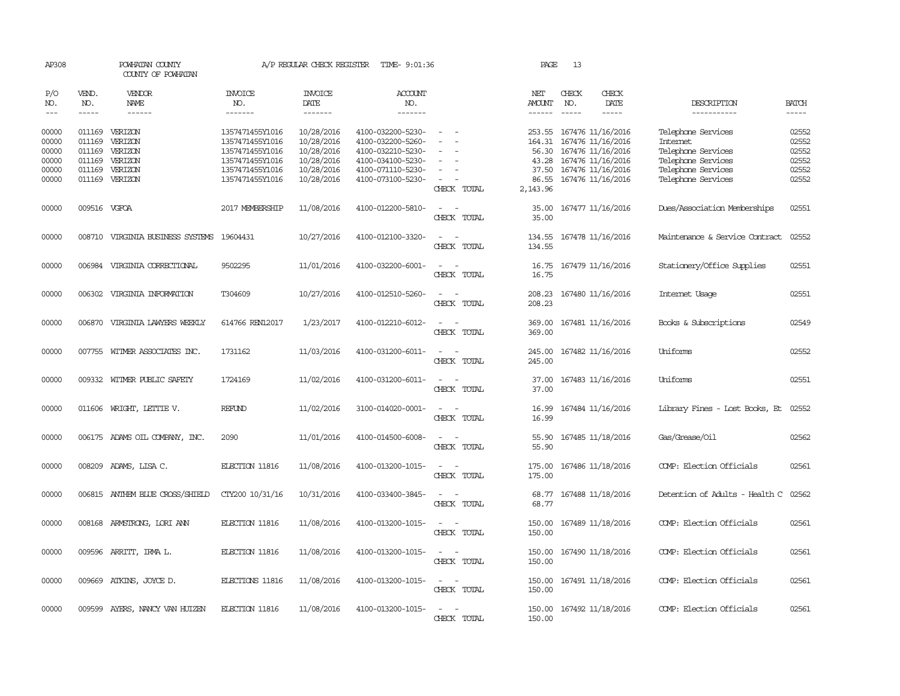| AP308          |              | POWHATAN COUNTY<br>COUNTY OF POWHATAN     |                                    | A/P REGULAR CHECK REGISTER | TIME- 9:01:36                          |                                                   | PAGE              | 13            |                                               |                                |                |
|----------------|--------------|-------------------------------------------|------------------------------------|----------------------------|----------------------------------------|---------------------------------------------------|-------------------|---------------|-----------------------------------------------|--------------------------------|----------------|
| P/O<br>NO.     | VEND.<br>NO. | <b>VENDOR</b><br>NAME                     | <b>INVOICE</b><br>NO.              | <b>INVOICE</b><br>DATE     | <b>ACCOUNT</b><br>NO.                  |                                                   | NET<br>AMOUNT     | CHECK<br>NO.  | CHECK<br>DATE                                 | DESCRIPTION                    | <b>BATCH</b>   |
| $\frac{1}{2}$  | -----        | ------                                    | -------                            | $- - - - - - -$            | -------                                |                                                   | $- - - - - -$     | $\frac{1}{2}$ | -----                                         | -----------                    | $- - - - -$    |
| 00000<br>00000 | 011169       | 011169 VERIZON<br>VERIZON                 | 1357471455Y1016<br>1357471455Y1016 | 10/28/2016<br>10/28/2016   | 4100-032200-5230-<br>4100-032200-5260- | $\sim$                                            |                   |               | 253.55 167476 11/16/2016<br>167476 11/16/2016 | Telephone Services<br>Internet | 02552<br>02552 |
| 00000          | 011169       | VERIZON                                   | 1357471455Y1016                    | 10/28/2016                 | 4100-032210-5230-                      |                                                   | 164.31<br>56.30   |               | 167476 11/16/2016                             | Telephone Services             | 02552          |
| 00000          | 011169       | VERIZON                                   | 1357471455Y1016                    | 10/28/2016                 | 4100-034100-5230-                      | $\overline{\phantom{a}}$                          | 43.28             |               | 167476 11/16/2016                             | Telephone Services             | 02552          |
| 00000          |              | 011169 VERIZON                            | 1357471455Y1016                    | 10/28/2016                 | 4100-071110-5230-                      | $\sim$                                            | 37.50             |               | 167476 11/16/2016                             | Telephone Services             | 02552          |
| 00000          |              | 011169 VERIZON                            | 1357471455Y1016                    | 10/28/2016                 | 4100-073100-5230-                      | $\overline{\phantom{a}}$<br>CHECK TOTAL           | 86.55<br>2,143.96 |               | 167476 11/16/2016                             | Telephone Services             | 02552          |
| 00000          | 009516 VGFOA |                                           | 2017 MEMBERSHIP                    | 11/08/2016                 | 4100-012200-5810-                      | $\overline{\phantom{a}}$<br>CHECK TOTAL           | 35.00<br>35.00    |               | 167477 11/16/2016                             | Dues/Association Memberships   | 02551          |
| 00000          |              | 008710 VIRGINIA BUSINESS SYSTEMS 19604431 |                                    | 10/27/2016                 | 4100-012100-3320-                      | $\overline{\phantom{a}}$<br>$\sim$                | 134.55            |               | 167478 11/16/2016                             | Maintenance & Service Contract | 02552          |
|                |              |                                           |                                    |                            |                                        | CHECK TOTAL                                       | 134.55            |               |                                               |                                |                |
| 00000          |              | 006984 VIRGINIA CORRECTIONAL              | 9502295                            | 11/01/2016                 | 4100-032200-6001-                      | $\overline{\phantom{a}}$<br>$\sim$<br>CHECK TOTAL | 16.75<br>16.75    |               | 167479 11/16/2016                             | Stationery/Office Supplies     | 02551          |
| 00000          |              | 006302 VIRGINIA INFORMATION               | T304609                            | 10/27/2016                 | 4100-012510-5260-                      | CHECK TOTAL                                       | 208.23<br>208.23  |               | 167480 11/16/2016                             | Internet Usage                 | 02551          |
| 00000          |              | 006870 VIRGINIA LAWYERS WEEKLY            | 614766 REN12017                    | 1/23/2017                  | 4100-012210-6012-                      | $\sim$<br>$\overline{\phantom{a}}$<br>CHECK TOTAL | 369.00<br>369.00  |               | 167481 11/16/2016                             | Books & Subscriptions          | 02549          |
| 00000          |              | 007755 WITMER ASSOCIATES INC.             | 1731162                            | 11/03/2016                 | 4100-031200-6011-                      | $\sim$<br>$\overline{\phantom{a}}$<br>CHECK TOTAL | 245.00<br>245.00  |               | 167482 11/16/2016                             | Uniforms                       | 02552          |
| 00000          |              | 009332 WITMER PUBLIC SAFETY               | 1724169                            | 11/02/2016                 | 4100-031200-6011-                      | $\overline{\phantom{a}}$<br>$\sim$<br>CHECK TOTAL | 37.00<br>37.00    |               | 167483 11/16/2016                             | Uniforms                       | 02551          |
| 00000          |              | 011606 WRIGHT, LETTIE V.                  | REFUND                             | 11/02/2016                 | 3100-014020-0001-                      | $\overline{\phantom{a}}$<br>CHECK TOTAL           | 16.99<br>16.99    |               | 167484 11/16/2016                             | Library Fines - Lost Books, Et | 02552          |
| 00000          |              | 006175 ADAMS OIL COMPANY, INC.            | 2090                               | 11/01/2016                 | 4100-014500-6008-                      | CHECK TOTAL                                       | 55.90<br>55.90    |               | 167485 11/18/2016                             | Gas/Grease/Oil                 | 02562          |
| 00000          | 008209       | ADAMS, LISA C.                            | ELECTION 11816                     | 11/08/2016                 | 4100-013200-1015-                      | $\overline{\phantom{a}}$<br>CHECK TOTAL           | 175.00<br>175.00  |               | 167486 11/18/2016                             | COMP: Election Officials       | 02561          |
| 00000          |              | 006815 ANTHEM BLUE CROSS/SHIELD           | CTY200 10/31/16                    | 10/31/2016                 | 4100-033400-3845-                      | CHECK TOTAL                                       | 68.77<br>68.77    |               | 167488 11/18/2016                             | Detention of Adults - Health C | 02562          |
| 00000          |              | 008168 ARMSTRONG, LORI ANN                | ELECTION 11816                     | 11/08/2016                 | 4100-013200-1015-                      | $\equiv$<br>CHECK TOTAL                           | 150.00<br>150.00  |               | 167489 11/18/2016                             | COMP: Election Officials       | 02561          |
| 00000          |              | 009596 ARRITT, IRMA L.                    | ELECTION 11816                     | 11/08/2016                 | 4100-013200-1015-                      | $\sim$<br>CHECK TOTAL                             | 150.00<br>150.00  |               | 167490 11/18/2016                             | COMP: Election Officials       | 02561          |
| 00000          |              | 009669 ATKINS, JOYCE D.                   | ELECTIONS 11816                    | 11/08/2016                 | 4100-013200-1015-                      | $\equiv$<br>$\sim$<br>CHECK TOTAL                 | 150.00<br>150.00  |               | 167491 11/18/2016                             | COMP: Election Officials       | 02561          |
| 00000          |              | 009599 AYERS, NANCY VAN HUIZEN            | ELECTION 11816                     | 11/08/2016                 | 4100-013200-1015-                      | CHECK TOTAL                                       | 150.00<br>150.00  |               | 167492 11/18/2016                             | COMP: Election Officials       | 02561          |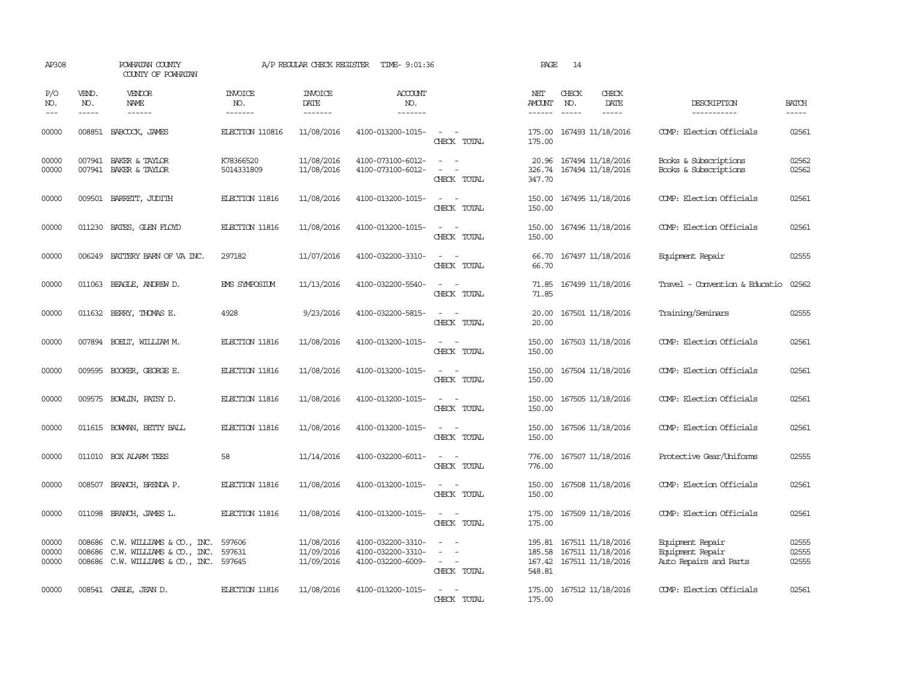| AP308                       |                             | POWHATAN COUNTY<br>COUNTY OF POWHATAN                                                                     |                                  | A/P REGULAR CHECK REGISTER             | TIME- 9:01:36                                               |                                                                                                  | PAGE                           | 14           |                                                                           |                                                                |                         |
|-----------------------------|-----------------------------|-----------------------------------------------------------------------------------------------------------|----------------------------------|----------------------------------------|-------------------------------------------------------------|--------------------------------------------------------------------------------------------------|--------------------------------|--------------|---------------------------------------------------------------------------|----------------------------------------------------------------|-------------------------|
| P/O<br>NO.<br>$\frac{1}{2}$ | VEND.<br>NO.<br>$- - - - -$ | <b>VENDOR</b><br>NAME<br>$- - - - - -$                                                                    | <b>INVOICE</b><br>NO.<br>------- | <b>INVOICE</b><br>DATE<br>-------      | <b>ACCOUNT</b><br>NO.<br>-------                            |                                                                                                  | NET<br><b>AMOUNT</b><br>------ | CHECK<br>NO. | CHECK<br>DATE<br>$- - - - -$                                              | DESCRIPTION<br>-----------                                     | <b>BATCH</b><br>-----   |
| 00000                       | 008851                      | BABCOCK, JAMES                                                                                            | ELECTION 110816                  | 11/08/2016                             | 4100-013200-1015-                                           | $\sim$<br>CHECK TOTAL                                                                            | 175.00<br>175.00               |              | 167493 11/18/2016                                                         | COMP: Election Officials                                       | 02561                   |
| 00000<br>00000              |                             | 007941 BAKER & TAYLOR<br>007941 BAKER & TAYLOR                                                            | K78366520<br>5014331809          | 11/08/2016<br>11/08/2016               | 4100-073100-6012-<br>4100-073100-6012-                      | $\omega_{\rm{max}}$ and $\omega_{\rm{max}}$<br>$\sim$<br>$\overline{\phantom{a}}$<br>CHECK TOTAL | 20.96<br>347.70                |              | 167494 11/18/2016<br>326.74 167494 11/18/2016                             | Books & Subscriptions<br>Books & Subscriptions                 | 02562<br>02562          |
| 00000                       |                             | 009501 BARRETT, JUDITH                                                                                    | ELECTION 11816                   | 11/08/2016                             | 4100-013200-1015-                                           | $\equiv$<br>CHECK TOTAL                                                                          | 150.00<br>150.00               |              | 167495 11/18/2016                                                         | COMP: Election Officials                                       | 02561                   |
| 00000                       | 011230                      | BATES, GLEN FLOYD                                                                                         | ELECTION 11816                   | 11/08/2016                             | 4100-013200-1015-                                           | $\overline{\phantom{a}}$<br>$\sim$<br>CHECK TOTAL                                                | 150.00<br>150.00               |              | 167496 11/18/2016                                                         | COMP: Election Officials                                       | 02561                   |
| 00000                       | 006249                      | BATTERY BARN OF VA INC.                                                                                   | 297182                           | 11/07/2016                             | 4100-032200-3310-                                           | $\sim$<br>CHECK TOTAL                                                                            | 66.70<br>66.70                 |              | 167497 11/18/2016                                                         | Equipment Repair                                               | 02555                   |
| 00000                       |                             | 011063 BEAGLE, ANDREW D.                                                                                  | EMS SYMPOSIUM                    | 11/13/2016                             | 4100-032200-5540-                                           | $\overline{\phantom{a}}$<br>CHECK TOTAL                                                          | 71.85<br>71.85                 |              | 167499 11/18/2016                                                         | Travel - Convention & Educatio                                 | 02562                   |
| 00000                       |                             | 011632 BERRY, THOMAS E.                                                                                   | 4928                             | 9/23/2016                              | 4100-032200-5815-                                           | $ -$<br>CHECK TOTAL                                                                              | 20.00<br>20.00                 |              | 167501 11/18/2016                                                         | Training/Seminars                                              | 02555                   |
| 00000                       |                             | 007894 BOELT, WILLIAM M.                                                                                  | ELECTION 11816                   | 11/08/2016                             | 4100-013200-1015-                                           | $\sim$ $\sim$<br>CHECK TOTAL                                                                     | 150.00<br>150.00               |              | 167503 11/18/2016                                                         | COMP: Election Officials                                       | 02561                   |
| 00000                       |                             | 009595 BOOKER, GEORGE E.                                                                                  | ELECTION 11816                   | 11/08/2016                             | 4100-013200-1015-                                           | $\overline{\phantom{a}}$<br>CHECK TOTAL                                                          | 150.00<br>150.00               |              | 167504 11/18/2016                                                         | COMP: Election Officials                                       | 02561                   |
| 00000                       |                             | 009575 BOWLIN, PATSY D.                                                                                   | ELECTION 11816                   | 11/08/2016                             | 4100-013200-1015-                                           | $ -$<br>CHECK TOTAL                                                                              | 150.00<br>150.00               |              | 167505 11/18/2016                                                         | COMP: Election Officials                                       | 02561                   |
| 00000                       |                             | 011615 BOWMAN, BETTY BALL                                                                                 | ELECTION 11816                   | 11/08/2016                             | 4100-013200-1015-                                           | $\sim$ $\sim$<br>CHECK TOTAL                                                                     | 150.00<br>150.00               |              | 167506 11/18/2016                                                         | COMP: Election Officials                                       | 02561                   |
| 00000                       |                             | 011010 BOX ALARM TEES                                                                                     | 58                               | 11/14/2016                             | 4100-032200-6011-                                           | $ -$<br>CHECK TOTAL                                                                              | 776.00<br>776.00               |              | 167507 11/18/2016                                                         | Protective Gear/Uniforms                                       | 02555                   |
| 00000                       | 008507                      | BRANCH, BRENDA P.                                                                                         | ELECTION 11816                   | 11/08/2016                             | 4100-013200-1015-                                           | $\sim$<br>$\overline{\phantom{a}}$<br>CHECK TOTAL                                                | 150.00<br>150.00               |              | 167508 11/18/2016                                                         | COMP: Election Officials                                       | 02561                   |
| 00000                       | 011098                      | BRANCH, JAMES L.                                                                                          | ELECTION 11816                   | 11/08/2016                             | 4100-013200-1015-                                           | $\overline{\phantom{a}}$<br>CHECK TOTAL                                                          | 175.00<br>175.00               |              | 167509 11/18/2016                                                         | COMP: Election Officials                                       | 02561                   |
| 00000<br>00000<br>00000     | 008686<br>008686            | $C.W.$ WILLIAMS $\&$ $CO.$ , INC.<br>C.W. WILLIAMS & CO., INC.<br>008686 C.W. WILLIAMS & CO., INC. 597645 | 597606<br>597631                 | 11/08/2016<br>11/09/2016<br>11/09/2016 | 4100-032200-3310-<br>4100-032200-3310-<br>4100-032200-6009- | $\sim$<br>CHECK TOTAL                                                                            | 195.81<br>548.81               |              | 167511 11/18/2016<br>185.58 167511 11/18/2016<br>167.42 167511 11/18/2016 | Equipment Repair<br>Equipment Repair<br>Auto Repairs and Parts | 02555<br>02555<br>02555 |
| 00000                       |                             | 008541 CABLE, JEAN D.                                                                                     | ELECTION 11816                   | 11/08/2016                             | 4100-013200-1015-                                           | CHECK TOTAL                                                                                      | 175.00<br>175.00               |              | 167512 11/18/2016                                                         | COMP: Election Officials                                       | 02561                   |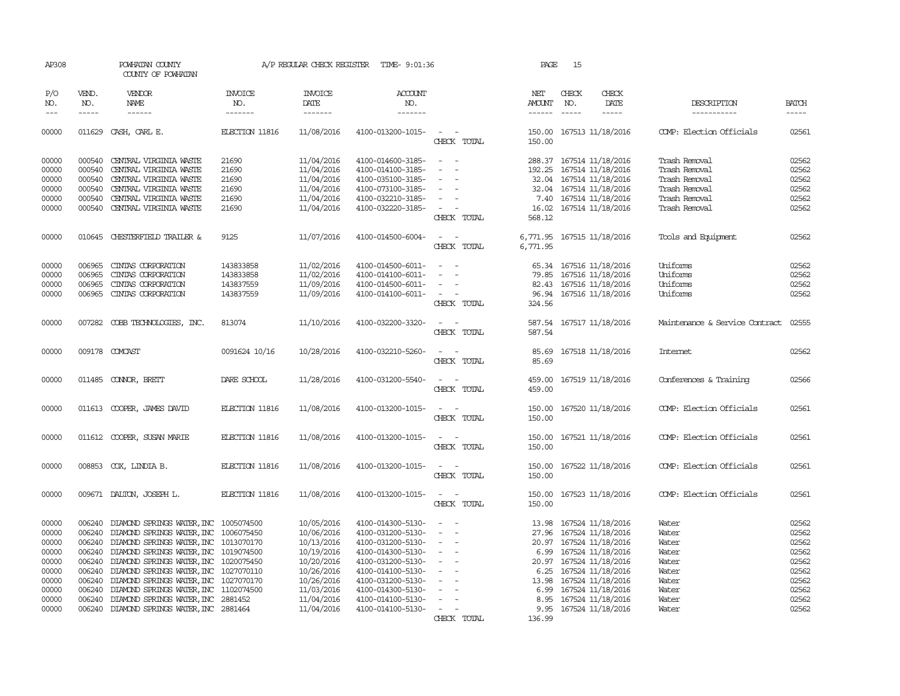| AP308                 |                                                                                                                                                                                                                                                                                                                                                                                                                                                                                                     | POWHATAN COUNTY<br>COUNTY OF POWHATAN            |                                  | A/P REGULAR CHECK REGISTER        | TIME- 9:01:36                          |                                    | PAGE          | 15                          |                                              |                                |                       |
|-----------------------|-----------------------------------------------------------------------------------------------------------------------------------------------------------------------------------------------------------------------------------------------------------------------------------------------------------------------------------------------------------------------------------------------------------------------------------------------------------------------------------------------------|--------------------------------------------------|----------------------------------|-----------------------------------|----------------------------------------|------------------------------------|---------------|-----------------------------|----------------------------------------------|--------------------------------|-----------------------|
| P/O<br>NO.<br>$- - -$ | VEND.<br>NO.<br>$\begin{tabular}{ccccc} \multicolumn{2}{c}{} & \multicolumn{2}{c}{} & \multicolumn{2}{c}{} & \multicolumn{2}{c}{} & \multicolumn{2}{c}{} & \multicolumn{2}{c}{} & \multicolumn{2}{c}{} & \multicolumn{2}{c}{} & \multicolumn{2}{c}{} & \multicolumn{2}{c}{} & \multicolumn{2}{c}{} & \multicolumn{2}{c}{} & \multicolumn{2}{c}{} & \multicolumn{2}{c}{} & \multicolumn{2}{c}{} & \multicolumn{2}{c}{} & \multicolumn{2}{c}{} & \multicolumn{2}{c}{} & \multicolumn{2}{c}{} & \mult$ | VENDOR<br>NAME<br>------                         | <b>INVOICE</b><br>NO.<br>------- | <b>INVOICE</b><br>DATE<br>------- | <b>ACCOUNT</b><br>NO.<br>-------       |                                    | NET<br>AMOUNT | CHECK<br>NO.<br>$- - - - -$ | CHECK<br>DATE<br>-----                       | DESCRIPTION<br>-----------     | <b>BATCH</b><br>----- |
| 00000                 |                                                                                                                                                                                                                                                                                                                                                                                                                                                                                                     | 011629 CASH, CARL E.                             | ELECTION 11816                   | 11/08/2016                        | 4100-013200-1015-                      | $\sim$<br>$\sim$                   |               |                             | 150.00 167513 11/18/2016                     | COMP: Election Officials       | 02561                 |
|                       |                                                                                                                                                                                                                                                                                                                                                                                                                                                                                                     |                                                  |                                  |                                   |                                        | CHECK TOTAL                        | 150.00        |                             |                                              |                                |                       |
| 00000                 | 000540                                                                                                                                                                                                                                                                                                                                                                                                                                                                                              | CENTRAL VIRGINIA WASTE                           | 21690                            | 11/04/2016                        | 4100-014600-3185-                      | $\sim$<br>$\overline{\phantom{a}}$ |               |                             | 288.37 167514 11/18/2016                     | Trash Removal                  | 02562                 |
| 00000                 | 000540                                                                                                                                                                                                                                                                                                                                                                                                                                                                                              | CENTRAL VIRGINIA WASTE                           | 21690                            | 11/04/2016                        | 4100-014100-3185-                      | $\sim$<br>$\overline{\phantom{a}}$ |               |                             | 192.25 167514 11/18/2016                     | Trash Removal                  | 02562                 |
| 00000                 | 000540<br>000540                                                                                                                                                                                                                                                                                                                                                                                                                                                                                    | CENTRAL VIRGINIA WASTE<br>CENTRAL VIRGINIA WASTE | 21690                            | 11/04/2016<br>11/04/2016          | 4100-035100-3185-                      | $\sim$                             | 32.04         |                             | 167514 11/18/2016<br>32.04 167514 11/18/2016 | Trash Removal<br>Trash Removal | 02562<br>02562        |
| 00000<br>00000        | 000540                                                                                                                                                                                                                                                                                                                                                                                                                                                                                              | CENTRAL VIRGINIA WASTE                           | 21690<br>21690                   | 11/04/2016                        | 4100-073100-3185-<br>4100-032210-3185- | $\sim$                             |               |                             | 7.40 167514 11/18/2016                       | Trash Removal                  | 02562                 |
| 00000                 |                                                                                                                                                                                                                                                                                                                                                                                                                                                                                                     | 000540 CENTRAL VIRGINIA WASTE                    | 21690                            | 11/04/2016                        | 4100-032220-3185-                      | $\sim$                             |               |                             | 16.02 167514 11/18/2016                      | Trash Removal                  | 02562                 |
|                       |                                                                                                                                                                                                                                                                                                                                                                                                                                                                                                     |                                                  |                                  |                                   |                                        | CHECK TOTAL                        | 568.12        |                             |                                              |                                |                       |
| 00000                 |                                                                                                                                                                                                                                                                                                                                                                                                                                                                                                     | 010645 CHESTERFIELD TRAILER &                    | 9125                             | 11/07/2016                        | 4100-014500-6004-                      | $\sim$<br>$\sim$                   |               |                             | 6,771.95 167515 11/18/2016                   | Tools and Equipment            | 02562                 |
|                       |                                                                                                                                                                                                                                                                                                                                                                                                                                                                                                     |                                                  |                                  |                                   |                                        | CHECK TOTAL                        | 6,771.95      |                             |                                              |                                |                       |
| 00000                 | 006965                                                                                                                                                                                                                                                                                                                                                                                                                                                                                              | CINIAS CORPORATION                               | 143833858                        | 11/02/2016                        | 4100-014500-6011-                      | $\sim$<br>$\overline{\phantom{a}}$ |               |                             | 65.34 167516 11/18/2016                      | Uniforms                       | 02562                 |
| 00000                 | 006965                                                                                                                                                                                                                                                                                                                                                                                                                                                                                              | CINIAS CORPORATION                               | 143833858                        | 11/02/2016                        | 4100-014100-6011-                      | $\overline{\phantom{a}}$           |               |                             | 79.85 167516 11/18/2016                      | Uniforms                       | 02562                 |
| 00000                 | 006965                                                                                                                                                                                                                                                                                                                                                                                                                                                                                              | CINIAS CORPORATION                               | 143837559                        | 11/09/2016                        | 4100-014500-6011-                      | $\overline{\phantom{a}}$           |               |                             | 82.43 167516 11/18/2016                      | Uniforms                       | 02562                 |
| 00000                 |                                                                                                                                                                                                                                                                                                                                                                                                                                                                                                     | 006965 CINIAS CORPORATION                        | 143837559                        | 11/09/2016                        | 4100-014100-6011-                      | $\sim$<br>$\sim$                   |               |                             | 96.94 167516 11/18/2016                      | Uniforms                       | 02562                 |
|                       |                                                                                                                                                                                                                                                                                                                                                                                                                                                                                                     |                                                  |                                  |                                   |                                        | CHECK TOTAL                        | 324.56        |                             |                                              |                                |                       |
| 00000                 |                                                                                                                                                                                                                                                                                                                                                                                                                                                                                                     | 007282 COBB TECHNOLOGIES, INC.                   | 813074                           | 11/10/2016                        | 4100-032200-3320-                      | $\sim$<br>$\sim$                   | 587.54        |                             | 167517 11/18/2016                            | Maintenance & Service Contract | 02555                 |
|                       |                                                                                                                                                                                                                                                                                                                                                                                                                                                                                                     |                                                  |                                  |                                   |                                        | CHECK TOTAL                        | 587.54        |                             |                                              |                                |                       |
| 00000                 |                                                                                                                                                                                                                                                                                                                                                                                                                                                                                                     | 009178 COMCAST                                   | 0091624 10/16                    | 10/28/2016                        | 4100-032210-5260-                      | $\sim$<br>$\sim$                   | 85.69         |                             | 167518 11/18/2016                            | <b>Internet</b>                | 02562                 |
|                       |                                                                                                                                                                                                                                                                                                                                                                                                                                                                                                     |                                                  |                                  |                                   |                                        | CHECK TOTAL                        | 85.69         |                             |                                              |                                |                       |
| 00000                 |                                                                                                                                                                                                                                                                                                                                                                                                                                                                                                     | 011485 CONNOR, BRETT                             | DARE SCHOOL                      | 11/28/2016                        | 4100-031200-5540-                      | $\sim$ 100 $\sim$                  | 459.00        |                             | 167519 11/18/2016                            | Conferences & Training         | 02566                 |
|                       |                                                                                                                                                                                                                                                                                                                                                                                                                                                                                                     |                                                  |                                  |                                   |                                        | CHECK TOTAL                        | 459.00        |                             |                                              |                                |                       |
|                       |                                                                                                                                                                                                                                                                                                                                                                                                                                                                                                     |                                                  |                                  |                                   |                                        |                                    |               |                             |                                              |                                |                       |
| 00000                 |                                                                                                                                                                                                                                                                                                                                                                                                                                                                                                     | 011613 COOPER, JAMES DAVID                       | ELECTION 11816                   | 11/08/2016                        | 4100-013200-1015-                      | $\sim$<br>$\sim$                   | 150.00        |                             | 167520 11/18/2016                            | COMP: Election Officials       | 02561                 |
|                       |                                                                                                                                                                                                                                                                                                                                                                                                                                                                                                     |                                                  |                                  |                                   |                                        | CHECK TOTAL                        | 150.00        |                             |                                              |                                |                       |
| 00000                 |                                                                                                                                                                                                                                                                                                                                                                                                                                                                                                     | 011612 COOPER, SUSAN MARIE                       | ELECTION 11816                   | 11/08/2016                        | 4100-013200-1015-                      |                                    | 150.00        |                             | 167521 11/18/2016                            | COMP: Election Officials       | 02561                 |
|                       |                                                                                                                                                                                                                                                                                                                                                                                                                                                                                                     |                                                  |                                  |                                   |                                        | CHECK TOTAL                        | 150.00        |                             |                                              |                                |                       |
| 00000                 |                                                                                                                                                                                                                                                                                                                                                                                                                                                                                                     | 008853 COX, LINDIA B.                            | ELECTION 11816                   | 11/08/2016                        | 4100-013200-1015-                      | $\sim$                             | 150.00        |                             | 167522 11/18/2016                            | COMP: Election Officials       | 02561                 |
|                       |                                                                                                                                                                                                                                                                                                                                                                                                                                                                                                     |                                                  |                                  |                                   |                                        | CHECK TOTAL                        | 150.00        |                             |                                              |                                |                       |
| 00000                 |                                                                                                                                                                                                                                                                                                                                                                                                                                                                                                     | 009671 DALTON, JOSEPH L.                         | ELECTION 11816                   | 11/08/2016                        | 4100-013200-1015-                      | $\sim$<br>$\sim$                   |               |                             | 150.00 167523 11/18/2016                     | COMP: Election Officials       | 02561                 |
|                       |                                                                                                                                                                                                                                                                                                                                                                                                                                                                                                     |                                                  |                                  |                                   |                                        | CHECK TOTAL                        | 150.00        |                             |                                              |                                |                       |
| 00000                 | 006240                                                                                                                                                                                                                                                                                                                                                                                                                                                                                              | DIAMOND SPRINGS WATER, INC 1005074500            |                                  | 10/05/2016                        | 4100-014300-5130-                      | $\sim$<br>$\sim$                   | 13.98         |                             | 167524 11/18/2016                            | Water                          | 02562                 |
| 00000                 | 006240                                                                                                                                                                                                                                                                                                                                                                                                                                                                                              | DIAMOND SPRINGS WATER, INC 1006075450            |                                  | 10/06/2016                        | 4100-031200-5130-                      | $\equiv$<br>$\sim$                 |               |                             | 27.96 167524 11/18/2016                      | Water                          | 02562                 |
| 00000                 |                                                                                                                                                                                                                                                                                                                                                                                                                                                                                                     | 006240 DIAMOND SPRINGS WATER, INC 1013070170     |                                  | 10/13/2016                        | 4100-031200-5130-                      | $\sim$                             |               |                             | 20.97 167524 11/18/2016                      | Water                          | 02562                 |
| 00000                 |                                                                                                                                                                                                                                                                                                                                                                                                                                                                                                     | 006240 DIAMOND SPRINGS WATER, INC 1019074500     |                                  | 10/19/2016                        | 4100-014300-5130-                      | $\overline{\phantom{a}}$           |               |                             | 6.99 167524 11/18/2016                       | Water                          | 02562                 |
| 00000                 |                                                                                                                                                                                                                                                                                                                                                                                                                                                                                                     | 006240 DIAMOND SPRINGS WATER, INC 1020075450     |                                  | 10/20/2016                        | 4100-031200-5130-                      | $\sim$                             |               |                             | 20.97 167524 11/18/2016                      | Water                          | 02562                 |
| 00000                 |                                                                                                                                                                                                                                                                                                                                                                                                                                                                                                     | 006240 DIAMOND SPRINGS WATER, INC 1027070110     |                                  | 10/26/2016                        | 4100-014100-5130-                      | $\sim$                             |               |                             | 6.25 167524 11/18/2016                       | Water                          | 02562                 |
| 00000                 | 006240                                                                                                                                                                                                                                                                                                                                                                                                                                                                                              | DIAMOND SPRINGS WATER, INC 1027070170            |                                  | 10/26/2016                        | 4100-031200-5130-                      | $\overline{\phantom{a}}$           | 13.98         |                             | 167524 11/18/2016                            | Water                          | 02562                 |
| 00000                 |                                                                                                                                                                                                                                                                                                                                                                                                                                                                                                     | 006240 DIAMOND SPRINGS WATER, INC                | 1102074500                       | 11/03/2016                        | 4100-014300-5130-                      |                                    |               |                             | 6.99 167524 11/18/2016                       | Water                          | 02562                 |
| 00000                 | 006240                                                                                                                                                                                                                                                                                                                                                                                                                                                                                              | DIAMOND SPRINGS WATER, INC                       | 2881452                          | 11/04/2016                        | 4100-014100-5130-                      | $\overline{\phantom{a}}$           |               |                             | 8.95 167524 11/18/2016                       | Water                          | 02562                 |
| 00000                 |                                                                                                                                                                                                                                                                                                                                                                                                                                                                                                     | 006240 DIAMOND SPRINGS WATER, INC 2881464        |                                  | 11/04/2016                        | 4100-014100-5130-                      | $\sim$                             |               |                             | 9.95 167524 11/18/2016                       | Water                          | 02562                 |
|                       |                                                                                                                                                                                                                                                                                                                                                                                                                                                                                                     |                                                  |                                  |                                   |                                        | CHECK TOTAL                        | 136.99        |                             |                                              |                                |                       |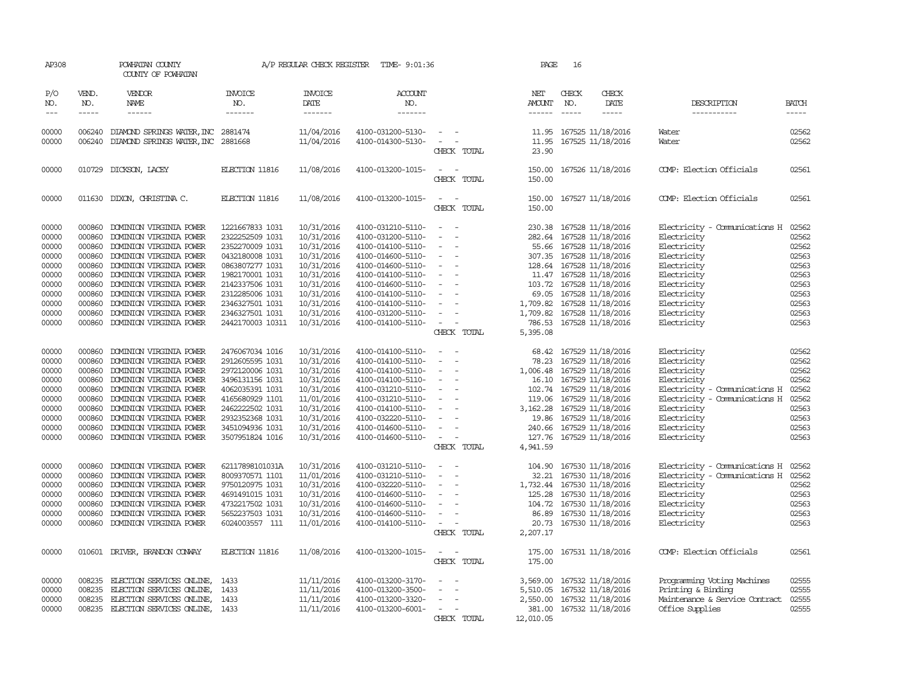| AP308                                                                                           |                                                                                                  | POWHATAN COUNTY<br>COUNTY OF POWHATAN                                                                                                                                                                                                                                                                        |                                                                                                                                                                                                                | A/P REGULAR CHECK REGISTER                                                                                                                             | TIME- 9:01:36                                                                                                                                                                                                                       |                                                                                                                                                                                                                                                      | <b>PAGE</b>                                                          | 16                            |                                                                                                                                                                                                                                                                                            |                                                                                                                                                                                        |                                                                                                 |
|-------------------------------------------------------------------------------------------------|--------------------------------------------------------------------------------------------------|--------------------------------------------------------------------------------------------------------------------------------------------------------------------------------------------------------------------------------------------------------------------------------------------------------------|----------------------------------------------------------------------------------------------------------------------------------------------------------------------------------------------------------------|--------------------------------------------------------------------------------------------------------------------------------------------------------|-------------------------------------------------------------------------------------------------------------------------------------------------------------------------------------------------------------------------------------|------------------------------------------------------------------------------------------------------------------------------------------------------------------------------------------------------------------------------------------------------|----------------------------------------------------------------------|-------------------------------|--------------------------------------------------------------------------------------------------------------------------------------------------------------------------------------------------------------------------------------------------------------------------------------------|----------------------------------------------------------------------------------------------------------------------------------------------------------------------------------------|-------------------------------------------------------------------------------------------------|
| P/O<br>NO.<br>$\frac{1}{2}$                                                                     | VEND.<br>NO.<br>$\cdots$                                                                         | VENDOR<br>NAME<br>$- - - - - -$                                                                                                                                                                                                                                                                              | <b>INVOICE</b><br>NO.<br>-------                                                                                                                                                                               | <b>INVOICE</b><br>DATE<br>-------                                                                                                                      | ACCOUNT<br>NO.<br>--------                                                                                                                                                                                                          |                                                                                                                                                                                                                                                      | NET<br><b>AMOUNT</b><br>$- - - - - -$                                | CHECK<br>NO.<br>$\frac{1}{2}$ | CHECK<br>DATE<br>$\cdots$                                                                                                                                                                                                                                                                  | DESCRIPTION<br>-----------                                                                                                                                                             | <b>BATCH</b><br>$\cdots$                                                                        |
| 00000<br>00000                                                                                  | 006240                                                                                           | 006240 DIAMOND SPRINGS WATER, INC 2881474<br>DIAMOND SPRINGS WATER, INC 2881668                                                                                                                                                                                                                              |                                                                                                                                                                                                                | 11/04/2016<br>11/04/2016                                                                                                                               | 4100-031200-5130-<br>4100-014300-5130-                                                                                                                                                                                              | $\sim$<br>$\omega_{\rm{max}}$ and $\omega_{\rm{max}}$<br>CHECK TOTAL                                                                                                                                                                                 | 11.95<br>23.90                                                       |                               | 11.95 167525 11/18/2016<br>167525 11/18/2016                                                                                                                                                                                                                                               | Water<br>Water                                                                                                                                                                         | 02562<br>02562                                                                                  |
| 00000                                                                                           |                                                                                                  | 010729 DICKSON, LACEY                                                                                                                                                                                                                                                                                        | ELECTION 11816                                                                                                                                                                                                 | 11/08/2016                                                                                                                                             | 4100-013200-1015-                                                                                                                                                                                                                   | $\sim$ $ -$<br>CHECK TOTAL                                                                                                                                                                                                                           | 150.00<br>150.00                                                     |                               | 167526 11/18/2016                                                                                                                                                                                                                                                                          | COMP: Election Officials                                                                                                                                                               | 02561                                                                                           |
| 00000                                                                                           | 011630                                                                                           | DIXON, CHRISTINA C.                                                                                                                                                                                                                                                                                          | ELECTION 11816                                                                                                                                                                                                 | 11/08/2016                                                                                                                                             | 4100-013200-1015-                                                                                                                                                                                                                   | $\overline{\phantom{a}}$<br>$\overline{\phantom{a}}$<br>CHECK TOTAL                                                                                                                                                                                  | 150.00<br>150.00                                                     |                               | 167527 11/18/2016                                                                                                                                                                                                                                                                          | COMP: Election Officials                                                                                                                                                               | 02561                                                                                           |
| 00000<br>00000<br>00000<br>00000<br>00000<br>00000<br>00000<br>00000<br>00000<br>00000<br>00000 | 000860<br>000860<br>000860<br>000860<br>000860<br>000860<br>000860<br>000860<br>000860<br>000860 | DOMINION VIRGINIA POWER<br>DOMINION VIRGINIA POWER<br>DOMINION VIRGINIA POWER<br>DOMINION VIRGINIA POWER<br>DOMINION VIRGINIA POWER<br>DOMINION VIRGINIA POWER<br>DOMINION VIRGINIA POWER<br>DOMINION VIRGINIA POWER<br>DOMINION VIRGINIA POWER<br>DOMINION VIRGINIA POWER<br>000860 DOMINION VIRGINIA POWER | 1221667833 1031<br>2322252509 1031<br>2352270009 1031<br>0432180008 1031<br>0863807277 1031<br>1982170001 1031<br>2142337506 1031<br>2312285006 1031<br>2346327501 1031<br>2346327501 1031<br>2442170003 10311 | 10/31/2016<br>10/31/2016<br>10/31/2016<br>10/31/2016<br>10/31/2016<br>10/31/2016<br>10/31/2016<br>10/31/2016<br>10/31/2016<br>10/31/2016<br>10/31/2016 | 4100-031210-5110-<br>4100-031200-5110-<br>4100-014100-5110-<br>4100-014600-5110-<br>4100-014600-5110-<br>4100-014100-5110-<br>4100-014600-5110-<br>4100-014100-5110-<br>4100-014100-5110-<br>4100-031200-5110-<br>4100-014100-5110- | $\sim$<br>$\sim$<br>$\overline{\phantom{a}}$<br>$\sim$<br>$\sim$<br>$\overline{\phantom{a}}$<br>$\overline{\phantom{a}}$<br>$\sim$<br>$\overline{\phantom{a}}$<br>$\sim$<br>$\overline{\phantom{a}}$<br>$\sim$<br>$\sim$                             | 230.38<br>282.64<br>1,709.82                                         |                               | 167528 11/18/2016<br>167528 11/18/2016<br>55.66 167528 11/18/2016<br>307.35 167528 11/18/2016<br>128.64 167528 11/18/2016<br>11.47 167528 11/18/2016<br>103.72 167528 11/18/2016<br>69.05 167528 11/18/2016<br>1,709.82 167528 11/18/2016<br>167528 11/18/2016<br>786.53 167528 11/18/2016 | Electricity - Comunications H<br>Electricity<br>Electricity<br>Electricity<br>Electricity<br>Electricity<br>Electricity<br>Electricity<br>Electricity<br>Electricity<br>Electricity    | 02562<br>02562<br>02562<br>02563<br>02563<br>02563<br>02563<br>02563<br>02563<br>02563<br>02563 |
| 00000<br>00000<br>00000<br>00000<br>00000<br>00000<br>00000<br>00000<br>00000<br>00000          | 000860<br>000860<br>000860<br>000860<br>000860<br>000860<br>000860<br>000860<br>000860<br>000860 | DOMINION VIRGINIA POWER<br>DOMINION VIRGINIA POWER<br>DOMINION VIRGINIA POWER<br>DOMINION VIRGINIA POWER<br>DOMINION VIRGINIA POWER<br>DOMINION VIRGINIA POWER<br>DOMINION VIRGINIA POWER<br>DOMINION VIRGINIA POWER<br>DOMINION VIRGINIA POWER<br>DOMINION VIRGINIA POWER                                   | 2476067034 1016<br>2912605595 1031<br>2972120006 1031<br>3496131156 1031<br>4062035391 1031<br>4165680929 1101<br>2462222502 1031<br>2932352368 1031<br>3451094936 1031<br>3507951824 1016                     | 10/31/2016<br>10/31/2016<br>10/31/2016<br>10/31/2016<br>10/31/2016<br>11/01/2016<br>10/31/2016<br>10/31/2016<br>10/31/2016<br>10/31/2016               | 4100-014100-5110-<br>4100-014100-5110-<br>4100-014100-5110-<br>4100-014100-5110-<br>4100-031210-5110-<br>4100-031210-5110-<br>4100-014100-5110-<br>4100-032220-5110-<br>4100-014600-5110-<br>4100-014600-5110-                      | CHECK TOTAL<br>$\sim$<br>$\equiv$<br>$\sim$<br>$\sim$<br>$\sim$<br>$\overline{\phantom{a}}$<br>$\overline{\phantom{a}}$<br>$\sim$<br>$\sim$<br>$\overline{\phantom{a}}$<br>$\sim$<br>$\sim$<br>$\overline{\phantom{a}}$                              | 5,395.08<br>78.23<br>119.06<br>3,162.28<br>19.86<br>240.66<br>127.76 |                               | 68.42 167529 11/18/2016<br>167529 11/18/2016<br>1,006.48 167529 11/18/2016<br>16.10 167529 11/18/2016<br>102.74 167529 11/18/2016<br>167529 11/18/2016<br>167529 11/18/2016<br>167529 11/18/2016<br>167529 11/18/2016<br>167529 11/18/2016                                                 | Electricity<br>Electricity<br>Electricity<br>Electricity<br>Electricity - Comunications H<br>Electricity - Comunications H<br>Electricity<br>Electricity<br>Electricity<br>Electricity | 02562<br>02562<br>02562<br>02562<br>02562<br>02562<br>02563<br>02563<br>02563<br>02563          |
| 00000<br>00000<br>00000<br>00000<br>00000<br>00000<br>00000                                     | 000860<br>000860<br>000860<br>000860<br>000860<br>000860<br>000860                               | DOMINION VIRGINIA POWER<br>DOMINION VIRGINIA POWER<br>DOMINION VIRGINIA POWER<br>DOMINION VIRGINIA POWER<br>DOMINION VIRGINIA POWER<br>DOMINION VIRGINIA POWER<br>DOMINION VIRGINIA POWER                                                                                                                    | 62117898101031A<br>8009370571 1101<br>9750120975 1031<br>4691491015 1031<br>4732217502 1031<br>5652237503 1031<br>6024003557 111                                                                               | 10/31/2016<br>11/01/2016<br>10/31/2016<br>10/31/2016<br>10/31/2016<br>10/31/2016<br>11/01/2016                                                         | 4100-031210-5110-<br>4100-031210-5110-<br>4100-032220-5110-<br>4100-014600-5110-<br>4100-014600-5110-<br>4100-014600-5110-<br>4100-014100-5110-                                                                                     | CHECK TOTAL<br>$\overline{\phantom{a}}$<br>$\overline{\phantom{a}}$<br>$\overline{\phantom{a}}$<br>$\sim$<br>$\overline{\phantom{a}}$<br>$\overline{\phantom{a}}$<br>$\equiv$<br>$\overline{\phantom{a}}$<br>$\overline{\phantom{a}}$<br>CHECK TOTAL | 4,941.59<br>104.90<br>32.21<br>125.28<br>86.89<br>20.73<br>2,207.17  |                               | 167530 11/18/2016<br>167530 11/18/2016<br>1,732.44 167530 11/18/2016<br>167530 11/18/2016<br>104.72 167530 11/18/2016<br>167530 11/18/2016<br>167530 11/18/2016                                                                                                                            | Electricity - Comunications H<br>Electricity - Comunications H<br>Electricity<br>Electricity<br>Electricity<br>Electricity<br>Electricity                                              | 02562<br>02562<br>02562<br>02563<br>02563<br>02563<br>02563                                     |
| 00000                                                                                           |                                                                                                  | 010601 DRIVER, BRANDON CONVAY                                                                                                                                                                                                                                                                                | ELECTION 11816                                                                                                                                                                                                 | 11/08/2016                                                                                                                                             | 4100-013200-1015-                                                                                                                                                                                                                   | $\overline{\phantom{a}}$<br>$\overline{\phantom{a}}$<br>CHECK TOTAL                                                                                                                                                                                  | 175.00<br>175.00                                                     |                               | 167531 11/18/2016                                                                                                                                                                                                                                                                          | COMP: Election Officials                                                                                                                                                               | 02561                                                                                           |
| 00000<br>00000<br>00000<br>00000                                                                | 008235<br>008235<br>008235                                                                       | ELECTION SERVICES ONLINE,<br>ELECTION SERVICES ONLINE,<br>ELECTION SERVICES ONLINE,<br>008235 ELECTION SERVICES ONLINE,                                                                                                                                                                                      | 1433<br>1433<br>1433<br>1433                                                                                                                                                                                   | 11/11/2016<br>11/11/2016<br>11/11/2016<br>11/11/2016                                                                                                   | 4100-013200-3170-<br>4100-013200-3500-<br>4100-013200-3320-<br>4100-013200-6001-                                                                                                                                                    | $\equiv$<br>$\overline{\phantom{a}}$<br>$\overline{\phantom{a}}$<br>$\sim$<br>$\sim$<br>CHECK TOTAL                                                                                                                                                  | 3,569.00<br>5,510.05<br>12,010.05                                    |                               | 167532 11/18/2016<br>167532 11/18/2016<br>2,550.00 167532 11/18/2016<br>381.00 167532 11/18/2016                                                                                                                                                                                           | Programming Voting Machines<br>Printing & Binding<br>Maintenance & Service Contract<br>Office Supplies                                                                                 | 02555<br>02555<br>02555<br>02555                                                                |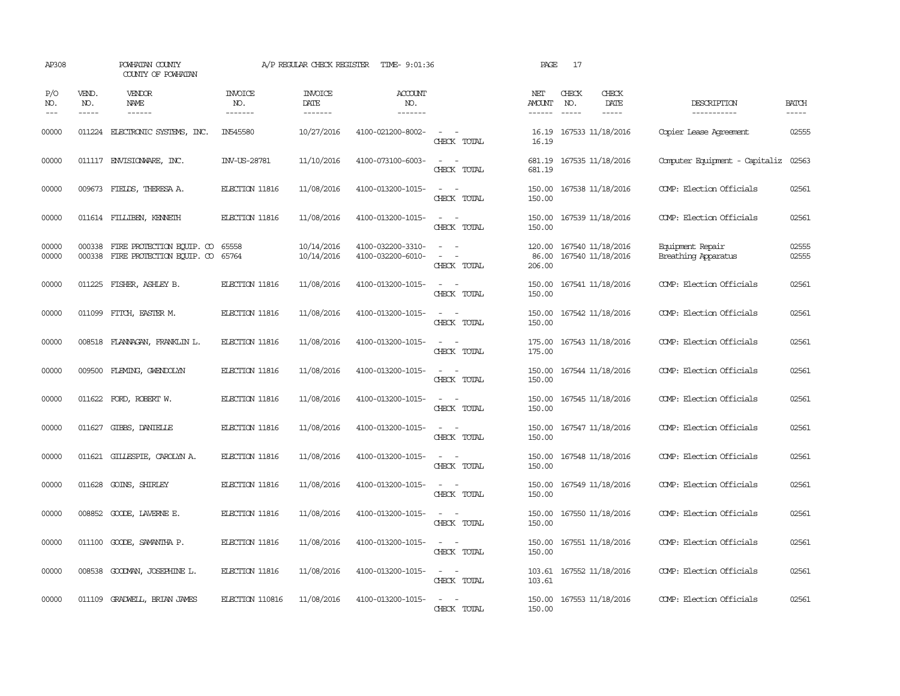| AP308               |                             | POWHATAN COUNTY<br>COUNTY OF POWHATAN                                |                                   | A/P REGULAR CHECK REGISTER         | TIME- 9:01:36                            |                                                                                                                             | PAGE                           | 17                            |                                        |                                         |                             |
|---------------------|-----------------------------|----------------------------------------------------------------------|-----------------------------------|------------------------------------|------------------------------------------|-----------------------------------------------------------------------------------------------------------------------------|--------------------------------|-------------------------------|----------------------------------------|-----------------------------------------|-----------------------------|
| P/O<br>NO.<br>$---$ | VEND.<br>NO.<br>$- - - - -$ | <b>VENDOR</b><br>NAME<br>$- - - - - -$                               | <b>INVOICE</b><br>NO.<br>-------- | <b>INVOICE</b><br>DATE<br>-------- | <b>ACCOUNT</b><br>NO.<br>$- - - - - - -$ |                                                                                                                             | NET<br>AMOUNT<br>$- - - - - -$ | CHECK<br>NO.<br>$\frac{1}{2}$ | CHECK<br>DATE<br>$- - - - -$           | DESCRIPTION<br>------------             | <b>BATCH</b><br>$- - - - -$ |
| 00000               |                             | 011224 ELECTRONIC SYSTEMS, INC.                                      | IN545580                          | 10/27/2016                         | 4100-021200-8002-                        | $\frac{1}{2} \left( \frac{1}{2} \right) \left( \frac{1}{2} \right) = \frac{1}{2} \left( \frac{1}{2} \right)$<br>CHECK TOTAL | 16.19<br>16.19                 |                               | 167533 11/18/2016                      | Copier Lease Agreement                  | 02555                       |
| 00000               |                             | 011117 ENVISIONARE, INC.                                             | INV-US-28781                      | 11/10/2016                         | 4100-073100-6003-                        | $\equiv$<br>CHECK TOTAL                                                                                                     | 681.19                         |                               | 681.19 167535 11/18/2016               | Computer Equipment - Capitaliz          | 02563                       |
| 00000               |                             | 009673 FIELDS, THERESA A.                                            | ELECTION 11816                    | 11/08/2016                         | 4100-013200-1015-                        | $\sim$ $\sim$<br>CHECK TOTAL                                                                                                | 150.00<br>150.00               |                               | 167538 11/18/2016                      | COMP: Election Officials                | 02561                       |
| 00000               |                             | 011614 FILLIBEN, KENNETH                                             | ELECTION 11816                    | 11/08/2016                         | 4100-013200-1015-                        | $\sim$<br>$\overline{\phantom{a}}$<br>CHECK TOTAL                                                                           | 150.00<br>150.00               |                               | 167539 11/18/2016                      | COMP: Election Officials                | 02561                       |
| 00000<br>00000      |                             | 000338 FIRE PROTECTION EQUIP. CO<br>000338 FIRE PROTECTION EQUIP. CO | 65558<br>65764                    | 10/14/2016<br>10/14/2016           | 4100-032200-3310-<br>4100-032200-6010-   | $\sim$<br>CHECK TOTAL                                                                                                       | 120.00<br>86.00<br>206.00      |                               | 167540 11/18/2016<br>167540 11/18/2016 | Equipment Repair<br>Breathing Apparatus | 02555<br>02555              |
| 00000               | 011225                      | FISHER, ASHLEY B.                                                    | ELECTION 11816                    | 11/08/2016                         | 4100-013200-1015-                        | $\sim$<br>$\overline{\phantom{a}}$<br>CHECK TOTAL                                                                           | 150.00<br>150.00               |                               | 167541 11/18/2016                      | COMP: Election Officials                | 02561                       |
| 00000               | 011099                      | FITCH, EASTER M.                                                     | ELECTION 11816                    | 11/08/2016                         | 4100-013200-1015-                        | CHECK TOTAL                                                                                                                 | 150.00<br>150.00               |                               | 167542 11/18/2016                      | COMP: Election Officials                | 02561                       |
| 00000               |                             | 008518 FLANNAGAN, FRANKLIN L.                                        | ELECTION 11816                    | 11/08/2016                         | 4100-013200-1015-                        | $\overline{a}$<br>CHECK TOTAL                                                                                               | 175.00<br>175.00               |                               | 167543 11/18/2016                      | COMP: Election Officials                | 02561                       |
| 00000               | 009500                      | FLEMING, GWENDOLYN                                                   | ELECTION 11816                    | 11/08/2016                         | 4100-013200-1015-                        | $\equiv$<br>$\sim$<br>CHECK TOTAL                                                                                           | 150.00<br>150.00               |                               | 167544 11/18/2016                      | COMP: Election Officials                | 02561                       |
| 00000               |                             | 011622 FORD, ROBERT W.                                               | ELECTION 11816                    | 11/08/2016                         | 4100-013200-1015-                        | $\equiv$<br>CHECK TOTAL                                                                                                     | 150.00<br>150.00               |                               | 167545 11/18/2016                      | COMP: Election Officials                | 02561                       |
| 00000               | 011627                      | GIBBS, DANIELLE                                                      | ELECTION 11816                    | 11/08/2016                         | 4100-013200-1015-                        | $\frac{1}{2} \left( \frac{1}{2} \right) \left( \frac{1}{2} \right) = \frac{1}{2} \left( \frac{1}{2} \right)$<br>CHECK TOTAL | 150.00<br>150.00               |                               | 167547 11/18/2016                      | COMP: Election Officials                | 02561                       |
| 00000               | 011621                      | GILLESPIE, CAROLYN A.                                                | ELECTION 11816                    | 11/08/2016                         | 4100-013200-1015-                        | $\sim$<br>$\overline{\phantom{a}}$<br>CHECK TOTAL                                                                           | 150.00<br>150.00               |                               | 167548 11/18/2016                      | COMP: Election Officials                | 02561                       |
| 00000               |                             | 011628 GOINS, SHIRLEY                                                | ELECTION 11816                    | 11/08/2016                         | 4100-013200-1015-                        | $\sim$<br>$\overline{\phantom{a}}$<br>CHECK TOTAL                                                                           | 150.00<br>150.00               |                               | 167549 11/18/2016                      | COMP: Election Officials                | 02561                       |
| 00000               | 008852                      | GOODE, LAVERNE E.                                                    | ELECTION 11816                    | 11/08/2016                         | 4100-013200-1015-                        | $\overline{\phantom{a}}$<br>$\overline{\phantom{a}}$<br>CHECK TOTAL                                                         | 150.00<br>150.00               |                               | 167550 11/18/2016                      | COMP: Election Officials                | 02561                       |
| 00000               | 011100                      | GOODE, SAMANTHA P.                                                   | ELECTION 11816                    | 11/08/2016                         | 4100-013200-1015-                        | $\overline{\phantom{a}}$<br>$\sim$<br>CHECK TOTAL                                                                           | 150.00<br>150.00               |                               | 167551 11/18/2016                      | COMP: Election Officials                | 02561                       |
| 00000               |                             | 008538 GOODMAN, JOSEPHINE L.                                         | ELECTION 11816                    | 11/08/2016                         | 4100-013200-1015-                        | $\sim$ $\sim$<br>CHECK TOTAL                                                                                                | 103.61<br>103.61               |                               | 167552 11/18/2016                      | COMP: Election Officials                | 02561                       |
| 00000               | 011109                      | GRADWELL, BRIAN JAMES                                                | ELECTION 110816                   | 11/08/2016                         | 4100-013200-1015-                        | $\overline{\phantom{a}}$<br>$\overline{\phantom{a}}$<br>CHECK TOTAL                                                         | 150.00<br>150.00               |                               | 167553 11/18/2016                      | COMP: Election Officials                | 02561                       |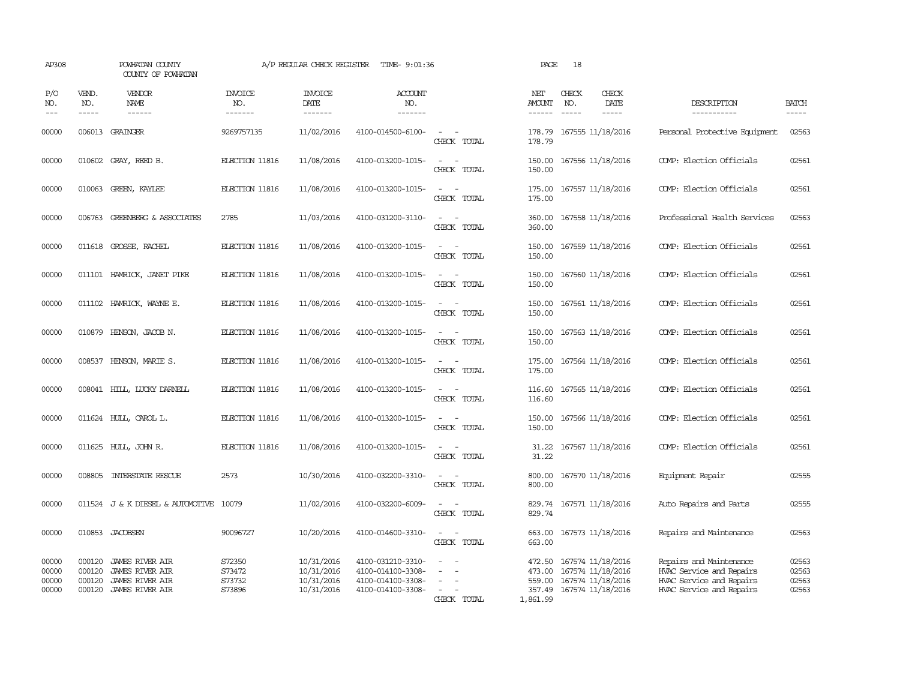| AP308                            |                               | POWHATAN COUNTY<br>COUNTY OF POWHATAN                                                                |                                      | A/P REGULAR CHECK REGISTER                           | TIME- 9:01:36                                                                    |                                                                                                                             | PAGE                                   | 18                            |                                                                                         |                                                                                                             |                                  |
|----------------------------------|-------------------------------|------------------------------------------------------------------------------------------------------|--------------------------------------|------------------------------------------------------|----------------------------------------------------------------------------------|-----------------------------------------------------------------------------------------------------------------------------|----------------------------------------|-------------------------------|-----------------------------------------------------------------------------------------|-------------------------------------------------------------------------------------------------------------|----------------------------------|
| P/O<br>NO.<br>$- - -$            | VEND.<br>NO.<br>$\frac{1}{2}$ | VENDOR<br>NAME                                                                                       | <b>INVOICE</b><br>NO.<br>--------    | <b>INVOICE</b><br>DATE<br>--------                   | ACCOUNT<br>NO.<br>$- - - - - - -$                                                |                                                                                                                             | NET<br><b>AMOUNT</b><br>$- - - - - -$  | CHECK<br>NO.<br>$\frac{1}{2}$ | CHECK<br>DATE<br>$\frac{1}{2}$                                                          | DESCRIPTION<br>-----------                                                                                  | <b>BATCH</b><br>$\frac{1}{2}$    |
| 00000                            |                               | 006013 GRAINGER                                                                                      | 9269757135                           | 11/02/2016                                           | 4100-014500-6100-                                                                | CHECK TOTAL                                                                                                                 | 178.79<br>178.79                       |                               | 167555 11/18/2016                                                                       | Personal Protective Equipment                                                                               | 02563                            |
| 00000                            | 010602                        | GRAY, REED B.                                                                                        | ELECTION 11816                       | 11/08/2016                                           | 4100-013200-1015-                                                                | $\overline{\phantom{a}}$<br>CHECK TOTAL                                                                                     | 150.00<br>150.00                       |                               | 167556 11/18/2016                                                                       | COMP: Election Officials                                                                                    | 02561                            |
| 00000                            | 010063                        | GREEN, KAYLEE                                                                                        | ELECTION 11816                       | 11/08/2016                                           | 4100-013200-1015-                                                                | $\overline{\phantom{a}}$<br>CHECK TOTAL                                                                                     | 175.00<br>175.00                       |                               | 167557 11/18/2016                                                                       | COMP: Election Officials                                                                                    | 02561                            |
| 00000                            |                               | 006763 GREENBERG & ASSOCIATES                                                                        | 2785                                 | 11/03/2016                                           | 4100-031200-3110-                                                                | $\sim$<br>CHECK TOTAL                                                                                                       | 360.00<br>360.00                       |                               | 167558 11/18/2016                                                                       | Professional Health Services                                                                                | 02563                            |
| 00000                            |                               | 011618 GROSSE, RACHEL                                                                                | ELECTION 11816                       | 11/08/2016                                           | 4100-013200-1015-                                                                | $\sim$<br>CHECK TOTAL                                                                                                       | 150.00<br>150.00                       |                               | 167559 11/18/2016                                                                       | COMP: Election Officials                                                                                    | 02561                            |
| 00000                            |                               | 011101 HAMRICK, JANET PIKE                                                                           | ELECTION 11816                       | 11/08/2016                                           | 4100-013200-1015-                                                                | $\sim$<br>CHECK TOTAL                                                                                                       | 150.00<br>150.00                       |                               | 167560 11/18/2016                                                                       | COMP: Election Officials                                                                                    | 02561                            |
| 00000                            |                               | 011102 HAMRICK, WAYNE E.                                                                             | ELECTION 11816                       | 11/08/2016                                           | 4100-013200-1015-                                                                | $\sim$<br>CHECK TOTAL                                                                                                       | 150.00<br>150.00                       |                               | 167561 11/18/2016                                                                       | COMP: Election Officials                                                                                    | 02561                            |
| 00000                            |                               | 010879 HENSON, JACOB N.                                                                              | ELECTION 11816                       | 11/08/2016                                           | 4100-013200-1015-                                                                | $\equiv$<br>CHECK TOTAL                                                                                                     | 150.00<br>150.00                       |                               | 167563 11/18/2016                                                                       | COMP: Election Officials                                                                                    | 02561                            |
| 00000                            |                               | 008537 HENSON, MARIE S.                                                                              | ELECTION 11816                       | 11/08/2016                                           | 4100-013200-1015-                                                                | $\sim$<br>CHECK TOTAL                                                                                                       | 175.00<br>175.00                       |                               | 167564 11/18/2016                                                                       | COMP: Election Officials                                                                                    | 02561                            |
| 00000                            |                               | 008041 HILL, LUCKY DARNELL                                                                           | ELECTION 11816                       | 11/08/2016                                           | 4100-013200-1015-                                                                | CHECK TOTAL                                                                                                                 | 116.60<br>116.60                       |                               | 167565 11/18/2016                                                                       | COMP: Election Officials                                                                                    | 02561                            |
| 00000                            |                               | 011624 HULL, CAROL L.                                                                                | ELECTION 11816                       | 11/08/2016                                           | 4100-013200-1015-                                                                | $\equiv$<br>$\overline{\phantom{a}}$<br>CHECK TOTAL                                                                         | 150.00<br>150.00                       |                               | 167566 11/18/2016                                                                       | COMP: Election Officials                                                                                    | 02561                            |
| 00000                            |                               | 011625 HULL, JOHN R.                                                                                 | ELECTION 11816                       | 11/08/2016                                           | 4100-013200-1015-                                                                | $\frac{1}{2} \left( \frac{1}{2} \right) \left( \frac{1}{2} \right) = \frac{1}{2} \left( \frac{1}{2} \right)$<br>CHECK TOTAL | 31.22<br>31.22                         |                               | 167567 11/18/2016                                                                       | COMP: Election Officials                                                                                    | 02561                            |
| 00000                            |                               | 008805 INTERSTATE RESCUE                                                                             | 2573                                 | 10/30/2016                                           | 4100-032200-3310-                                                                | $\sim$ $\sim$<br>CHECK TOTAL                                                                                                | 800.00<br>800.00                       |                               | 167570 11/18/2016                                                                       | Equipment Repair                                                                                            | 02555                            |
| 00000                            |                               | 011524 J & K DIESEL & AUTOMOTIVE 10079                                                               |                                      | 11/02/2016                                           | 4100-032200-6009-                                                                | CHECK TOTAL                                                                                                                 | 829.74<br>829.74                       |                               | 167571 11/18/2016                                                                       | Auto Repairs and Parts                                                                                      | 02555                            |
| 00000                            |                               | 010853 JACOBSEN                                                                                      | 90096727                             | 10/20/2016                                           | 4100-014600-3310-                                                                | $\sim$ $\sim$<br>CHECK TOTAL                                                                                                | 663.00<br>663.00                       |                               | 167573 11/18/2016                                                                       | Repairs and Maintenance                                                                                     | 02563                            |
| 00000<br>00000<br>00000<br>00000 | 000120<br>000120<br>000120    | <b>JAMES RIVER AIR</b><br><b>JAMES RIVER AIR</b><br><b>JAMES RIVER AIR</b><br>000120 JAMES RIVER AIR | S72350<br>S73472<br>S73732<br>S73896 | 10/31/2016<br>10/31/2016<br>10/31/2016<br>10/31/2016 | 4100-031210-3310-<br>4100-014100-3308-<br>4100-014100-3308-<br>4100-014100-3308- | $\sim$<br>CHECK TOTAL                                                                                                       | 472.50<br>473.00<br>559.00<br>1,861.99 |                               | 167574 11/18/2016<br>167574 11/18/2016<br>167574 11/18/2016<br>357.49 167574 11/18/2016 | Repairs and Maintenance<br>HVAC Service and Repairs<br>HVAC Service and Repairs<br>HVAC Service and Repairs | 02563<br>02563<br>02563<br>02563 |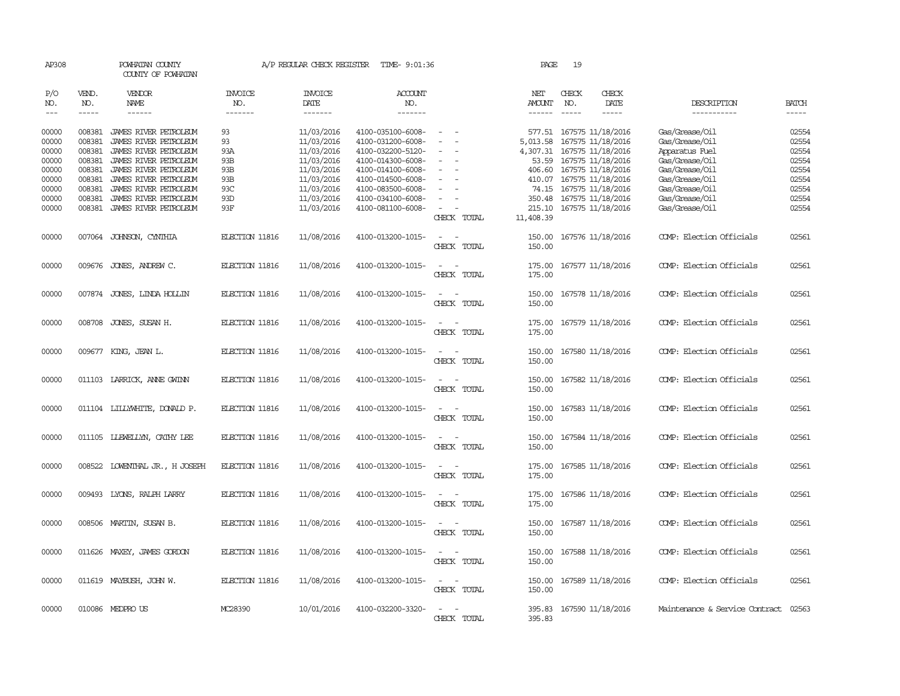| AP308         |               | POWHATAN COUNTY<br>COUNTY OF POWHATAN |                                  |                        | A/P REGULAR CHECK REGISTER TIME- 9:01:36 |                                                      | PAGE                | 19                            |                          |                                |               |
|---------------|---------------|---------------------------------------|----------------------------------|------------------------|------------------------------------------|------------------------------------------------------|---------------------|-------------------------------|--------------------------|--------------------------------|---------------|
| P/O<br>NO.    | VEND.<br>NO.  | <b>VENDOR</b><br>NAME                 | <b>INVOICE</b><br>NO.<br>------- | <b>INVOICE</b><br>DATE | ACCOUNT<br>NO.<br>-------                |                                                      | NET<br>AMOUNT       | CHECK<br>NO.<br>$\frac{1}{2}$ | CHECK<br>DATE            | DESCRIPTION<br>------------    | <b>BATCH</b>  |
| $\frac{1}{2}$ | $\frac{1}{2}$ | $- - - - - -$                         |                                  | -------                |                                          |                                                      | ------              |                               | -----                    |                                | $\frac{1}{2}$ |
| 00000         | 008381        | JAMES RIVER PETROLEUM                 | 93                               | 11/03/2016             | 4100-035100-6008-                        | $\overline{\phantom{a}}$                             |                     |                               | 577.51 167575 11/18/2016 | Gas/Grease/Oil                 | 02554         |
| 00000         | 008381        | JAMES RIVER PETROLEUM                 | 93                               | 11/03/2016             | 4100-031200-6008-                        | $\overline{\phantom{a}}$<br>$\overline{\phantom{a}}$ | 5,013.58            |                               | 167575 11/18/2016        | Gas/Grease/Oil                 | 02554         |
| 00000         | 008381        | JAMES RIVER PETROLEUM                 | 93A                              | 11/03/2016             | 4100-032200-5120-                        |                                                      | 4,307.31            |                               | 167575 11/18/2016        | Apparatus Fuel                 | 02554         |
| 00000         | 008381        | JAMES RIVER PETROLEUM                 | 93B                              | 11/03/2016             | 4100-014300-6008-                        |                                                      | 53.59               |                               | 167575 11/18/2016        | Gas/Grease/Oil                 | 02554         |
| 00000         | 008381        | JAMES RIVER PETROLEUM                 | 93B                              | 11/03/2016             | 4100-014100-6008-                        | $\overline{\phantom{a}}$                             |                     |                               | 406.60 167575 11/18/2016 | Gas/Grease/Oil                 | 02554         |
| 00000         | 008381        | JAMES RIVER PETROLEUM                 | 93B                              | 11/03/2016             | 4100-014500-6008-                        | $\overline{\phantom{a}}$                             | 410.07              |                               | 167575 11/18/2016        | Gas/Grease/Oil                 | 02554         |
| 00000         | 008381        | JAMES RIVER PETROLEUM                 | 93C                              | 11/03/2016             | 4100-083500-6008-                        |                                                      |                     |                               | 74.15 167575 11/18/2016  | Gas/Grease/Oil                 | 02554         |
| 00000         | 008381        | JAMES RIVER PETROLEUM                 | 93D                              | 11/03/2016             | 4100-034100-6008-                        | $\equiv$                                             |                     |                               | 350.48 167575 11/18/2016 | Gas/Grease/Oil                 | 02554         |
| 00000         |               | 008381 JAMES RIVER PETROLEUM          | 93F                              | 11/03/2016             | 4100-081100-6008-                        | $\sim$<br>CHECK TOTAL                                | 215.10<br>11,408.39 |                               | 167575 11/18/2016        | Gas/Grease/Oil                 | 02554         |
| 00000         |               | 007064 JOHNSON, CYNTHIA               | ELECTION 11816                   | 11/08/2016             | 4100-013200-1015-                        | $\sim$<br>$\sim$                                     | 150.00              |                               | 167576 11/18/2016        | COMP: Election Officials       | 02561         |
|               |               |                                       |                                  |                        |                                          | CHECK TOTAL                                          | 150.00              |                               |                          |                                |               |
| 00000         |               | 009676 JONES, ANDREW C.               | ELECTION 11816                   | 11/08/2016             | 4100-013200-1015-                        | $\sim$                                               | 175.00              |                               | 167577 11/18/2016        | COMP: Election Officials       | 02561         |
|               |               |                                       |                                  |                        |                                          | CHECK TOTAL                                          | 175.00              |                               |                          |                                |               |
| 00000         |               | 007874 JONES, LINDA HOLLIN            | ELECTION 11816                   | 11/08/2016             | 4100-013200-1015-                        | $\sim$<br>$\overline{\phantom{a}}$                   | 150.00              |                               | 167578 11/18/2016        | COMP: Election Officials       | 02561         |
|               |               |                                       |                                  |                        |                                          | CHECK TOTAL                                          | 150.00              |                               |                          |                                |               |
|               |               |                                       |                                  |                        |                                          |                                                      |                     |                               |                          |                                |               |
| 00000         | 008708        | JONES, SUSAN H.                       | ELECTION 11816                   | 11/08/2016             | 4100-013200-1015-                        | $\overline{\phantom{a}}$<br>CHECK TOTAL              | 175.00<br>175.00    |                               | 167579 11/18/2016        | COMP: Election Officials       | 02561         |
|               |               |                                       |                                  |                        |                                          |                                                      |                     |                               |                          |                                |               |
| 00000         |               | 009677 KING, JEAN L.                  | ELECTION 11816                   | 11/08/2016             | 4100-013200-1015-                        | $\sim$<br>$\sim$                                     | 150.00              |                               | 167580 11/18/2016        | COMP: Election Officials       | 02561         |
|               |               |                                       |                                  |                        |                                          | CHECK TOTAL                                          | 150.00              |                               |                          |                                |               |
| 00000         |               | 011103 LARRICK, ANNE GWINN            | ELECTION 11816                   | 11/08/2016             | 4100-013200-1015-                        | $\sim$<br>$\sim$                                     | 150.00              |                               | 167582 11/18/2016        | COMP: Election Officials       | 02561         |
|               |               |                                       |                                  |                        |                                          | CHECK TOTAL                                          | 150.00              |                               |                          |                                |               |
|               |               |                                       |                                  |                        |                                          |                                                      |                     |                               |                          |                                |               |
| 00000         |               | 011104 LILLYWHITE, DONALD P.          | ELECTION 11816                   | 11/08/2016             | 4100-013200-1015-                        | $\sim$<br>$\sim$                                     | 150.00              |                               | 167583 11/18/2016        | COMP: Election Officials       | 02561         |
|               |               |                                       |                                  |                        |                                          | CHECK TOTAL                                          | 150.00              |                               |                          |                                |               |
|               |               |                                       |                                  |                        |                                          | $\sim$                                               |                     |                               |                          |                                | 02561         |
| 00000         |               | 011105 LIEWELLYN, CATHY LEE           | ELECTION 11816                   | 11/08/2016             | 4100-013200-1015-                        | CHECK TOTAL                                          | 150.00<br>150.00    |                               | 167584 11/18/2016        | COMP: Election Officials       |               |
|               |               |                                       |                                  |                        |                                          |                                                      |                     |                               |                          |                                |               |
| 00000         | 008522        | LOWENTHAL JR., H JOSEPH               | ELECTION 11816                   | 11/08/2016             | 4100-013200-1015-                        |                                                      | 175.00              |                               | 167585 11/18/2016        | COMP: Election Officials       | 02561         |
|               |               |                                       |                                  |                        |                                          | CHECK TOTAL                                          | 175.00              |                               |                          |                                |               |
|               |               |                                       |                                  |                        |                                          |                                                      |                     |                               |                          |                                |               |
| 00000         | 009493        | LYONS, RALPH LARRY                    | ELECTION 11816                   | 11/08/2016             | 4100-013200-1015-                        |                                                      | 175.00              |                               | 167586 11/18/2016        | COMP: Election Officials       | 02561         |
|               |               |                                       |                                  |                        |                                          | CHECK TOTAL                                          | 175.00              |                               |                          |                                |               |
| 00000         | 008506        | MARTIN, SUSAN B.                      | ELECTION 11816                   | 11/08/2016             | 4100-013200-1015-                        | $\overline{\phantom{a}}$<br>$\sim$                   | 150.00              |                               | 167587 11/18/2016        | COMP: Election Officials       | 02561         |
|               |               |                                       |                                  |                        |                                          | CHECK TOTAL                                          | 150.00              |                               |                          |                                |               |
|               |               |                                       |                                  |                        |                                          |                                                      |                     |                               |                          |                                |               |
| 00000         |               | 011626 MAXEY, JAMES GORDON            | ELECTION 11816                   | 11/08/2016             | 4100-013200-1015-                        | $\sim$                                               | 150.00              |                               | 167588 11/18/2016        | COMP: Election Officials       | 02561         |
|               |               |                                       |                                  |                        |                                          | CHECK TOTAL                                          | 150.00              |                               |                          |                                |               |
|               |               |                                       |                                  |                        |                                          |                                                      |                     |                               |                          |                                |               |
| 00000         |               | 011619 MAYBUSH, JOHN W.               | ELECTION 11816                   | 11/08/2016             | 4100-013200-1015-                        | $\sim$                                               | 150.00              |                               | 167589 11/18/2016        | COMP: Election Officials       | 02561         |
|               |               |                                       |                                  |                        |                                          | CHECK TOTAL                                          | 150.00              |                               |                          |                                |               |
| 00000         |               | 010086 MEDPROUS                       | MC28390                          | 10/01/2016             | 4100-032200-3320-                        | $\sim$<br>$\overline{\phantom{a}}$                   | 395.83              |                               | 167590 11/18/2016        | Maintenance & Service Contract | 02563         |
|               |               |                                       |                                  |                        |                                          | CHECK TOTAL                                          | 395.83              |                               |                          |                                |               |
|               |               |                                       |                                  |                        |                                          |                                                      |                     |                               |                          |                                |               |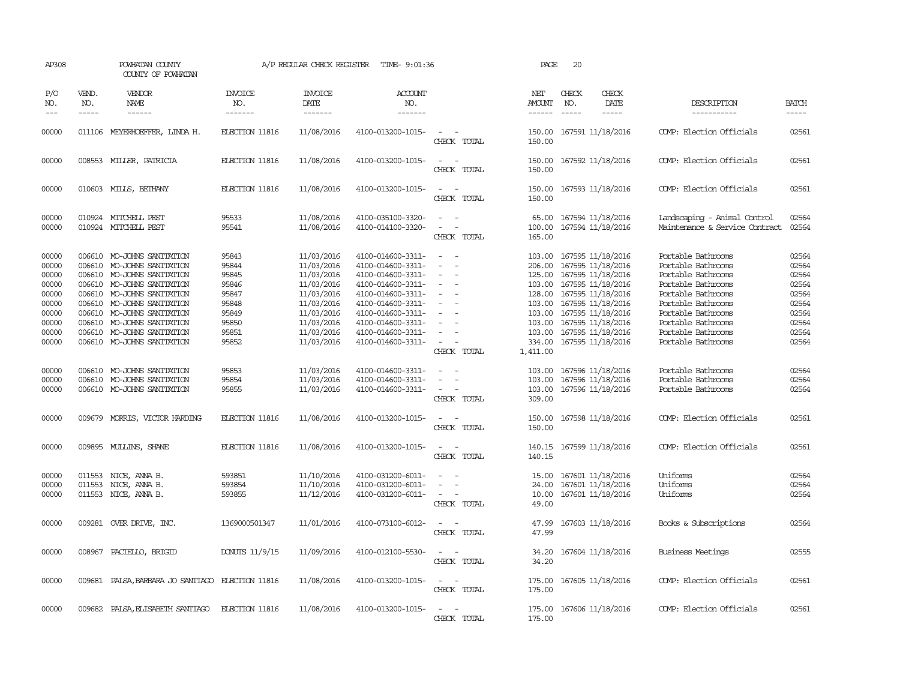| AP308                                                                                  |                             | POWHATAN COUNTY<br>COUNTY OF POWHATAN                                                                                                                                                                                                                                                             |                                                                                        | A/P REGULAR CHECK REGISTER                                                                                                               | TIME- 9:01:36                                                                                                                                                                                                  |                                                                                                                                                                                                                     | PAGE                                 | 20                            |                                                                                                                                                                                                                                                                               |                                                                                                                                                                                                                          |                                                                                        |
|----------------------------------------------------------------------------------------|-----------------------------|---------------------------------------------------------------------------------------------------------------------------------------------------------------------------------------------------------------------------------------------------------------------------------------------------|----------------------------------------------------------------------------------------|------------------------------------------------------------------------------------------------------------------------------------------|----------------------------------------------------------------------------------------------------------------------------------------------------------------------------------------------------------------|---------------------------------------------------------------------------------------------------------------------------------------------------------------------------------------------------------------------|--------------------------------------|-------------------------------|-------------------------------------------------------------------------------------------------------------------------------------------------------------------------------------------------------------------------------------------------------------------------------|--------------------------------------------------------------------------------------------------------------------------------------------------------------------------------------------------------------------------|----------------------------------------------------------------------------------------|
| P/O<br>NO.<br>$---$                                                                    | VEND.<br>NO.<br>$- - - - -$ | VENDOR<br>NAME<br>$- - - - - -$                                                                                                                                                                                                                                                                   | <b>INVOICE</b><br>NO.<br>-------                                                       | <b>INVOICE</b><br>DATE<br>$- - - - - - -$                                                                                                | <b>ACCOUNT</b><br>NO.<br>-------                                                                                                                                                                               |                                                                                                                                                                                                                     | NET<br>AMOUNT<br>------              | CHECK<br>NO.<br>$\frac{1}{2}$ | CHECK<br>DATE<br>$- - - - -$                                                                                                                                                                                                                                                  | DESCRIPTION<br>-----------                                                                                                                                                                                               | <b>BATCH</b><br>-----                                                                  |
| 00000                                                                                  |                             | 011106 MEYERHOEFFER, LINDA H.                                                                                                                                                                                                                                                                     | ELECTION 11816                                                                         | 11/08/2016                                                                                                                               | 4100-013200-1015-                                                                                                                                                                                              | $\sim$ $-$<br>CHECK TOTAL                                                                                                                                                                                           | 150.00                               |                               | 150.00 167591 11/18/2016                                                                                                                                                                                                                                                      | COMP: Election Officials                                                                                                                                                                                                 | 02561                                                                                  |
| 00000                                                                                  |                             | 008553 MILLER, PATRICIA                                                                                                                                                                                                                                                                           | ELECTION 11816                                                                         | 11/08/2016                                                                                                                               | 4100-013200-1015-                                                                                                                                                                                              | $\sim$<br>$\sim$<br>CHECK TOTAL                                                                                                                                                                                     | 150.00<br>150.00                     |                               | 167592 11/18/2016                                                                                                                                                                                                                                                             | COMP: Election Officials                                                                                                                                                                                                 | 02561                                                                                  |
| 00000                                                                                  |                             | 010603 MILLS, BETHANY                                                                                                                                                                                                                                                                             | ELECTION 11816                                                                         | 11/08/2016                                                                                                                               | 4100-013200-1015-                                                                                                                                                                                              | $\sim$<br>$\sim$<br>CHECK TOTAL                                                                                                                                                                                     | 150.00<br>150.00                     |                               | 167593 11/18/2016                                                                                                                                                                                                                                                             | COMP: Election Officials                                                                                                                                                                                                 | 02561                                                                                  |
| 00000<br>00000                                                                         |                             | 010924 MITCHELL PEST<br>010924 MITCHELL PEST                                                                                                                                                                                                                                                      | 95533<br>95541                                                                         | 11/08/2016<br>11/08/2016                                                                                                                 | 4100-035100-3320-<br>4100-014100-3320-                                                                                                                                                                         | $\overline{\phantom{a}}$<br>$\sim$<br>CHECK TOTAL                                                                                                                                                                   | 65.00<br>100.00<br>165.00            |                               | 167594 11/18/2016<br>167594 11/18/2016                                                                                                                                                                                                                                        | Landscaping - Animal Control<br>Maintenance & Service Contract                                                                                                                                                           | 02564<br>02564                                                                         |
| 00000<br>00000<br>00000<br>00000<br>00000<br>00000<br>00000<br>00000<br>00000<br>00000 | 006610                      | 006610 MO-JOHNS SANITATION<br>MO-JOHNS SANITATION<br>006610 MO-JOHNS SANITATION<br>006610 MO-JOHNS SANITATION<br>006610 MO-JOHNS SANITATION<br>006610 MO-JOHNS SANITATION<br>006610 MO-JOHNS SANITATION<br>006610 MO-JOHNS SANITATION<br>006610 MO-JOHNS SANITATION<br>006610 MO-JOHNS SANITATION | 95843<br>95844<br>95845<br>95846<br>95847<br>95848<br>95849<br>95850<br>95851<br>95852 | 11/03/2016<br>11/03/2016<br>11/03/2016<br>11/03/2016<br>11/03/2016<br>11/03/2016<br>11/03/2016<br>11/03/2016<br>11/03/2016<br>11/03/2016 | 4100-014600-3311-<br>4100-014600-3311-<br>4100-014600-3311-<br>4100-014600-3311-<br>4100-014600-3311-<br>4100-014600-3311-<br>4100-014600-3311-<br>4100-014600-3311-<br>4100-014600-3311-<br>4100-014600-3311- | $\overline{\phantom{a}}$<br>$\overline{\phantom{a}}$<br>$\overline{\phantom{a}}$<br>$\overline{\phantom{a}}$<br>$\overline{\phantom{a}}$<br>$\overline{\phantom{a}}$<br>$\equiv$<br>$\sim$<br>$\sim$<br>CHECK TOTAL | 206.00<br>1,411.00                   |                               | 103.00 167595 11/18/2016<br>167595 11/18/2016<br>125.00 167595 11/18/2016<br>103.00 167595 11/18/2016<br>128.00 167595 11/18/2016<br>103.00 167595 11/18/2016<br>103.00 167595 11/18/2016<br>103.00 167595 11/18/2016<br>103.00 167595 11/18/2016<br>334.00 167595 11/18/2016 | Portable Bathrooms<br>Portable Bathrooms<br>Portable Bathrooms<br>Portable Bathrooms<br>Portable Bathrooms<br>Portable Bathrooms<br>Portable Bathrooms<br>Portable Bathrooms<br>Portable Bathrooms<br>Portable Bathrooms | 02564<br>02564<br>02564<br>02564<br>02564<br>02564<br>02564<br>02564<br>02564<br>02564 |
| 00000<br>00000<br>00000                                                                |                             | 006610 MO-JOHNS SANITATION<br>006610 MO-JOHNS SANITATION<br>006610 MO-JOHNS SANITATION                                                                                                                                                                                                            | 95853<br>95854<br>95855                                                                | 11/03/2016<br>11/03/2016<br>11/03/2016                                                                                                   | 4100-014600-3311-<br>4100-014600-3311-<br>4100-014600-3311-                                                                                                                                                    | $\overline{\phantom{a}}$<br>$\overline{\phantom{a}}$<br>$\equiv$<br>$\overline{\phantom{a}}$<br>$\equiv$<br>CHECK TOTAL                                                                                             | 103.00<br>103.00<br>103.00<br>309.00 |                               | 167596 11/18/2016<br>167596 11/18/2016<br>167596 11/18/2016                                                                                                                                                                                                                   | Portable Bathrooms<br>Portable Bathrooms<br>Portable Bathrooms                                                                                                                                                           | 02564<br>02564<br>02564                                                                |
| 00000                                                                                  |                             | 009679 MORRIS, VICTOR HARDING                                                                                                                                                                                                                                                                     | ELECTION 11816                                                                         | 11/08/2016                                                                                                                               | 4100-013200-1015-                                                                                                                                                                                              | $\overline{\phantom{a}}$<br>CHECK TOTAL                                                                                                                                                                             | 150.00<br>150.00                     |                               | 167598 11/18/2016                                                                                                                                                                                                                                                             | COMP: Election Officials                                                                                                                                                                                                 | 02561                                                                                  |
| 00000                                                                                  |                             | 009895 MULLINS, SHANE                                                                                                                                                                                                                                                                             | ELECTION 11816                                                                         | 11/08/2016                                                                                                                               | 4100-013200-1015-                                                                                                                                                                                              | $\overline{\phantom{a}}$<br>CHECK TOTAL                                                                                                                                                                             | 140.15                               |                               | 140.15 167599 11/18/2016                                                                                                                                                                                                                                                      | COMP: Election Officials                                                                                                                                                                                                 | 02561                                                                                  |
| 00000<br>00000<br>00000                                                                | 011553                      | NICE, ANNA B.<br>011553 NICE, ANNA B.<br>011553 NICE, ANNA B.                                                                                                                                                                                                                                     | 593851<br>593854<br>593855                                                             | 11/10/2016<br>11/10/2016<br>11/12/2016                                                                                                   | 4100-031200-6011-<br>4100-031200-6011-<br>4100-031200-6011-                                                                                                                                                    | $\overline{\phantom{a}}$<br>$\overline{\phantom{a}}$<br>CHECK TOTAL                                                                                                                                                 | 15.00<br>24.00<br>10.00<br>49.00     |                               | 167601 11/18/2016<br>167601 11/18/2016<br>167601 11/18/2016                                                                                                                                                                                                                   | Uniforms<br>Uniforms<br>Uniforms                                                                                                                                                                                         | 02564<br>02564<br>02564                                                                |
| 00000                                                                                  |                             | 009281 OVER DRIVE, INC.                                                                                                                                                                                                                                                                           | 1369000501347                                                                          | 11/01/2016                                                                                                                               | 4100-073100-6012-                                                                                                                                                                                              | CHECK TOTAL                                                                                                                                                                                                         | 47.99<br>47.99                       |                               | 167603 11/18/2016                                                                                                                                                                                                                                                             | Books & Subscriptions                                                                                                                                                                                                    | 02564                                                                                  |
| 00000                                                                                  |                             | 008967 PACIELLO, BRIGID                                                                                                                                                                                                                                                                           | DONUTS 11/9/15                                                                         | 11/09/2016                                                                                                                               | 4100-012100-5530-                                                                                                                                                                                              | CHECK TOTAL                                                                                                                                                                                                         | 34.20<br>34.20                       |                               | 167604 11/18/2016                                                                                                                                                                                                                                                             | <b>Business Meetings</b>                                                                                                                                                                                                 | 02555                                                                                  |
| 00000                                                                                  |                             | 009681 PALSA, BARBARA JO SANTIAGO ELECTION 11816                                                                                                                                                                                                                                                  |                                                                                        | 11/08/2016                                                                                                                               | 4100-013200-1015-                                                                                                                                                                                              | $\overline{\phantom{a}}$<br>CHECK TOTAL                                                                                                                                                                             | 175.00<br>175.00                     |                               | 167605 11/18/2016                                                                                                                                                                                                                                                             | COMP: Election Officials                                                                                                                                                                                                 | 02561                                                                                  |
| 00000                                                                                  |                             | 009682 PALSA, ELISABETH SANTIAGO                                                                                                                                                                                                                                                                  | ELECTION 11816                                                                         | 11/08/2016                                                                                                                               | 4100-013200-1015-                                                                                                                                                                                              | CHECK TOTAL                                                                                                                                                                                                         | 175.00                               |                               | 175.00 167606 11/18/2016                                                                                                                                                                                                                                                      | COMP: Election Officials                                                                                                                                                                                                 | 02561                                                                                  |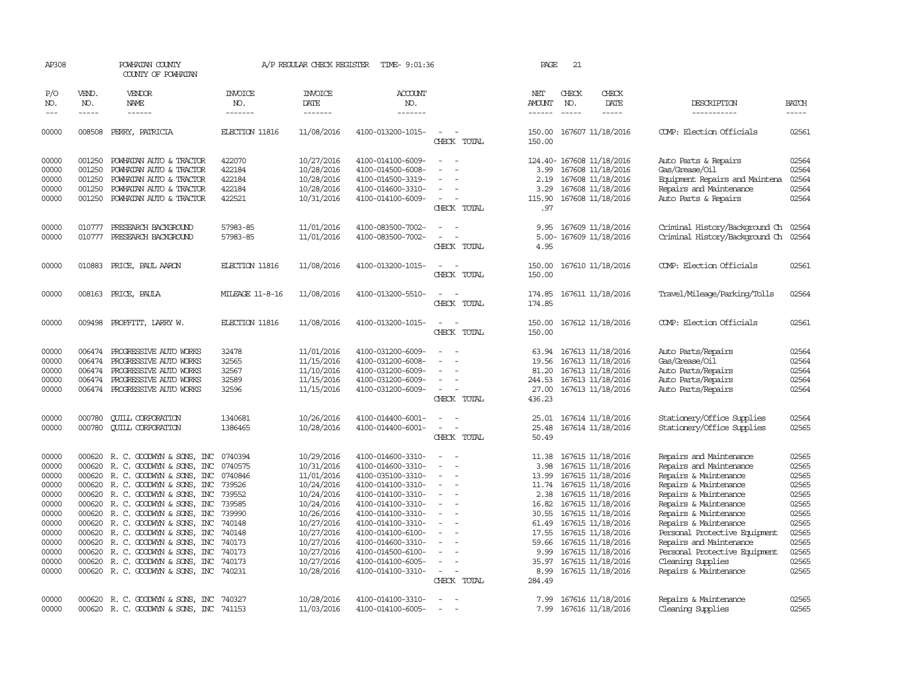| AP308               |                               | POWHATAN COUNTY<br>COUNTY OF POWHATAN                                |                                  | A/P REGULAR CHECK REGISTER        | TIME- 9:01:36                          |                                                      | PAGE             | 21                            |                                              |                                                 |                |
|---------------------|-------------------------------|----------------------------------------------------------------------|----------------------------------|-----------------------------------|----------------------------------------|------------------------------------------------------|------------------|-------------------------------|----------------------------------------------|-------------------------------------------------|----------------|
| P/O<br>NO.<br>$---$ | VEND.<br>NO.<br>$\frac{1}{2}$ | VENDOR<br>NAME<br>$- - - - - -$                                      | <b>INVOICE</b><br>NO.<br>------- | <b>INVOICE</b><br>DATE<br>------- | <b>ACCOUNT</b><br>NO.<br>-------       |                                                      | NET<br>AMOUNT    | CHECK<br>NO.<br>$\frac{1}{2}$ | CHECK<br>DATE<br>-----                       | DESCRIPTION<br>-----------                      | <b>BATCH</b>   |
| 00000               | 008508                        | PERRY, PATRICIA                                                      | ELECTION 11816                   | 11/08/2016                        | 4100-013200-1015-                      | $\overline{\phantom{a}}$<br>- 14<br>CHECK TOTAL      | 150.00           |                               | 150.00 167607 11/18/2016                     | COMP: Election Officials                        | 02561          |
| 00000               |                               | 001250 POWHATAN AUTO & TRACTOR                                       | 422070                           | 10/27/2016                        | 4100-014100-6009-                      | $\sim$<br>$\overline{\phantom{a}}$                   |                  |                               | 124.40- 167608 11/18/2016                    | Auto Parts & Repairs                            | 02564          |
| 00000               | 001250                        | POWHATAN AUTO & TRACTOR                                              | 422184                           | 10/28/2016                        | 4100-014500-6008-                      | $\sim$<br>$\sim$                                     | 3.99             |                               | 167608 11/18/2016                            | Gas/Grease/Oil                                  | 02564          |
| 00000               | 001250                        | POWHATAN AUTO & TRACTOR                                              | 422184                           | 10/28/2016                        | 4100-014500-3319-                      |                                                      | 2.19             |                               | 167608 11/18/2016                            | Equipment Repairs and Maintena                  | 02564          |
| 00000<br>00000      | 001250                        | POWHATAN AUTO & TRACTOR                                              | 422184<br>422521                 | 10/28/2016                        | 4100-014600-3310-                      | $\equiv$<br>$\overline{\phantom{a}}$<br>$\sim$       | 3.29             |                               | 167608 11/18/2016                            | Repairs and Maintenance<br>Auto Parts & Repairs | 02564<br>02564 |
|                     |                               | 001250 POWHATAN AUTO & TRACTOR                                       |                                  | 10/31/2016                        | 4100-014100-6009-                      | CHECK TOTAL                                          | 115.90<br>.97    |                               | 167608 11/18/2016                            |                                                 |                |
| 00000               | 010777                        | PRESEARCH BACKGROUND                                                 | 57983-85                         | 11/01/2016                        | 4100-083500-7002-                      | $\sim$                                               | 9.95             |                               | 167609 11/18/2016                            | Criminal History/Background Ch                  | 02564          |
| 00000               | 010777                        | PRESEARCH BACKGROUND                                                 | 57983-85                         | 11/01/2016                        | 4100-083500-7002-                      | $\equiv$<br>$\overline{\phantom{a}}$<br>CHECK TOTAL  | 4.95             |                               | 5.00- 167609 11/18/2016                      | Criminal History/Background Ch                  | 02564          |
| 00000               |                               | 010883 PRICE, PAUL AARON                                             | ELECTION 11816                   | 11/08/2016                        | 4100-013200-1015-                      |                                                      | 150.00           |                               | 167610 11/18/2016                            | COMP: Election Officials                        | 02561          |
|                     |                               |                                                                      |                                  |                                   |                                        | CHECK TOTAL                                          | 150.00           |                               |                                              |                                                 |                |
| 00000               |                               | 008163 PRICE, PAULA                                                  | <b>MILEAGE 11-8-16</b>           | 11/08/2016                        | 4100-013200-5510-                      | $\sim$<br>$\overline{\phantom{a}}$<br>CHECK TOTAL    | 174.85<br>174.85 |                               | 167611 11/18/2016                            | Travel/Mileage/Parking/Tolls                    | 02564          |
| 00000               |                               | 009498 PROFFITT, LARRY W.                                            | <b>ELECTION 11816</b>            | 11/08/2016                        | 4100-013200-1015-                      | $\sim$<br>$\sim$<br>CHECK TOTAL                      | 150.00           |                               | 150.00 167612 11/18/2016                     | COMP: Election Officials                        | 02561          |
| 00000               | 006474                        | PROGRESSIVE AUTO WORKS                                               | 32478                            | 11/01/2016                        | 4100-031200-6009-                      | $\overline{\phantom{a}}$<br>$\sim$                   | 63.94            |                               | 167613 11/18/2016                            | Auto Parts/Repairs                              | 02564          |
| 00000               | 006474                        | PROGRESSIVE AUTO WORKS                                               | 32565                            | 11/15/2016                        | 4100-031200-6008-                      | $\overline{\phantom{a}}$                             | 19.56            |                               | 167613 11/18/2016                            | Gas/Grease/Oil                                  | 02564          |
| 00000<br>00000      | 006474                        | PROGRESSIVE AUTO WORKS<br>006474 PROGRESSIVE AUTO WORKS              | 32567<br>32589                   | 11/10/2016<br>11/15/2016          | 4100-031200-6009-<br>4100-031200-6009- |                                                      | 81.20<br>244.53  |                               | 167613 11/18/2016<br>167613 11/18/2016       | Auto Parts/Repairs<br>Auto Parts/Repairs        | 02564<br>02564 |
| 00000               |                               | 006474 PROGRESSIVE AUTO WORKS                                        | 32596                            | 11/15/2016                        | 4100-031200-6009-                      | $\sim$                                               | 27.00            |                               | 167613 11/18/2016                            | Auto Parts/Repairs                              | 02564          |
|                     |                               |                                                                      |                                  |                                   |                                        | CHECK TOTAL                                          | 436.23           |                               |                                              |                                                 |                |
| 00000               | 000780                        | <b>QUILL CORPORATION</b>                                             | 1340681                          | 10/26/2016                        | 4100-014400-6001-                      | $\equiv$                                             | 25.01            |                               | 167614 11/18/2016                            | Stationery/Office Supplies                      | 02564          |
| 00000               | 000780                        | <b>CUILL CORPORATION</b>                                             | 1386465                          | 10/28/2016                        | 4100-014400-6001-                      | $\sim$<br>$\overline{\phantom{a}}$                   | 25.48            |                               | 167614 11/18/2016                            | Stationery/Office Supplies                      | 02565          |
|                     |                               |                                                                      |                                  |                                   |                                        | CHECK TOTAL                                          | 50.49            |                               |                                              |                                                 |                |
| 00000               |                               | 000620 R. C. GOODWYN & SONS, INC                                     | 0740394                          | 10/29/2016                        | 4100-014600-3310-                      | $\sim$<br>$\sim$                                     |                  |                               | 11.38 167615 11/18/2016                      | Repairs and Maintenance                         | 02565          |
| 00000               |                               | 000620 R. C. GOODWYN & SONS, INC                                     | 0740575                          | 10/31/2016                        | 4100-014600-3310-                      | $\overline{\phantom{a}}$                             | 3.98             |                               | 167615 11/18/2016                            | Repairs and Maintenance                         | 02565          |
| 00000               |                               | 000620 R.C. GOODWYN & SONS, INC                                      | 0740846                          | 11/01/2016                        | 4100-035100-3310-                      | $\sim$<br>$\sim$                                     |                  |                               | 13.99 167615 11/18/2016                      | Repairs & Maintenance                           | 02565          |
| 00000<br>00000      |                               | 000620 R. C. GOODWYN & SONS, INC<br>000620 R. C. GOODWYN & SONS, INC | 739526<br>739552                 | 10/24/2016<br>10/24/2016          | 4100-014100-3310-<br>4100-014100-3310- | $\sim$                                               | 2.38             |                               | 11.74 167615 11/18/2016<br>167615 11/18/2016 | Repairs & Maintenance<br>Repairs & Maintenance  | 02565<br>02565 |
| 00000               |                               | 000620 R.C. GOODWYN & SONS, INC                                      | 739585                           | 10/24/2016                        | 4100-014100-3310-                      | $\overline{\phantom{a}}$                             |                  |                               | 16.82 167615 11/18/2016                      | Repairs & Maintenance                           | 02565          |
| 00000               |                               | 000620 R. C. GOODWYN & SONS, INC                                     | 739990                           | 10/26/2016                        | 4100-014100-3310-                      | $\overline{\phantom{a}}$<br>$\overline{\phantom{a}}$ | 30.55            |                               | 167615 11/18/2016                            | Repairs & Maintenance                           | 02565          |
| 00000               |                               | 000620 R. C. GOODWYN & SONS, INC                                     | 740148                           | 10/27/2016                        | 4100-014100-3310-                      | $\sim$                                               | 61.49            |                               | 167615 11/18/2016                            | Repairs & Maintenance                           | 02565          |
| 00000               |                               | 000620 R. C. GOODWYN & SONS, INC                                     | 740148                           | 10/27/2016                        | 4100-014100-6100-                      | $\overline{\phantom{a}}$                             | 17.55            |                               | 167615 11/18/2016                            | Personal Protective Equipment                   | 02565          |
| 00000               |                               | 000620 R. C. GOODWYN & SONS, INC                                     | 740173                           | 10/27/2016                        | 4100-014600-3310-                      |                                                      | 59.66            |                               | 167615 11/18/2016                            | Repairs and Maintenance                         | 02565          |
| 00000               |                               | 000620 R. C. GOODWYN & SONS, INC                                     | 740173                           | 10/27/2016                        | 4100-014500-6100-                      | $\equiv$                                             | 9.99             |                               | 167615 11/18/2016                            | Personal Protective Equipment                   | 02565          |
| 00000               | 000620                        | R. C. GOODWYN & SONS, INC                                            | 740173                           | 10/27/2016                        | 4100-014100-6005-                      | $\overline{\phantom{a}}$                             | 35.97            |                               | 167615 11/18/2016                            | Cleaning Supplies                               | 02565          |
| 00000               |                               | 000620 R. C. GOODWYN & SONS, INC 740231                              |                                  | 10/28/2016                        | 4100-014100-3310-                      | $\equiv$<br>$\overline{\phantom{a}}$<br>CHECK TOTAL  | 284.49           |                               | 8.99 167615 11/18/2016                       | Repairs & Maintenance                           | 02565          |
|                     |                               |                                                                      |                                  |                                   |                                        |                                                      |                  |                               |                                              |                                                 |                |
| 00000               |                               | 000620 R. C. GOODWYN & SONS, INC                                     | 740327                           | 10/28/2016                        | 4100-014100-3310-                      | $\sim$<br>$\overline{\phantom{a}}$                   |                  |                               | 7.99 167616 11/18/2016                       | Repairs & Maintenance                           | 02565          |
| 00000               |                               | 000620 R. C. GOODWYN & SONS, INC                                     | 741153                           | 11/03/2016                        | 4100-014100-6005-                      | $\sim$<br>$\sim$                                     | 7.99             |                               | 167616 11/18/2016                            | Cleaning Supplies                               | 02565          |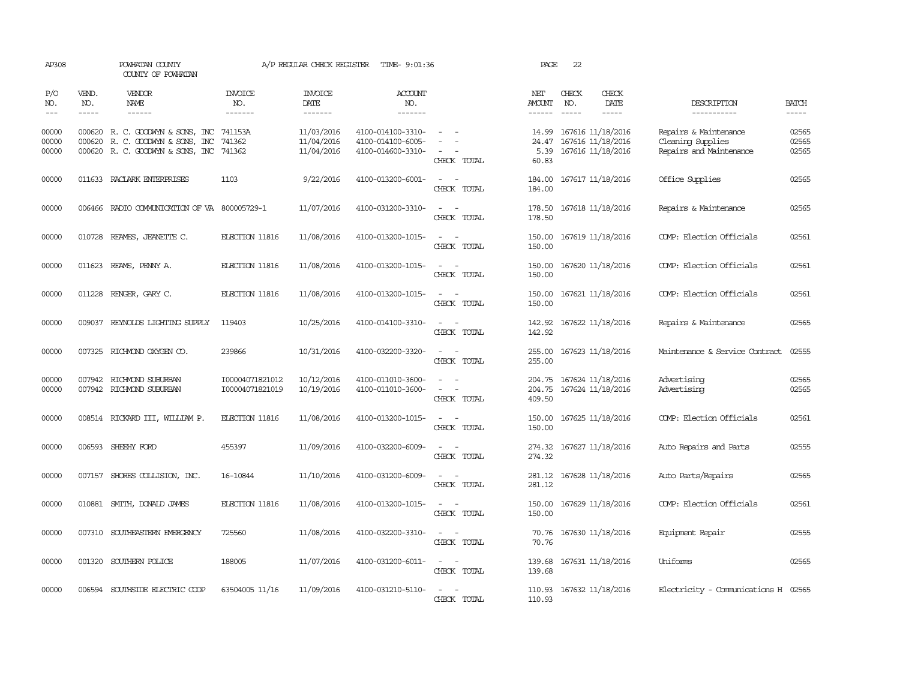| AP308                                                                                                                                                                                                                                                                                                                                                                                                      |              | POWHATAN COUNTY<br>COUNTY OF POWHATAN                                                                            |                                    | A/P REGULAR CHECK REGISTER             | TIME- 9:01:36                                               |                                                                                                                             | PAGE                            | 22                            |                                                             |                                                                       |                         |
|------------------------------------------------------------------------------------------------------------------------------------------------------------------------------------------------------------------------------------------------------------------------------------------------------------------------------------------------------------------------------------------------------------|--------------|------------------------------------------------------------------------------------------------------------------|------------------------------------|----------------------------------------|-------------------------------------------------------------|-----------------------------------------------------------------------------------------------------------------------------|---------------------------------|-------------------------------|-------------------------------------------------------------|-----------------------------------------------------------------------|-------------------------|
| P/O<br>NO.<br>$\frac{1}{2} \frac{1}{2} \frac{1}{2} \frac{1}{2} \frac{1}{2} \frac{1}{2} \frac{1}{2} \frac{1}{2} \frac{1}{2} \frac{1}{2} \frac{1}{2} \frac{1}{2} \frac{1}{2} \frac{1}{2} \frac{1}{2} \frac{1}{2} \frac{1}{2} \frac{1}{2} \frac{1}{2} \frac{1}{2} \frac{1}{2} \frac{1}{2} \frac{1}{2} \frac{1}{2} \frac{1}{2} \frac{1}{2} \frac{1}{2} \frac{1}{2} \frac{1}{2} \frac{1}{2} \frac{1}{2} \frac{$ | VEND.<br>NO. | VENDOR<br><b>NAME</b><br>$- - - - - -$                                                                           | <b>INVOICE</b><br>NO.<br>-------   | <b>INVOICE</b><br>DATE<br>-------      | <b>ACCOUNT</b><br>NO.<br>-------                            |                                                                                                                             | NET<br>AMOUNT<br>------         | CHECK<br>NO.<br>$\frac{1}{2}$ | CHECK<br>DATE                                               | DESCRIPTION<br>-----------                                            | <b>BATCH</b><br>-----   |
| 00000<br>00000<br>00000                                                                                                                                                                                                                                                                                                                                                                                    | 000620       | 000620 R. C. GOODWYN & SONS, INC 741153A<br>R. C. GOODWYN & SONS, INC<br>000620 R. C. GOODWYN & SONS, INC 741362 | 741362                             | 11/03/2016<br>11/04/2016<br>11/04/2016 | 4100-014100-3310-<br>4100-014100-6005-<br>4100-014600-3310- | $\overline{\phantom{a}}$<br>CHECK TOTAL                                                                                     | 14.99<br>24.47<br>5.39<br>60.83 |                               | 167616 11/18/2016<br>167616 11/18/2016<br>167616 11/18/2016 | Repairs & Maintenance<br>Cleaning Supplies<br>Repairs and Maintenance | 02565<br>02565<br>02565 |
| 00000                                                                                                                                                                                                                                                                                                                                                                                                      |              | 011633 RACLARK ENTERPRISES                                                                                       | 1103                               | 9/22/2016                              | 4100-013200-6001-                                           | $\sim$ $-$<br>CHECK TOTAL                                                                                                   | 184.00<br>184.00                |                               | 167617 11/18/2016                                           | Office Supplies                                                       | 02565                   |
| 00000                                                                                                                                                                                                                                                                                                                                                                                                      |              | 006466 RADIO COMMUNICATION OF VA 800005729-1                                                                     |                                    | 11/07/2016                             | 4100-031200-3310-                                           | CHECK TOTAL                                                                                                                 | 178.50<br>178.50                |                               | 167618 11/18/2016                                           | Repairs & Maintenance                                                 | 02565                   |
| 00000                                                                                                                                                                                                                                                                                                                                                                                                      | 010728       | REAMES, JEANETTE C.                                                                                              | ELECTION 11816                     | 11/08/2016                             | 4100-013200-1015-                                           | $\overline{\phantom{a}}$<br>CHECK TOTAL                                                                                     | 150.00<br>150.00                |                               | 167619 11/18/2016                                           | COMP: Election Officials                                              | 02561                   |
| 00000                                                                                                                                                                                                                                                                                                                                                                                                      |              | 011623 REAMS, PENNY A.                                                                                           | ELECTION 11816                     | 11/08/2016                             | 4100-013200-1015-                                           | $\sim$<br>CHECK TOTAL                                                                                                       | 150.00<br>150.00                |                               | 167620 11/18/2016                                           | COMP: Election Officials                                              | 02561                   |
| 00000                                                                                                                                                                                                                                                                                                                                                                                                      |              | 011228 RENGER, GARY C.                                                                                           | ELECTION 11816                     | 11/08/2016                             | 4100-013200-1015-                                           | CHECK TOTAL                                                                                                                 | 150.00<br>150.00                |                               | 167621 11/18/2016                                           | COMP: Election Officials                                              | 02561                   |
| 00000                                                                                                                                                                                                                                                                                                                                                                                                      |              | 009037 REYNOLDS LIGHTING SUPPLY                                                                                  | 119403                             | 10/25/2016                             | 4100-014100-3310-                                           | CHECK TOTAL                                                                                                                 | 142.92<br>142.92                |                               | 167622 11/18/2016                                           | Repairs & Maintenance                                                 | 02565                   |
| 00000                                                                                                                                                                                                                                                                                                                                                                                                      |              | 007325 RICHMOND OXYGEN CO.                                                                                       | 239866                             | 10/31/2016                             | 4100-032200-3320-                                           | CHECK TOTAL                                                                                                                 | 255.00<br>255.00                |                               | 167623 11/18/2016                                           | Maintenance & Service Contract                                        | 02555                   |
| 00000<br>00000                                                                                                                                                                                                                                                                                                                                                                                             | 007942       | RICHMOND SUBURBAN<br>007942 RICHMOND SUBURBAN                                                                    | I00004071821012<br>I00004071821019 | 10/12/2016<br>10/19/2016               | 4100-011010-3600-<br>4100-011010-3600-                      | $\sim$<br>$\overline{\phantom{a}}$<br>CHECK TOTAL                                                                           | 204.75<br>409.50                |                               | 167624 11/18/2016<br>204.75 167624 11/18/2016               | Advertising<br>Advertising                                            | 02565<br>02565          |
| 00000                                                                                                                                                                                                                                                                                                                                                                                                      |              | 008514 RICKARD III, WILLIAM P.                                                                                   | ELECTION 11816                     | 11/08/2016                             | 4100-013200-1015-                                           | CHECK TOTAL                                                                                                                 | 150.00<br>150.00                |                               | 167625 11/18/2016                                           | COMP: Election Officials                                              | 02561                   |
| 00000                                                                                                                                                                                                                                                                                                                                                                                                      |              | 006593 SHEEHY FORD                                                                                               | 455397                             | 11/09/2016                             | 4100-032200-6009-                                           | $\sim$<br>$\sim$<br>CHECK TOTAL                                                                                             | 274.32                          |                               | 274.32 167627 11/18/2016                                    | Auto Repairs and Parts                                                | 02555                   |
| 00000                                                                                                                                                                                                                                                                                                                                                                                                      |              | 007157 SHORES COLLISION, INC.                                                                                    | 16-10844                           | 11/10/2016                             | 4100-031200-6009-                                           | $ -$<br>CHECK TOTAL                                                                                                         | 281.12<br>281.12                |                               | 167628 11/18/2016                                           | Auto Parts/Repairs                                                    | 02565                   |
| 00000                                                                                                                                                                                                                                                                                                                                                                                                      |              | 010881 SMITH, DONALD JAMES                                                                                       | ELECTION 11816                     | 11/08/2016                             | 4100-013200-1015-                                           | $\sim$ $ \sim$<br>CHECK TOTAL                                                                                               | 150.00<br>150.00                |                               | 167629 11/18/2016                                           | COMP: Election Officials                                              | 02561                   |
| 00000                                                                                                                                                                                                                                                                                                                                                                                                      |              | 007310 SOUTHEASTERN EMERGENCY                                                                                    | 725560                             | 11/08/2016                             | 4100-032200-3310-                                           | $\frac{1}{2} \left( \frac{1}{2} \right) \left( \frac{1}{2} \right) = \frac{1}{2} \left( \frac{1}{2} \right)$<br>CHECK TOTAL | 70.76                           |                               | 70.76 167630 11/18/2016                                     | Equipment Repair                                                      | 02555                   |
| 00000                                                                                                                                                                                                                                                                                                                                                                                                      |              | 001320 SOUTHERN POLICE                                                                                           | 188005                             | 11/07/2016                             | 4100-031200-6011-                                           | CHECK TOTAL                                                                                                                 | 139.68<br>139.68                |                               | 167631 11/18/2016                                           | <b>Uniforms</b>                                                       | 02565                   |
| 00000                                                                                                                                                                                                                                                                                                                                                                                                      |              | 006594 SOUTHSIDE ELECTRIC COOP                                                                                   | 63504005 11/16                     | 11/09/2016                             | 4100-031210-5110-                                           | $\sim$<br>CHECK TOTAL                                                                                                       | 110.93                          |                               | 110.93 167632 11/18/2016                                    | Electricity - Comunications H 02565                                   |                         |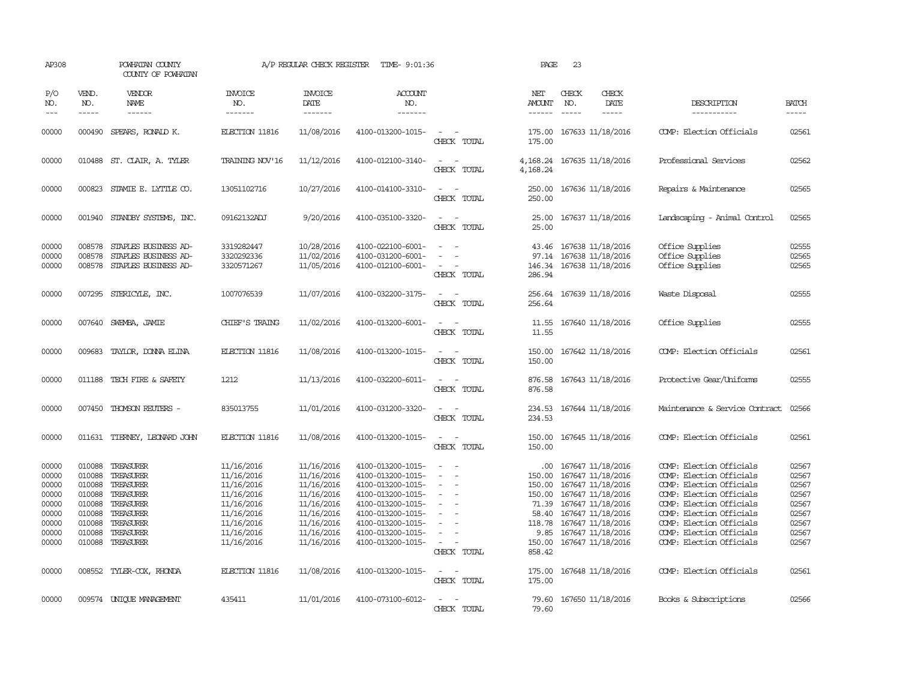| AP308                                                                         |                                                                                        | POWHATAN COUNTY<br>COUNTY OF POWHATAN                                                                             |                                                                                                                            | A/P REGULAR CHECK REGISTER                                                                                                 | TIME- 9:01:36                                                                                                                                                                             |                                                                                                                             | PAGE                                                                                     | 23           |                                                                                                                                                                                                 |                                                                                                                                                                                                                                                          |                                                                               |
|-------------------------------------------------------------------------------|----------------------------------------------------------------------------------------|-------------------------------------------------------------------------------------------------------------------|----------------------------------------------------------------------------------------------------------------------------|----------------------------------------------------------------------------------------------------------------------------|-------------------------------------------------------------------------------------------------------------------------------------------------------------------------------------------|-----------------------------------------------------------------------------------------------------------------------------|------------------------------------------------------------------------------------------|--------------|-------------------------------------------------------------------------------------------------------------------------------------------------------------------------------------------------|----------------------------------------------------------------------------------------------------------------------------------------------------------------------------------------------------------------------------------------------------------|-------------------------------------------------------------------------------|
| P/O<br>NO.<br>$\frac{1}{2}$                                                   | VEND.<br>NO.<br>$- - - - -$                                                            | VENDOR<br>NAME<br>------                                                                                          | <b>INVOICE</b><br>NO.<br>-------                                                                                           | <b>INVOICE</b><br>DATE<br>-------                                                                                          | <b>ACCOUNT</b><br>NO.<br>-------                                                                                                                                                          |                                                                                                                             | NET<br>AMOUNT<br>------                                                                  | CHECK<br>NO. | CHECK<br>DATE<br>$- - - - -$                                                                                                                                                                    | DESCRIPTION<br>-----------                                                                                                                                                                                                                               | <b>BATCH</b><br>-----                                                         |
| 00000                                                                         | 000490                                                                                 | SPEARS, RONALD K.                                                                                                 | ELECTION 11816                                                                                                             | 11/08/2016                                                                                                                 | 4100-013200-1015-                                                                                                                                                                         | $\overline{\phantom{a}}$<br>CHECK TOTAL                                                                                     | 175.00<br>175.00                                                                         |              | 167633 11/18/2016                                                                                                                                                                               | COMP: Election Officials                                                                                                                                                                                                                                 | 02561                                                                         |
| 00000                                                                         |                                                                                        | 010488 ST. CLAIR, A. TYLER                                                                                        | TRAINING NOV'16                                                                                                            | 11/12/2016                                                                                                                 | 4100-012100-3140-                                                                                                                                                                         | $\sim$<br>CHECK TOTAL                                                                                                       | 4,168.24                                                                                 |              | 4, 168.24 167635 11/18/2016                                                                                                                                                                     | Professional Services                                                                                                                                                                                                                                    | 02562                                                                         |
| 00000                                                                         |                                                                                        | 000823 STAMIE E. LYTTLE CO.                                                                                       | 13051102716                                                                                                                | 10/27/2016                                                                                                                 | 4100-014100-3310-                                                                                                                                                                         | $\sim$ $\sim$<br>CHECK TOTAL                                                                                                | 250.00<br>250.00                                                                         |              | 167636 11/18/2016                                                                                                                                                                               | Repairs & Maintenance                                                                                                                                                                                                                                    | 02565                                                                         |
| 00000                                                                         |                                                                                        | 001940 STANDBY SYSTEMS, INC.                                                                                      | 09162132ADJ                                                                                                                | 9/20/2016                                                                                                                  | 4100-035100-3320-                                                                                                                                                                         | $\sim$ $\sim$<br>$\sim$<br>CHECK TOTAL                                                                                      | 25.00<br>25.00                                                                           |              | 167637 11/18/2016                                                                                                                                                                               | Landscaping - Animal Control                                                                                                                                                                                                                             | 02565                                                                         |
| 00000<br>00000<br>00000                                                       | 008578<br>008578                                                                       | STAPLES BUSINESS AD-<br>STAPLES BUSINESS AD-<br>008578 STAPLES BUSINESS AD-                                       | 3319282447<br>3320292336<br>3320571267                                                                                     | 10/28/2016<br>11/02/2016<br>11/05/2016                                                                                     | 4100-022100-6001-<br>4100-031200-6001-<br>4100-012100-6001-                                                                                                                               | $\overline{\phantom{a}}$<br>$\equiv$<br>CHECK TOTAL                                                                         | 43.46<br>97.14<br>146.34<br>286.94                                                       |              | 167638 11/18/2016<br>167638 11/18/2016<br>167638 11/18/2016                                                                                                                                     | Office Supplies<br>Office Supplies<br>Office Supplies                                                                                                                                                                                                    | 02555<br>02565<br>02565                                                       |
| 00000                                                                         |                                                                                        | 007295 STERICYLE, INC.                                                                                            | 1007076539                                                                                                                 | 11/07/2016                                                                                                                 | 4100-032200-3175-                                                                                                                                                                         | $\equiv$<br>CHECK TOTAL                                                                                                     | 256.64                                                                                   |              | 256.64 167639 11/18/2016                                                                                                                                                                        | Waste Disposal                                                                                                                                                                                                                                           | 02555                                                                         |
| 00000                                                                         |                                                                                        | 007640 SWEMBA, JAMIE                                                                                              | CHIEF'S TRAING                                                                                                             | 11/02/2016                                                                                                                 | 4100-013200-6001-                                                                                                                                                                         | $ -$<br>CHECK TOTAL                                                                                                         | 11.55<br>11.55                                                                           |              | 167640 11/18/2016                                                                                                                                                                               | Office Supplies                                                                                                                                                                                                                                          | 02555                                                                         |
| 00000                                                                         | 009683                                                                                 | TAYLOR, DONNA ELINA                                                                                               | ELECTION 11816                                                                                                             | 11/08/2016                                                                                                                 | 4100-013200-1015-                                                                                                                                                                         | $\sim$<br>$\sim$<br>CHECK TOTAL                                                                                             | 150.00<br>150.00                                                                         |              | 167642 11/18/2016                                                                                                                                                                               | COMP: Election Officials                                                                                                                                                                                                                                 | 02561                                                                         |
| 00000                                                                         | 011188                                                                                 | TECH FIRE & SAFETY                                                                                                | 1212                                                                                                                       | 11/13/2016                                                                                                                 | 4100-032200-6011-                                                                                                                                                                         | $\overline{\phantom{a}}$<br>CHECK TOTAL                                                                                     | 876.58<br>876.58                                                                         |              | 167643 11/18/2016                                                                                                                                                                               | Protective Gear/Uniforms                                                                                                                                                                                                                                 | 02555                                                                         |
| 00000                                                                         | 007450                                                                                 | THOMSON REUTERS -                                                                                                 | 835013755                                                                                                                  | 11/01/2016                                                                                                                 | 4100-031200-3320-                                                                                                                                                                         | $\sim$<br>CHECK TOTAL                                                                                                       | 234.53<br>234.53                                                                         |              | 167644 11/18/2016                                                                                                                                                                               | Maintenance & Service Contract                                                                                                                                                                                                                           | 02566                                                                         |
| 00000                                                                         | 011631                                                                                 | TIERNEY, LEONARD JOHN                                                                                             | ELECTION 11816                                                                                                             | 11/08/2016                                                                                                                 | 4100-013200-1015-                                                                                                                                                                         | $\sim$<br>$\sim$<br>CHECK TOTAL                                                                                             | 150.00<br>150.00                                                                         |              | 167645 11/18/2016                                                                                                                                                                               | COMP: Election Officials                                                                                                                                                                                                                                 | 02561                                                                         |
| 00000<br>00000<br>00000<br>00000<br>00000<br>00000<br>00000<br>00000<br>00000 | 010088<br>010088<br>010088<br>010088<br>010088<br>010088<br>010088<br>010088<br>010088 | TREASURER<br>TREASURER<br>TREASURER<br>TREASURER<br>TREASURER<br>TREASURER<br>TREASURER<br>TREASURER<br>TREASURER | 11/16/2016<br>11/16/2016<br>11/16/2016<br>11/16/2016<br>11/16/2016<br>11/16/2016<br>11/16/2016<br>11/16/2016<br>11/16/2016 | 11/16/2016<br>11/16/2016<br>11/16/2016<br>11/16/2016<br>11/16/2016<br>11/16/2016<br>11/16/2016<br>11/16/2016<br>11/16/2016 | 4100-013200-1015-<br>4100-013200-1015-<br>4100-013200-1015-<br>4100-013200-1015-<br>4100-013200-1015-<br>4100-013200-1015-<br>4100-013200-1015-<br>4100-013200-1015-<br>4100-013200-1015- | $\sim$<br>$\equiv$<br>$\equiv$<br>$\sim$<br>$\equiv$<br>$\overline{\phantom{a}}$<br>$\overline{\phantom{a}}$<br>CHECK TOTAL | $.00 \cdot$<br>150.00<br>150.00<br>150.00<br>58.40<br>118.78<br>9.85<br>150.00<br>858.42 |              | 167647 11/18/2016<br>167647 11/18/2016<br>167647 11/18/2016<br>167647 11/18/2016<br>71.39 167647 11/18/2016<br>167647 11/18/2016<br>167647 11/18/2016<br>167647 11/18/2016<br>167647 11/18/2016 | COMP: Election Officials<br>COMP: Election Officials<br>COMP: Election Officials<br>COMP: Election Officials<br>COMP: Election Officials<br>COMP: Election Officials<br>COMP: Election Officials<br>COMP: Election Officials<br>COMP: Election Officials | 02567<br>02567<br>02567<br>02567<br>02567<br>02567<br>02567<br>02567<br>02567 |
| 00000                                                                         |                                                                                        | 008552 TYLER-COX, RHONDA                                                                                          | ELECTION 11816                                                                                                             | 11/08/2016                                                                                                                 | 4100-013200-1015-                                                                                                                                                                         | $\frac{1}{2} \left( \frac{1}{2} \right) \left( \frac{1}{2} \right) = \frac{1}{2} \left( \frac{1}{2} \right)$<br>CHECK TOTAL | 175.00<br>175.00                                                                         |              | 167648 11/18/2016                                                                                                                                                                               | COMP: Election Officials                                                                                                                                                                                                                                 | 02561                                                                         |
| 00000                                                                         |                                                                                        | 009574 UNIOUE MANAGEMENT                                                                                          | 435411                                                                                                                     | 11/01/2016                                                                                                                 | 4100-073100-6012-                                                                                                                                                                         | CHECK TOTAL                                                                                                                 | 79.60<br>79.60                                                                           |              | 167650 11/18/2016                                                                                                                                                                               | Books & Subscriptions                                                                                                                                                                                                                                    | 02566                                                                         |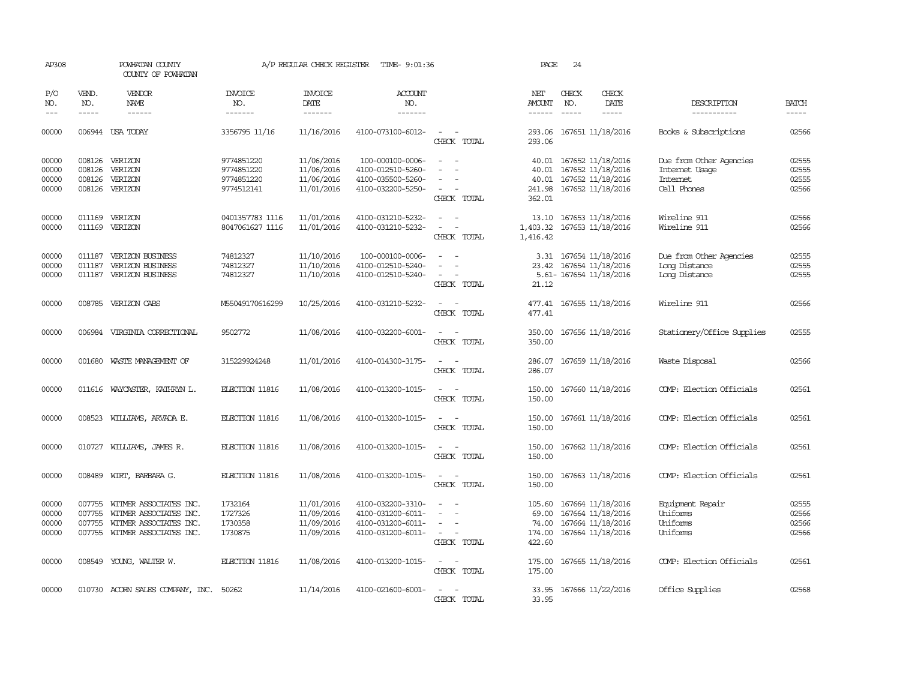| AP308                            |                             | POWHATAN COUNTY<br>COUNTY OF POWHATAN                                                                       |                                                      | A/P REGULAR CHECK REGISTER                           | TIME- 9:01:36                                                                    |                                                                                                                             | PAGE                                         | 24                            |                                                                                  |                                                                             |                                  |
|----------------------------------|-----------------------------|-------------------------------------------------------------------------------------------------------------|------------------------------------------------------|------------------------------------------------------|----------------------------------------------------------------------------------|-----------------------------------------------------------------------------------------------------------------------------|----------------------------------------------|-------------------------------|----------------------------------------------------------------------------------|-----------------------------------------------------------------------------|----------------------------------|
| P/O<br>NO.<br>$---$              | VEND.<br>NO.<br>$- - - - -$ | <b>VENDOR</b><br>NAME<br>$- - - - - -$                                                                      | <b>INVOICE</b><br>NO.<br>-------                     | <b>INVOICE</b><br><b>DATE</b><br>-------             | <b>ACCOUNT</b><br>NO.<br>-------                                                 |                                                                                                                             | NET<br><b>AMOUNT</b><br>------               | CHECK<br>NO.<br>$\frac{1}{2}$ | CHECK<br>DATE<br>-----                                                           | DESCRIPTION<br>-----------                                                  | <b>BATCH</b><br>$- - - - -$      |
| 00000                            |                             | 006944 USA TODAY                                                                                            | 3356795 11/16                                        | 11/16/2016                                           | 4100-073100-6012-                                                                | $\sim$<br>CHECK TOTAL                                                                                                       | 293.06<br>293.06                             |                               | 167651 11/18/2016                                                                | Books & Subscriptions                                                       | 02566                            |
| 00000<br>00000<br>00000<br>00000 | 008126<br>008126<br>008126  | 008126 VERIZON<br>VERIZON<br>VERIZON<br>VERIZON                                                             | 9774851220<br>9774851220<br>9774851220<br>9774512141 | 11/06/2016<br>11/06/2016<br>11/06/2016<br>11/01/2016 | 100-000100-0006-<br>4100-012510-5260-<br>4100-035500-5260-<br>4100-032200-5250-  | $\equiv$<br>$\equiv$<br>$\equiv$<br>CHECK TOTAL                                                                             | 40.01<br>40.01<br>40.01<br>241.98<br>362.01  |                               | 167652 11/18/2016<br>167652 11/18/2016<br>167652 11/18/2016<br>167652 11/18/2016 | Due from Other Agencies<br>Internet Usage<br><b>Internet</b><br>Cell Phones | 02555<br>02555<br>02555<br>02566 |
| 00000<br>00000                   |                             | 011169 VERIZON<br>011169 VERIZON                                                                            | 0401357783 1116<br>8047061627 1116                   | 11/01/2016<br>11/01/2016                             | 4100-031210-5232-<br>4100-031210-5232-                                           | $\sim$<br>$\sim$<br>$\overline{\phantom{a}}$<br>$\overline{\phantom{a}}$<br>CHECK TOTAL                                     | 1,403.32<br>1,416.42                         |                               | 13.10 167653 11/18/2016<br>167653 11/18/2016                                     | Wireline 911<br>Wireline 911                                                | 02566<br>02566                   |
| 00000<br>00000<br>00000          | 011187<br>011187            | VERIZON BUSINESS<br><b>VERIZON BUSINESS</b><br>011187 VERIZON BUSINESS                                      | 74812327<br>74812327<br>74812327                     | 11/10/2016<br>11/10/2016<br>11/10/2016               | 100-000100-0006-<br>4100-012510-5240-<br>4100-012510-5240-                       | $\equiv$<br>$\equiv$<br>$\sim$<br>CHECK TOTAL                                                                               | 3.31<br>21.12                                |                               | 167654 11/18/2016<br>23.42 167654 11/18/2016<br>5.61- 167654 11/18/2016          | Due from Other Agencies<br>Long Distance<br>Long Distance                   | 02555<br>02555<br>02555          |
| 00000                            |                             | 008785 VERIZON CABS                                                                                         | M55049170616299                                      | 10/25/2016                                           | 4100-031210-5232-                                                                | $\sim$ $\sim$<br>CHECK TOTAL                                                                                                | 477.41                                       |                               | 477.41 167655 11/18/2016                                                         | Wireline 911                                                                | 02566                            |
| 00000                            |                             | 006984 VIRGINIA CORRECTIONAL                                                                                | 9502772                                              | 11/08/2016                                           | 4100-032200-6001-                                                                | $\overline{\phantom{a}}$<br>$\sim$<br>CHECK TOTAL                                                                           | 350.00<br>350.00                             |                               | 167656 11/18/2016                                                                | Stationery/Office Supplies                                                  | 02555                            |
| 00000                            | 001680                      | WASTE MANAGEMENT OF                                                                                         | 315229924248                                         | 11/01/2016                                           | 4100-014300-3175-                                                                | $\sim$ $\sim$<br>CHECK TOTAL                                                                                                | 286.07<br>286.07                             |                               | 167659 11/18/2016                                                                | Waste Disposal                                                              | 02566                            |
| 00000                            |                             | 011616 WAYCASTER, KATHRYN L.                                                                                | ELECTION 11816                                       | 11/08/2016                                           | 4100-013200-1015-                                                                | $\sim$<br>$\overline{\phantom{a}}$<br>CHECK TOTAL                                                                           | 150.00<br>150.00                             |                               | 167660 11/18/2016                                                                | COMP: Election Officials                                                    | 02561                            |
| 00000                            | 008523                      | WILLIAMS, ARVADA E.                                                                                         | ELECTION 11816                                       | 11/08/2016                                           | 4100-013200-1015-                                                                | CHECK TOTAL                                                                                                                 | 150.00<br>150.00                             |                               | 167661 11/18/2016                                                                | COMP: Election Officials                                                    | 02561                            |
| 00000                            | 010727                      | WILLIAMS, JAMES R.                                                                                          | ELECTION 11816                                       | 11/08/2016                                           | 4100-013200-1015-                                                                | $\sim$<br>$\sim$<br>CHECK TOTAL                                                                                             | 150.00<br>150.00                             |                               | 167662 11/18/2016                                                                | COMP: Election Officials                                                    | 02561                            |
| 00000                            |                             | 008489 WIRT, BARBARA G.                                                                                     | ELECTION 11816                                       | 11/08/2016                                           | 4100-013200-1015-                                                                | $\sim$<br>$\sim$<br>CHECK TOTAL                                                                                             | 150.00<br>150.00                             |                               | 167663 11/18/2016                                                                | COMP: Election Officials                                                    | 02561                            |
| 00000<br>00000<br>00000<br>00000 | 007755<br>007755<br>007755  | WITMER ASSOCIATES INC.<br>WITMER ASSOCIATES INC.<br>WITMER ASSOCIATES INC.<br>007755 WITMER ASSOCIATES INC. | 1732164<br>1727326<br>1730358<br>1730875             | 11/01/2016<br>11/09/2016<br>11/09/2016<br>11/09/2016 | 4100-032200-3310-<br>4100-031200-6011-<br>4100-031200-6011-<br>4100-031200-6011- | $\equiv$<br>$\overline{\phantom{a}}$<br>CHECK TOTAL                                                                         | 105.60<br>69.00<br>74.00<br>174.00<br>422.60 |                               | 167664 11/18/2016<br>167664 11/18/2016<br>167664 11/18/2016<br>167664 11/18/2016 | Equipment Repair<br>Uniforms<br>Uniforms<br>Uniforms                        | 02555<br>02566<br>02566<br>02566 |
| 00000                            |                             | 008549 YOUNG, WALTER W.                                                                                     | ELECTION 11816                                       | 11/08/2016                                           | 4100-013200-1015-                                                                | $\frac{1}{2} \left( \frac{1}{2} \right) \left( \frac{1}{2} \right) = \frac{1}{2} \left( \frac{1}{2} \right)$<br>CHECK TOTAL | 175.00<br>175.00                             |                               | 167665 11/18/2016                                                                | COMP: Election Officials                                                    | 02561                            |
| 00000                            |                             | 010730 ACORN SALES COMPANY, INC.                                                                            | 50262                                                | 11/14/2016                                           | 4100-021600-6001-                                                                | CHECK TOTAL                                                                                                                 | 33.95<br>33.95                               |                               | 167666 11/22/2016                                                                | Office Supplies                                                             | 02568                            |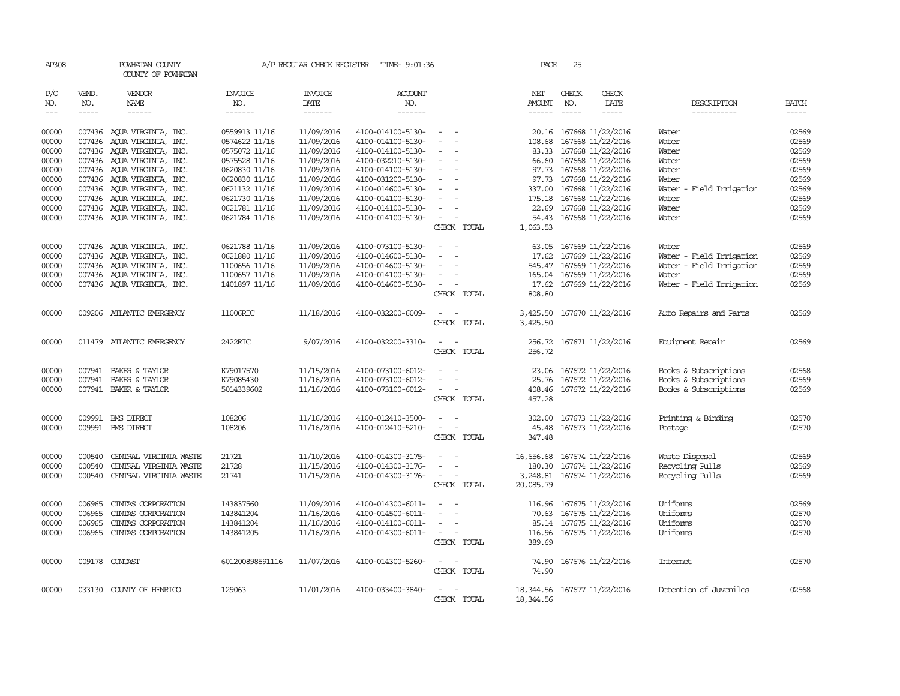| AP308                                     |                                      | POWHATAN COUNTY<br>COUNTY OF POWHATAN                                                                                                                                                                                                                                                                                                                                                                                                                                            |                                                                                   | A/P REGULAR CHECK REGISTER                                         | TIME- 9:01:36                                                                                         |                                                                                                 | PAGE                                                                                                                                                                                                                                                                                                                                                                                                                                                                                                        | 25           |                                                                                                                                                                                                                                                                                                                                                                                                                                                                                                      |                                                                                                    |                                                                                                                                                                                                                                                                                                                                                                                                                                                                                               |
|-------------------------------------------|--------------------------------------|----------------------------------------------------------------------------------------------------------------------------------------------------------------------------------------------------------------------------------------------------------------------------------------------------------------------------------------------------------------------------------------------------------------------------------------------------------------------------------|-----------------------------------------------------------------------------------|--------------------------------------------------------------------|-------------------------------------------------------------------------------------------------------|-------------------------------------------------------------------------------------------------|-------------------------------------------------------------------------------------------------------------------------------------------------------------------------------------------------------------------------------------------------------------------------------------------------------------------------------------------------------------------------------------------------------------------------------------------------------------------------------------------------------------|--------------|------------------------------------------------------------------------------------------------------------------------------------------------------------------------------------------------------------------------------------------------------------------------------------------------------------------------------------------------------------------------------------------------------------------------------------------------------------------------------------------------------|----------------------------------------------------------------------------------------------------|-----------------------------------------------------------------------------------------------------------------------------------------------------------------------------------------------------------------------------------------------------------------------------------------------------------------------------------------------------------------------------------------------------------------------------------------------------------------------------------------------|
| P/O<br>NO.<br>$\qquad \qquad - -$         | VEND.<br>NO.<br>$- - - - -$          | VENDOR<br><b>NAME</b><br>$\begin{tabular}{ccccc} \multicolumn{2}{c }{\multicolumn{2}{c }{\multicolumn{2}{c }{\multicolumn{2}{c}}{\hspace{-2.2cm}}}} \multicolumn{2}{c }{\multicolumn{2}{c }{\hspace{-2.2cm}}\hline} \multicolumn{2}{c }{\hspace{-2.2cm}}\hline \multicolumn{2}{c }{\hspace{-2.2cm}}\hline \multicolumn{2}{c }{\hspace{-2.2cm}}\hline \multicolumn{2}{c }{\hspace{-2.2cm}}\hline \multicolumn{2}{c }{\hspace{-2.2cm}}\hline \multicolumn{2}{c }{\hspace{-2.2cm}}$ | <b>INVOICE</b><br>NO.<br>-------                                                  | <b>INVOICE</b><br>DATE<br>-------                                  | <b>ACCOUNT</b><br>NO.<br>-------                                                                      |                                                                                                 | NET<br>AMOUNT<br>$\begin{tabular}{ccccc} \multicolumn{2}{c} {\textbf{1}} & \multicolumn{2}{c} {\textbf{2}} & \multicolumn{2}{c} {\textbf{3}} & \multicolumn{2}{c} {\textbf{4}} & \multicolumn{2}{c} {\textbf{5}} & \multicolumn{2}{c} {\textbf{6}} & \multicolumn{2}{c} {\textbf{7}} & \multicolumn{2}{c} {\textbf{8}} & \multicolumn{2}{c} {\textbf{9}} & \multicolumn{2}{c} {\textbf{1}} & \multicolumn{2}{c} {\textbf{1}} & \multicolumn{2}{c} {\textbf{1}} & \multicolumn{2}{c} {\textbf{1}} & \multic$ | CHECK<br>NO. | CHECK<br>DATE<br>$\begin{tabular}{ccccc} \multicolumn{2}{c}{} & \multicolumn{2}{c}{} & \multicolumn{2}{c}{} & \multicolumn{2}{c}{} & \multicolumn{2}{c}{} & \multicolumn{2}{c}{} & \multicolumn{2}{c}{} & \multicolumn{2}{c}{} & \multicolumn{2}{c}{} & \multicolumn{2}{c}{} & \multicolumn{2}{c}{} & \multicolumn{2}{c}{} & \multicolumn{2}{c}{} & \multicolumn{2}{c}{} & \multicolumn{2}{c}{} & \multicolumn{2}{c}{} & \multicolumn{2}{c}{} & \multicolumn{2}{c}{} & \multicolumn{2}{c}{} & \mult$ | DESCRIPTION<br>-----------                                                                         | <b>BATCH</b><br>$\begin{tabular}{ccccc} \multicolumn{2}{c }{\multicolumn{2}{c }{\multicolumn{2}{c }{\multicolumn{2}{c}}}{\multicolumn{2}{c }{\multicolumn{2}{c}}}\end{tabular} \end{tabular} \begin{tabular}{c c }{\multicolumn{2}{c }{\multicolumn{2}{c }{\multicolumn{2}{c}}}{\multicolumn{2}{c }{\multicolumn{2}{c}}}{\multicolumn{2}{c }{\multicolumn{2}{c}}}{\multicolumn{2}{c }{\multicolumn{2}{c}}}{\end{tabular} \begin{tabular}{c c }{\multicolumn{2}{c }{\multicolumn{2}{c }{\mult$ |
| 00000<br>00000<br>00000                   | 007436                               | 007436 AOUA VIRGINIA, INC.<br>AQUA VIRGINIA, INC.<br>007436 AQUA VIRGINIA, INC.                                                                                                                                                                                                                                                                                                                                                                                                  | 0559913 11/16<br>0574622 11/16<br>0575072 11/16                                   | 11/09/2016<br>11/09/2016<br>11/09/2016                             | 4100-014100-5130-<br>4100-014100-5130-<br>4100-014100-5130-                                           | $\sim$<br>$\equiv$                                                                              | 108.68<br>83.33                                                                                                                                                                                                                                                                                                                                                                                                                                                                                             |              | 20.16 167668 11/22/2016<br>167668 11/22/2016<br>167668 11/22/2016                                                                                                                                                                                                                                                                                                                                                                                                                                    | Water<br>Water<br>Water                                                                            | 02569<br>02569<br>02569                                                                                                                                                                                                                                                                                                                                                                                                                                                                       |
| 00000<br>00000<br>00000                   |                                      | 007436 AQUA VIRGINIA, INC.<br>007436 AQUA VIRGINIA, INC.<br>007436 AQUA VIRGINIA, INC.                                                                                                                                                                                                                                                                                                                                                                                           | 0575528 11/16<br>0620830 11/16<br>0620830 11/16                                   | 11/09/2016<br>11/09/2016<br>11/09/2016                             | 4100-032210-5130-<br>4100-014100-5130-<br>4100-031200-5130-                                           | $\overline{\phantom{a}}$                                                                        | 66.60<br>97.73                                                                                                                                                                                                                                                                                                                                                                                                                                                                                              |              | 167668 11/22/2016<br>167668 11/22/2016<br>97.73 167668 11/22/2016                                                                                                                                                                                                                                                                                                                                                                                                                                    | Water<br>Water<br>Water                                                                            | 02569<br>02569<br>02569                                                                                                                                                                                                                                                                                                                                                                                                                                                                       |
| 00000<br>00000<br>00000                   | 007436<br>007436                     | AQUA VIRGINIA, INC.<br>AQUA VIRGINIA, INC.<br>007436 AQUA VIRGINIA, INC.                                                                                                                                                                                                                                                                                                                                                                                                         | 0621132 11/16<br>0621730 11/16<br>0621781 11/16                                   | 11/09/2016<br>11/09/2016<br>11/09/2016                             | 4100-014600-5130-<br>4100-014100-5130-<br>4100-014100-5130-                                           | $\overline{\phantom{a}}$<br>$\overline{\phantom{a}}$                                            | 337.00<br>175.18<br>22.69                                                                                                                                                                                                                                                                                                                                                                                                                                                                                   |              | 167668 11/22/2016<br>167668 11/22/2016<br>167668 11/22/2016                                                                                                                                                                                                                                                                                                                                                                                                                                          | Water - Field Irrigation<br>Water<br>Water                                                         | 02569<br>02569<br>02569                                                                                                                                                                                                                                                                                                                                                                                                                                                                       |
| 00000                                     |                                      | 007436 AQUA VIRGINIA, INC.                                                                                                                                                                                                                                                                                                                                                                                                                                                       | 0621784 11/16                                                                     | 11/09/2016                                                         | 4100-014100-5130-                                                                                     | $\equiv$<br>CHECK TOTAL                                                                         | 54.43<br>1,063.53                                                                                                                                                                                                                                                                                                                                                                                                                                                                                           |              | 167668 11/22/2016                                                                                                                                                                                                                                                                                                                                                                                                                                                                                    | Water                                                                                              | 02569                                                                                                                                                                                                                                                                                                                                                                                                                                                                                         |
| 00000<br>00000<br>00000<br>00000<br>00000 | 007436                               | 007436 AQUA VIRGINIA, INC.<br>AQUA VIRGINIA, INC.<br>007436 AQUA VIRGINIA, INC.<br>007436 AQUA VIRGINIA, INC.<br>007436 AQUA VIRGINIA, INC.                                                                                                                                                                                                                                                                                                                                      | 0621788 11/16<br>0621880 11/16<br>1100656 11/16<br>1100657 11/16<br>1401897 11/16 | 11/09/2016<br>11/09/2016<br>11/09/2016<br>11/09/2016<br>11/09/2016 | 4100-073100-5130-<br>4100-014600-5130-<br>4100-014600-5130-<br>4100-014100-5130-<br>4100-014600-5130- | $\overline{\phantom{a}}$<br>$\sim$<br>$\sim$<br>$\overline{\phantom{a}}$<br>CHECK TOTAL         | 63.05<br>17.62<br>545.47<br>165.04<br>17.62<br>808.80                                                                                                                                                                                                                                                                                                                                                                                                                                                       |              | 167669 11/22/2016<br>167669 11/22/2016<br>167669 11/22/2016<br>167669 11/22/2016<br>167669 11/22/2016                                                                                                                                                                                                                                                                                                                                                                                                | Water<br>Water - Field Irrigation<br>Water - Field Irrigation<br>Water<br>Water - Field Irrigation | 02569<br>02569<br>02569<br>02569<br>02569                                                                                                                                                                                                                                                                                                                                                                                                                                                     |
| 00000                                     |                                      | 009206 ATLANTIC EMERGENCY                                                                                                                                                                                                                                                                                                                                                                                                                                                        | 11006RIC                                                                          | 11/18/2016                                                         | 4100-032200-6009-                                                                                     | $\overline{\phantom{a}}$<br>CHECK TOTAL                                                         | 3,425.50<br>3,425.50                                                                                                                                                                                                                                                                                                                                                                                                                                                                                        |              | 167670 11/22/2016                                                                                                                                                                                                                                                                                                                                                                                                                                                                                    | Auto Repairs and Parts                                                                             | 02569                                                                                                                                                                                                                                                                                                                                                                                                                                                                                         |
| 00000                                     |                                      | 011479 ATLANTIC EMERGENCY                                                                                                                                                                                                                                                                                                                                                                                                                                                        | 2422RIC                                                                           | 9/07/2016                                                          | 4100-032200-3310-                                                                                     | CHECK TOTAL                                                                                     | 256.72<br>256.72                                                                                                                                                                                                                                                                                                                                                                                                                                                                                            |              | 167671 11/22/2016                                                                                                                                                                                                                                                                                                                                                                                                                                                                                    | Equipment Repair                                                                                   | 02569                                                                                                                                                                                                                                                                                                                                                                                                                                                                                         |
| 00000<br>00000<br>00000                   | 007941<br>007941                     | BAKER & TAYLOR<br>BAKER & TAYLOR<br>007941 BAKER & TAYLOR                                                                                                                                                                                                                                                                                                                                                                                                                        | K79017570<br>K79085430<br>5014339602                                              | 11/15/2016<br>11/16/2016<br>11/16/2016                             | 4100-073100-6012-<br>4100-073100-6012-<br>4100-073100-6012-                                           | $\overline{\phantom{a}}$<br>CHECK TOTAL                                                         | 23.06<br>25.76<br>457.28                                                                                                                                                                                                                                                                                                                                                                                                                                                                                    |              | 167672 11/22/2016<br>167672 11/22/2016<br>408.46 167672 11/22/2016                                                                                                                                                                                                                                                                                                                                                                                                                                   | Books & Subscriptions<br>Books & Subscriptions<br>Books & Subscriptions                            | 02568<br>02569<br>02569                                                                                                                                                                                                                                                                                                                                                                                                                                                                       |
| 00000<br>00000                            |                                      | 009991 BMS DIRECT<br>009991 BMS DIRECT                                                                                                                                                                                                                                                                                                                                                                                                                                           | 108206<br>108206                                                                  | 11/16/2016<br>11/16/2016                                           | 4100-012410-3500-<br>4100-012410-5210-                                                                | CHECK TOTAL                                                                                     | 302.00<br>45.48<br>347.48                                                                                                                                                                                                                                                                                                                                                                                                                                                                                   |              | 167673 11/22/2016<br>167673 11/22/2016                                                                                                                                                                                                                                                                                                                                                                                                                                                               | Printing & Binding<br>Postage                                                                      | 02570<br>02570                                                                                                                                                                                                                                                                                                                                                                                                                                                                                |
| 00000<br>00000<br>00000                   | 000540<br>000540<br>000540           | CENTRAL VIRGINIA WASTE<br>CENTRAL VIRGINIA WASTE<br>CENTRAL VIRGINIA WASTE                                                                                                                                                                                                                                                                                                                                                                                                       | 21721<br>21728<br>21741                                                           | 11/10/2016<br>11/15/2016<br>11/15/2016                             | 4100-014300-3175-<br>4100-014300-3176-<br>4100-014300-3176-                                           | $\overline{\phantom{a}}$<br>$\overline{\phantom{a}}$<br>$\overline{\phantom{a}}$<br>CHECK TOTAL | 16,656.68<br>180.30<br>3,248.81<br>20,085.79                                                                                                                                                                                                                                                                                                                                                                                                                                                                |              | 167674 11/22/2016<br>167674 11/22/2016<br>167674 11/22/2016                                                                                                                                                                                                                                                                                                                                                                                                                                          | Waste Disposal<br>Recycling Pulls<br>Recycling Pulls                                               | 02569<br>02569<br>02569                                                                                                                                                                                                                                                                                                                                                                                                                                                                       |
| 00000<br>00000<br>00000<br>00000          | 006965<br>006965<br>006965<br>006965 | CINIAS CORPORATION<br>CINIAS CORPORATION<br>CINIAS CORPORATION<br>CINIAS CORPORATION                                                                                                                                                                                                                                                                                                                                                                                             | 143837560<br>143841204<br>143841204<br>143841205                                  | 11/09/2016<br>11/16/2016<br>11/16/2016<br>11/16/2016               | 4100-014300-6011-<br>4100-014500-6011-<br>4100-014100-6011-<br>4100-014300-6011-                      | $\equiv$<br>$\overline{\phantom{a}}$<br>CHECK TOTAL                                             | 116.96<br>70.63<br>85.14<br>116.96<br>389.69                                                                                                                                                                                                                                                                                                                                                                                                                                                                |              | 167675 11/22/2016<br>167675 11/22/2016<br>167675 11/22/2016<br>167675 11/22/2016                                                                                                                                                                                                                                                                                                                                                                                                                     | Uniforms<br>Uniforms<br>Uniforms<br>Uniforms                                                       | 02569<br>02570<br>02570<br>02570                                                                                                                                                                                                                                                                                                                                                                                                                                                              |
| 00000                                     |                                      | 009178 COMCAST                                                                                                                                                                                                                                                                                                                                                                                                                                                                   | 601200898591116                                                                   | 11/07/2016                                                         | 4100-014300-5260-                                                                                     | $\overline{\phantom{a}}$<br>CHECK TOTAL                                                         | 74.90<br>74.90                                                                                                                                                                                                                                                                                                                                                                                                                                                                                              |              | 167676 11/22/2016                                                                                                                                                                                                                                                                                                                                                                                                                                                                                    | Internet                                                                                           | 02570                                                                                                                                                                                                                                                                                                                                                                                                                                                                                         |
| 00000                                     |                                      | 033130 COUNTY OF HENRICO                                                                                                                                                                                                                                                                                                                                                                                                                                                         | 129063                                                                            | 11/01/2016                                                         | 4100-033400-3840-                                                                                     | CHECK TOTAL                                                                                     | 18, 344.56 167677 11/22/2016<br>18,344.56                                                                                                                                                                                                                                                                                                                                                                                                                                                                   |              |                                                                                                                                                                                                                                                                                                                                                                                                                                                                                                      | Detention of Juveniles                                                                             | 02568                                                                                                                                                                                                                                                                                                                                                                                                                                                                                         |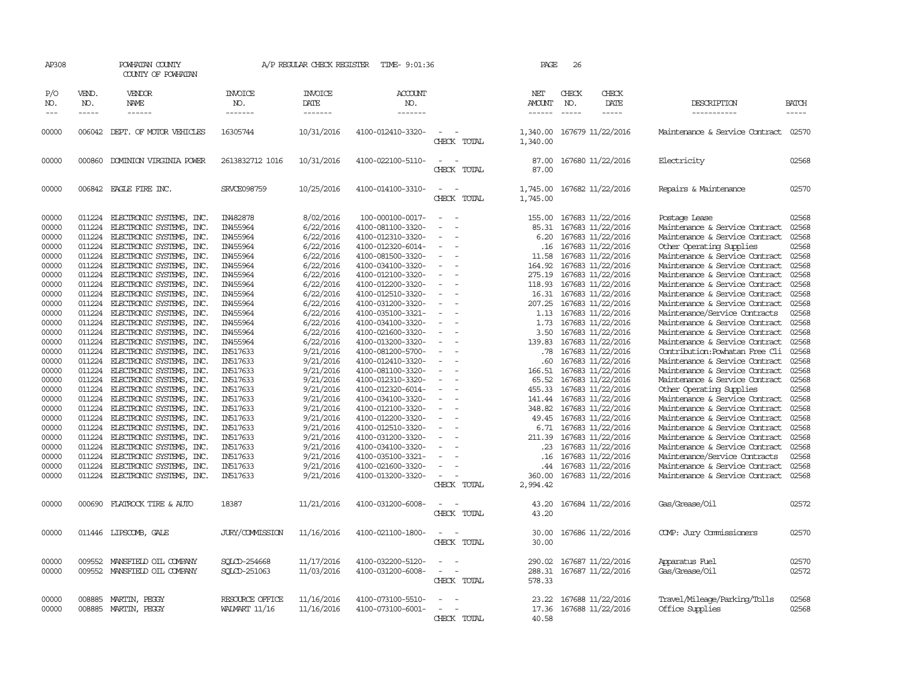| AP308                                                                                                                                                                                                                                  |                                                                                                                                                                                                                                                        | POWHATAN COUNTY<br>COUNTY OF POWHATAN                                                                                                                                                                                                                                                                                                                                                                                                                                                                                                                                                                                                                                                                                                                                   |                                                                                                                                                                                                                                                                                                                      | A/P REGULAR CHECK REGISTER                                                                                                                                                                                                                                                                                                                     | TIME- 9:01:36                                                                                                                                                                                                                                                                                                                                                                                                                                                                                                                                                 |                                                            | PAGE                                                                                                                                                                                                                               | 26           |                                                                                                                                                                                                                                                                                                                                                                                                                                                                                                                                                                |                                                                                                                                                                                                                                                                                                                                                                                                                                                                                                                                                                                                                                                                                                                                                                                                                                                                                    |                                                                                                                                                                                                                                        |
|----------------------------------------------------------------------------------------------------------------------------------------------------------------------------------------------------------------------------------------|--------------------------------------------------------------------------------------------------------------------------------------------------------------------------------------------------------------------------------------------------------|-------------------------------------------------------------------------------------------------------------------------------------------------------------------------------------------------------------------------------------------------------------------------------------------------------------------------------------------------------------------------------------------------------------------------------------------------------------------------------------------------------------------------------------------------------------------------------------------------------------------------------------------------------------------------------------------------------------------------------------------------------------------------|----------------------------------------------------------------------------------------------------------------------------------------------------------------------------------------------------------------------------------------------------------------------------------------------------------------------|------------------------------------------------------------------------------------------------------------------------------------------------------------------------------------------------------------------------------------------------------------------------------------------------------------------------------------------------|---------------------------------------------------------------------------------------------------------------------------------------------------------------------------------------------------------------------------------------------------------------------------------------------------------------------------------------------------------------------------------------------------------------------------------------------------------------------------------------------------------------------------------------------------------------|------------------------------------------------------------|------------------------------------------------------------------------------------------------------------------------------------------------------------------------------------------------------------------------------------|--------------|----------------------------------------------------------------------------------------------------------------------------------------------------------------------------------------------------------------------------------------------------------------------------------------------------------------------------------------------------------------------------------------------------------------------------------------------------------------------------------------------------------------------------------------------------------------|------------------------------------------------------------------------------------------------------------------------------------------------------------------------------------------------------------------------------------------------------------------------------------------------------------------------------------------------------------------------------------------------------------------------------------------------------------------------------------------------------------------------------------------------------------------------------------------------------------------------------------------------------------------------------------------------------------------------------------------------------------------------------------------------------------------------------------------------------------------------------------|----------------------------------------------------------------------------------------------------------------------------------------------------------------------------------------------------------------------------------------|
| P/O<br>NO.                                                                                                                                                                                                                             | VEND.<br>NO.                                                                                                                                                                                                                                           | VENDOR<br>NAME                                                                                                                                                                                                                                                                                                                                                                                                                                                                                                                                                                                                                                                                                                                                                          | <b>INVOICE</b><br>NO.                                                                                                                                                                                                                                                                                                | <b>INVOICE</b><br>DATE                                                                                                                                                                                                                                                                                                                         | <b>ACCOUNT</b><br>NO.                                                                                                                                                                                                                                                                                                                                                                                                                                                                                                                                         |                                                            | NET<br>AMOUNT                                                                                                                                                                                                                      | CHECK<br>NO. | CHECK<br>DATE                                                                                                                                                                                                                                                                                                                                                                                                                                                                                                                                                  | DESCRIPTION                                                                                                                                                                                                                                                                                                                                                                                                                                                                                                                                                                                                                                                                                                                                                                                                                                                                        | <b>BATCH</b>                                                                                                                                                                                                                           |
| $---$                                                                                                                                                                                                                                  | $\frac{1}{2}$                                                                                                                                                                                                                                          | ------                                                                                                                                                                                                                                                                                                                                                                                                                                                                                                                                                                                                                                                                                                                                                                  | -------                                                                                                                                                                                                                                                                                                              | -------                                                                                                                                                                                                                                                                                                                                        | -------                                                                                                                                                                                                                                                                                                                                                                                                                                                                                                                                                       |                                                            | $- - - - - -$                                                                                                                                                                                                                      |              | -----                                                                                                                                                                                                                                                                                                                                                                                                                                                                                                                                                          | -----------                                                                                                                                                                                                                                                                                                                                                                                                                                                                                                                                                                                                                                                                                                                                                                                                                                                                        | -----                                                                                                                                                                                                                                  |
| 00000                                                                                                                                                                                                                                  |                                                                                                                                                                                                                                                        | 006042 DEPT. OF MOTOR VEHICLES                                                                                                                                                                                                                                                                                                                                                                                                                                                                                                                                                                                                                                                                                                                                          | 16305744                                                                                                                                                                                                                                                                                                             | 10/31/2016                                                                                                                                                                                                                                                                                                                                     | 4100-012410-3320-                                                                                                                                                                                                                                                                                                                                                                                                                                                                                                                                             | CHECK TOTAL                                                | 1,340.00                                                                                                                                                                                                                           |              | 1,340.00 167679 11/22/2016                                                                                                                                                                                                                                                                                                                                                                                                                                                                                                                                     | Maintenance & Service Contract 02570                                                                                                                                                                                                                                                                                                                                                                                                                                                                                                                                                                                                                                                                                                                                                                                                                                               |                                                                                                                                                                                                                                        |
| 00000                                                                                                                                                                                                                                  |                                                                                                                                                                                                                                                        | 000860 DOMINION VIRGINIA POWER                                                                                                                                                                                                                                                                                                                                                                                                                                                                                                                                                                                                                                                                                                                                          | 2613832712 1016                                                                                                                                                                                                                                                                                                      | 10/31/2016                                                                                                                                                                                                                                                                                                                                     | 4100-022100-5110-                                                                                                                                                                                                                                                                                                                                                                                                                                                                                                                                             | CHECK TOTAL                                                | 87.00<br>87.00                                                                                                                                                                                                                     |              | 167680 11/22/2016                                                                                                                                                                                                                                                                                                                                                                                                                                                                                                                                              | Electricity                                                                                                                                                                                                                                                                                                                                                                                                                                                                                                                                                                                                                                                                                                                                                                                                                                                                        | 02568                                                                                                                                                                                                                                  |
| 00000                                                                                                                                                                                                                                  |                                                                                                                                                                                                                                                        | 006842 EAGLE FIRE INC.                                                                                                                                                                                                                                                                                                                                                                                                                                                                                                                                                                                                                                                                                                                                                  | SRVCE098759                                                                                                                                                                                                                                                                                                          | 10/25/2016                                                                                                                                                                                                                                                                                                                                     | 4100-014100-3310-                                                                                                                                                                                                                                                                                                                                                                                                                                                                                                                                             | CHECK TOTAL                                                | 1,745.00<br>1,745.00                                                                                                                                                                                                               |              | 167682 11/22/2016                                                                                                                                                                                                                                                                                                                                                                                                                                                                                                                                              | Repairs & Maintenance                                                                                                                                                                                                                                                                                                                                                                                                                                                                                                                                                                                                                                                                                                                                                                                                                                                              | 02570                                                                                                                                                                                                                                  |
| 00000<br>00000<br>00000<br>00000<br>00000<br>00000<br>00000<br>00000<br>00000<br>00000<br>00000<br>00000<br>00000<br>00000<br>00000<br>00000<br>00000<br>00000<br>00000<br>00000<br>00000<br>00000<br>00000<br>00000<br>00000<br>00000 | 011224<br>011224<br>011224<br>011224<br>011224<br>011224<br>011224<br>011224<br>011224<br>011224<br>011224<br>011224<br>011224<br>011224<br>011224<br>011224<br>011224<br>011224<br>011224<br>011224<br>011224<br>011224<br>011224<br>011224<br>011224 | ELECTRONIC SYSTEMS,<br>INC.<br>ELECTRONIC SYSTEMS, INC.<br>ELECTRONIC SYSTEMS, INC.<br>ELECTRONIC SYSTEMS, INC.<br>ELECTRONIC SYSTEMS,<br>INC.<br>ELECTRONIC SYSTEMS, INC.<br>ELECTRONIC SYSTEMS, INC.<br>ELECTRONIC SYSTEMS, INC.<br>ELECTRONIC SYSTEMS, INC.<br>ELECTRONIC SYSTEMS, INC.<br>ELECTRONIC SYSTEMS, INC.<br>ELECTRONIC SYSTEMS, INC.<br>ELECTRONIC SYSTEMS, INC.<br>ELECTRONIC SYSTEMS, INC.<br>ELECTRONIC SYSTEMS, INC.<br>ELECTRONIC SYSTEMS, INC.<br>ELECTRONIC SYSTEMS, INC.<br>ELECTRONIC SYSTEMS, INC.<br>ELECTRONIC SYSTEMS, INC.<br>ELECTRONIC SYSTEMS,<br>INC.<br>011224 ELECTRONIC SYSTEMS, INC.<br>ELECTRONIC SYSTEMS, INC.<br>ELECTRONIC SYSTEMS, INC.<br>ELECTRONIC SYSTEMS,<br>INC.<br>ELECTRONIC SYSTEMS, INC.<br>ELECTRONIC SYSTEMS, INC. | IN482878<br>IN455964<br>IN455964<br>IN455964<br>IN455964<br>IN455964<br>IN455964<br>IN455964<br>IN455964<br>IN455964<br>IN455964<br>IN455964<br>IN455964<br>IN455964<br>IN517633<br>IN517633<br>IN517633<br>IN517633<br>IN517633<br>IN517633<br>IN517633<br>IN517633<br>IN517633<br>IN517633<br>IN517633<br>IN517633 | 8/02/2016<br>6/22/2016<br>6/22/2016<br>6/22/2016<br>6/22/2016<br>6/22/2016<br>6/22/2016<br>6/22/2016<br>6/22/2016<br>6/22/2016<br>6/22/2016<br>6/22/2016<br>6/22/2016<br>6/22/2016<br>9/21/2016<br>9/21/2016<br>9/21/2016<br>9/21/2016<br>9/21/2016<br>9/21/2016<br>9/21/2016<br>9/21/2016<br>9/21/2016<br>9/21/2016<br>9/21/2016<br>9/21/2016 | 100-000100-0017-<br>4100-081100-3320-<br>4100-012310-3320-<br>4100-012320-6014-<br>4100-081500-3320-<br>4100-034100-3320-<br>4100-012100-3320-<br>4100-012200-3320-<br>4100-012510-3320-<br>4100-031200-3320-<br>4100-035100-3321-<br>4100-034100-3320-<br>4100-021600-3320-<br>4100-013200-3320-<br>4100-081200-5700-<br>4100-012410-3320-<br>4100-081100-3320-<br>4100-012310-3320-<br>4100-012320-6014-<br>4100-034100-3320-<br>4100-012100-3320-<br>4100-012200-3320-<br>4100-012510-3320-<br>4100-031200-3320-<br>4100-034100-3320-<br>4100-035100-3321- | $\overline{\phantom{a}}$<br>$\equiv$<br>$\equiv$<br>$\sim$ | 155.00<br>85.31<br>6.20<br>.16<br>11.58<br>164.92<br>275.19<br>118.93<br>16.31<br>207.25<br>1.13<br>1.73<br>3.50<br>139.83<br>.78<br>.60<br>166.51<br>65.52<br>455.33<br>141.44<br>348.82<br>49.45<br>6.71<br>211.39<br>.23<br>.16 |              | 167683 11/22/2016<br>167683 11/22/2016<br>167683 11/22/2016<br>167683 11/22/2016<br>167683 11/22/2016<br>167683 11/22/2016<br>167683 11/22/2016<br>167683 11/22/2016<br>167683 11/22/2016<br>167683 11/22/2016<br>167683 11/22/2016<br>167683 11/22/2016<br>167683 11/22/2016<br>167683 11/22/2016<br>167683 11/22/2016<br>167683 11/22/2016<br>167683 11/22/2016<br>167683 11/22/2016<br>167683 11/22/2016<br>167683 11/22/2016<br>167683 11/22/2016<br>167683 11/22/2016<br>167683 11/22/2016<br>167683 11/22/2016<br>167683 11/22/2016<br>167683 11/22/2016 | Postage Lease<br>Maintenance & Service Contract<br>Maintenance & Service Contract<br>Other Operating Supplies<br>Maintenance & Service Contract<br>Maintenance & Service Contract<br>Maintenance & Service Contract<br>Maintenance & Service Contract<br>Maintenance & Service Contract<br>Maintenance & Service Contract<br>Maintenance/Service Contracts<br>Maintenance & Service Contract<br>Maintenance & Service Contract<br>Maintenance & Service Contract<br>Contribution: Powhatan Free Cli<br>Maintenance & Service Contract<br>Maintenance & Service Contract<br>Maintenance & Service Contract<br>Other Operating Supplies<br>Maintenance & Service Contract<br>Maintenance & Service Contract<br>Maintenance & Service Contract<br>Maintenance & Service Contract<br>Maintenance & Service Contract<br>Maintenance & Service Contract<br>Maintenance/Service Contracts | 02568<br>02568<br>02568<br>02568<br>02568<br>02568<br>02568<br>02568<br>02568<br>02568<br>02568<br>02568<br>02568<br>02568<br>02568<br>02568<br>02568<br>02568<br>02568<br>02568<br>02568<br>02568<br>02568<br>02568<br>02568<br>02568 |
| 00000<br>00000                                                                                                                                                                                                                         | 011224<br>011224                                                                                                                                                                                                                                       | ELECTRONIC SYSTEMS, INC.<br>ELECTRONIC SYSTEMS, INC.                                                                                                                                                                                                                                                                                                                                                                                                                                                                                                                                                                                                                                                                                                                    | IN517633<br>IN517633                                                                                                                                                                                                                                                                                                 | 9/21/2016<br>9/21/2016                                                                                                                                                                                                                                                                                                                         | 4100-021600-3320-<br>4100-013200-3320-                                                                                                                                                                                                                                                                                                                                                                                                                                                                                                                        | CHECK TOTAL                                                | .44<br>360.00<br>2,994.42                                                                                                                                                                                                          |              | 167683 11/22/2016<br>167683 11/22/2016                                                                                                                                                                                                                                                                                                                                                                                                                                                                                                                         | Maintenance & Service Contract<br>Maintenance & Service Contract                                                                                                                                                                                                                                                                                                                                                                                                                                                                                                                                                                                                                                                                                                                                                                                                                   | 02568<br>02568                                                                                                                                                                                                                         |
| 00000                                                                                                                                                                                                                                  | 000690                                                                                                                                                                                                                                                 | FLATROCK TIRE & AUTO                                                                                                                                                                                                                                                                                                                                                                                                                                                                                                                                                                                                                                                                                                                                                    | 18387                                                                                                                                                                                                                                                                                                                | 11/21/2016                                                                                                                                                                                                                                                                                                                                     | 4100-031200-6008-                                                                                                                                                                                                                                                                                                                                                                                                                                                                                                                                             | CHECK TOTAL                                                | 43.20<br>43.20                                                                                                                                                                                                                     |              | 167684 11/22/2016                                                                                                                                                                                                                                                                                                                                                                                                                                                                                                                                              | Gas/Grease/Oil                                                                                                                                                                                                                                                                                                                                                                                                                                                                                                                                                                                                                                                                                                                                                                                                                                                                     | 02572                                                                                                                                                                                                                                  |
| 00000                                                                                                                                                                                                                                  |                                                                                                                                                                                                                                                        | 011446 LIPSCOMB, GALE                                                                                                                                                                                                                                                                                                                                                                                                                                                                                                                                                                                                                                                                                                                                                   | <b>JURY/COMMISSION</b>                                                                                                                                                                                                                                                                                               | 11/16/2016                                                                                                                                                                                                                                                                                                                                     | 4100-021100-1800-                                                                                                                                                                                                                                                                                                                                                                                                                                                                                                                                             | CHECK TOTAL                                                | 30.00<br>30.00                                                                                                                                                                                                                     |              | 167686 11/22/2016                                                                                                                                                                                                                                                                                                                                                                                                                                                                                                                                              | COMP: Jury Commissioners                                                                                                                                                                                                                                                                                                                                                                                                                                                                                                                                                                                                                                                                                                                                                                                                                                                           | 02570                                                                                                                                                                                                                                  |
| 00000<br>00000                                                                                                                                                                                                                         | 009552                                                                                                                                                                                                                                                 | MANSFIELD OIL COMPANY<br>009552 MANSFIELD OIL COMPANY                                                                                                                                                                                                                                                                                                                                                                                                                                                                                                                                                                                                                                                                                                                   | SQLCD-254668<br>SOLCD-251063                                                                                                                                                                                                                                                                                         | 11/17/2016<br>11/03/2016                                                                                                                                                                                                                                                                                                                       | 4100-032200-5120-<br>4100-031200-6008-                                                                                                                                                                                                                                                                                                                                                                                                                                                                                                                        | CHECK TOTAL                                                | 290.02<br>288.31<br>578.33                                                                                                                                                                                                         |              | 167687 11/22/2016<br>167687 11/22/2016                                                                                                                                                                                                                                                                                                                                                                                                                                                                                                                         | Apparatus Fuel<br>Gas/Grease/Oil                                                                                                                                                                                                                                                                                                                                                                                                                                                                                                                                                                                                                                                                                                                                                                                                                                                   | 02570<br>02572                                                                                                                                                                                                                         |
| 00000<br>00000                                                                                                                                                                                                                         | 008885                                                                                                                                                                                                                                                 | MARTIN, PEGGY<br>008885 MARTIN, PEGGY                                                                                                                                                                                                                                                                                                                                                                                                                                                                                                                                                                                                                                                                                                                                   | RESOURCE OFFICE<br><b>WALMART 11/16</b>                                                                                                                                                                                                                                                                              | 11/16/2016<br>11/16/2016                                                                                                                                                                                                                                                                                                                       | 4100-073100-5510-<br>4100-073100-6001-                                                                                                                                                                                                                                                                                                                                                                                                                                                                                                                        | CHECK TOTAL                                                | 23.22<br>17.36<br>40.58                                                                                                                                                                                                            |              | 167688 11/22/2016<br>167688 11/22/2016                                                                                                                                                                                                                                                                                                                                                                                                                                                                                                                         | Travel/Mileage/Parking/Tolls<br>Office Supplies                                                                                                                                                                                                                                                                                                                                                                                                                                                                                                                                                                                                                                                                                                                                                                                                                                    | 02568<br>02568                                                                                                                                                                                                                         |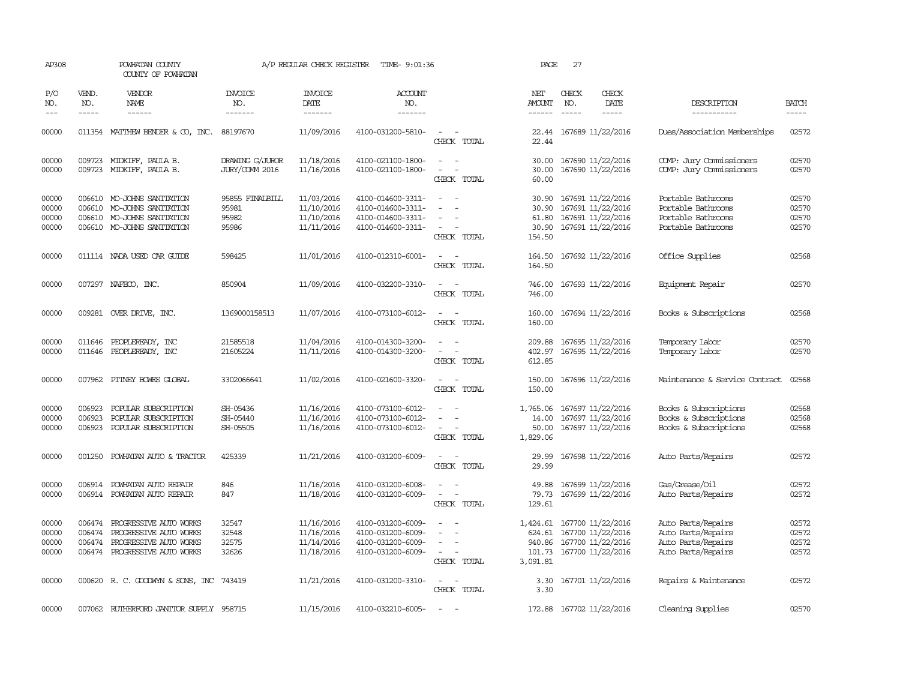| AP308                            |                            | POWHATAN COUNTY<br>COUNTY OF POWHATAN                                                                         |                                            | A/P REGULAR CHECK REGISTER                           | TIME- 9:01:36                                                                    |                                                                                                                                                                     | PAGE                                       | 27                          |                                                                                                         |                                                                                      |                                  |
|----------------------------------|----------------------------|---------------------------------------------------------------------------------------------------------------|--------------------------------------------|------------------------------------------------------|----------------------------------------------------------------------------------|---------------------------------------------------------------------------------------------------------------------------------------------------------------------|--------------------------------------------|-----------------------------|---------------------------------------------------------------------------------------------------------|--------------------------------------------------------------------------------------|----------------------------------|
| P/O<br>NO.<br>$---$              | VEND.<br>NO.<br>-----      | <b>VENDOR</b><br>NAME                                                                                         | <b>INVOICE</b><br>NO.<br>-------           | <b>INVOICE</b><br>DATE<br>-------                    | <b>ACCOUNT</b><br>NO.<br>-------                                                 |                                                                                                                                                                     | NET<br>AMOUNT                              | CHECK<br>NO.<br>$- - - - -$ | CHECK<br>DATE<br>-----                                                                                  | DESCRIPTION<br>-----------                                                           | <b>BATCH</b><br>-----            |
| 00000                            |                            | 011354 MATTHEW BENDER & CO, INC.                                                                              | 88197670                                   | 11/09/2016                                           | 4100-031200-5810-                                                                | $\sim$<br>$\sim$<br>CHECK TOTAL                                                                                                                                     | 22.44<br>22.44                             |                             | 167689 11/22/2016                                                                                       | Dues/Association Memberships                                                         | 02572                            |
| 00000<br>00000                   |                            | 009723 MIDKIFF, PAULA B.<br>009723 MIDKIFF, PAULA B.                                                          | DRAWING G/JUROR<br><b>JURY/COMM 2016</b>   | 11/18/2016<br>11/16/2016                             | 4100-021100-1800-<br>4100-021100-1800-                                           | $\frac{1}{2} \left( \frac{1}{2} \right) \left( \frac{1}{2} \right) = \frac{1}{2} \left( \frac{1}{2} \right)$<br>$\equiv$<br>$\overline{\phantom{0}}$<br>CHECK TOTAL | 30.00<br>30.00<br>60.00                    |                             | 167690 11/22/2016<br>167690 11/22/2016                                                                  | COMP: Jury Commissioners<br>COMP: Jury Commissioners                                 | 02570<br>02570                   |
| 00000<br>00000<br>00000<br>00000 | 006610                     | MO-JOHNS SANITATION<br>006610 MO-JOHNS SANITATION<br>006610 MO-JOHNS SANITATION<br>006610 MO-JOHNS SANITATION | 95855 FINALBILL<br>95981<br>95982<br>95986 | 11/03/2016<br>11/10/2016<br>11/10/2016<br>11/11/2016 | 4100-014600-3311-<br>4100-014600-3311-<br>4100-014600-3311-<br>4100-014600-3311- | $\sim$<br>$\sim$<br>$\overline{\phantom{a}}$<br>CHECK TOTAL                                                                                                         | 30.90<br>30.90<br>61.80<br>30.90<br>154.50 |                             | 167691 11/22/2016<br>167691 11/22/2016<br>167691 11/22/2016<br>167691 11/22/2016                        | Portable Bathrooms<br>Portable Bathrooms<br>Portable Bathrooms<br>Portable Bathrooms | 02570<br>02570<br>02570<br>02570 |
| 00000                            |                            | 011114 NADA USED CAR GUIDE                                                                                    | 598425                                     | 11/01/2016                                           | 4100-012310-6001-                                                                | $\sim$<br>CHECK TOTAL                                                                                                                                               | 164.50<br>164.50                           |                             | 167692 11/22/2016                                                                                       | Office Supplies                                                                      | 02568                            |
| 00000                            |                            | 007297 NAFECO, INC.                                                                                           | 850904                                     | 11/09/2016                                           | 4100-032200-3310-                                                                | $\sim$<br>CHECK TOTAL                                                                                                                                               | 746.00<br>746.00                           |                             | 167693 11/22/2016                                                                                       | Equipment Repair                                                                     | 02570                            |
| 00000                            |                            | 009281 OVER DRIVE, INC.                                                                                       | 1369000158513                              | 11/07/2016                                           | 4100-073100-6012-                                                                | CHECK TOTAL                                                                                                                                                         | 160.00<br>160.00                           |                             | 167694 11/22/2016                                                                                       | Books & Subscriptions                                                                | 02568                            |
| 00000<br>00000                   |                            | 011646 PEOPLEREADY, INC<br>011646 PEOPLEREADY, INC                                                            | 21585518<br>21605224                       | 11/04/2016<br>11/11/2016                             | 4100-014300-3200-<br>4100-014300-3200-                                           | $\sim$<br>$\sim$<br>CHECK TOTAL                                                                                                                                     | 209.88<br>402.97<br>612.85                 |                             | 167695 11/22/2016<br>167695 11/22/2016                                                                  | Temporary Labor<br>Temporary Labor                                                   | 02570<br>02570                   |
| 00000                            |                            | 007962 PITNEY BOWES GLOBAL                                                                                    | 3302066641                                 | 11/02/2016                                           | 4100-021600-3320-                                                                | $\omega_{\rm{max}}$ and $\omega_{\rm{max}}$<br>CHECK TOTAL                                                                                                          | 150.00<br>150.00                           |                             | 167696 11/22/2016                                                                                       | Maintenance & Service Contract                                                       | 02568                            |
| 00000<br>00000<br>00000          | 006923<br>006923<br>006923 | POPULAR SUBSCRIPTION<br>POPULAR SUBSCRIPTION<br>POPULAR SUBSCRIPTION                                          | SH-05436<br>SH-05440<br>SH-05505           | 11/16/2016<br>11/16/2016<br>11/16/2016               | 4100-073100-6012-<br>4100-073100-6012-<br>4100-073100-6012-                      | CHECK TOTAL                                                                                                                                                         | 1,765.06<br>14.00<br>50.00<br>1,829.06     |                             | 167697 11/22/2016<br>167697 11/22/2016<br>167697 11/22/2016                                             | Books & Subscriptions<br>Books & Subscriptions<br>Books & Subscriptions              | 02568<br>02568<br>02568          |
| 00000                            | 001250                     | POWHATAN AUTO & TRACTOR                                                                                       | 425339                                     | 11/21/2016                                           | 4100-031200-6009-                                                                | $\sim$<br>$\overline{\phantom{a}}$<br>CHECK TOTAL                                                                                                                   | 29.99<br>29.99                             |                             | 167698 11/22/2016                                                                                       | Auto Parts/Repairs                                                                   | 02572                            |
| 00000<br>00000                   | 006914                     | POWHATAN AUTO REPAIR<br>006914 POWHATAN AUTO REPAIR                                                           | 846<br>847                                 | 11/16/2016<br>11/18/2016                             | 4100-031200-6008-<br>4100-031200-6009-                                           | $\sim$<br>$\equiv$<br>CHECK TOTAL                                                                                                                                   | 49.88<br>79.73<br>129.61                   |                             | 167699 11/22/2016<br>167699 11/22/2016                                                                  | Gas/Grease/Oil<br>Auto Parts/Repairs                                                 | 02572<br>02572                   |
| 00000<br>00000<br>00000<br>00000 | 006474<br>006474<br>006474 | PROGRESSIVE AUTO WORKS<br>PROGRESSIVE AUTO WORKS<br>PROGRESSIVE AUTO WORKS<br>006474 PROGRESSIVE AUTO WORKS   | 32547<br>32548<br>32575<br>32626           | 11/16/2016<br>11/16/2016<br>11/14/2016<br>11/18/2016 | 4100-031200-6009-<br>4100-031200-6009-<br>4100-031200-6009-<br>4100-031200-6009- | $\equiv$<br>$\overline{\phantom{a}}$<br>$\sim$<br>CHECK TOTAL                                                                                                       | 940.86<br>3,091.81                         |                             | 1,424.61 167700 11/22/2016<br>624.61 167700 11/22/2016<br>167700 11/22/2016<br>101.73 167700 11/22/2016 | Auto Parts/Repairs<br>Auto Parts/Repairs<br>Auto Parts/Repairs<br>Auto Parts/Repairs | 02572<br>02572<br>02572<br>02572 |
| 00000                            |                            | 000620 R.C. GOODWYN & SONS, INC 743419                                                                        |                                            | 11/21/2016                                           | 4100-031200-3310-                                                                | $\sim$<br>$\sim$<br>CHECK TOTAL                                                                                                                                     | 3.30<br>3.30                               |                             | 167701 11/22/2016                                                                                       | Repairs & Maintenance                                                                | 02572                            |
| 00000                            |                            | 007062 RUIHERFORD JANITOR SUPPLY 958715                                                                       |                                            | 11/15/2016                                           | 4100-032210-6005-                                                                |                                                                                                                                                                     |                                            |                             | 172.88 167702 11/22/2016                                                                                | Cleaning Supplies                                                                    | 02570                            |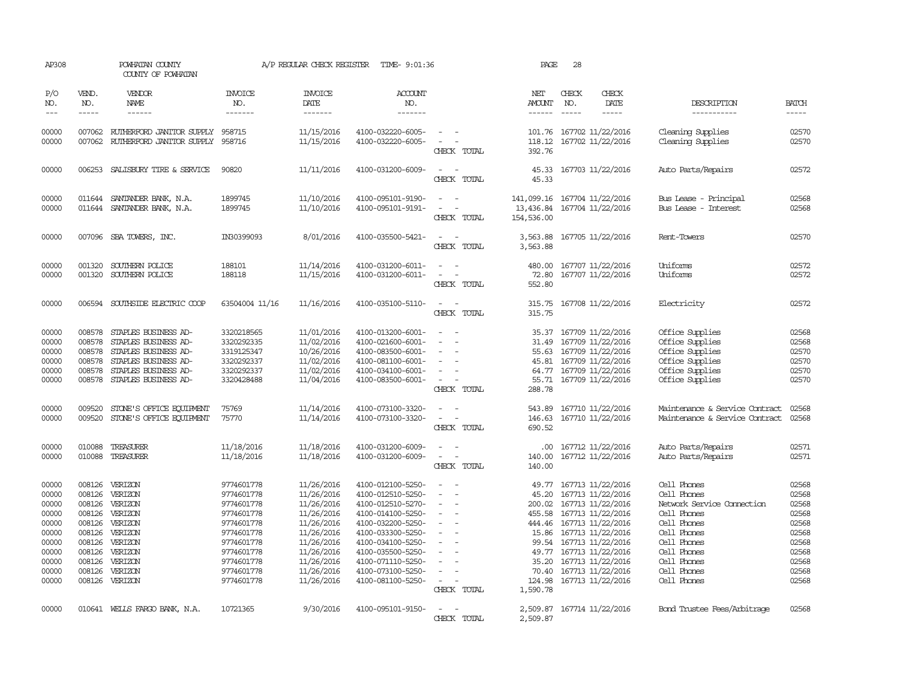| AP308                                                                                           |                                                                              | POWHATAN COUNTY<br>COUNTY OF POWHATAN                                                                                                               |                                                                                                                                                        | A/P REGULAR CHECK REGISTER                                                                                                                             | TIME- 9:01:36                                                                                                                                                                                                                       |                                                                     | PAGE                                                                                                            | 28                                                                                                                                                                                                                                  |               |                                                                                                                                                                                  |                                                                                                 |
|-------------------------------------------------------------------------------------------------|------------------------------------------------------------------------------|-----------------------------------------------------------------------------------------------------------------------------------------------------|--------------------------------------------------------------------------------------------------------------------------------------------------------|--------------------------------------------------------------------------------------------------------------------------------------------------------|-------------------------------------------------------------------------------------------------------------------------------------------------------------------------------------------------------------------------------------|---------------------------------------------------------------------|-----------------------------------------------------------------------------------------------------------------|-------------------------------------------------------------------------------------------------------------------------------------------------------------------------------------------------------------------------------------|---------------|----------------------------------------------------------------------------------------------------------------------------------------------------------------------------------|-------------------------------------------------------------------------------------------------|
| P/O<br>NO.                                                                                      | VEND.<br>NO.                                                                 | <b>VENDOR</b><br><b>NAME</b>                                                                                                                        | <b>INVOICE</b><br>NO.                                                                                                                                  | <b>INVOICE</b><br>DATE                                                                                                                                 | <b>ACCOUNT</b><br>NO.                                                                                                                                                                                                               |                                                                     | NET<br>AMOUNT                                                                                                   | CHECK<br>NO.                                                                                                                                                                                                                        | CHECK<br>DATE | DESCRIPTION                                                                                                                                                                      | <b>BATCH</b>                                                                                    |
| $--\,$                                                                                          | $- - - - -$                                                                  | ------                                                                                                                                              | -------                                                                                                                                                | -------                                                                                                                                                | -------                                                                                                                                                                                                                             |                                                                     | ------                                                                                                          | $\frac{1}{2}$                                                                                                                                                                                                                       | $- - - - -$   | -----------                                                                                                                                                                      | -----                                                                                           |
| 00000<br>00000                                                                                  | 007062                                                                       | 007062 RUTHERFORD JANITOR SUPPLY<br>RUIHERFORD JANITOR SUPPLY                                                                                       | 958715<br>958716                                                                                                                                       | 11/15/2016<br>11/15/2016                                                                                                                               | 4100-032220-6005-<br>4100-032220-6005-                                                                                                                                                                                              | $\overline{\phantom{a}}$<br>$\equiv$<br>CHECK TOTAL                 | 118.12<br>392.76                                                                                                | 101.76 167702 11/22/2016<br>167702 11/22/2016                                                                                                                                                                                       |               | Cleaning Supplies<br>Cleaning Supplies                                                                                                                                           | 02570<br>02570                                                                                  |
| 00000                                                                                           |                                                                              | 006253 SALISBURY TIRE & SERVICE                                                                                                                     | 90820                                                                                                                                                  | 11/11/2016                                                                                                                                             | 4100-031200-6009-                                                                                                                                                                                                                   | $\overline{a}$<br>CHECK TOTAL                                       | 45.33<br>45.33                                                                                                  | 167703 11/22/2016                                                                                                                                                                                                                   |               | Auto Parts/Repairs                                                                                                                                                               | 02572                                                                                           |
| 00000<br>00000                                                                                  | 011644<br>011644                                                             | SANIANDER BANK, N.A.<br>SANIANDER BANK, N.A.                                                                                                        | 1899745<br>1899745                                                                                                                                     | 11/10/2016<br>11/10/2016                                                                                                                               | 4100-095101-9190-<br>4100-095101-9191-                                                                                                                                                                                              | $\overline{\phantom{a}}$<br>$\overline{\phantom{a}}$<br>CHECK TOTAL | 141,099.16<br>13,436.84<br>154,536.00                                                                           | 167704 11/22/2016<br>167704 11/22/2016                                                                                                                                                                                              |               | Bus Lease - Principal<br>Bus Lease - Interest                                                                                                                                    | 02568<br>02568                                                                                  |
| 00000                                                                                           |                                                                              | 007096 SBA TOWERS, INC.                                                                                                                             | IN30399093                                                                                                                                             | 8/01/2016                                                                                                                                              | 4100-035500-5421-                                                                                                                                                                                                                   | $\equiv$<br>CHECK TOTAL                                             | 3,563.88                                                                                                        | 3,563.88 167705 11/22/2016                                                                                                                                                                                                          |               | Rent-Towers                                                                                                                                                                      | 02570                                                                                           |
| 00000<br>00000                                                                                  | 001320<br>001320                                                             | SOUTHERN POLICE<br>SOUTHERN POLICE                                                                                                                  | 188101<br>188118                                                                                                                                       | 11/14/2016<br>11/15/2016                                                                                                                               | 4100-031200-6011-<br>4100-031200-6011-                                                                                                                                                                                              | $\equiv$<br>CHECK TOTAL                                             | 480.00<br>72.80<br>552.80                                                                                       | 167707 11/22/2016<br>167707 11/22/2016                                                                                                                                                                                              |               | Uniforms<br>Uniforms                                                                                                                                                             | 02572<br>02572                                                                                  |
| 00000                                                                                           | 006594                                                                       | SOUTHSIDE ELECTRIC COOP                                                                                                                             | 63504004 11/16                                                                                                                                         | 11/16/2016                                                                                                                                             | 4100-035100-5110-                                                                                                                                                                                                                   | $\sim$ 100 $\mu$<br>CHECK TOTAL                                     | 315.75<br>315.75                                                                                                | 167708 11/22/2016                                                                                                                                                                                                                   |               | Electricity                                                                                                                                                                      | 02572                                                                                           |
| 00000<br>00000<br>00000<br>00000<br>00000<br>00000                                              | 008578<br>008578<br>008578<br>008578<br>008578                               | STAPLES BUSINESS AD-<br>STAPLES BUSINESS AD-<br>STAPLES BUSINESS AD-<br>STAPLES BUSINESS AD-<br>STAPLES BUSINESS AD-<br>008578 STAPLES BUSINESS AD- | 3320218565<br>3320292335<br>3319125347<br>3320292337<br>3320292337<br>3320428488                                                                       | 11/01/2016<br>11/02/2016<br>10/26/2016<br>11/02/2016<br>11/02/2016<br>11/04/2016                                                                       | 4100-013200-6001-<br>4100-021600-6001-<br>4100-083500-6001-<br>4100-081100-6001-<br>4100-034100-6001-<br>4100-083500-6001-                                                                                                          | $\equiv$<br>$\overline{\phantom{a}}$<br>CHECK TOTAL                 | 35.37<br>31.49<br>55.63<br>45.81<br>64.77<br>55.71<br>288.78                                                    | 167709 11/22/2016<br>167709 11/22/2016<br>167709 11/22/2016<br>167709 11/22/2016<br>167709 11/22/2016<br>167709 11/22/2016                                                                                                          |               | Office Supplies<br>Office Supplies<br>Office Supplies<br>Office Supplies<br>Office Supplies<br>Office Supplies                                                                   | 02568<br>02568<br>02570<br>02570<br>02570<br>02570                                              |
| 00000<br>00000                                                                                  | 009520<br>009520                                                             | STONE'S OFFICE EQUIPMENT<br>STONE'S OFFICE EQUIPMENT                                                                                                | 75769<br>75770                                                                                                                                         | 11/14/2016<br>11/14/2016                                                                                                                               | 4100-073100-3320-<br>4100-073100-3320-                                                                                                                                                                                              | $\sim$<br>$\overline{a}$<br>CHECK TOTAL                             | 543.89<br>146.63<br>690.52                                                                                      | 167710 11/22/2016<br>167710 11/22/2016                                                                                                                                                                                              |               | Maintenance & Service Contract<br>Maintenance & Service Contract                                                                                                                 | 02568<br>02568                                                                                  |
| 00000<br>00000                                                                                  | 010088<br>010088                                                             | TREASURER<br>TREASURER                                                                                                                              | 11/18/2016<br>11/18/2016                                                                                                                               | 11/18/2016<br>11/18/2016                                                                                                                               | 4100-031200-6009-<br>4100-031200-6009-                                                                                                                                                                                              | $\equiv$<br>CHECK TOTAL                                             | .00.<br>140.00<br>140.00                                                                                        | 167712 11/22/2016<br>167712 11/22/2016                                                                                                                                                                                              |               | Auto Parts/Repairs<br>Auto Parts/Repairs                                                                                                                                         | 02571<br>02571                                                                                  |
| 00000<br>00000<br>00000<br>00000<br>00000<br>00000<br>00000<br>00000<br>00000<br>00000<br>00000 | 008126<br>008126<br>008126<br>008126<br>008126<br>008126<br>008126<br>008126 | VERIZON<br>VERIZON<br>VERIZON<br>VERIZON<br>008126 VERIZON<br>008126 VERIZON<br>VERIZON<br>VERIZON<br>VERIZON<br>VERIZON<br>008126 VERIZON          | 9774601778<br>9774601778<br>9774601778<br>9774601778<br>9774601778<br>9774601778<br>9774601778<br>9774601778<br>9774601778<br>9774601778<br>9774601778 | 11/26/2016<br>11/26/2016<br>11/26/2016<br>11/26/2016<br>11/26/2016<br>11/26/2016<br>11/26/2016<br>11/26/2016<br>11/26/2016<br>11/26/2016<br>11/26/2016 | 4100-012100-5250-<br>4100-012510-5250-<br>4100-012510-5270-<br>4100-014100-5250-<br>4100-032200-5250-<br>4100-033300-5250-<br>4100-034100-5250-<br>4100-035500-5250-<br>4100-071110-5250-<br>4100-073100-5250-<br>4100-081100-5250- | $\overline{\phantom{a}}$<br>$\sim$<br>CHECK TOTAL                   | 49.77<br>45.20<br>200.02<br>455.58<br>444.46<br>15.86<br>99.54<br>49.77<br>35.20<br>70.40<br>124.98<br>1,590.78 | 167713 11/22/2016<br>167713 11/22/2016<br>167713 11/22/2016<br>167713 11/22/2016<br>167713 11/22/2016<br>167713 11/22/2016<br>167713 11/22/2016<br>167713 11/22/2016<br>167713 11/22/2016<br>167713 11/22/2016<br>167713 11/22/2016 |               | Cell Phones<br>Cell Phones<br>Network Service Connection<br>Cell Phones<br>Cell Phones<br>Cell Phones<br>Cell Phones<br>Cell Phones<br>Cell Phones<br>Cell Phones<br>Cell Phones | 02568<br>02568<br>02568<br>02568<br>02568<br>02568<br>02568<br>02568<br>02568<br>02568<br>02568 |
| 00000                                                                                           |                                                                              | 010641 WELLS FARGO BANK, N.A.                                                                                                                       | 10721365                                                                                                                                               | 9/30/2016                                                                                                                                              | 4100-095101-9150-                                                                                                                                                                                                                   | CHECK TOTAL                                                         | 2,509.87<br>2,509.87                                                                                            | 167714 11/22/2016                                                                                                                                                                                                                   |               | Bond Trustee Fees/Arbitrage                                                                                                                                                      | 02568                                                                                           |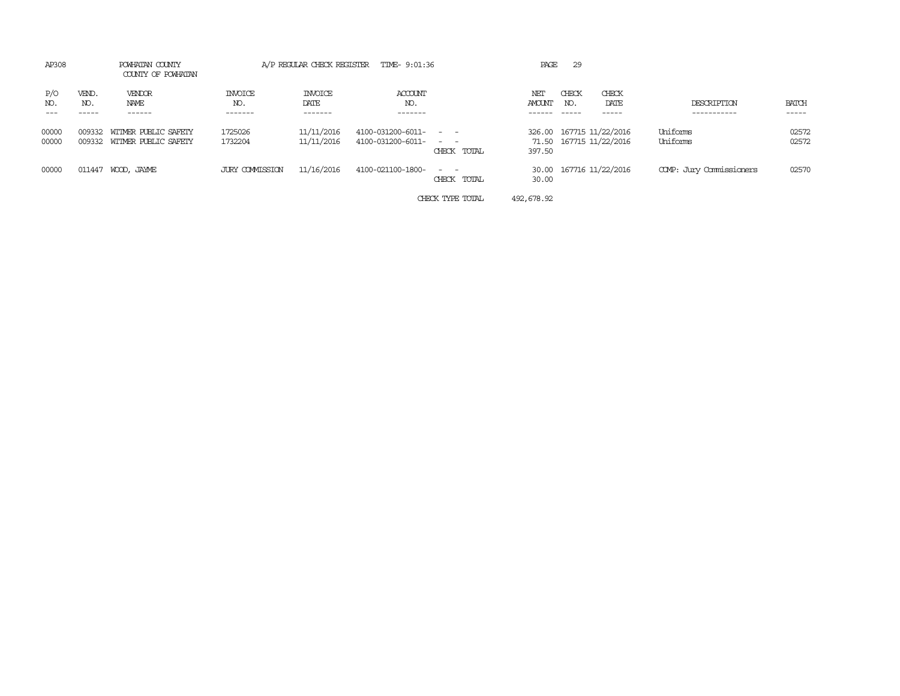| AP308          |              | POWHATAN COUNTY<br>COUNTY OF POWHATAN               |                           |                                   | A/P REGULAR CHECK REGISTER TIME- 9:01:36                     |                            | PAGE          | 29           |                                                     |                           |                |
|----------------|--------------|-----------------------------------------------------|---------------------------|-----------------------------------|--------------------------------------------------------------|----------------------------|---------------|--------------|-----------------------------------------------------|---------------------------|----------------|
| P/O<br>NO.     | VEND.<br>NO. | VENDOR<br>NAME<br>------                            | INVOICE<br>NO.<br>------- | <b>INVOICE</b><br>DATE<br>------- | <b>ACCOUNT</b><br>NO.<br>-------                             |                            | NET<br>AMOUNT | CHECK<br>NO. | CHECK<br>DATE<br>-----                              | DESCRIPTION<br>---------- | BATCH<br>----- |
| 00000<br>00000 | 009332       | WITMER PUBLIC SAFETY<br>009332 WITMER PUBLIC SAFETY | 1725026<br>1732204        | 11/11/2016<br>11/11/2016          | $4100 - 031200 - 6011 - - -$<br>$4100 - 031200 - 6011 - - -$ | CHECK TOTAL                | 397.50        |              | 326.00 167715 11/22/2016<br>71.50 167715 11/22/2016 | Uniforms<br>Uniforms      | 02572<br>02572 |
| 00000          | 011447       | WOOD, JAYME                                         | JURY COMMISSION           | 11/16/2016                        | 4100-021100-1800-                                            | $\sim$ $ -$<br>CHECK TOTAL | 30.00         |              | 30.00 167716 11/22/2016                             | COMP: Jury Commissioners  | 02570          |
|                |              |                                                     |                           |                                   |                                                              | CHECK TYPE TOTAL           | 492,678.92    |              |                                                     |                           |                |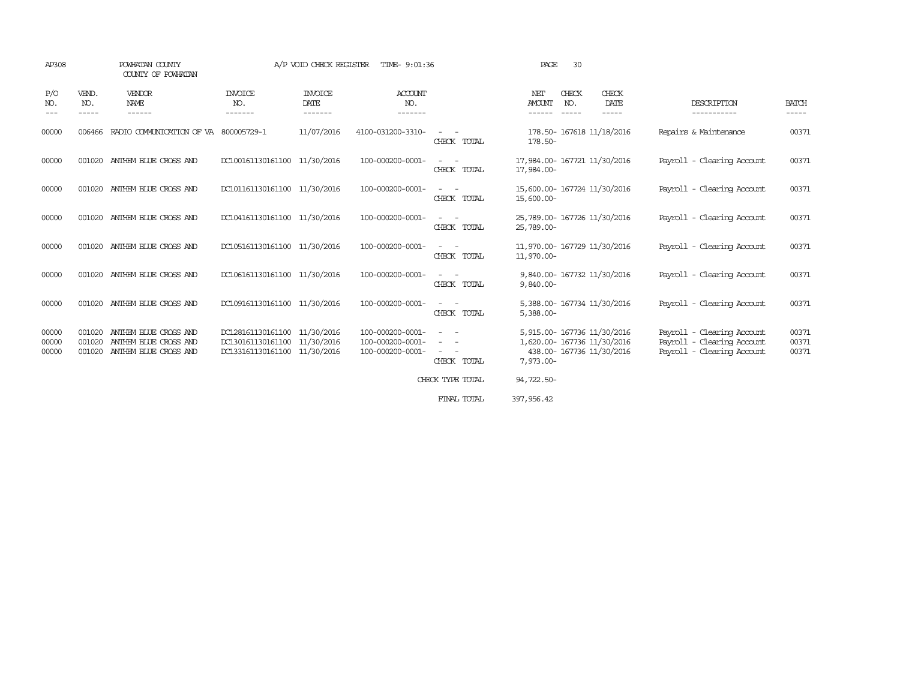| AP308                   |                            | POWHATAN COUNTY<br>COUNTY OF POWHATAN                                   |                                                                        | A/P VOID CHECK REGISTER           | TIME- 9:01:36                                            |                                           | PAGE<br>30                                                                                              |                                                                                        |                         |
|-------------------------|----------------------------|-------------------------------------------------------------------------|------------------------------------------------------------------------|-----------------------------------|----------------------------------------------------------|-------------------------------------------|---------------------------------------------------------------------------------------------------------|----------------------------------------------------------------------------------------|-------------------------|
| P/O<br>NO.<br>$- - -$   | VEND.<br>NO.<br>-----      | <b>VENDOR</b><br>NAME<br>------                                         | INVOICE<br>NO.<br>-------                                              | <b>INVOICE</b><br>DATE<br>------- | <b>ACCOUNT</b><br>NO.<br>-------                         |                                           | NET<br>CHECK<br>CHECK<br><b>AMOUNT</b><br>NO.<br>DATE<br>-----<br>-----<br>------                       | DESCRIPTION<br>-----------                                                             | <b>BATCH</b><br>-----   |
| 00000                   | 006466                     | RADIO COMMUNICATION OF VA 800005729-1                                   |                                                                        | 11/07/2016                        | 4100-031200-3310-                                        | CHECK TOTAL                               | 178.50- 167618 11/18/2016<br>178.50-                                                                    | Repairs & Maintenance                                                                  | 00371                   |
| 00000                   | 001020                     | ANTHEM BLUE CROSS AND                                                   | DC100161130161100 11/30/2016                                           |                                   | 100-000200-0001-                                         | CHECK TOTAL                               | 17,984.00- 167721 11/30/2016<br>17,984.00-                                                              | Payroll - Clearing Account                                                             | 00371                   |
| 00000                   | 001020                     | ANTHEM BLUE CROSS AND                                                   | DC101161130161100 11/30/2016                                           |                                   | 100-000200-0001-                                         | CHECK TOTAL                               | 15,600.00- 167724 11/30/2016<br>15,600.00-                                                              | Payroll - Clearing Account                                                             | 00371                   |
| 00000                   | 001020                     | ANTHEM BLUE CROSS AND                                                   | DC104161130161100 11/30/2016                                           |                                   | 100-000200-0001-                                         | CHECK TOTAL                               | 25,789.00- 167726 11/30/2016<br>25,789.00-                                                              | Payroll - Clearing Account                                                             | 00371                   |
| 00000                   | 001020                     | ANTHEM BLUE CROSS AND                                                   | DC105161130161100 11/30/2016                                           |                                   | 100-000200-0001-                                         | $\sim$ 100 $\mu$<br>$\sim$<br>CHECK TOTAL | 11,970.00- 167729 11/30/2016<br>11,970.00-                                                              | Payroll - Clearing Account                                                             | 00371                   |
| 00000                   | 001020                     | ANTHEM BLUE CROSS AND                                                   | DC106161130161100 11/30/2016                                           |                                   | 100-000200-0001-                                         | $\overline{\phantom{a}}$<br>CHECK TOTAL   | 9,840.00-167732 11/30/2016<br>$9,840.00 -$                                                              | Payroll - Clearing Account                                                             | 00371                   |
| 00000                   | 001020                     | ANTHEM BLUE CROSS AND                                                   | DC109161130161100 11/30/2016                                           |                                   | 100-000200-0001-                                         | CHECK TOTAL                               | 5,388.00- 167734 11/30/2016<br>$5,388.00 -$                                                             | Payroll - Clearing Account                                                             | 00371                   |
| 00000<br>00000<br>00000 | 001020<br>001020<br>001020 | ANTHEM BLUE CROSS AND<br>ANIHEM BLUE CROSS AND<br>ANTHEM BLUE CROSS AND | DC128161130161100<br>DC130161130161100<br>DC133161130161100 11/30/2016 | 11/30/2016<br>11/30/2016          | 100-000200-0001-<br>100-000200-0001-<br>100-000200-0001- | $\sim$<br>$\sim$<br>CHECK TOTAL           | 5,915.00- 167736 11/30/2016<br>1,620.00- 167736 11/30/2016<br>438.00- 167736 11/30/2016<br>$7,973.00 -$ | Payroll - Clearing Account<br>Payroll - Clearing Account<br>Payroll - Clearing Account | 00371<br>00371<br>00371 |
|                         |                            |                                                                         |                                                                        |                                   |                                                          | CHECK TYPE TOTAL                          | 94,722.50-                                                                                              |                                                                                        |                         |
|                         |                            |                                                                         |                                                                        |                                   |                                                          | FINAL TOTAL                               | 397, 956, 42                                                                                            |                                                                                        |                         |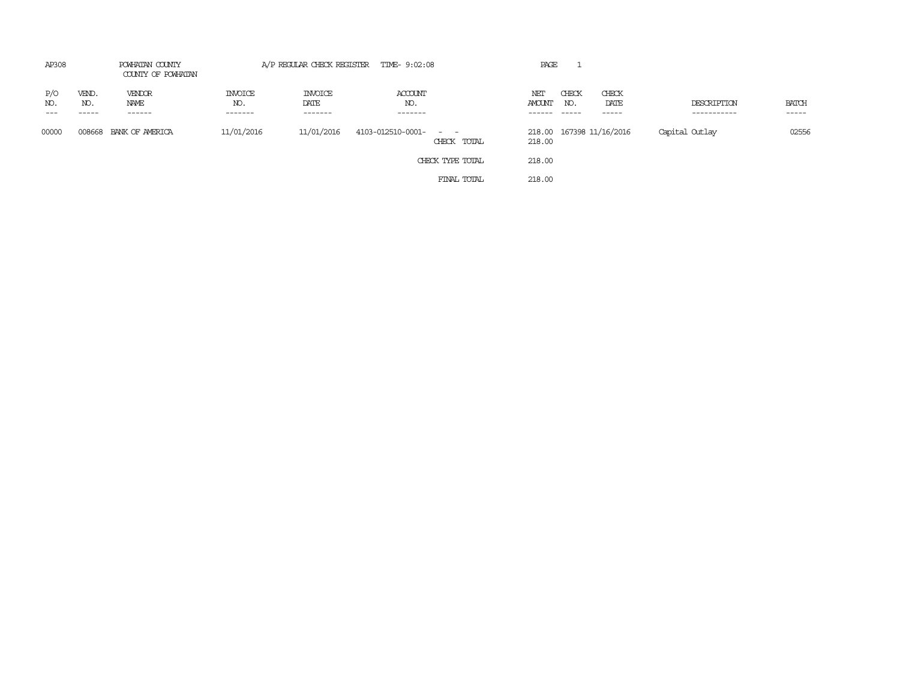| AP308      |                       | POWHATAN COUNTY<br>COUNTY OF POWHATAN |                                  |                                   | A/P REGULAR CHECK REGISTER TIME- 9:02:08        | PAGE                 |                                          |                            |                       |
|------------|-----------------------|---------------------------------------|----------------------------------|-----------------------------------|-------------------------------------------------|----------------------|------------------------------------------|----------------------------|-----------------------|
| P/O<br>NO. | VEND.<br>NO.<br>----- | VENDOR<br>NAME<br>------              | <b>INVOICE</b><br>NO.<br>------- | <b>INVOICE</b><br>DATE<br>------- | ACCOUNT<br>NO.<br>-------                       | NET<br>AMOUNT<br>NO. | CHECK<br>CHECK<br>DATE<br>-----<br>----- | DESCRIPTION<br>----------- | <b>BATCH</b><br>----- |
| 00000      | 008668                | BANK OF AMERICA                       | 11/01/2016                       | 11/01/2016                        | 4103-012510-0001-<br>$\sim$ $ -$<br>CHECK TOTAL | 218.00               | 218.00 167398 11/16/2016                 | Capital Outlay             | 02556                 |
|            |                       |                                       |                                  |                                   | CHECK TYPE TOTAL                                | 218.00               |                                          |                            |                       |
|            |                       |                                       |                                  |                                   | FINAL TOTAL                                     | 218.00               |                                          |                            |                       |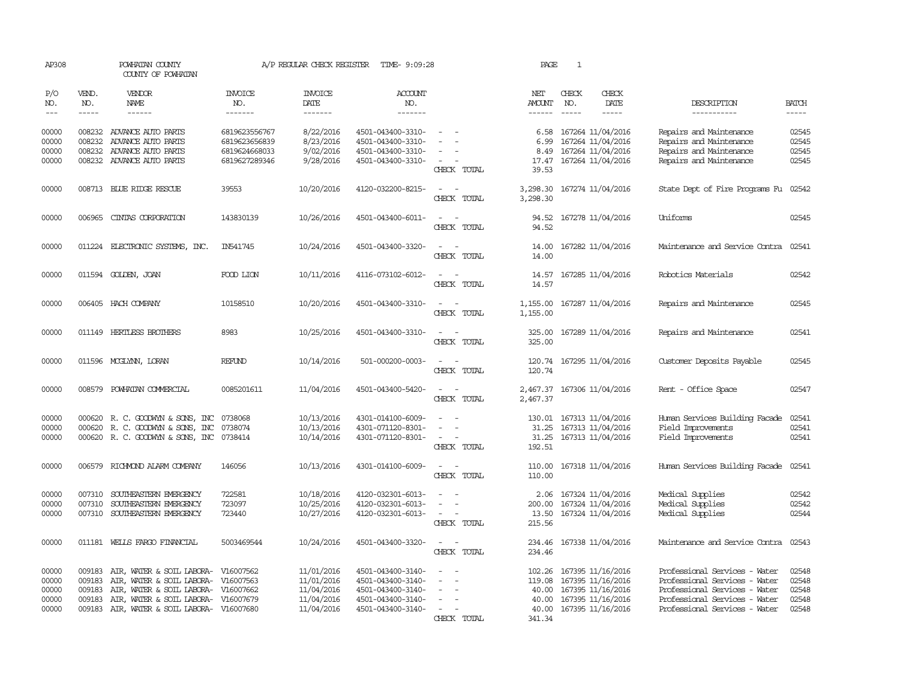| AP308          |              | POWHATAN COUNTY<br>COUNTY OF POWHATAN                                   |                                | A/P REGULAR CHECK REGISTER | TIME- 9:09:28                          |                                                   | PAGE                 | $\mathbf{1}$ |                                              |                                                                |                |
|----------------|--------------|-------------------------------------------------------------------------|--------------------------------|----------------------------|----------------------------------------|---------------------------------------------------|----------------------|--------------|----------------------------------------------|----------------------------------------------------------------|----------------|
| P/O<br>NO.     | VEND.<br>NO. | VENDOR<br><b>NAME</b>                                                   | <b>INVOICE</b><br>NO.          | <b>INVOICE</b><br>DATE     | <b>ACCOUNT</b><br>NO.                  |                                                   | NET<br>AMOUNT        | CHECK<br>NO. | CHECK<br>DATE                                | DESCRIPTION                                                    | <b>BATCH</b>   |
| $\frac{1}{2}$  | $- - - - -$  | ------                                                                  | -------                        | -------                    | -------                                |                                                   | ------               | $- - - - -$  | -----                                        | -----------                                                    | -----          |
| 00000<br>00000 | 008232       | 008232 ADVANCE AUTO PARTS<br>ADVANCE AUTO PARTS                         | 6819623556767<br>6819623656839 | 8/22/2016<br>8/23/2016     | 4501-043400-3310-<br>4501-043400-3310- |                                                   | 6.58<br>6.99         |              | 167264 11/04/2016<br>167264 11/04/2016       | Repairs and Maintenance<br>Repairs and Maintenance             | 02545<br>02545 |
| 00000<br>00000 | 008232       | ADVANCE AUTO PARTS<br>008232 ADVANCE AUTO PARTS                         | 6819624668033<br>6819627289346 | 9/02/2016<br>9/28/2016     | 4501-043400-3310-<br>4501-043400-3310- | $\overline{\phantom{a}}$                          | 8.49<br>17.47        |              | 167264 11/04/2016<br>167264 11/04/2016       | Repairs and Maintenance<br>Repairs and Maintenance             | 02545<br>02545 |
|                |              |                                                                         |                                |                            |                                        | CHECK TOTAL                                       | 39.53                |              |                                              |                                                                |                |
| 00000          |              | 008713 BLUE RIDGE RESCUE                                                | 39553                          | 10/20/2016                 | 4120-032200-8215-                      | $\sim$<br>$\overline{\phantom{a}}$<br>CHECK TOTAL | 3,298.30             |              | 3,298.30 167274 11/04/2016                   | State Dept of Fire Programs Fu                                 | 02542          |
| 00000          | 006965       | CINIAS CORPORATION                                                      | 143830139                      | 10/26/2016                 | 4501-043400-6011-                      | CHECK TOTAL                                       | 94.52<br>94.52       |              | 167278 11/04/2016                            | Uniforms                                                       | 02545          |
| 00000          | 011224       | ELECTRONIC SYSTEMS, INC.                                                | IN541745                       | 10/24/2016                 | 4501-043400-3320-                      | $\overline{\phantom{a}}$<br>$\sim$<br>CHECK TOTAL | 14.00<br>14.00       |              | 167282 11/04/2016                            | Maintenance and Service Contra                                 | 02541          |
|                |              |                                                                         |                                |                            |                                        |                                                   |                      |              |                                              |                                                                |                |
| 00000          |              | 011594 GOLDEN, JOAN                                                     | FOOD LION                      | 10/11/2016                 | 4116-073102-6012-                      | $\overline{\phantom{a}}$<br>. —<br>CHECK TOTAL    | 14.57<br>14.57       |              | 167285 11/04/2016                            | Robotics Materials                                             | 02542          |
| 00000          |              | 006405 HACH COMPANY                                                     | 10158510                       | 10/20/2016                 | 4501-043400-3310-                      | CHECK TOTAL                                       | 1,155.00<br>1,155.00 |              | 167287 11/04/2016                            | Repairs and Maintenance                                        | 02545          |
| 00000          |              | 011149 HERTLESS BROTHERS                                                | 8983                           | 10/25/2016                 | 4501-043400-3310-                      | CHECK TOTAL                                       | 325.00<br>325.00     |              | 167289 11/04/2016                            | Repairs and Maintenance                                        | 02541          |
| 00000          |              | 011596 MCGLYNN, LORAN                                                   | <b>REFUND</b>                  | 10/14/2016                 | 501-000200-0003-                       | CHECK TOTAL                                       | 120.74               |              | 120.74 167295 11/04/2016                     | Customer Deposits Payable                                      | 02545          |
| 00000          | 008579       | POWHATAN COMMERCIAL                                                     | 0085201611                     | 11/04/2016                 | 4501-043400-5420-                      | CHECK TOTAL                                       | 2,467.37<br>2,467.37 |              | 167306 11/04/2016                            | Rent - Office Space                                            | 02547          |
| 00000          |              | 000620 R. C. GOODWYN & SONS, INC                                        | 0738068                        | 10/13/2016                 | 4301-014100-6009-                      |                                                   | 130.01               |              | 167313 11/04/2016                            | Human Services Building Facade                                 | 02541          |
| 00000          |              | 000620 R. C. GOODWYN & SONS, INC                                        | 0738074                        | 10/13/2016                 | 4301-071120-8301-                      |                                                   | 31.25                |              | 167313 11/04/2016                            | Field Improvements                                             | 02541          |
| 00000          |              | 000620 R. C. GOODWYN & SONS, INC 0738414                                |                                | 10/14/2016                 | 4301-071120-8301-                      | $\sim$ 100 $\mu$<br>CHECK TOTAL                   | 31.25<br>192.51      |              | 167313 11/04/2016                            | Field Improvements                                             | 02541          |
| 00000          | 006579       | RICHMOND ALARM COMPANY                                                  | 146056                         | 10/13/2016                 | 4301-014100-6009-                      | $\overline{\phantom{a}}$<br>CHECK TOTAL           | 110.00<br>110.00     |              | 167318 11/04/2016                            | Human Services Building Facade                                 | 02541          |
| 00000          | 007310       | SOUTHEASTERN EMERGENCY                                                  | 722581                         | 10/18/2016                 | 4120-032301-6013-                      |                                                   | 2.06                 |              | 167324 11/04/2016                            | Medical Supplies                                               | 02542          |
| 00000          | 007310       | SOUTHEASTERN EMERGENCY                                                  | 723097                         | 10/25/2016                 | 4120-032301-6013-                      |                                                   | 200.00               |              | 167324 11/04/2016                            | Medical Supplies                                               | 02542          |
| 00000          |              | 007310 SOUTHEASTERN EMERGENCY                                           | 723440                         | 10/27/2016                 | 4120-032301-6013-                      | $\overline{\phantom{a}}$<br>CHECK TOTAL           | 13.50<br>215.56      |              | 167324 11/04/2016                            | Medical Supplies                                               | 02544          |
| 00000          |              | 011181 WELLS FARGO FINANCIAL                                            | 5003469544                     | 10/24/2016                 | 4501-043400-3320-                      | CHECK TOTAL                                       | 234.46               |              | 234.46 167338 11/04/2016                     | Maintenance and Service Contra                                 | 02543          |
| 00000          | 009183       | AIR, WATER & SOIL LABORA-                                               | V16007562                      | 11/01/2016                 | 4501-043400-3140-                      |                                                   |                      |              | 102.26 167395 11/16/2016                     | Professional Services - Water                                  | 02548          |
| 00000          | 009183       | AIR, WATER & SOIL LABORA-                                               | V16007563                      | 11/01/2016                 | 4501-043400-3140-                      |                                                   | 119.08               |              | 167395 11/16/2016                            | Professional Services - Water                                  | 02548          |
| 00000          | 009183       | AIR, WATER & SOIL LABORA-                                               | V16007662                      | 11/04/2016                 | 4501-043400-3140-                      | $\equiv$                                          |                      |              | 40.00 167395 11/16/2016                      | Professional Services - Water                                  | 02548          |
| 00000<br>00000 | 009183       | AIR, WATER & SOIL LABORA-<br>009183 AIR, WATER & SOIL LABORA- V16007680 | V16007679                      | 11/04/2016<br>11/04/2016   | 4501-043400-3140-<br>4501-043400-3140- |                                                   | 40.00                |              | 167395 11/16/2016<br>40.00 167395 11/16/2016 | Professional Services - Water<br>Professional Services - Water | 02548<br>02548 |
|                |              |                                                                         |                                |                            |                                        | CHECK TOTAL                                       | 341.34               |              |                                              |                                                                |                |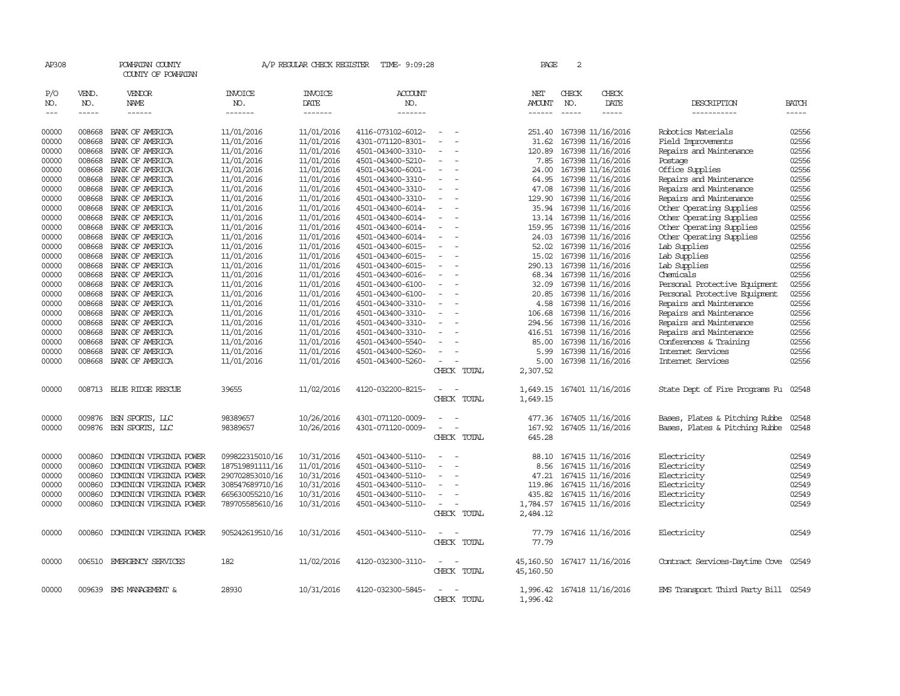| AP308               |                       | POWHATAN COUNTY<br>COUNTY OF POWHATAN |                                  | A/P REGULAR CHECK REGISTER        | TIME- 9:09:28                    |                          | PAGE                           | 2                           |                        |                                      |                          |
|---------------------|-----------------------|---------------------------------------|----------------------------------|-----------------------------------|----------------------------------|--------------------------|--------------------------------|-----------------------------|------------------------|--------------------------------------|--------------------------|
| P/O<br>NO.<br>$---$ | VEND.<br>NO.<br>----- | VENDOR<br>NAME<br>$- - - - - -$       | <b>INVOICE</b><br>NO.<br>------- | <b>INVOICE</b><br>DATE<br>------- | <b>ACCOUNT</b><br>NO.<br>------- |                          | NET<br>AMOUNT<br>$- - - - - -$ | CHECK<br>NO.<br>$- - - - -$ | CHECK<br>DATE<br>----- | DESCRIPTION<br>-----------           | <b>BATCH</b><br>$\cdots$ |
| 00000               | 008668                | BANK OF AMERICA                       | 11/01/2016                       | 11/01/2016                        | 4116-073102-6012-                | $\overline{\phantom{a}}$ | 251.40                         |                             | 167398 11/16/2016      | Robotics Materials                   | 02556                    |
| 00000               | 008668                | BANK OF AMERICA                       | 11/01/2016                       | 11/01/2016                        | 4301-071120-8301-                | $\equiv$                 | 31.62                          |                             | 167398 11/16/2016      | Field Improvements                   | 02556                    |
| 00000               | 008668                | BANK OF AMERICA                       | 11/01/2016                       | 11/01/2016                        | 4501-043400-3310-                | $\sim$                   | 120.89                         |                             | 167398 11/16/2016      | Repairs and Maintenance              | 02556                    |
| 00000               | 008668                | BANK OF AMERICA                       | 11/01/2016                       | 11/01/2016                        | 4501-043400-5210-                | $\equiv$                 | 7.85                           |                             | 167398 11/16/2016      | Postage                              | 02556                    |
| 00000               | 008668                | BANK OF AMERICA                       | 11/01/2016                       | 11/01/2016                        | 4501-043400-6001-                |                          | 24.00                          |                             | 167398 11/16/2016      | Office Supplies                      | 02556                    |
| 00000               | 008668                | BANK OF AMERICA                       | 11/01/2016                       | 11/01/2016                        | 4501-043400-3310-                | $\overline{\phantom{a}}$ | 64.95                          |                             | 167398 11/16/2016      | Repairs and Maintenance              | 02556                    |
| 00000               | 008668                | BANK OF AMERICA                       | 11/01/2016                       | 11/01/2016                        | 4501-043400-3310-                | $\equiv$                 | 47.08                          |                             | 167398 11/16/2016      | Repairs and Maintenance              | 02556                    |
| 00000               | 008668                | BANK OF AMERICA                       | 11/01/2016                       | 11/01/2016                        | 4501-043400-3310-                |                          | 129.90                         |                             | 167398 11/16/2016      | Repairs and Maintenance              | 02556                    |
| 00000               | 008668                | BANK OF AMERICA                       | 11/01/2016                       | 11/01/2016                        | 4501-043400-6014-                | $\equiv$<br>÷,           | 35.94                          |                             | 167398 11/16/2016      | Other Operating Supplies             | 02556                    |
| 00000               | 008668                | BANK OF AMERICA                       | 11/01/2016                       | 11/01/2016                        | 4501-043400-6014-                | $\overline{\phantom{a}}$ | 13.14                          |                             | 167398 11/16/2016      | Other Operating Supplies             | 02556                    |
| 00000               | 008668                | BANK OF AMERICA                       | 11/01/2016                       | 11/01/2016                        | 4501-043400-6014-                |                          | 159.95                         |                             | 167398 11/16/2016      | Other Operating Supplies             | 02556                    |
| 00000               | 008668                | BANK OF AMERICA                       | 11/01/2016                       | 11/01/2016                        | 4501-043400-6014-                | $\overline{\phantom{a}}$ | 24.03                          |                             | 167398 11/16/2016      | Other Operating Supplies             | 02556                    |
| 00000               | 008668                | BANK OF AMERICA                       | 11/01/2016                       | 11/01/2016                        | 4501-043400-6015-                |                          | 52.02                          |                             | 167398 11/16/2016      | Lab Supplies                         | 02556                    |
| 00000               | 008668                | BANK OF AMERICA                       | 11/01/2016                       | 11/01/2016                        | 4501-043400-6015-                |                          | 15.02                          |                             | 167398 11/16/2016      | Lab Supplies                         | 02556                    |
| 00000               | 008668                | BANK OF AMERICA                       | 11/01/2016                       | 11/01/2016                        | 4501-043400-6015-                |                          | 290.13                         |                             | 167398 11/16/2016      | Lab Supplies                         | 02556                    |
| 00000               | 008668                | BANK OF AMERICA                       | 11/01/2016                       | 11/01/2016                        | 4501-043400-6016-                |                          | 68.34                          |                             | 167398 11/16/2016      | Chemicals                            | 02556                    |
| 00000               | 008668                | BANK OF AMERICA                       | 11/01/2016                       | 11/01/2016                        | 4501-043400-6100-                |                          | 32.09                          |                             | 167398 11/16/2016      | Personal Protective Equipment        | 02556                    |
| 00000               | 008668                | BANK OF AMERICA                       | 11/01/2016                       | 11/01/2016                        | 4501-043400-6100-                |                          | 20.85                          |                             | 167398 11/16/2016      | Personal Protective Equipment        | 02556                    |
| 00000               | 008668                | BANK OF AMERICA                       | 11/01/2016                       | 11/01/2016                        | 4501-043400-3310-                | $\overline{\phantom{a}}$ | 4.58                           |                             | 167398 11/16/2016      | Repairs and Maintenance              | 02556                    |
| 00000               | 008668                | BANK OF AMERICA                       | 11/01/2016                       | 11/01/2016                        | 4501-043400-3310-                |                          | 106.68                         |                             | 167398 11/16/2016      | Repairs and Maintenance              | 02556                    |
| 00000               | 008668                | BANK OF AMERICA                       | 11/01/2016                       | 11/01/2016                        | 4501-043400-3310-                |                          | 294.56                         |                             | 167398 11/16/2016      | Repairs and Maintenance              | 02556                    |
| 00000               | 008668                | BANK OF AMERICA                       | 11/01/2016                       | 11/01/2016                        | 4501-043400-3310-                | $\sim$                   | 416.51                         |                             | 167398 11/16/2016      | Repairs and Maintenance              | 02556                    |
| 00000               | 008668                | BANK OF AMERICA                       | 11/01/2016                       | 11/01/2016                        | 4501-043400-5540-                |                          | 85.00                          |                             | 167398 11/16/2016      | Conferences & Training               | 02556                    |
| 00000               | 008668                | BANK OF AMERICA                       | 11/01/2016                       | 11/01/2016                        | 4501-043400-5260-                |                          | 5.99                           |                             | 167398 11/16/2016      | Internet Services                    | 02556                    |
| 00000               |                       | 008668 BANK OF AMERICA                | 11/01/2016                       | 11/01/2016                        | 4501-043400-5260-                | $\equiv$                 | 5.00                           |                             | 167398 11/16/2016      | Internet Services                    | 02556                    |
|                     |                       |                                       |                                  |                                   |                                  | CHECK TOTAL              | 2,307.52                       |                             |                        |                                      |                          |
| 00000               |                       | 008713 BLUE RIDGE RESCUE              | 39655                            | 11/02/2016                        | 4120-032200-8215-                |                          | 1,649.15                       |                             | 167401 11/16/2016      | State Dept of Fire Programs Fu 02548 |                          |
|                     |                       |                                       |                                  |                                   |                                  | CHECK TOTAL              | 1,649.15                       |                             |                        |                                      |                          |
| 00000               | 009876                | BSN SPORTS, LLC                       | 98389657                         | 10/26/2016                        | 4301-071120-0009-                |                          | 477.36                         |                             | 167405 11/16/2016      | Bases, Plates & Pitching Rubbe       | 02548                    |
| 00000               |                       | 009876 BSN SPORTS, LLC                | 98389657                         | 10/26/2016                        | 4301-071120-0009-                | $\equiv$                 | 167.92                         |                             | 167405 11/16/2016      | Bases, Plates & Pitching Rubbe       | 02548                    |
|                     |                       |                                       |                                  |                                   |                                  | CHECK TOTAL              | 645.28                         |                             |                        |                                      |                          |
| 00000               | 000860                | DOMINION VIRGINIA POWER               | 099822315010/16                  | 10/31/2016                        | 4501-043400-5110-                | $\equiv$                 | 88.10                          |                             | 167415 11/16/2016      | Electricity                          | 02549                    |
| 00000               | 000860                | DOMINION VIRGINIA POWER               | 187519891111/16                  | 11/01/2016                        | 4501-043400-5110-                | $\equiv$                 | 8.56                           |                             | 167415 11/16/2016      | Electricity                          | 02549                    |
| 00000               | 000860                | DOMINION VIRGINIA POWER               | 290702853010/16                  | 10/31/2016                        | 4501-043400-5110-                |                          | 47.21                          |                             | 167415 11/16/2016      | Electricity                          | 02549                    |
| 00000               | 000860                | DOMINION VIRGINIA POWER               | 308547689710/16                  | 10/31/2016                        | 4501-043400-5110-                | $\equiv$                 | 119.86                         |                             | 167415 11/16/2016      | Electricity                          | 02549                    |
| 00000               | 000860                | DOMINION VIRGINIA POWER               | 665630055210/16                  | 10/31/2016                        | 4501-043400-5110-                |                          | 435.82                         |                             | 167415 11/16/2016      | Electricity                          | 02549                    |
| 00000               | 000860                | DOMINION VIRGINIA POWER               | 789705585610/16                  | 10/31/2016                        | 4501-043400-5110-                | $\sim$                   | 1,784.57                       |                             | 167415 11/16/2016      | Electricity                          | 02549                    |
|                     |                       |                                       |                                  |                                   |                                  | CHECK TOTAL              | 2,484.12                       |                             |                        |                                      |                          |
| 00000               | 000860                | DOMINION VIRGINIA POWER               | 905242619510/16                  | 10/31/2016                        | 4501-043400-5110-                |                          | 77.79                          |                             | 167416 11/16/2016      | Electricity                          | 02549                    |
|                     |                       |                                       |                                  |                                   |                                  | CHECK TOTAL              | 77.79                          |                             |                        |                                      |                          |
| 00000               |                       | 006510 EMERGENCY SERVICES             | 182                              | 11/02/2016                        | 4120-032300-3110-                |                          | 45,160.50                      |                             | 167417 11/16/2016      | Contract Services-Daytime Cove 02549 |                          |
|                     |                       |                                       |                                  |                                   |                                  | CHECK TOTAL              | 45,160.50                      |                             |                        |                                      |                          |
| 00000               |                       | 009639 EMS MANAGEMENT &               | 28930                            | 10/31/2016                        | 4120-032300-5845-                |                          | 1,996.42                       |                             | 167418 11/16/2016      | EMS Transport Third Party Bill 02549 |                          |
|                     |                       |                                       |                                  |                                   |                                  | CHECK TOTAL              | 1,996.42                       |                             |                        |                                      |                          |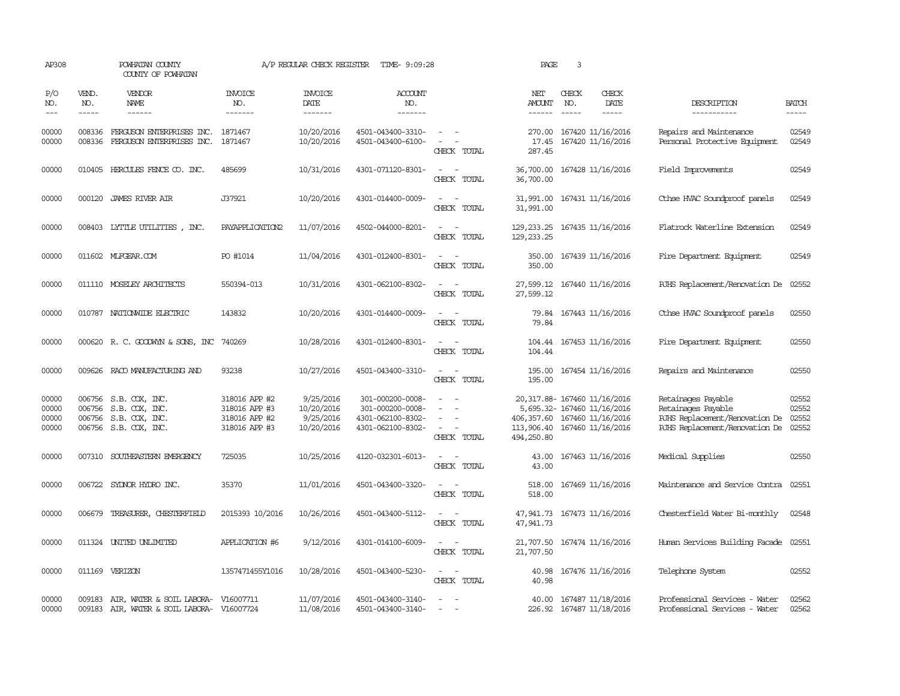| AP308                            |                               | POWHATAN COUNTY<br>COUNTY OF POWHATAN                                                            |                                                                  | A/P REGULAR CHECK REGISTER                         | TIME- 9:09:28                                                                  |                                                                                                                             | PAGE                                                                                                                                       | 3                             |                                                     |                                                                                                              |                                  |
|----------------------------------|-------------------------------|--------------------------------------------------------------------------------------------------|------------------------------------------------------------------|----------------------------------------------------|--------------------------------------------------------------------------------|-----------------------------------------------------------------------------------------------------------------------------|--------------------------------------------------------------------------------------------------------------------------------------------|-------------------------------|-----------------------------------------------------|--------------------------------------------------------------------------------------------------------------|----------------------------------|
| P/O<br>NO.<br>$---$              | VEND.<br>NO.<br>$\frac{1}{2}$ | VENDOR<br>NAME<br>------                                                                         | <b>INVOICE</b><br>NO.<br>-------                                 | <b>INVOICE</b><br>DATE<br>-------                  | <b>ACCOUNT</b><br>NO.<br>-------                                               |                                                                                                                             | NET<br>AMOUNT<br>$- - - - - -$                                                                                                             | CHECK<br>NO.<br>$\frac{1}{2}$ | CHECK<br>DATE<br>$- - - - -$                        | DESCRIPTION<br>-----------                                                                                   | <b>BATCH</b><br>$- - - - -$      |
| 00000<br>00000                   | 008336<br>008336              | FERGUSON ENTERPRISES INC.<br>FERGUSON ENTERPRISES INC.                                           | 1871467<br>1871467                                               | 10/20/2016<br>10/20/2016                           | 4501-043400-3310-<br>4501-043400-6100-                                         | $\sim$ $ -$<br>$\sim$<br>CHECK TOTAL                                                                                        | 270.00<br>17.45<br>287.45                                                                                                                  |                               | 167420 11/16/2016<br>167420 11/16/2016              | Repairs and Maintenance<br>Personal Protective Equipment                                                     | 02549<br>02549                   |
| 00000                            |                               | 010405 HERCULES FENCE CO. INC.                                                                   | 485699                                                           | 10/31/2016                                         | 4301-071120-8301-                                                              | $\sim$ $\sim$<br>CHECK TOTAL                                                                                                | 36,700.00<br>36,700.00                                                                                                                     |                               | 167428 11/16/2016                                   | Field Improvements                                                                                           | 02549                            |
| 00000                            |                               | 000120 JAMES RIVER AIR                                                                           | J37921                                                           | 10/20/2016                                         | 4301-014400-0009-                                                              | $\overline{\phantom{a}}$<br>CHECK TOTAL                                                                                     | 31,991.00<br>31,991.00                                                                                                                     |                               | 167431 11/16/2016                                   | Cthse HVAC Soundproof panels                                                                                 | 02549                            |
| 00000                            |                               | 008403 LYTTLE UTILITIES, INC.                                                                    | PAYAPPLICATION2                                                  | 11/07/2016                                         | 4502-044000-8201-                                                              | $\frac{1}{2} \left( \frac{1}{2} \right) \left( \frac{1}{2} \right) = \frac{1}{2} \left( \frac{1}{2} \right)$<br>CHECK TOTAL | 129, 233. 25 167435 11/16/2016<br>129, 233. 25                                                                                             |                               |                                                     | Flatrock Waterline Extension                                                                                 | 02549                            |
| 00000                            |                               | 011602 MLFGEAR.COM                                                                               | PO #1014                                                         | 11/04/2016                                         | 4301-012400-8301-                                                              | $\frac{1}{2} \left( \frac{1}{2} \right) \left( \frac{1}{2} \right) = \frac{1}{2} \left( \frac{1}{2} \right)$<br>CHECK TOTAL | 350.00<br>350.00                                                                                                                           |                               | 167439 11/16/2016                                   | Fire Department Equipment                                                                                    | 02549                            |
| 00000                            |                               | 011110 MOSELEY ARCHITECTS                                                                        | 550394-013                                                       | 10/31/2016                                         | 4301-062100-8302-                                                              | $\sim$ $ -$<br>CHECK TOTAL                                                                                                  | 27,599.12<br>27,599.12                                                                                                                     |                               | 167440 11/16/2016                                   | RJHS Replacement/Renovation De                                                                               | 02552                            |
| 00000                            |                               | 010787 NATIONWIDE ELECTRIC                                                                       | 143832                                                           | 10/20/2016                                         | 4301-014400-0009-                                                              | $\frac{1}{2} \left( \frac{1}{2} \right) \left( \frac{1}{2} \right) = \frac{1}{2} \left( \frac{1}{2} \right)$<br>CHECK TOTAL | 79.84                                                                                                                                      |                               | 79.84 167443 11/16/2016                             | Cthse HVAC Soundproof panels                                                                                 | 02550                            |
| 00000                            |                               | 000620 R. C. GOODWYN & SONS, INC 740269                                                          |                                                                  | 10/28/2016                                         | 4301-012400-8301-                                                              | $\frac{1}{2} \left( \frac{1}{2} \right) \left( \frac{1}{2} \right) = \frac{1}{2} \left( \frac{1}{2} \right)$<br>CHECK TOTAL | 104.44                                                                                                                                     |                               | 104.44 167453 11/16/2016                            | Fire Department Equipment                                                                                    | 02550                            |
| 00000                            |                               | 009626 RACO MANUFACTURING AND                                                                    | 93238                                                            | 10/27/2016                                         | 4501-043400-3310-                                                              | $\sim$<br>CHECK TOTAL                                                                                                       | 195.00<br>195.00                                                                                                                           |                               | 167454 11/16/2016                                   | Repairs and Maintenance                                                                                      | 02550                            |
| 00000<br>00000<br>00000<br>00000 |                               | 006756 S.B. COX, INC.<br>006756 S.B. COX, INC.<br>006756 S.B. COX, INC.<br>006756 S.B. COX, INC. | 318016 APP #2<br>318016 APP #3<br>318016 APP #2<br>318016 APP #3 | 9/25/2016<br>10/20/2016<br>9/25/2016<br>10/20/2016 | 301-000200-0008-<br>301-000200-0008-<br>4301-062100-8302-<br>4301-062100-8302- | $\overline{\phantom{a}}$<br>$\equiv$<br>$\overline{\phantom{a}}$<br>CHECK TOTAL                                             | 20,317.88- 167460 11/16/2016<br>5,695.32- 167460 11/16/2016<br>406, 357.60 167460 11/16/2016<br>113,906.40 167460 11/16/2016<br>494,250.80 |                               |                                                     | Retainages Payable<br>Retainages Payable<br>RJHS Replacement/Renovation De<br>RJHS Replacement/Renovation De | 02552<br>02552<br>02552<br>02552 |
| 00000                            |                               | 007310 SOUTHEASTERN EMERGENCY                                                                    | 725035                                                           | 10/25/2016                                         | 4120-032301-6013-                                                              | $\frac{1}{2} \left( \frac{1}{2} \right) \left( \frac{1}{2} \right) = \frac{1}{2} \left( \frac{1}{2} \right)$<br>CHECK TOTAL | 43.00<br>43.00                                                                                                                             |                               | 167463 11/16/2016                                   | Medical Supplies                                                                                             | 02550                            |
| 00000                            |                               | 006722 SYLNOR HYDRO INC.                                                                         | 35370                                                            | 11/01/2016                                         | 4501-043400-3320-                                                              | CHECK TOTAL                                                                                                                 | 518.00                                                                                                                                     |                               | 518.00 167469 11/16/2016                            | Maintenance and Service Contra 02551                                                                         |                                  |
| 00000                            |                               | 006679 TREASURER, CHESTERFIELD                                                                   | 2015393 10/2016                                                  | 10/26/2016                                         | 4501-043400-5112-                                                              | $\sim$ $ -$<br>CHECK TOTAL                                                                                                  | 47,941.73 167473 11/16/2016<br>47,941.73                                                                                                   |                               |                                                     | Chesterfield Water Bi-monthly                                                                                | 02548                            |
| 00000                            |                               | 011324 UNITED UNLIMITED                                                                          | APPLICATION #6                                                   | 9/12/2016                                          | 4301-014100-6009-                                                              | $\frac{1}{2} \left( \frac{1}{2} \right) \left( \frac{1}{2} \right) = \frac{1}{2} \left( \frac{1}{2} \right)$<br>CHECK TOTAL | 21,707.50<br>21,707.50                                                                                                                     |                               | 167474 11/16/2016                                   | Human Services Building Facade                                                                               | 02551                            |
| 00000                            |                               | 011169 VERIZON                                                                                   | 1357471455Y1016                                                  | 10/28/2016                                         | 4501-043400-5230-                                                              | $\frac{1}{2} \left( \frac{1}{2} \right) \left( \frac{1}{2} \right) = \frac{1}{2} \left( \frac{1}{2} \right)$<br>CHECK TOTAL | 40.98<br>40.98                                                                                                                             |                               | 167476 11/16/2016                                   | Telephone System                                                                                             | 02552                            |
| 00000<br>00000                   |                               | 009183 AIR, WATER & SOIL LABORA- V16007711<br>009183 AIR, WATER & SOIL LABORA- V16007724         |                                                                  | 11/07/2016<br>11/08/2016                           | 4501-043400-3140-<br>4501-043400-3140-                                         | $\sim$<br>$\sim$                                                                                                            |                                                                                                                                            |                               | 40.00 167487 11/18/2016<br>226.92 167487 11/18/2016 | Professional Services - Water<br>Professional Services - Water                                               | 02562<br>02562                   |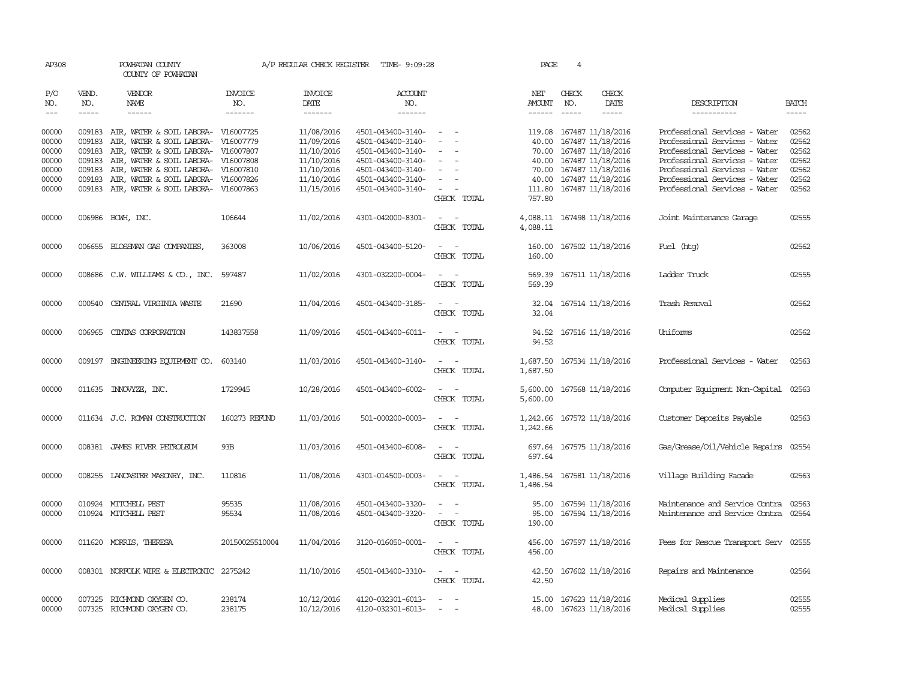| AP308               |                               | POWHATAN COUNTY<br>COUNTY OF POWHATAN                  |                                  |                                   | A/P REGULAR CHECK REGISTER TIME- 9:09:28 |                                                      | PAGE                                  | 4                           |                                              |                                                                |                             |
|---------------------|-------------------------------|--------------------------------------------------------|----------------------------------|-----------------------------------|------------------------------------------|------------------------------------------------------|---------------------------------------|-----------------------------|----------------------------------------------|----------------------------------------------------------------|-----------------------------|
| P/O<br>NO.<br>$---$ | VEND.<br>NO.<br>$\frac{1}{2}$ | <b>VENDOR</b><br>NAME<br>$- - - - - -$                 | <b>INVOICE</b><br>NO.<br>------- | <b>INVOICE</b><br>DATE<br>------- | <b>ACCOUNT</b><br>NO.<br>-------         |                                                      | NET<br><b>AMOUNT</b><br>$- - - - - -$ | CHECK<br>NO.<br>$- - - - -$ | CHECK<br>DATE<br>$- - - - -$                 | DESCRIPTION<br>-----------                                     | <b>BATCH</b><br>$- - - - -$ |
| 00000<br>00000      | 009183<br>009183              | AIR, WATER & SOIL LABORA-<br>AIR, WATER & SOIL LABORA- | V16007725<br>V16007779           | 11/08/2016<br>11/09/2016          | 4501-043400-3140-<br>4501-043400-3140-   | $\overline{\phantom{a}}$<br>$\overline{\phantom{0}}$ | 119.08<br>40.00                       |                             | 167487 11/18/2016<br>167487 11/18/2016       | Professional Services - Water<br>Professional Services - Water | 02562<br>02562              |
| 00000               | 009183                        | AIR, WATER & SOIL LABORA-                              | V16007807                        | 11/10/2016                        | 4501-043400-3140-                        |                                                      | 70.00                                 |                             | 167487 11/18/2016                            | Professional Services - Water                                  | 02562                       |
| 00000               | 009183                        | AIR, WATER & SOIL LABORA-                              | V16007808                        | 11/10/2016                        | 4501-043400-3140-                        |                                                      | 40.00                                 |                             | 167487 11/18/2016                            | Professional Services - Water                                  | 02562                       |
| 00000               | 009183                        | AIR, WATER & SOIL LABORA- V16007810                    |                                  | 11/10/2016                        | 4501-043400-3140-                        | $\overline{\phantom{a}}$                             | 70.00                                 |                             | 167487 11/18/2016                            | Professional Services - Water                                  | 02562                       |
| 00000               | 009183                        | AIR, WATER & SOIL LABORA-                              | V16007826                        | 11/10/2016                        | 4501-043400-3140-                        |                                                      | 40.00                                 |                             | 167487 11/18/2016                            | Professional Services - Water                                  | 02562                       |
| 00000               |                               | 009183 AIR, WATER & SOIL LABORA- V16007863             |                                  | 11/15/2016                        | 4501-043400-3140-                        | $\overline{\phantom{a}}$<br>CHECK TOTAL              | 111.80<br>757.80                      |                             | 167487 11/18/2016                            | Professional Services - Water                                  | 02562                       |
| 00000               |                               | 006986 BCWH, INC.                                      | 106644                           | 11/02/2016                        | 4301-042000-8301-                        | CHECK TOTAL                                          | 4,088.11<br>4,088.11                  |                             | 167498 11/18/2016                            | Joint Maintenance Garage                                       | 02555                       |
| 00000               |                               | 006655 BLOSSMAN GAS COMPANIES                          | 363008                           | 10/06/2016                        | 4501-043400-5120-                        | $\overline{a}$<br>CHECK TOTAL                        | 160.00<br>160.00                      |                             | 167502 11/18/2016                            | Fuel (htg)                                                     | 02562                       |
| 00000               |                               | 008686 C.W. WILLIAMS & CO., INC.                       | 597487                           | 11/02/2016                        | 4301-032200-0004-                        | $\equiv$<br>$\overline{\phantom{a}}$<br>CHECK TOTAL  | 569.39<br>569.39                      |                             | 167511 11/18/2016                            | Ladder Truck                                                   | 02555                       |
| 00000               |                               | 000540 CENTRAL VIRGINIA WASTE                          | 21690                            | 11/04/2016                        | 4501-043400-3185-                        | CHECK TOTAL                                          | 32.04<br>32.04                        |                             | 167514 11/18/2016                            | Trash Removal                                                  | 02562                       |
| 00000               | 006965                        | CINIAS CORPORATION                                     | 143837558                        | 11/09/2016                        | 4501-043400-6011-                        | $\sim$ $ \sim$<br>CHECK TOTAL                        | 94.52<br>94.52                        |                             | 167516 11/18/2016                            | Uniforms                                                       | 02562                       |
| 00000               | 009197                        | ENGINEERING EQUIPMENT CO.                              | 603140                           | 11/03/2016                        | 4501-043400-3140-                        | $\sim$<br>CHECK TOTAL                                | 1,687.50<br>1,687.50                  |                             | 167534 11/18/2016                            | Professional Services - Water                                  | 02563                       |
| 00000               |                               | 011635 INNOVYZE, INC.                                  | 1729945                          | 10/28/2016                        | 4501-043400-6002-                        | CHECK TOTAL                                          | 5,600.00<br>5,600.00                  |                             | 167568 11/18/2016                            | Computer Equipment Non-Capital                                 | 02563                       |
| 00000               |                               | 011634 J.C. ROMAN CONSTRUCTION                         | 160273 REFUND                    | 11/03/2016                        | 501-000200-0003-                         | CHECK TOTAL                                          | 1,242.66<br>1,242.66                  |                             | 167572 11/18/2016                            | Customer Deposits Payable                                      | 02563                       |
| 00000               | 008381                        | JAMES RIVER PEIROLEUM                                  | 93B                              | 11/03/2016                        | 4501-043400-6008-                        | $\equiv$<br>CHECK TOTAL                              | 697.64<br>697.64                      |                             | 167575 11/18/2016                            | Gas/Grease/Oil/Vehicle Repairs                                 | 02554                       |
| 00000               |                               | 008255 LANCASTER MASONRY, INC.                         | 110816                           | 11/08/2016                        | 4301-014500-0003-                        | $\sim$<br>$\sim$<br>CHECK TOTAL                      | 1,486.54                              |                             | 1,486.54 167581 11/18/2016                   | Village Building Facade                                        | 02563                       |
| 00000               |                               | 010924 MITCHELL PEST                                   | 95535                            | 11/08/2016                        | 4501-043400-3320-                        |                                                      | 95.00                                 |                             | 167594 11/18/2016                            | Maintenance and Service Contra                                 | 02563                       |
| 00000               |                               | 010924 MITCHELL PEST                                   | 95534                            | 11/08/2016                        | 4501-043400-3320-                        | $\equiv$<br>$\overline{\phantom{a}}$<br>CHECK TOTAL  | 95.00<br>190.00                       |                             | 167594 11/18/2016                            | Maintenance and Service Contra                                 | 02564                       |
| 00000               |                               | 011620 MORRIS, THERESA                                 | 20150025510004                   | 11/04/2016                        | 3120-016050-0001-                        | CHECK TOTAL                                          | 456.00<br>456.00                      |                             | 167597 11/18/2016                            | Fees for Rescue Transport Serv                                 | 02555                       |
| 00000               |                               | 008301 NORFOLK WIRE & ELECTRONIC                       | 2275242                          | 11/10/2016                        | 4501-043400-3310-                        | $\sim$ $\sim$<br>CHECK TOTAL                         | 42.50<br>42.50                        |                             | 167602 11/18/2016                            | Repairs and Maintenance                                        | 02564                       |
| 00000<br>00000      | 007325                        | RICHMOND OXYGEN CO.<br>007325 RICHMOND OXYGEN CO.      | 238174<br>238175                 | 10/12/2016<br>10/12/2016          | 4120-032301-6013-<br>4120-032301-6013-   | $\sim$                                               | 15.00                                 |                             | 167623 11/18/2016<br>48.00 167623 11/18/2016 | Medical Supplies<br>Medical Supplies                           | 02555<br>02555              |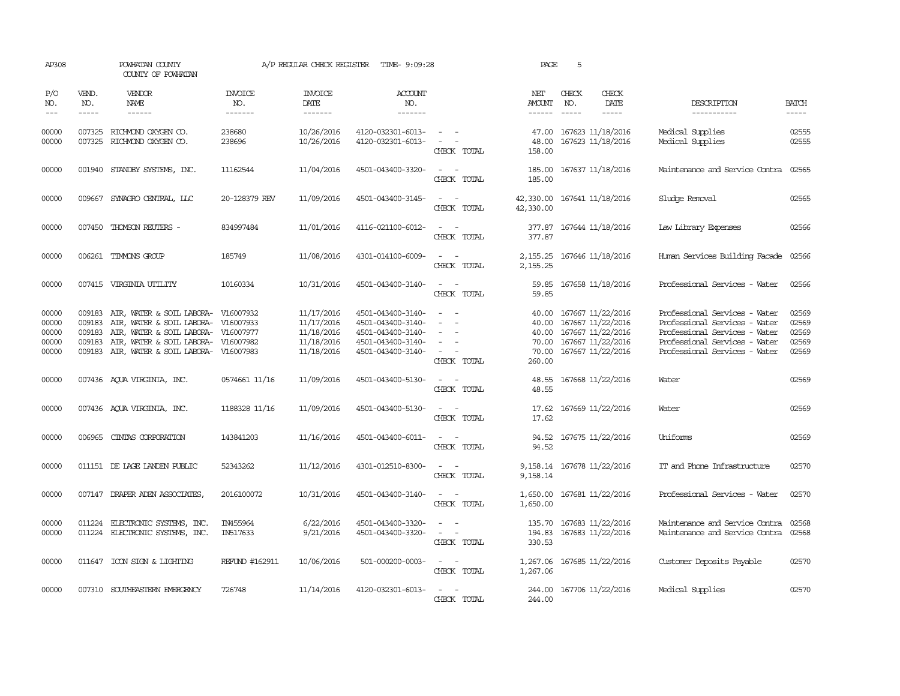| AP308                                     |                                                                                                                                                                                                                                                                                                                                                                                                                                                                                                     | POWHATAN COUNTY<br>COUNTY OF POWHATAN                                                                                                                                       |                                  | A/P REGULAR CHECK REGISTER                                         | TIME- 9:09:28                                                                                         |                                                                                                                             | PAGE                                       | 5                                                                                                           |                                                                                                                                                                   |                                           |
|-------------------------------------------|-----------------------------------------------------------------------------------------------------------------------------------------------------------------------------------------------------------------------------------------------------------------------------------------------------------------------------------------------------------------------------------------------------------------------------------------------------------------------------------------------------|-----------------------------------------------------------------------------------------------------------------------------------------------------------------------------|----------------------------------|--------------------------------------------------------------------|-------------------------------------------------------------------------------------------------------|-----------------------------------------------------------------------------------------------------------------------------|--------------------------------------------|-------------------------------------------------------------------------------------------------------------|-------------------------------------------------------------------------------------------------------------------------------------------------------------------|-------------------------------------------|
| P/O<br>NO.<br>$---$                       | VEND.<br>NO.<br>$\begin{tabular}{ccccc} \multicolumn{2}{c}{} & \multicolumn{2}{c}{} & \multicolumn{2}{c}{} & \multicolumn{2}{c}{} & \multicolumn{2}{c}{} & \multicolumn{2}{c}{} & \multicolumn{2}{c}{} & \multicolumn{2}{c}{} & \multicolumn{2}{c}{} & \multicolumn{2}{c}{} & \multicolumn{2}{c}{} & \multicolumn{2}{c}{} & \multicolumn{2}{c}{} & \multicolumn{2}{c}{} & \multicolumn{2}{c}{} & \multicolumn{2}{c}{} & \multicolumn{2}{c}{} & \multicolumn{2}{c}{} & \multicolumn{2}{c}{} & \mult$ | VENDOR<br>NAME                                                                                                                                                              | <b>INVOICE</b><br>NO.<br>------- | <b>INVOICE</b><br><b>DATE</b><br>-------                           | <b>ACCOUNT</b><br>NO.<br>-------                                                                      |                                                                                                                             | NET<br><b>AMOUNT</b>                       | CHECK<br>CHECK<br>DATE<br>NO.<br>$- - - - -$<br>$\frac{1}{2}$                                               | DESCRIPTION<br>-----------                                                                                                                                        | <b>BATCH</b><br>-----                     |
| 00000<br>00000                            |                                                                                                                                                                                                                                                                                                                                                                                                                                                                                                     | 007325 RICHMOND OXYGEN CO.<br>007325 RICHMOND OXYGEN CO.                                                                                                                    | 238680<br>238696                 | 10/26/2016<br>10/26/2016                                           | 4120-032301-6013-<br>4120-032301-6013-                                                                | $\sim$ $ \sim$<br>$\sim$ $ -$<br>CHECK TOTAL                                                                                | 47.00<br>48.00<br>158.00                   | 167623 11/18/2016<br>167623 11/18/2016                                                                      | Medical Supplies<br>Medical Supplies                                                                                                                              | 02555<br>02555                            |
| 00000                                     |                                                                                                                                                                                                                                                                                                                                                                                                                                                                                                     | 001940 STANDBY SYSTEMS, INC.                                                                                                                                                | 11162544                         | 11/04/2016                                                         | 4501-043400-3320-                                                                                     | $\frac{1}{2} \left( \frac{1}{2} \right) \left( \frac{1}{2} \right) = \frac{1}{2} \left( \frac{1}{2} \right)$<br>CHECK TOTAL | 185.00<br>185.00                           | 167637 11/18/2016                                                                                           | Maintenance and Service Contra                                                                                                                                    | 02565                                     |
| 00000                                     | 009667                                                                                                                                                                                                                                                                                                                                                                                                                                                                                              | SYNAGRO CENTRAL, LLC                                                                                                                                                        | 20-128379 REV                    | 11/09/2016                                                         | 4501-043400-3145-                                                                                     | $\sim$ $-$<br>$\overline{\phantom{a}}$<br>CHECK TOTAL                                                                       | 42,330.00<br>42,330.00                     | 167641 11/18/2016                                                                                           | Sludge Removal                                                                                                                                                    | 02565                                     |
| 00000                                     | 007450                                                                                                                                                                                                                                                                                                                                                                                                                                                                                              | THOMSON REUTERS -                                                                                                                                                           | 834997484                        | 11/01/2016                                                         | 4116-021100-6012-                                                                                     | $\frac{1}{2} \left( \frac{1}{2} \right) \left( \frac{1}{2} \right) = \frac{1}{2} \left( \frac{1}{2} \right)$<br>CHECK TOTAL | 377.87<br>377.87                           | 167644 11/18/2016                                                                                           | Law Library Expenses                                                                                                                                              | 02566                                     |
| 00000                                     |                                                                                                                                                                                                                                                                                                                                                                                                                                                                                                     | 006261 TIMMONS GROUP                                                                                                                                                        | 185749                           | 11/08/2016                                                         | 4301-014100-6009-                                                                                     | $\overline{\phantom{a}}$<br>CHECK TOTAL                                                                                     | 2,155.25<br>2,155.25                       | 167646 11/18/2016                                                                                           | Human Services Building Facade                                                                                                                                    | 02566                                     |
| 00000                                     |                                                                                                                                                                                                                                                                                                                                                                                                                                                                                                     | 007415 VIRGINIA UTILITY                                                                                                                                                     | 10160334                         | 10/31/2016                                                         | 4501-043400-3140-                                                                                     | $ -$<br>CHECK TOTAL                                                                                                         | 59.85<br>59.85                             | 167658 11/18/2016                                                                                           | Professional Services - Water                                                                                                                                     | 02566                                     |
| 00000<br>00000<br>00000<br>00000<br>00000 | 009183<br>009183<br>009183<br>009183<br>009183                                                                                                                                                                                                                                                                                                                                                                                                                                                      | AIR, WATER & SOIL LABORA- V16007932<br>AIR, WATER & SOIL LABORA- V16007933<br>AIR, WATER & SOIL LABORA-<br>AIR, WATER & SOIL LABORA-<br>AIR, WATER & SOIL LABORA- V16007983 | V16007977<br>V16007982           | 11/17/2016<br>11/17/2016<br>11/18/2016<br>11/18/2016<br>11/18/2016 | 4501-043400-3140-<br>4501-043400-3140-<br>4501-043400-3140-<br>4501-043400-3140-<br>4501-043400-3140- | $\sim$<br>$\overline{\phantom{a}}$<br>CHECK TOTAL                                                                           | 40.00<br>40.00<br>70.00<br>70.00<br>260.00 | 167667 11/22/2016<br>167667 11/22/2016<br>40.00 167667 11/22/2016<br>167667 11/22/2016<br>167667 11/22/2016 | Professional Services - Water<br>Professional Services - Water<br>Professional Services - Water<br>Professional Services - Water<br>Professional Services - Water | 02569<br>02569<br>02569<br>02569<br>02569 |
| 00000                                     |                                                                                                                                                                                                                                                                                                                                                                                                                                                                                                     | 007436 AQUA VIRGINIA, INC.                                                                                                                                                  | 0574661 11/16                    | 11/09/2016                                                         | 4501-043400-5130-                                                                                     | $\frac{1}{2} \left( \frac{1}{2} \right) \left( \frac{1}{2} \right) = \frac{1}{2} \left( \frac{1}{2} \right)$<br>CHECK TOTAL | 48.55<br>48.55                             | 167668 11/22/2016                                                                                           | Water                                                                                                                                                             | 02569                                     |
| 00000                                     |                                                                                                                                                                                                                                                                                                                                                                                                                                                                                                     | 007436 AQUA VIRGINIA, INC.                                                                                                                                                  | 1188328 11/16                    | 11/09/2016                                                         | 4501-043400-5130-                                                                                     | CHECK TOTAL                                                                                                                 | 17.62                                      | 17.62 167669 11/22/2016                                                                                     | Water                                                                                                                                                             | 02569                                     |
| 00000                                     |                                                                                                                                                                                                                                                                                                                                                                                                                                                                                                     | 006965 CINIAS CORPORATION                                                                                                                                                   | 143841203                        | 11/16/2016                                                         | 4501-043400-6011-                                                                                     | $\sim$<br>$\sim$<br>CHECK TOTAL                                                                                             | 94.52                                      | 94.52 167675 11/22/2016                                                                                     | Uniforms                                                                                                                                                          | 02569                                     |
| 00000                                     |                                                                                                                                                                                                                                                                                                                                                                                                                                                                                                     | 011151 DE LAGE LANDEN PUBLIC                                                                                                                                                | 52343262                         | 11/12/2016                                                         | 4301-012510-8300-                                                                                     | $\sim$ $\sim$<br>CHECK TOTAL                                                                                                | 9,158.14                                   | 9, 158.14 167678 11/22/2016                                                                                 | IT and Phone Infrastructure                                                                                                                                       | 02570                                     |
| 00000                                     |                                                                                                                                                                                                                                                                                                                                                                                                                                                                                                     | 007147 DRAPER ADEN ASSOCIATES,                                                                                                                                              | 2016100072                       | 10/31/2016                                                         | 4501-043400-3140-                                                                                     | $\frac{1}{2} \left( \frac{1}{2} \right) \left( \frac{1}{2} \right) = \frac{1}{2} \left( \frac{1}{2} \right)$<br>CHECK TOTAL | 1,650.00                                   | 1,650.00 167681 11/22/2016                                                                                  | Professional Services - Water                                                                                                                                     | 02570                                     |
| 00000<br>00000                            |                                                                                                                                                                                                                                                                                                                                                                                                                                                                                                     | 011224 ELECTRONIC SYSTEMS, INC.<br>011224 ELECTRONIC SYSTEMS, INC.                                                                                                          | IN455964<br>IN517633             | 6/22/2016<br>9/21/2016                                             | 4501-043400-3320-<br>4501-043400-3320-                                                                | $\overline{\phantom{a}}$<br>CHECK TOTAL                                                                                     | 330.53                                     | 135.70 167683 11/22/2016<br>194.83 167683 11/22/2016                                                        | Maintenance and Service Contra<br>Maintenance and Service Contra                                                                                                  | 02568<br>02568                            |
| 00000                                     |                                                                                                                                                                                                                                                                                                                                                                                                                                                                                                     | 011647 ICON SIGN & LIGHTING                                                                                                                                                 | REFUND #162911                   | 10/06/2016                                                         | 501-000200-0003-                                                                                      | $\sim$ $ \sim$<br>CHECK TOTAL                                                                                               | 1,267.06                                   | 1,267.06 167685 11/22/2016                                                                                  | Customer Deposits Payable                                                                                                                                         | 02570                                     |
| 00000                                     |                                                                                                                                                                                                                                                                                                                                                                                                                                                                                                     | 007310 SOUTHEASTERN EMERGENCY                                                                                                                                               | 726748                           | 11/14/2016                                                         | 4120-032301-6013-                                                                                     | CHECK TOTAL                                                                                                                 | 244.00                                     | 244.00 167706 11/22/2016                                                                                    | Medical Supplies                                                                                                                                                  | 02570                                     |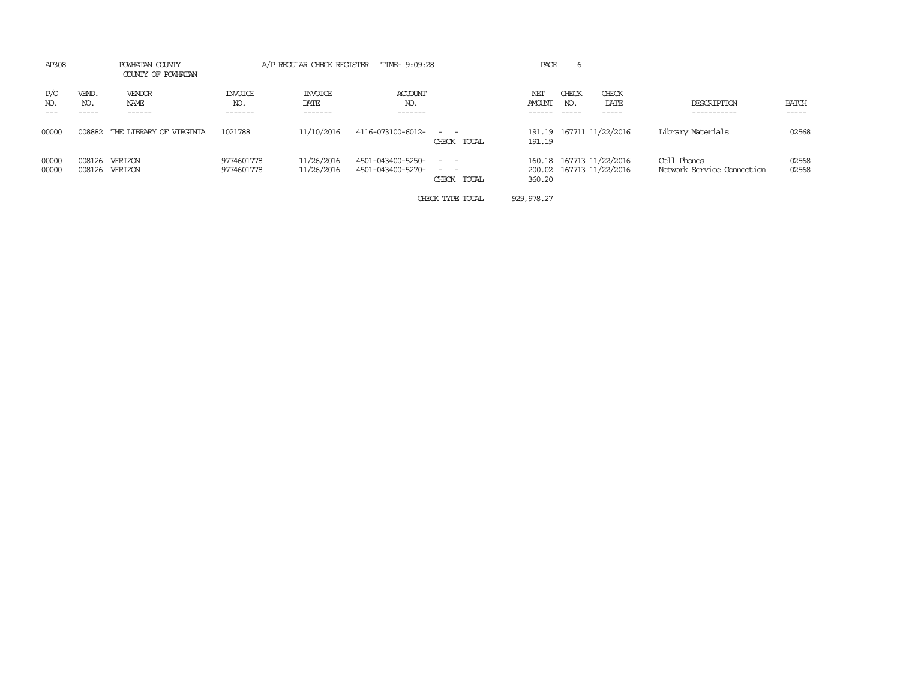| AP308          |                  | POWHATAN COUNTY<br>COUNTY OF POWHATAN | TIME- 9:09:28<br>A/P REGULAR CHECK REGISTER |                                   |                                        |                  | PAGE<br>6     |              |                                                      |                                           |                       |
|----------------|------------------|---------------------------------------|---------------------------------------------|-----------------------------------|----------------------------------------|------------------|---------------|--------------|------------------------------------------------------|-------------------------------------------|-----------------------|
| P/O<br>NO.     | VEND.<br>NO.     | VENDOR<br>NAME<br>------              | <b>INVOICE</b><br>NO.<br>-------            | <b>INVOICE</b><br>DATE<br>------- | ACCOUNT<br>NO.<br>-------              |                  | NET<br>AMOUNT | CHECK<br>NO. | CHECK<br>DATE<br>-----                               | DESCRIPTION<br>-----------                | <b>BATCH</b><br>----- |
| 00000          |                  | 008882 THE LIBRARY OF VIRGINIA        | 1021788                                     | 11/10/2016                        | 4116-073100-6012-                      | CHECK TOTAL      | 191.19        |              | 191.19 167711 11/22/2016                             | Library Materials                         | 02568                 |
| 00000<br>00000 | 008126<br>008126 | VERIZON<br>VERIZON                    | 9774601778<br>9774601778                    | 11/26/2016<br>11/26/2016          | 4501-043400-5250-<br>4501-043400-5270- | CHECK TOTAL      | 360.20        |              | 160.18 167713 11/22/2016<br>200.02 167713 11/22/2016 | Cell Phones<br>Network Service Connection | 02568<br>02568        |
|                |                  |                                       |                                             |                                   |                                        | CHECK TYPE TOTAL | 929, 978.27   |              |                                                      |                                           |                       |